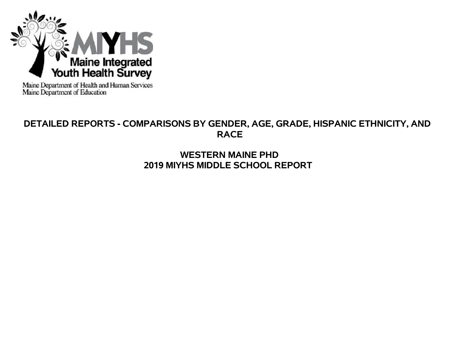

Maine Department of Health and Human Services<br>Maine Department of Education

# **DETAILED REPORTS - COMPARISONS BY GENDER, AGE, GRADE, HISPANIC ETHNICITY, AND RACE**

# **WESTERN MAINE PHD 2019 MIYHS MIDDLE SCHOOL REPORT**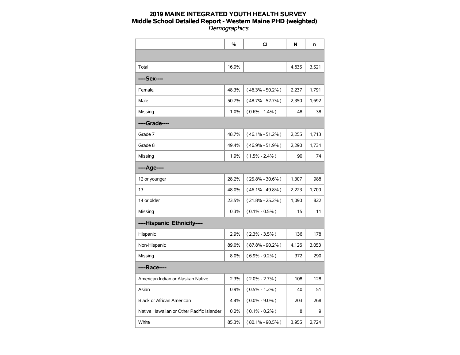|                                           | %     | CI                  | N     | n     |
|-------------------------------------------|-------|---------------------|-------|-------|
|                                           |       |                     |       |       |
| Total                                     | 16.9% |                     | 4,635 | 3,521 |
| ----Sex----                               |       |                     |       |       |
| Female                                    | 48.3% | $(46.3\% - 50.2\%)$ | 2,237 | 1,791 |
| Male                                      | 50.7% | $(48.7\% - 52.7\%)$ | 2,350 | 1,692 |
| Missing                                   | 1.0%  | $(0.6\% - 1.4\%)$   | 48    | 38    |
| ----Grade----                             |       |                     |       |       |
| Grade 7                                   | 48.7% | $(46.1\% - 51.2\%)$ | 2,255 | 1,713 |
| Grade 8                                   | 49.4% | $(46.9\% - 51.9\%)$ | 2,290 | 1,734 |
| Missing                                   | 1.9%  | $(1.5\% - 2.4\%)$   | 90    | 74    |
| ----Age----                               |       |                     |       |       |
| 12 or younger                             | 28.2% | $(25.8\% - 30.6\%)$ | 1,307 | 988   |
| 13                                        | 48.0% | $(46.1\% - 49.8\%)$ | 2,223 | 1,700 |
| 14 or older                               | 23.5% | $(21.8\% - 25.2\%)$ | 1,090 | 822   |
| Missing                                   | 0.3%  | $(0.1\% - 0.5\%)$   | 15    | 11    |
| ----Hispanic Ethnicity----                |       |                     |       |       |
| Hispanic                                  | 2.9%  | $(2.3\% - 3.5\%)$   | 136   | 178   |
| Non-Hispanic                              | 89.0% | $(87.8\% - 90.2\%)$ | 4,126 | 3,053 |
| Missing                                   | 8.0%  | $(6.9\% - 9.2\%)$   | 372   | 290   |
| ----Race----                              |       |                     |       |       |
| American Indian or Alaskan Native         | 2.3%  | $(2.0\% - 2.7\%)$   | 108   | 128   |
| Asian                                     | 0.9%  | $(0.5\% - 1.2\%)$   | 40    | 51    |
| <b>Black or African American</b>          | 4.4%  | $(0.0\% - 9.0\%)$   | 203   | 268   |
| Native Hawaiian or Other Pacific Islander | 0.2%  | $(0.1\% - 0.2\%)$   | 8     | 9     |
| White                                     | 85.3% | $(80.1\% - 90.5\%)$ | 3,955 | 2,724 |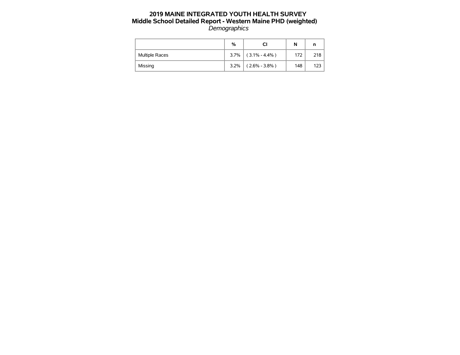|                | %    | CI                    | N   |     |
|----------------|------|-----------------------|-----|-----|
| Multiple Races |      | $3.7\%$ (3.1% - 4.4%) | 172 | 218 |
| Missing        | 3.2% | $(2.6\% - 3.8\%)$     | 148 | 123 |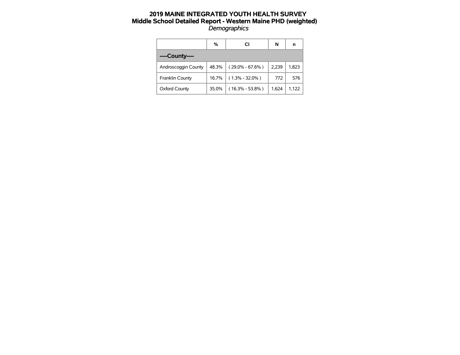|                      | %     | CI                  | N     | n     |
|----------------------|-------|---------------------|-------|-------|
| ----County----       |       |                     |       |       |
| Androscoggin County  | 48.3% | $(29.0\% - 67.6\%)$ | 2.239 | 1.823 |
| Franklin County      | 16.7% | $(1.3\% - 32.0\%)$  | 772   | 576   |
| <b>Oxford County</b> | 35.0% | $(16.3\% - 53.8\%)$ | 1.624 | 1.122 |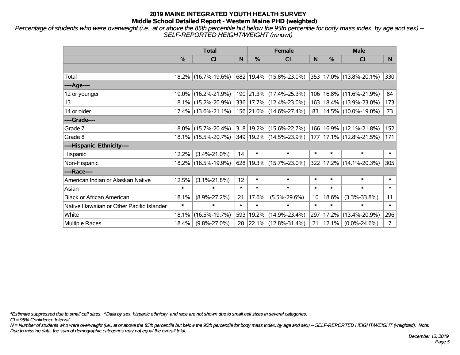*Percentage of students who were overweight (i.e., at or above the 85th percentile but below the 95th percentile for body mass index, by age and sex) -- SELF-REPORTED HEIGHT/WEIGHT (mnowt)*

|                                           |               | <b>Total</b>        |        |        | <b>Female</b>            |        | <b>Male</b> |                             |                |  |
|-------------------------------------------|---------------|---------------------|--------|--------|--------------------------|--------|-------------|-----------------------------|----------------|--|
|                                           | $\frac{0}{0}$ | <b>CI</b>           | N      | %      | <b>CI</b>                | N      | %           | <b>CI</b>                   | N.             |  |
|                                           |               |                     |        |        |                          |        |             |                             |                |  |
| Total                                     |               | 18.2% (16.7%-19.6%) |        |        | 682 19.4% (15.8%-23.0%)  |        |             | 353 17.0% (13.8%-20.1%)     | 330            |  |
| ----Age----                               |               |                     |        |        |                          |        |             |                             |                |  |
| 12 or younger                             |               | 19.0% (16.2%-21.9%) |        |        | 190 21.3% (17.4%-25.3%)  |        |             | 106   16.8%   (11.6%-21.9%) | 84             |  |
| 13                                        |               | 18.1% (15.2%-20.9%) |        |        | 336 17.7% (12.4%-23.0%)  |        |             | 163   18.4%   (13.9%-23.0%) | 173            |  |
| 14 or older                               |               | 17.4% (13.6%-21.1%) |        |        | 156 21.0% (14.6%-27.4%)  |        |             | 83   14.5%   (10.0%-19.0%)  | 73             |  |
| ----Grade----                             |               |                     |        |        |                          |        |             |                             |                |  |
| Grade 7                                   |               | 18.0% (15.7%-20.4%) |        |        | 318 19.2% (15.6%-22.7%)  |        |             | 166   16.9%   (12.1%-21.8%) | 152            |  |
| Grade 8                                   |               | 18.1% (15.5%-20.7%) |        |        | 349 19.2% (14.5%-23.9%)  |        |             | 177   17.1%   (12.8%-21.5%) | 171            |  |
| ----Hispanic Ethnicity----                |               |                     |        |        |                          |        |             |                             |                |  |
| Hispanic                                  | 12.2%         | $(3.4\% - 21.0\%)$  | 14     | $\ast$ | $\ast$                   | $\ast$ | $\ast$      | $\ast$                      | $\ast$         |  |
| Non-Hispanic                              |               | 18.2% (16.5%-19.9%) |        |        | 628 19.3% (15.7%-23.0%)  |        |             | 322 17.2% (14.1%-20.3%)     | 305            |  |
| ----Race----                              |               |                     |        |        |                          |        |             |                             |                |  |
| American Indian or Alaskan Native         | 12.5%         | $(3.1\% - 21.8\%)$  | 12     | $\ast$ | $\ast$                   | $\ast$ | $\ast$      | $\ast$                      | $\ast$         |  |
| Asian                                     | $\ast$        | $\ast$              | $\ast$ | $\ast$ | $\ast$                   | $\ast$ | $\ast$      | $\ast$                      | $\ast$         |  |
| <b>Black or African American</b>          | 18.1%         | $(8.9\% - 27.2\%)$  | 21     | 17.6%  | $(5.5\% - 29.6\%)$       | 10     | 18.6%       | $(3.3\% - 33.8\%)$          | 11             |  |
| Native Hawaiian or Other Pacific Islander | $\ast$        | $\ast$              | $\ast$ | $\ast$ | $\ast$                   | $\ast$ | $\ast$      | $\ast$                      | $\ast$         |  |
| White                                     | 18.1%         | $(16.5\% - 19.7\%)$ | 593    | 19.2%  | $(14.9\% - 23.4\%)$      | 297    | 17.2%       | $(13.4\% - 20.9\%)$         | 296            |  |
| <b>Multiple Races</b>                     | 18.4%         | $(9.8\% - 27.0\%)$  | 28     |        | $ 22.1\% $ (12.8%-31.4%) | 21     | 12.1%       | $(0.0\% - 24.6\%)$          | $\overline{7}$ |  |

*\*Estimate suppressed due to small cell sizes. ^Data by sex, hispanic ethnicity, and race are not shown due to small cell sizes in several categories.*

*CI = 95% Confidence Interval*

*N = Number of students who were overweight (i.e., at or above the 85th percentile but below the 95th percentile for body mass index, by age and sex) -- SELF-REPORTED HEIGHT/WEIGHT (weighted). Note: Due to missing data, the sum of demographic categories may not equal the overall total.*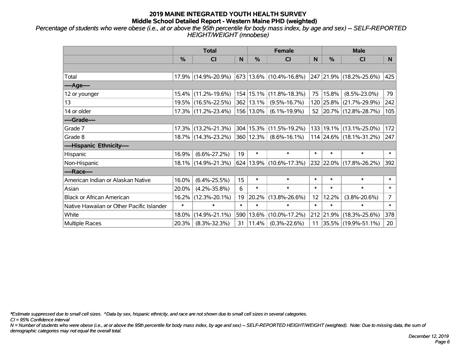*Percentage of students who were obese (i.e., at or above the 95th percentile for body mass index, by age and sex) -- SELF-REPORTED HEIGHT/WEIGHT (mnobese)*

|                                           |               | <b>Total</b>        |        |                | <b>Female</b>               |        | <b>Male</b> |                         |                 |  |
|-------------------------------------------|---------------|---------------------|--------|----------------|-----------------------------|--------|-------------|-------------------------|-----------------|--|
|                                           | $\frac{0}{0}$ | <b>CI</b>           | N      | %              | <b>CI</b>                   | N      | %           | <b>CI</b>               | N.              |  |
|                                           |               |                     |        |                |                             |        |             |                         |                 |  |
| Total                                     |               | 17.9% (14.9%-20.9%) |        |                | 673   13.6%   (10.4%-16.8%) |        |             | 247 21.9% (18.2%-25.6%) | 425             |  |
| ----Age----                               |               |                     |        |                |                             |        |             |                         |                 |  |
| 12 or younger                             | $15.4\%$      | $(11.2\% - 19.6\%)$ |        |                | 154 15.1% (11.8%-18.3%)     | 75     | 15.8%       | $(8.5\% - 23.0\%)$      | 79              |  |
| 13                                        |               | 19.5% (16.5%-22.5%) |        | 362 13.1%      | $(9.5\% - 16.7\%)$          |        |             | 120 25.8% (21.7%-29.9%) | 242             |  |
| 14 or older                               |               | 17.3% (11.2%-23.4%) |        | 156 13.0%      | $(6.1\% - 19.9\%)$          |        |             | 52 20.7% (12.8%-28.7%)  | 105             |  |
| ----Grade----                             |               |                     |        |                |                             |        |             |                         |                 |  |
| Grade 7                                   |               | 17.3% (13.2%-21.3%) |        |                | 304 15.3% (11.5%-19.2%)     | 133    |             | 19.1% (13.1%-25.0%)     | 172             |  |
| Grade 8                                   |               | 18.7% (14.3%-23.2%) |        | $ 360 12.3\% $ | $(8.6\% - 16.1\%)$          |        |             | 114 24.6% (18.1%-31.2%) | 247             |  |
| ----Hispanic Ethnicity----                |               |                     |        |                |                             |        |             |                         |                 |  |
| Hispanic                                  | 16.9%         | $(6.6\% - 27.2\%)$  | 19     | $\ast$         | $\ast$                      | $\ast$ | $\ast$      | $\ast$                  | $\ast$          |  |
| Non-Hispanic                              |               | 18.1% (14.9%-21.3%) |        |                | 624 13.9% (10.6%-17.3%)     |        |             | 232 22.0% (17.8%-26.2%) | 392             |  |
| ----Race----                              |               |                     |        |                |                             |        |             |                         |                 |  |
| American Indian or Alaskan Native         | 16.0%         | $(6.4\% - 25.5\%)$  | 15     | $\ast$         | $\ast$                      | $\ast$ | $\ast$      | $\ast$                  | $\ast$          |  |
| Asian                                     | 20.0%         | $(4.2\% - 35.8\%)$  | 6      | $\ast$         | $\ast$                      | $\ast$ | $\ast$      | $\ast$                  | $\ast$          |  |
| <b>Black or African American</b>          | 16.2%         | $(12.3\% - 20.1\%)$ | 19     | 20.2%          | $(13.8\% - 26.6\%)$         | 12     | 12.2%       | $(3.8\% - 20.6\%)$      | $\overline{7}$  |  |
| Native Hawaiian or Other Pacific Islander | $\ast$        | $\ast$              | $\ast$ | $\ast$         | $\ast$                      | $\ast$ | $\ast$      | $\ast$                  | $\pmb{\ast}$    |  |
| White                                     | 18.0%         | $(14.9\% - 21.1\%)$ |        | 590 13.6%      | $(10.0\% - 17.2\%)$         |        | 212 21.9%   | $(18.3\% - 25.6\%)$     | 378             |  |
| Multiple Races                            | 20.3%         | $(8.3\% - 32.3\%)$  | 31     | $ 11.4\% $     | $(0.3\% - 22.6\%)$          |        |             | 11 35.5% (19.9%-51.1%)  | 20 <sub>2</sub> |  |

*\*Estimate suppressed due to small cell sizes. ^Data by sex, hispanic ethnicity, and race are not shown due to small cell sizes in several categories.*

*CI = 95% Confidence Interval*

*N = Number of students who were obese (i.e., at or above the 95th percentile for body mass index, by age and sex) -- SELF-REPORTED HEIGHT/WEIGHT (weighted). Note: Due to missing data, the sum of demographic categories may not equal the overall total.*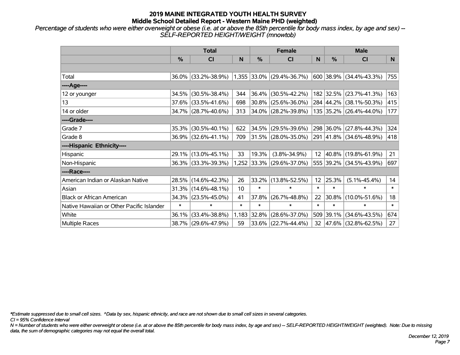*Percentage of students who were either overweight or obese (i.e. at or above the 85th percentile for body mass index, by age and sex) -- SELF-REPORTED HEIGHT/WEIGHT (mnowtob)*

|                                           |               | <b>Total</b>        |        |        | <b>Female</b>               |                 | <b>Male</b> |                         |        |  |
|-------------------------------------------|---------------|---------------------|--------|--------|-----------------------------|-----------------|-------------|-------------------------|--------|--|
|                                           | $\frac{0}{0}$ | <b>CI</b>           | N      | %      | <b>CI</b>                   | N               | %           | <b>CI</b>               | N      |  |
|                                           |               |                     |        |        |                             |                 |             |                         |        |  |
| Total                                     |               | 36.0% (33.2%-38.9%) |        |        | $1,355$ 33.0% (29.4%-36.7%) |                 |             | 600 38.9% (34.4%-43.3%) | 755    |  |
| ----Age----                               |               |                     |        |        |                             |                 |             |                         |        |  |
| 12 or younger                             | 34.5%         | $(30.5\% - 38.4\%)$ | 344    | 36.4%  | $(30.5\% - 42.2\%)$         |                 |             | 182 32.5% (23.7%-41.3%) | 163    |  |
| 13                                        |               | 37.6% (33.5%-41.6%) | 698    | 30.8%  | $(25.6\% - 36.0\%)$         |                 |             | 284 44.2% (38.1%-50.3%) | 415    |  |
| 14 or older                               |               | 34.7% (28.7%-40.6%) | 313    |        | $ 34.0\% $ (28.2%-39.8%)    |                 |             | 135 35.2% (26.4%-44.0%) | 177    |  |
| ----Grade----                             |               |                     |        |        |                             |                 |             |                         |        |  |
| Grade 7                                   | 35.3%         | $(30.5\% - 40.1\%)$ | 622    | 34.5%  | $(29.5\% - 39.6\%)$         |                 |             | 298 36.0% (27.8%-44.3%) | 324    |  |
| Grade 8                                   |               | 36.9% (32.6%-41.1%) | 709    |        | $31.5\%$ (28.0%-35.0%)      |                 |             | 291 41.8% (34.6%-48.9%) | 418    |  |
| ----Hispanic Ethnicity----                |               |                     |        |        |                             |                 |             |                         |        |  |
| Hispanic                                  | 29.1%         | $(13.0\% - 45.1\%)$ | 33     | 19.3%  | $(3.8\% - 34.9\%)$          | 12 <sup>°</sup> |             | 40.8% (19.8%-61.9%)     | 21     |  |
| Non-Hispanic                              |               | 36.3% (33.3%-39.3%) |        |        | 1,252 33.3% (29.6%-37.0%)   |                 |             | 555 39.2% (34.5%-43.9%) | 697    |  |
| ----Race----                              |               |                     |        |        |                             |                 |             |                         |        |  |
| American Indian or Alaskan Native         |               | 28.5% (14.6%-42.3%) | 26     | 33.2%  | $(13.8\% - 52.5\%)$         | 12 <sub>2</sub> | 25.3%       | $(5.1\% - 45.4\%)$      | 14     |  |
| Asian                                     |               | 31.3% (14.6%-48.1%) | 10     | $\ast$ | $\ast$                      | $\ast$          | $\ast$      | $\ast$                  | $\ast$ |  |
| <b>Black or African American</b>          | 34.3%         | $(23.5\% - 45.0\%)$ | 41     | 37.8%  | $(26.7\% - 48.8\%)$         | 22              | 30.8%       | $(10.0\% - 51.6\%)$     | 18     |  |
| Native Hawaiian or Other Pacific Islander | $\ast$        | $\ast$              | $\ast$ | $\ast$ | $\ast$                      | $\ast$          | $\ast$      | $\ast$                  | $\ast$ |  |
| White                                     | 36.1%         | $(33.4\% - 38.8\%)$ | 1,183  | 32.8%  | $(28.6\% - 37.0\%)$         |                 | 509 39.1%   | $(34.6\% - 43.5\%)$     | 674    |  |
| Multiple Races                            |               | 38.7% (29.6%-47.9%) | 59     |        | $33.6\%$ (22.7%-44.4%)      | 32              |             | 47.6% (32.8%-62.5%)     | 27     |  |

*\*Estimate suppressed due to small cell sizes. ^Data by sex, hispanic ethnicity, and race are not shown due to small cell sizes in several categories.*

*CI = 95% Confidence Interval*

*N = Number of students who were either overweight or obese (i.e. at or above the 85th percentile for body mass index, by age and sex) -- SELF-REPORTED HEIGHT/WEIGHT (weighted). Note: Due to missing data, the sum of demographic categories may not equal the overall total.*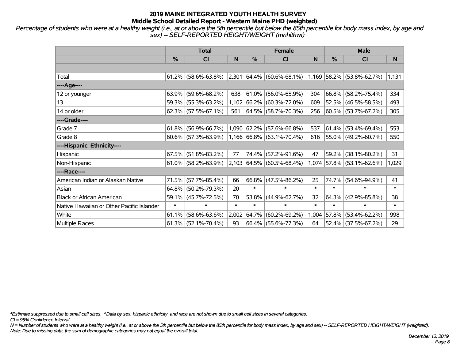*Percentage of students who were at a healthy weight (i.e., at or above the 5th percentile but below the 85th percentile for body mass index, by age and sex) -- SELF-REPORTED HEIGHT/WEIGHT (mnhlthwt)*

|                                           |        | <b>Total</b>           |        |             | <b>Female</b>                                      |        | <b>Male</b> |                           |        |  |
|-------------------------------------------|--------|------------------------|--------|-------------|----------------------------------------------------|--------|-------------|---------------------------|--------|--|
|                                           | $\%$   | <b>CI</b>              | N      | %           | <b>CI</b>                                          | N      | %           | <b>CI</b>                 | N.     |  |
|                                           |        |                        |        |             |                                                    |        |             |                           |        |  |
| Total                                     |        | $61.2\%$ (58.6%-63.8%) | 2,301  |             | $ 64.4\% $ (60.6%-68.1%) 1,169 58.2% (53.8%-62.7%) |        |             |                           | 1,131  |  |
| ----Age----                               |        |                        |        |             |                                                    |        |             |                           |        |  |
| 12 or younger                             | 63.9%  | $(59.6\% - 68.2\%)$    | 638    | $61.0\%$    | $(56.0\% - 65.9\%)$                                | 304    | $ 66.8\% $  | $(58.2\% - 75.4\%)$       | 334    |  |
| 13                                        |        | 59.3% (55.3%-63.2%)    | 1,102  |             | $ 66.2\%  (60.3\% - 72.0\%)$                       | 609    |             | 52.5% (46.5%-58.5%)       | 493    |  |
| 14 or older                               |        | $62.3\%$ (57.5%-67.1%) | 561    |             | 64.5% (58.7%-70.3%)                                | 256    |             | $ 60.5\% $ (53.7%-67.2%)  | 305    |  |
| ----Grade----                             |        |                        |        |             |                                                    |        |             |                           |        |  |
| Grade 7                                   | 61.8%  | $(56.9\% - 66.7\%)$    |        | 1,090 62.2% | $(57.6\% - 66.8\%)$                                | 537    |             | $ 61.4\% $ (53.4%-69.4%)  | 553    |  |
| Grade 8                                   |        | $60.6\%$ (57.3%-63.9%) |        |             | $1,166$ 66.8% (63.1%-70.4%)                        | 616    |             | 55.0% (49.2%-60.7%)       | 550    |  |
| ----Hispanic Ethnicity----                |        |                        |        |             |                                                    |        |             |                           |        |  |
| Hispanic                                  | 67.5%  | $(51.8\% - 83.2\%)$    | 77     | 74.4%       | $(57.2\% - 91.6\%)$                                | 47     | 59.2%       | $(38.1\% - 80.2\%)$       | 31     |  |
| Non-Hispanic                              |        | $61.0\%$ (58.2%-63.9%) |        |             | $ 2,103 64.5\% 60.5\%$ -68.4%)                     |        |             | 1,074 57.8% (53.1%-62.6%) | 1,029  |  |
| ----Race----                              |        |                        |        |             |                                                    |        |             |                           |        |  |
| American Indian or Alaskan Native         | 71.5%  | $(57.7\% - 85.4\%)$    | 66     | 66.8%       | $(47.5\% - 86.2\%)$                                | 25     | 74.7%       | $(54.6\% - 94.9\%)$       | 41     |  |
| Asian                                     | 64.8%  | $(50.2\% - 79.3\%)$    | 20     | $\ast$      | $\ast$                                             | $\ast$ | $\ast$      | $\ast$                    | $\ast$ |  |
| <b>Black or African American</b>          | 59.1%  | $(45.7\% - 72.5\%)$    | 70     | 53.8%       | $(44.9\% - 62.7\%)$                                | 32     | 64.3%       | $(42.9\% - 85.8\%)$       | 38     |  |
| Native Hawaiian or Other Pacific Islander | $\ast$ | $\ast$                 | $\ast$ | $\ast$      | $\ast$                                             | $\ast$ | $\ast$      | $\ast$                    | $\ast$ |  |
| White                                     | 61.1%  | $(58.6\% - 63.6\%)$    | 2,002  | 64.7%       | $(60.2\% - 69.2\%)$                                | 1,004  | $ 57.8\% $  | $(53.4\% - 62.2\%)$       | 998    |  |
| <b>Multiple Races</b>                     |        | $61.3\%$ (52.1%-70.4%) | 93     |             | 66.4% (55.6%-77.3%)                                | 64     |             | 52.4% (37.5%-67.2%)       | 29     |  |

*\*Estimate suppressed due to small cell sizes. ^Data by sex, hispanic ethnicity, and race are not shown due to small cell sizes in several categories.*

*CI = 95% Confidence Interval*

*N = Number of students who were at a healthy weight (i.e., at or above the 5th percentile but below the 85th percentile for body mass index, by age and sex) -- SELF-REPORTED HEIGHT/WEIGHT (weighted). Note: Due to missing data, the sum of demographic categories may not equal the overall total.*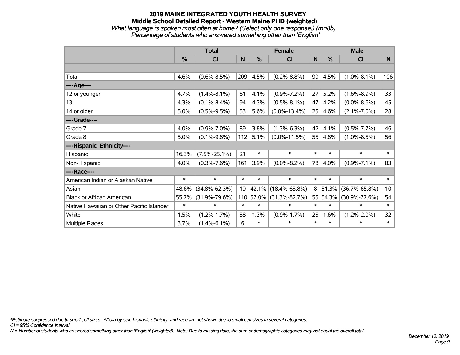#### **2019 MAINE INTEGRATED YOUTH HEALTH SURVEY Middle School Detailed Report - Western Maine PHD (weighted)** *What language is spoken most often at home? (Select only one response.) (mn8b) Percentage of students who answered something other than 'English'*

|                                           |        | <b>Total</b>        |        |               | <b>Female</b>       |        | <b>Male</b> |                     |                 |  |
|-------------------------------------------|--------|---------------------|--------|---------------|---------------------|--------|-------------|---------------------|-----------------|--|
|                                           | %      | CI                  | N      | $\frac{0}{0}$ | C <sub>l</sub>      | N      | %           | <b>CI</b>           | N               |  |
|                                           |        |                     |        |               |                     |        |             |                     |                 |  |
| Total                                     | 4.6%   | $(0.6\% - 8.5\%)$   | 209    | 4.5%          | $(0.2\% - 8.8\%)$   | 99     | 4.5%        | $(1.0\% - 8.1\%)$   | 106             |  |
| ----Age----                               |        |                     |        |               |                     |        |             |                     |                 |  |
| 12 or younger                             | 4.7%   | $(1.4\% - 8.1\%)$   | 61     | 4.1%          | $(0.9\% - 7.2\%)$   | 27     | 5.2%        | $(1.6\% - 8.9\%)$   | 33              |  |
| 13                                        | 4.3%   | $(0.1\% - 8.4\%)$   | 94     | 4.3%          | $(0.5\% - 8.1\%)$   | 47     | 4.2%        | $(0.0\% - 8.6\%)$   | 45              |  |
| 14 or older                               | 5.0%   | $(0.5\% - 9.5\%)$   | 53     | 5.6%          | $(0.0\% - 13.4\%)$  | 25     | 4.6%        | $(2.1\% - 7.0\%)$   | 28              |  |
| ----Grade----                             |        |                     |        |               |                     |        |             |                     |                 |  |
| Grade 7                                   | 4.0%   | $(0.9\% - 7.0\%)$   | 89     | 3.8%          | $(1.3\% - 6.3\%)$   | 42     | 4.1%        | $(0.5\% - 7.7\%)$   | 46              |  |
| Grade 8                                   | 5.0%   | $(0.1\% - 9.8\%)$   | 112    | 5.1%          | $(0.0\% - 11.5\%)$  | 55     | 4.8%        | $(1.0\% - 8.5\%)$   | 56              |  |
| ----Hispanic Ethnicity----                |        |                     |        |               |                     |        |             |                     |                 |  |
| Hispanic                                  | 16.3%  | $(7.5\% - 25.1\%)$  | 21     | $\ast$        | $\ast$              | $\ast$ | $\ast$      | $\ast$              | $\ast$          |  |
| Non-Hispanic                              | 4.0%   | $(0.3\% - 7.6\%)$   | 161    | 3.9%          | $(0.0\% - 8.2\%)$   | 78     | 4.0%        | $(0.9\% - 7.1\%)$   | 83              |  |
| ----Race----                              |        |                     |        |               |                     |        |             |                     |                 |  |
| American Indian or Alaskan Native         | $\ast$ | $\ast$              | $\ast$ | $\ast$        | $\ast$              | $\ast$ | $\ast$      | $\ast$              | $\ast$          |  |
| Asian                                     | 48.6%  | $(34.8\% - 62.3\%)$ | 19     | 42.1%         | $(18.4\% - 65.8\%)$ | 8      | 51.3%       | $(36.7\% - 65.8\%)$ | 10 <sup>1</sup> |  |
| <b>Black or African American</b>          | 55.7%  | $(31.9\% - 79.6\%)$ |        | 110 57.0%     | $(31.3\% - 82.7\%)$ |        | 55 54.3%    | $(30.9\% - 77.6\%)$ | 54              |  |
| Native Hawaiian or Other Pacific Islander | $\ast$ | $\ast$              | $\ast$ | $\ast$        | $\ast$              | $\ast$ | $\ast$      | $\ast$              | $\ast$          |  |
| White                                     | 1.5%   | $(1.2\% - 1.7\%)$   | 58     | 1.3%          | $(0.9\% - 1.7\%)$   | 25     | 1.6%        | $(1.2\% - 2.0\%)$   | 32              |  |
| <b>Multiple Races</b>                     | 3.7%   | $(1.4\% - 6.1\%)$   | 6      | $\ast$        | $\ast$              | $\ast$ | $\ast$      | $\ast$              | $\ast$          |  |

*\*Estimate suppressed due to small cell sizes. ^Data by sex, hispanic ethnicity, and race are not shown due to small cell sizes in several categories.*

*CI = 95% Confidence Interval*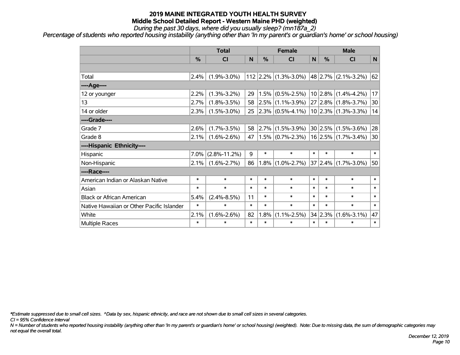*During the past 30 days, where did you usually sleep? (mn187a\_2)*

*Percentage of students who reported housing instability (anything other than 'In my parent's or guardian's home' or school housing)*

|                                           |        | <b>Total</b>       |        |        | <b>Female</b>              |              |               | <b>Male</b>               |        |  |
|-------------------------------------------|--------|--------------------|--------|--------|----------------------------|--------------|---------------|---------------------------|--------|--|
|                                           | %      | CI                 | N      | %      | <b>CI</b>                  | $\mathsf{N}$ | $\frac{0}{0}$ | <b>CI</b>                 | N      |  |
|                                           |        |                    |        |        |                            |              |               |                           |        |  |
| Total                                     | 2.4%   | $(1.9\% - 3.0\%)$  |        |        | $112$   2.2%   (1.3%-3.0%) |              |               | $48$   2.7%   (2.1%-3.2%) | 62     |  |
| ---- Age----                              |        |                    |        |        |                            |              |               |                           |        |  |
| 12 or younger                             | 2.2%   | $(1.3\% - 3.2\%)$  | 29     |        | $1.5\%$ (0.5%-2.5%)        |              |               | $10 2.8\% $ (1.4%-4.2%)   | 17     |  |
| 13                                        | 2.7%   | $(1.8\% - 3.5\%)$  | 58     |        | $ 2.5\% $ (1.1%-3.9%)      |              |               | $27 2.8\% $ (1.8%-3.7%)   | 30     |  |
| 14 or older                               | 2.3%   | $(1.5\% - 3.0\%)$  | 25     |        | $ 2.3\% $ (0.5%-4.1%)      |              |               | $10 2.3\% $ (1.3%-3.3%)   | 14     |  |
| ----Grade----                             |        |                    |        |        |                            |              |               |                           |        |  |
| Grade 7                                   | 2.6%   | $(1.7\% - 3.5\%)$  | 58     |        | $ 2.7\% $ (1.5%-3.9%)      |              |               | $30 2.5\% $ (1.5%-3.6%)   | 28     |  |
| Grade 8                                   | 2.1%   | $(1.6\% - 2.6\%)$  | 47     |        | $(1.5\%)(0.7\% - 2.3\%)$   |              |               | $16 2.5\% $ (1.7%-3.4%)   | 30     |  |
| ----Hispanic Ethnicity----                |        |                    |        |        |                            |              |               |                           |        |  |
| Hispanic                                  | 7.0%   | $(2.8\% - 11.2\%)$ | 9      | $\ast$ | $\ast$                     | $\ast$       | $\ast$        | $\ast$                    | $\ast$ |  |
| Non-Hispanic                              | 2.1%   | $(1.6\% - 2.7\%)$  | 86     |        | $(1.8\%)(1.0\% - 2.7\%)$   |              |               | $37 2.4\% $ (1.7%-3.0%)   | 50     |  |
| ----Race----                              |        |                    |        |        |                            |              |               |                           |        |  |
| American Indian or Alaskan Native         | $\ast$ | $\ast$             | $\ast$ | $\ast$ | $\ast$                     | $\ast$       | $\ast$        | $\ast$                    | $\ast$ |  |
| Asian                                     | $\ast$ | $\ast$             | $\ast$ | $\ast$ | $\ast$                     | $\ast$       | $\ast$        | $\ast$                    | $\ast$ |  |
| <b>Black or African American</b>          | 5.4%   | $(2.4\% - 8.5\%)$  | 11     | $\ast$ | $\ast$                     | $\ast$       | $\ast$        | $\ast$                    | $\ast$ |  |
| Native Hawaiian or Other Pacific Islander | $\ast$ | $\ast$             | $\ast$ | $\ast$ | $\ast$                     | $\ast$       | $\ast$        | $\ast$                    | $\ast$ |  |
| White                                     | 2.1%   | $(1.6\% - 2.6\%)$  | 82     | 1.8%   | $(1.1\% - 2.5\%)$          |              | 34 2.3%       | $(1.6\% - 3.1\%)$         | 47     |  |
| Multiple Races                            | $\ast$ | $\ast$             | $\ast$ | $\ast$ | $\ast$                     | $\ast$       | $\ast$        | $\ast$                    | $\ast$ |  |

*\*Estimate suppressed due to small cell sizes. ^Data by sex, hispanic ethnicity, and race are not shown due to small cell sizes in several categories.*

*CI = 95% Confidence Interval*

*N = Number of students who reported housing instability (anything other than 'In my parent's or guardian's home' or school housing) (weighted). Note: Due to missing data, the sum of demographic categories may not equal the overall total.*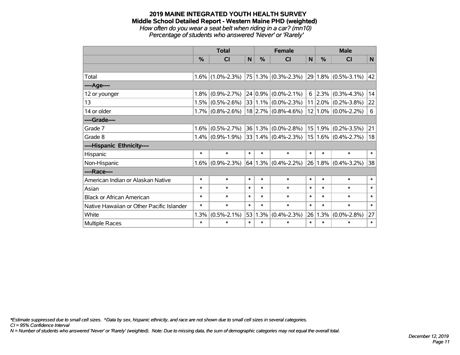*How often do you wear a seat belt when riding in a car? (mn10) Percentage of students who answered 'Never' or 'Rarely'*

|                                           | <b>Total</b> |                     |        |        | <b>Female</b>                |        |           | <b>Male</b>             |              |  |
|-------------------------------------------|--------------|---------------------|--------|--------|------------------------------|--------|-----------|-------------------------|--------------|--|
|                                           | $\%$         | <b>CI</b>           | N      | $\%$   | <b>CI</b>                    | N      | $\%$      | <b>CI</b>               | N            |  |
|                                           |              |                     |        |        |                              |        |           |                         |              |  |
| Total                                     |              | $1.6\%$ (1.0%-2.3%) |        |        | $ 75 1.3\%  (0.3\% - 2.3\%)$ |        |           | $29 1.8\% $ (0.5%-3.1%) | $ 42\rangle$ |  |
| ----Age----                               |              |                     |        |        |                              |        |           |                         |              |  |
| 12 or younger                             | 1.8%         | $(0.9\% - 2.7\%)$   |        |        | $24 0.9\% $ (0.0%-2.1%)      |        | $6$  2.3% | $(0.3\% - 4.3\%)$       | 14           |  |
| 13                                        | 1.5%         | $(0.5\% - 2.6\%)$   |        |        | $33 1.1\% $ (0.0%-2.3%)      |        |           | $11 2.0\% $ (0.2%-3.8%) | 22           |  |
| 14 or older                               |              | $1.7\%$ (0.8%-2.6%) |        |        | $18$ 2.7% (0.8%-4.6%)        |        |           | $12 1.0\% $ (0.0%-2.2%) | 6            |  |
| ----Grade----                             |              |                     |        |        |                              |        |           |                         |              |  |
| Grade 7                                   | 1.6%         | $(0.5\% - 2.7\%)$   | 36     |        | $1.3\%$ (0.0%-2.8%)          |        | 15 1.9%   | $(0.2\% - 3.5\%)$       | 21           |  |
| Grade 8                                   | 1.4%         | $(0.9\% - 1.9\%)$   |        |        | $33 1.4\%  (0.4\% - 2.3\%)$  |        |           | $15 1.6\% $ (0.4%-2.7%) | 18           |  |
| ----Hispanic Ethnicity----                |              |                     |        |        |                              |        |           |                         |              |  |
| Hispanic                                  | $\ast$       | $\ast$              | $\ast$ | $\ast$ | $\ast$                       | $\ast$ | $\ast$    | $\ast$                  | $\ast$       |  |
| Non-Hispanic                              | 1.6%         | $(0.9\% - 2.3\%)$   | 64     |        | $1.3\%$ (0.4%-2.2%)          | 26     |           | $1.8\%$ (0.4%-3.2%)     | 38           |  |
| ----Race----                              |              |                     |        |        |                              |        |           |                         |              |  |
| American Indian or Alaskan Native         | $\ast$       | $\ast$              | $\ast$ | $\ast$ | $\ast$                       | $\ast$ | $\ast$    | $\ast$                  | $\ast$       |  |
| Asian                                     | $\ast$       | $\ast$              | $\ast$ | $\ast$ | $\ast$                       | $\ast$ | $\ast$    | $\ast$                  | $\ast$       |  |
| <b>Black or African American</b>          | $\ast$       | $\ast$              | $\ast$ | $\ast$ | $\ast$                       | $\ast$ | $\ast$    | $\ast$                  | $\ast$       |  |
| Native Hawaiian or Other Pacific Islander | *            | $\ast$              | $\ast$ | $\ast$ | $\ast$                       | $\ast$ | $\ast$    | $\ast$                  | $\ast$       |  |
| White                                     | 1.3%         | $(0.5\% - 2.1\%)$   | 53     | 1.3%   | $(0.4\% - 2.3\%)$            | 26     | 1.3%      | $(0.0\% - 2.8\%)$       | 27           |  |
| Multiple Races                            | $\ast$       | $\ast$              | $\ast$ | $\ast$ | $\ast$                       | $\ast$ | $\ast$    | $\ast$                  | $\ast$       |  |

*\*Estimate suppressed due to small cell sizes. ^Data by sex, hispanic ethnicity, and race are not shown due to small cell sizes in several categories.*

*CI = 95% Confidence Interval*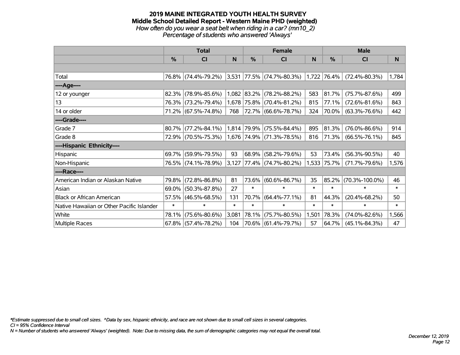#### **2019 MAINE INTEGRATED YOUTH HEALTH SURVEY Middle School Detailed Report - Western Maine PHD (weighted)** *How often do you wear a seat belt when riding in a car? (mn10\_2) Percentage of students who answered 'Always'*

|                                           |        | <b>Total</b>                                              |        |             | Female                      |              | <b>Male</b> |                      |        |  |
|-------------------------------------------|--------|-----------------------------------------------------------|--------|-------------|-----------------------------|--------------|-------------|----------------------|--------|--|
|                                           | $\%$   | <b>CI</b>                                                 | N      | %           | <b>CI</b>                   | <sub>N</sub> | $\%$        | <b>CI</b>            | N      |  |
|                                           |        |                                                           |        |             |                             |              |             |                      |        |  |
| Total                                     |        | 76.8% (74.4%-79.2%) 3,531 77.5% (74.7%-80.3%) 1,722 76.4% |        |             |                             |              |             | $(72.4\% - 80.3\%)$  | 1,784  |  |
| ----Age----                               |        |                                                           |        |             |                             |              |             |                      |        |  |
| 12 or younger                             | 82.3%  | $(78.9\% - 85.6\%)$                                       |        | 1,082 83.2% | $(78.2\% - 88.2\%)$         | 583          | 81.7%       | $(75.7\% - 87.6\%)$  | 499    |  |
| 13                                        |        | 76.3% (73.2%-79.4%)                                       |        |             | 1,678 75.8% (70.4%-81.2%)   | 815          | 77.1%       | $(72.6\% - 81.6\%)$  | 843    |  |
| 14 or older                               |        | 71.2% (67.5%-74.8%)                                       | 768    |             | 72.7% (66.6%-78.7%)         | 324          | 70.0%       | $(63.3\% - 76.6\%)$  | 442    |  |
| ----Grade----                             |        |                                                           |        |             |                             |              |             |                      |        |  |
| Grade 7                                   |        | 80.7% (77.2%-84.1%)                                       |        | 1,814 79.9% | $(75.5\% - 84.4\%)$         | 895          | 81.3%       | $(76.0\% - 86.6\%)$  | 914    |  |
| Grade 8                                   |        | 72.9% (70.5%-75.3%)                                       |        |             | 1,676 74.9% (71.3%-78.5%)   | 816          | 71.3%       | $(66.5\% - 76.1\%)$  | 845    |  |
| ----Hispanic Ethnicity----                |        |                                                           |        |             |                             |              |             |                      |        |  |
| Hispanic                                  |        | 69.7% (59.9%-79.5%)                                       | 93     | 68.9%       | $(58.2\% - 79.6\%)$         | 53           | 73.4%       | $(56.3\% - 90.5\%)$  | 40     |  |
| Non-Hispanic                              |        | 76.5% (74.1%-78.9%)                                       |        |             | $3,127$ 77.4% (74.7%-80.2%) | 1,533        | 75.7%       | $(71.7\% - 79.6\%)$  | 1,576  |  |
| ----Race----                              |        |                                                           |        |             |                             |              |             |                      |        |  |
| American Indian or Alaskan Native         | 79.8%  | $(72.8\% - 86.8\%)$                                       | 81     | 73.6%       | $(60.6\% - 86.7\%)$         | 35           | 85.2%       | $(70.3\% - 100.0\%)$ | 46     |  |
| Asian                                     |        | 69.0% (50.3%-87.8%)                                       | 27     | $\ast$      | $\ast$                      | $\ast$       | $\ast$      | $\ast$               | $\ast$ |  |
| <b>Black or African American</b>          |        | 57.5% (46.5%-68.5%)                                       | 131    | 70.7%       | $(64.4\% - 77.1\%)$         | 81           | 44.3%       | $(20.4\% - 68.2\%)$  | 50     |  |
| Native Hawaiian or Other Pacific Islander | $\ast$ | $\ast$                                                    | $\ast$ | $\ast$      | $\ast$                      | $\ast$       | $\ast$      | $\ast$               | $\ast$ |  |
| White                                     | 78.1%  | $(75.6\% - 80.6\%)$                                       | 3,081  | 78.1%       | $(75.7\% - 80.5\%)$         | 1,501        | 78.3%       | $(74.0\% - 82.6\%)$  | 1,566  |  |
| Multiple Races                            |        | $67.8\%$ (57.4%-78.2%)                                    | 104    |             | 70.6% (61.4%-79.7%)         | 57           | 64.7%       | $(45.1\% - 84.3\%)$  | 47     |  |

*\*Estimate suppressed due to small cell sizes. ^Data by sex, hispanic ethnicity, and race are not shown due to small cell sizes in several categories.*

*CI = 95% Confidence Interval*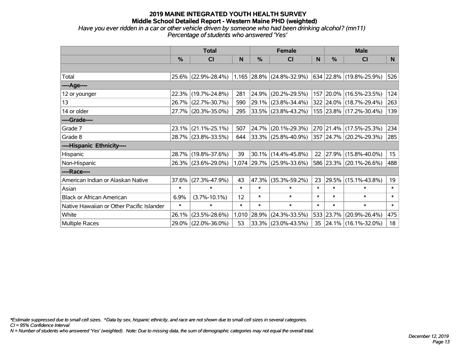*Have you ever ridden in a car or other vehicle driven by someone who had been drinking alcohol? (mn11) Percentage of students who answered 'Yes'*

|                                           |               | <b>Total</b>                                  |        |        | <b>Female</b>             |        | <b>Male</b>   |                          |                  |
|-------------------------------------------|---------------|-----------------------------------------------|--------|--------|---------------------------|--------|---------------|--------------------------|------------------|
|                                           | $\frac{0}{0}$ | CI                                            | N      | %      | CI                        | N      | $\frac{0}{0}$ | <b>CI</b>                | N.               |
|                                           |               |                                               |        |        |                           |        |               |                          |                  |
| Total                                     |               | 25.6% (22.9%-28.4%) 1,165 28.8% (24.8%-32.9%) |        |        |                           |        |               | 634 22.8% (19.8%-25.9%)  | 526              |
| ----Age----                               |               |                                               |        |        |                           |        |               |                          |                  |
| 12 or younger                             | 22.3%         | $(19.7\% - 24.8\%)$                           | 281    | 24.9%  | $(20.2\% - 29.5\%)$       |        |               | 157 20.0% (16.5%-23.5%)  | 124              |
| 13                                        |               | 26.7% (22.7%-30.7%)                           | 590    |        | 29.1% (23.8%-34.4%)       |        |               | 322 24.0% (18.7%-29.4%)  | 263              |
| 14 or older                               |               | 27.7% (20.3%-35.0%)                           | 295    |        | $ 33.5\% $ (23.8%-43.2%)  |        |               | 155 23.8% (17.2%-30.4%)  | 139              |
| ----Grade----                             |               |                                               |        |        |                           |        |               |                          |                  |
| Grade 7                                   | 23.1%         | $(21.1\% - 25.1\%)$                           | 507    | 24.7%  | $(20.1\% - 29.3\%)$       |        |               | 270 21.4% (17.5%-25.3%)  | 234              |
| Grade 8                                   |               | 28.7% (23.8%-33.5%)                           | 644    |        | $ 33.3\% $ (25.8%-40.9%)  |        |               | 357 24.7% (20.2%-29.3%)  | 285              |
| ----Hispanic Ethnicity----                |               |                                               |        |        |                           |        |               |                          |                  |
| Hispanic                                  | 28.7%         | $(19.8\% - 37.6\%)$                           | 39     | 30.1%  | $(14.4\% - 45.8\%)$       | 22     | $ 27.9\% $    | $(15.8\% - 40.0\%)$      | 15 <sub>15</sub> |
| Non-Hispanic                              |               | 26.3% (23.6%-29.0%)                           |        |        | 1,074 29.7% (25.9%-33.6%) |        |               | 586 23.3% (20.1%-26.6%)  | 488              |
| ----Race----                              |               |                                               |        |        |                           |        |               |                          |                  |
| American Indian or Alaskan Native         | 37.6%         | $(27.3\% - 47.9\%)$                           | 43     | 47.3%  | $(35.3\% - 59.2\%)$       | 23     | $ 29.5\% $    | $(15.1\% - 43.8\%)$      | 19               |
| Asian                                     | $\ast$        | $\ast$                                        | $\ast$ | $\ast$ | $\ast$                    | $\ast$ | $\ast$        | $\ast$                   | $\ast$           |
| <b>Black or African American</b>          | 6.9%          | $(3.7\% - 10.1\%)$                            | 12     | $\ast$ | $\ast$                    | $\ast$ | $\ast$        | $\ast$                   | $\ast$           |
| Native Hawaiian or Other Pacific Islander | $\ast$        | $\ast$                                        | $\ast$ | $\ast$ | $\ast$                    | $\ast$ | $\ast$        | $\ast$                   | $\ast$           |
| White                                     | 26.1%         | $(23.5\% - 28.6\%)$                           | 1,010  | 28.9%  | $(24.3\% - 33.5\%)$       |        | 533 23.7%     | $(20.9\% - 26.4\%)$      | 475              |
| Multiple Races                            |               | 29.0% (22.0%-36.0%)                           | 53     |        | 33.3% (23.0%-43.5%)       | 35     |               | $ 24.1\% $ (16.1%-32.0%) | 18               |

*\*Estimate suppressed due to small cell sizes. ^Data by sex, hispanic ethnicity, and race are not shown due to small cell sizes in several categories.*

*CI = 95% Confidence Interval*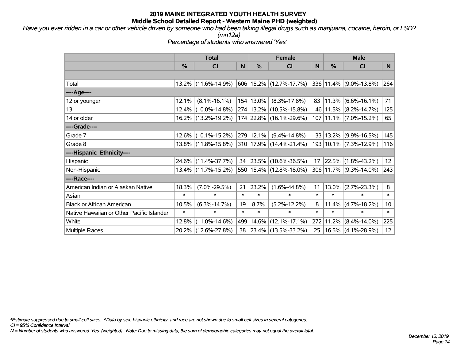*Have you ever ridden in a car or other vehicle driven by someone who had been taking illegal drugs such as marijuana, cocaine, heroin, or LSD? (mn12a)*

*Percentage of students who answered 'Yes'*

|                                           |               | <b>Total</b>        |        |           | <b>Female</b>           |        | <b>Male</b> |                            |                 |
|-------------------------------------------|---------------|---------------------|--------|-----------|-------------------------|--------|-------------|----------------------------|-----------------|
|                                           | $\frac{0}{0}$ | <b>CI</b>           | N      | %         | CI                      | N      | %           | <b>CI</b>                  | N               |
|                                           |               |                     |        |           |                         |        |             |                            |                 |
| Total                                     |               | 13.2% (11.6%-14.9%) |        |           | 606 15.2% (12.7%-17.7%) |        |             | 336 11.4% (9.0%-13.8%)     | 264             |
| ----Age----                               |               |                     |        |           |                         |        |             |                            |                 |
| 12 or younger                             | 12.1%         | $(8.1\% - 16.1\%)$  |        | 154 13.0% | $(8.3\% - 17.8\%)$      | 83     |             | $11.3\%$ (6.6%-16.1%)      | 71              |
| 13                                        | 12.4%         | $(10.0\% - 14.8\%)$ |        |           | 274 13.2% (10.5%-15.8%) |        |             | 146 11.5% (8.2%-14.7%)     | 125             |
| 14 or older                               |               | 16.2% (13.2%-19.2%) |        |           | 174 22.8% (16.1%-29.6%) |        |             | 107 11.1% (7.0%-15.2%)     | 65              |
| ----Grade----                             |               |                     |        |           |                         |        |             |                            |                 |
| Grade 7                                   | 12.6%         | $(10.1\% - 15.2\%)$ |        | 279 12.1% | $(9.4\% - 14.8\%)$      |        |             | 133   13.2%   (9.9%-16.5%) | 145             |
| Grade 8                                   |               | 13.8% (11.8%-15.8%) |        |           | 310 17.9% (14.4%-21.4%) |        |             | 193   10.1%   (7.3%-12.9%) | 116             |
| ----Hispanic Ethnicity----                |               |                     |        |           |                         |        |             |                            |                 |
| Hispanic                                  | 24.6%         | $(11.4\% - 37.7\%)$ | 34     | 23.5%     | $(10.6\% - 36.5\%)$     | 17     |             | 22.5% (1.8%-43.2%)         | 12              |
| Non-Hispanic                              |               | 13.4% (11.7%-15.2%) |        |           | 550 15.4% (12.8%-18.0%) |        |             | 306 11.7% (9.3%-14.0%)     | 243             |
| ----Race----                              |               |                     |        |           |                         |        |             |                            |                 |
| American Indian or Alaskan Native         | 18.3%         | $(7.0\% - 29.5\%)$  | 21     | 23.2%     | $(1.6\% - 44.8\%)$      | 11     |             | $13.0\%$ (2.7%-23.3%)      | 8               |
| Asian                                     | $\ast$        | $\ast$              | $\ast$ | $\ast$    | $\ast$                  | $\ast$ | $\ast$      | $\ast$                     | $\ast$          |
| <b>Black or African American</b>          | 10.5%         | $(6.3\% - 14.7\%)$  | 19     | 8.7%      | $(5.2\% - 12.2\%)$      | 8      |             | $11.4\%$ (4.7%-18.2%)      | 10 <sup>°</sup> |
| Native Hawaiian or Other Pacific Islander | $\ast$        | $\ast$              | $\ast$ | $\ast$    | $\ast$                  | $\ast$ | $\ast$      | $\ast$                     | $\ast$          |
| White                                     | 12.8%         | $(11.0\% - 14.6\%)$ | 499    | 14.6%     | $(12.1\% - 17.1\%)$     | 272    | 11.2%       | $(8.4\% - 14.0\%)$         | 225             |
| <b>Multiple Races</b>                     |               | 20.2% (12.6%-27.8%) |        |           | 38 23.4% (13.5%-33.2%)  | 25     |             | $16.5\%$ (4.1%-28.9%)      | 12 <sup>2</sup> |

*\*Estimate suppressed due to small cell sizes. ^Data by sex, hispanic ethnicity, and race are not shown due to small cell sizes in several categories.*

*CI = 95% Confidence Interval*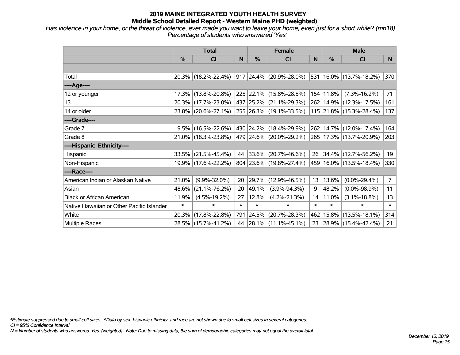*Has violence in your home, or the threat of violence, ever made you want to leave your home, even just for a short while? (mn18) Percentage of students who answered 'Yes'*

|                                           | <b>Total</b>  |                     |        |        | <b>Female</b>            | <b>Male</b> |        |                             |                |
|-------------------------------------------|---------------|---------------------|--------|--------|--------------------------|-------------|--------|-----------------------------|----------------|
|                                           | $\frac{0}{0}$ | CI                  | N      | %      | <b>CI</b>                | N           | %      | <b>CI</b>                   | N.             |
|                                           |               |                     |        |        |                          |             |        |                             |                |
| Total                                     |               | 20.3% (18.2%-22.4%) |        |        | 917 24.4% (20.9%-28.0%)  | 531         |        | 16.0% (13.7%-18.2%)         | 370            |
| ----Age----                               |               |                     |        |        |                          |             |        |                             |                |
| 12 or younger                             |               | 17.3% (13.8%-20.8%) |        |        | 225 22.1% (15.8%-28.5%)  | 154         | 11.8%  | $(7.3\% - 16.2\%)$          | 71             |
| 13                                        |               | 20.3% (17.7%-23.0%) |        |        | 437 25.2% (21.1%-29.3%)  |             |        | 262 14.9% (12.3%-17.5%)     | 161            |
| 14 or older                               |               | 23.8% (20.6%-27.1%) |        |        | 255 26.3% (19.1%-33.5%)  |             |        | 115 21.8% (15.3%-28.4%)     | 137            |
| ----Grade----                             |               |                     |        |        |                          |             |        |                             |                |
| Grade 7                                   |               | 19.5% (16.5%-22.6%) |        |        | 430 24.2% (18.4%-29.9%)  | 262         |        | 14.7% (12.0%-17.4%)         | 164            |
| Grade 8                                   |               | 21.0% (18.3%-23.8%) |        |        | 479 24.6% (20.0%-29.2%)  |             |        | 265   17.3%   (13.7%-20.9%) | 203            |
| ----Hispanic Ethnicity----                |               |                     |        |        |                          |             |        |                             |                |
| Hispanic                                  | 33.5%         | $(21.5\% - 45.4\%)$ | 44     |        | $ 33.6\% $ (20.7%-46.6%) |             |        | 26 34.4% (12.7%-56.2%)      | 19             |
| Non-Hispanic                              |               | 19.9% (17.6%-22.2%) |        |        | 804 23.6% (19.8%-27.4%)  | 459         |        | 16.0% (13.5%-18.4%)         | 330            |
| ----Race----                              |               |                     |        |        |                          |             |        |                             |                |
| American Indian or Alaskan Native         | 21.0%         | $(9.9\% - 32.0\%)$  | 20     | 29.7%  | $(12.9\% - 46.5\%)$      | 13          | 13.6%  | $(0.0\% - 29.4\%)$          | $\overline{7}$ |
| Asian                                     | 48.6%         | $(21.1\% - 76.2\%)$ | 20     | 49.1%  | $(3.9\% - 94.3\%)$       | 9           | 48.2%  | $(0.0\% - 98.9\%)$          | 11             |
| <b>Black or African American</b>          | 11.9%         | $(4.5\% - 19.2\%)$  | 27     | 12.8%  | $(4.2\% - 21.3\%)$       | 14          | 11.0%  | $(3.1\% - 18.8\%)$          | 13             |
| Native Hawaiian or Other Pacific Islander | $\ast$        | $\ast$              | $\ast$ | $\ast$ | $\ast$                   | $\ast$      | $\ast$ | $\ast$                      | $\ast$         |
| White                                     | 20.3%         | $(17.8\% - 22.8\%)$ | 791    |        | 24.5% (20.7%-28.3%)      | 462         | 15.8%  | $(13.5\% - 18.1\%)$         | 314            |
| Multiple Races                            |               | 28.5% (15.7%-41.2%) |        |        | 44 28.1% (11.1%-45.1%)   |             |        | 23 28.9% (15.4%-42.4%)      | 21             |

*\*Estimate suppressed due to small cell sizes. ^Data by sex, hispanic ethnicity, and race are not shown due to small cell sizes in several categories.*

*CI = 95% Confidence Interval*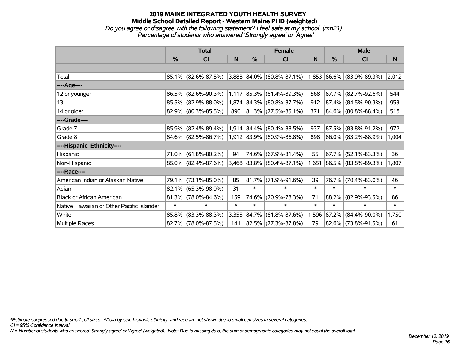*Do you agree or disagree with the following statement? I feel safe at my school. (mn21) Percentage of students who answered 'Strongly agree' or 'Agree'*

|                                           |        | <b>Total</b>           |        |               | <b>Female</b>                                         |        | <b>Male</b> |                          |        |  |
|-------------------------------------------|--------|------------------------|--------|---------------|-------------------------------------------------------|--------|-------------|--------------------------|--------|--|
|                                           | $\%$   | <b>CI</b>              | N      | $\frac{0}{0}$ | <b>CI</b>                                             | N      | %           | <b>CI</b>                | N      |  |
|                                           |        |                        |        |               |                                                       |        |             |                          |        |  |
| Total                                     |        | $85.1\%$ (82.6%-87.5%) |        |               | $3,888$ 84.0% (80.8%-87.1%) 1,853 86.6% (83.9%-89.3%) |        |             |                          | 2,012  |  |
| ----Age----                               |        |                        |        |               |                                                       |        |             |                          |        |  |
| 12 or younger                             | 86.5%  | $(82.6\% - 90.3\%)$    | 1,117  | $ 85.3\% $    | $(81.4\% - 89.3\%)$                                   | 568    | 87.7%       | $(82.7\% - 92.6\%)$      | 544    |  |
| 13                                        |        | 85.5% (82.9%-88.0%)    |        |               | 1,874 84.3% (80.8%-87.7%)                             | 912    |             | 87.4% (84.5%-90.3%)      | 953    |  |
| 14 or older                               |        | 82.9% (80.3%-85.5%)    | 890    |               | $ 81.3\% $ (77.5%-85.1%)                              | 371    |             | 84.6% (80.8%-88.4%)      | 516    |  |
| ----Grade----                             |        |                        |        |               |                                                       |        |             |                          |        |  |
| Grade 7                                   | 85.9%  | $(82.4\% - 89.4\%)$    |        |               | 1,914 84.4% (80.4%-88.5%)                             | 937    | 87.5%       | $(83.8\% - 91.2\%)$      | 972    |  |
| Grade 8                                   |        | 84.6% (82.5%-86.7%)    |        |               | 1,912 83.9% (80.9%-86.8%)                             | 898    |             | $ 86.0\% $ (83.2%-88.9%) | 1,004  |  |
| ----Hispanic Ethnicity----                |        |                        |        |               |                                                       |        |             |                          |        |  |
| Hispanic                                  | 71.0%  | $(61.8\% - 80.2\%)$    | 94     |               | 74.6% (67.9%-81.4%)                                   | 55     | 67.7%       | $(52.1\% - 83.3\%)$      | 36     |  |
| Non-Hispanic                              |        | 85.0% (82.4%-87.6%)    |        |               | 3,468 83.8% (80.4%-87.1%)                             | 1,651  |             | $ 86.5\% $ (83.8%-89.3%) | 1,807  |  |
| ----Race----                              |        |                        |        |               |                                                       |        |             |                          |        |  |
| American Indian or Alaskan Native         | 79.1%  | $(73.1\% - 85.0\%)$    | 85     | 81.7%         | $(71.9\% - 91.6\%)$                                   | 39     | 76.7%       | $(70.4\% - 83.0\%)$      | 46     |  |
| Asian                                     | 82.1%  | $(65.3\% - 98.9\%)$    | 31     | $\ast$        | $\ast$                                                | $\ast$ | $\ast$      | $\ast$                   | $\ast$ |  |
| <b>Black or African American</b>          | 81.3%  | $(78.0\% - 84.6\%)$    | 159    | 74.6%         | $(70.9\% - 78.3\%)$                                   | 71     | 88.2%       | $(82.9\% - 93.5\%)$      | 86     |  |
| Native Hawaiian or Other Pacific Islander | $\ast$ | $\ast$                 | $\ast$ | $\ast$        | $\ast$                                                | $\ast$ | $\ast$      | $\ast$                   | $\ast$ |  |
| White                                     | 85.8%  | $(83.3\% - 88.3\%)$    | 3,355  | 84.7%         | $(81.8\% - 87.6\%)$                                   | 1,596  | 87.2%       | $(84.4\% - 90.0\%)$      | 1,750  |  |
| <b>Multiple Races</b>                     |        | 82.7% (78.0%-87.5%)    | 141    |               | 82.5% (77.3%-87.8%)                                   | 79     |             | 82.6% (73.8%-91.5%)      | 61     |  |

*\*Estimate suppressed due to small cell sizes. ^Data by sex, hispanic ethnicity, and race are not shown due to small cell sizes in several categories.*

*CI = 95% Confidence Interval*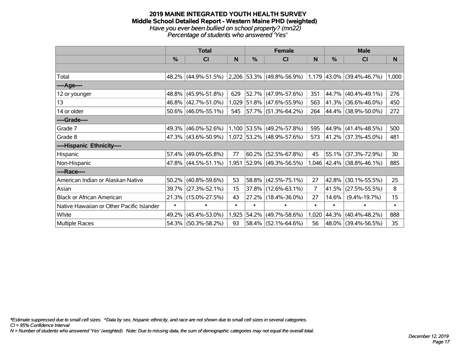#### **2019 MAINE INTEGRATED YOUTH HEALTH SURVEY Middle School Detailed Report - Western Maine PHD (weighted)** *Have you ever been bullied on school property? (mn22) Percentage of students who answered 'Yes'*

|                                           |               | <b>Total</b>           |        |        | <b>Female</b>               |                | <b>Male</b> |                           |        |  |
|-------------------------------------------|---------------|------------------------|--------|--------|-----------------------------|----------------|-------------|---------------------------|--------|--|
|                                           | $\frac{0}{0}$ | C <sub>l</sub>         | N      | %      | C <sub>l</sub>              | N              | %           | C <sub>l</sub>            | N      |  |
|                                           |               |                        |        |        |                             |                |             |                           |        |  |
| Total                                     |               | 48.2% (44.9%-51.5%)    |        |        | 2,206 53.3% (49.8%-56.9%)   |                |             | 1,179 43.0% (39.4%-46.7%) | 1,000  |  |
| ----Age----                               |               |                        |        |        |                             |                |             |                           |        |  |
| 12 or younger                             | 48.8%         | $(45.9\% - 51.8\%)$    | 629    |        | 52.7% (47.9%-57.6%)         | 351            | 44.7%       | $(40.4\% - 49.1\%)$       | 276    |  |
| 13                                        |               | 46.8% (42.7%-51.0%)    | 1,029  |        | $ 51.8\% $ (47.6%-55.9%)    | 563            |             | 41.3% (36.6%-46.0%)       | 450    |  |
| 14 or older                               |               | $50.6\%$ (46.0%-55.1%) | 545    |        | $ 57.7\% $ (51.3%-64.2%)    | 264            |             | 44.4% (38.9%-50.0%)       | 272    |  |
| ----Grade----                             |               |                        |        |        |                             |                |             |                           |        |  |
| Grade 7                                   | 49.3%         | $(46.0\% - 52.6\%)$    |        |        | $1,100$ 53.5% (49.2%-57.8%) | 595            | 44.9%       | $(41.4\% - 48.5\%)$       | 500    |  |
| Grade 8                                   |               | 47.3% (43.6%-50.9%)    |        |        | 1,072 53.2% (48.9%-57.6%)   | 573            |             | 41.2% (37.3%-45.0%)       | 481    |  |
| ----Hispanic Ethnicity----                |               |                        |        |        |                             |                |             |                           |        |  |
| Hispanic                                  | 57.4%         | $(49.0\% - 65.8\%)$    | 77     | 60.2%  | $(52.5\% - 67.8\%)$         | 45             | 55.1%       | $(37.3\% - 72.9\%)$       | 30     |  |
| Non-Hispanic                              |               | 47.8% (44.5%-51.1%)    | 1,951  |        | $ 52.9\% $ (49.3%-56.5%)    |                |             | 1,046 42.4% (38.8%-46.1%) | 885    |  |
| ----Race----                              |               |                        |        |        |                             |                |             |                           |        |  |
| American Indian or Alaskan Native         | 50.2%         | $(40.8\% - 59.6\%)$    | 53     |        | 58.8% (42.5%-75.1%)         | 27             | 42.8%       | $(30.1\% - 55.5\%)$       | 25     |  |
| Asian                                     | 39.7%         | $(27.3\% - 52.1\%)$    | 15     |        | 37.8% (12.6%-63.1%)         | $\overline{7}$ | 41.5%       | $(27.5\% - 55.5\%)$       | 8      |  |
| <b>Black or African American</b>          | 21.3%         | $(15.0\% - 27.5\%)$    | 43     |        | 27.2% (18.4%-36.0%)         | 27             | 14.6%       | $(9.4\% - 19.7\%)$        | 15     |  |
| Native Hawaiian or Other Pacific Islander | $\ast$        | $\ast$                 | $\ast$ | $\ast$ | $\ast$                      | $\ast$         | $\ast$      | $\ast$                    | $\ast$ |  |
| White                                     | 49.2%         | $(45.4\% - 53.0\%)$    | 1,925  | 54.2%  | $(49.7\% - 58.6\%)$         | 1,020          | 44.3%       | $(40.4\% - 48.2\%)$       | 888    |  |
| Multiple Races                            |               | 54.3% (50.3%-58.2%)    | 93     |        | $58.4\%$ (52.1%-64.6%)      | 56             |             | 48.0% (39.4%-56.5%)       | 35     |  |

*\*Estimate suppressed due to small cell sizes. ^Data by sex, hispanic ethnicity, and race are not shown due to small cell sizes in several categories.*

*CI = 95% Confidence Interval*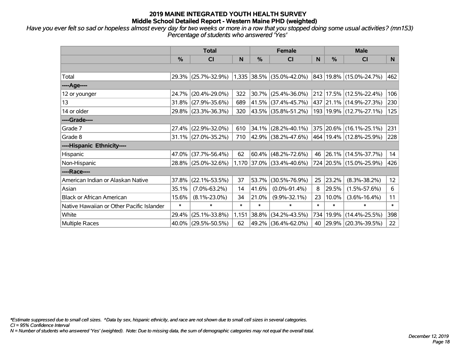*Have you ever felt so sad or hopeless almost every day for two weeks or more in a row that you stopped doing some usual activities? (mn153) Percentage of students who answered 'Yes'*

|                                           | <b>Total</b> |                        |        |        | <b>Female</b>             |        | <b>Male</b> |                             |        |  |
|-------------------------------------------|--------------|------------------------|--------|--------|---------------------------|--------|-------------|-----------------------------|--------|--|
|                                           | %            | CI                     | N      | %      | <b>CI</b>                 | N      | %           | <b>CI</b>                   | N.     |  |
|                                           |              |                        |        |        |                           |        |             |                             |        |  |
| Total                                     |              | 29.3% (25.7%-32.9%)    |        |        | 1,335 38.5% (35.0%-42.0%) |        |             | 843   19.8%   (15.0%-24.7%) | 462    |  |
| ----Age----                               |              |                        |        |        |                           |        |             |                             |        |  |
| 12 or younger                             | 24.7%        | $(20.4\% - 29.0\%)$    | 322    | 30.7%  | $(25.4\% - 36.0\%)$       | 212    |             | 17.5% (12.5%-22.4%)         | 106    |  |
| 13                                        |              | 31.8% (27.9%-35.6%)    | 689    |        | 41.5% (37.4%-45.7%)       |        |             | 437 21.1% (14.9%-27.3%)     | 230    |  |
| 14 or older                               |              | 29.8% (23.3%-36.3%)    | 320    |        | 43.5% (35.8%-51.2%)       |        |             | 193   19.9%   (12.7%-27.1%) | 125    |  |
| ----Grade----                             |              |                        |        |        |                           |        |             |                             |        |  |
| Grade 7                                   |              | 27.4% (22.9%-32.0%)    | 610    | 34.1%  | $(28.2\% - 40.1\%)$       |        |             | 375 20.6% (16.1%-25.1%)     | 231    |  |
| Grade 8                                   |              | $31.1\%$ (27.0%-35.2%) | 710    |        | 42.9% (38.2%-47.6%)       |        |             | 464   19.4%   (12.8%-25.9%) | 228    |  |
| ----Hispanic Ethnicity----                |              |                        |        |        |                           |        |             |                             |        |  |
| Hispanic                                  | 47.0%        | $(37.7\% - 56.4\%)$    | 62     | 60.4%  | $(48.2\% - 72.6\%)$       | 46     |             | 26.1% (14.5%-37.7%)         | 14     |  |
| Non-Hispanic                              |              | 28.8% (25.0%-32.6%)    |        |        | 1,170 37.0% (33.4%-40.6%) |        |             | 724 20.5% (15.0%-25.9%)     | 426    |  |
| ----Race----                              |              |                        |        |        |                           |        |             |                             |        |  |
| American Indian or Alaskan Native         | 37.8%        | $(22.1\% - 53.5\%)$    | 37     | 53.7%  | $(30.5\% - 76.9\%)$       | 25     | 23.2%       | $(8.3\% - 38.2\%)$          | 12     |  |
| Asian                                     | 35.1%        | $(7.0\% - 63.2\%)$     | 14     | 41.6%  | $(0.0\% - 91.4\%)$        | 8      | 29.5%       | $(1.5\% - 57.6\%)$          | 6      |  |
| <b>Black or African American</b>          | 15.6%        | $(8.1\% - 23.0\%)$     | 34     | 21.0%  | $(9.9\% - 32.1\%)$        | 23     | 10.0%       | $(3.6\% - 16.4\%)$          | 11     |  |
| Native Hawaiian or Other Pacific Islander | $\ast$       | $\ast$                 | $\ast$ | $\ast$ | $\ast$                    | $\ast$ | $\ast$      | $\ast$                      | $\ast$ |  |
| White                                     | 29.4%        | $(25.1\% - 33.8\%)$    | 1,151  | 38.8%  | $(34.2\% - 43.5\%)$       | 734    | 19.9%       | $(14.4\% - 25.5\%)$         | 398    |  |
| Multiple Races                            |              | 40.0% (29.5%-50.5%)    | 62     |        | 49.2% (36.4%-62.0%)       | 40     |             | 29.9% (20.3%-39.5%)         | 22     |  |

*\*Estimate suppressed due to small cell sizes. ^Data by sex, hispanic ethnicity, and race are not shown due to small cell sizes in several categories.*

*CI = 95% Confidence Interval*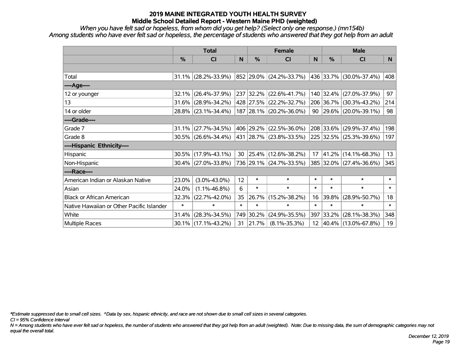*When you have felt sad or hopeless, from whom did you get help? (Select only one response.) (mn154b) Among students who have ever felt sad or hopeless, the percentage of students who answered that they got help from an adult*

|                                           | <b>Total</b> |                        |        |           | <b>Female</b>            |        |           | <b>Male</b>                |                |
|-------------------------------------------|--------------|------------------------|--------|-----------|--------------------------|--------|-----------|----------------------------|----------------|
|                                           | %            | <b>CI</b>              | N      | %         | <b>CI</b>                | N      | %         | <b>CI</b>                  | N <sub>1</sub> |
|                                           |              |                        |        |           |                          |        |           |                            |                |
| Total                                     |              | $31.1\%$ (28.2%-33.9%) |        |           | 852 29.0% (24.2%-33.7%)  |        |           | 436 33.7% (30.0%-37.4%)    | 408            |
| ----Age----                               |              |                        |        |           |                          |        |           |                            |                |
| 12 or younger                             | 32.1%        | $(26.4\% - 37.9\%)$    |        | 237 32.2% | $(22.6\% - 41.7\%)$      |        | 140 32.4% | $(27.0\% - 37.9\%)$        | 97             |
| 13                                        | 31.6%        | $(28.9\% - 34.2\%)$    |        |           | 428 27.5% (22.2%-32.7%)  |        | 206 36.7% | $(30.3\% - 43.2\%)$        | 214            |
| 14 or older                               |              | 28.8% (23.1%-34.4%)    |        |           | 187 28.1% (20.2%-36.0%)  |        |           | 90   29.6%   (20.0%-39.1%) | 98             |
| ----Grade----                             |              |                        |        |           |                          |        |           |                            |                |
| Grade 7                                   | 31.1%        | $(27.7\% - 34.5\%)$    |        |           | 406 29.2% (22.5%-36.0%)  |        | 208 33.6% | $(29.9\% - 37.4\%)$        | 198            |
| Grade 8                                   |              | $30.5\%$ (26.6%-34.4%) |        |           | 431 28.7% (23.8%-33.5%)  |        |           | 225 32.5% (25.3%-39.6%)    | 197            |
| ----Hispanic Ethnicity----                |              |                        |        |           |                          |        |           |                            |                |
| Hispanic                                  | 30.5%        | $(17.9\% - 43.1\%)$    | 30     |           | $ 25.4\% $ (12.6%-38.2%) | 17     | 41.2%     | $(14.1\% - 68.3\%)$        | 13             |
| Non-Hispanic                              |              | $30.4\%$ (27.0%-33.8%) |        |           | 736 29.1% (24.7%-33.5%)  |        |           | 385 32.0% (27.4%-36.6%)    | 345            |
| ----Race----                              |              |                        |        |           |                          |        |           |                            |                |
| American Indian or Alaskan Native         | 23.0%        | $(3.0\% - 43.0\%)$     | 12     | $\ast$    | $\ast$                   | $\ast$ | $\ast$    | $\ast$                     | $\ast$         |
| Asian                                     | 24.0%        | $(1.1\% - 46.8\%)$     | 6      | $\ast$    | $\ast$                   | $\ast$ | $\ast$    | $\ast$                     | $\ast$         |
| <b>Black or African American</b>          | 32.3%        | $(22.7\% - 42.0\%)$    | 35     | 26.7%     | $(15.2\% - 38.2\%)$      | 16     | 39.8%     | $(28.9\% - 50.7\%)$        | 18             |
| Native Hawaiian or Other Pacific Islander | $\ast$       | $\ast$                 | $\ast$ | $\ast$    | $\ast$                   | $\ast$ | $\ast$    | $\ast$                     | $\ast$         |
| White                                     | 31.4%        | $(28.3\% - 34.5\%)$    | 749    | 30.2%     | $(24.9\% - 35.5\%)$      | 397    | 33.2%     | $(28.1\% - 38.3\%)$        | 348            |
| Multiple Races                            |              | 30.1% (17.1%-43.2%)    | 31     | 21.7%     | $(8.1\% - 35.3\%)$       |        |           | 12 40.4% (13.0%-67.8%)     | 19             |

*\*Estimate suppressed due to small cell sizes. ^Data by sex, hispanic ethnicity, and race are not shown due to small cell sizes in several categories.*

*CI = 95% Confidence Interval*

*N = Among students who have ever felt sad or hopeless, the number of students who answered that they got help from an adult (weighted). Note: Due to missing data, the sum of demographic categories may not equal the overall total.*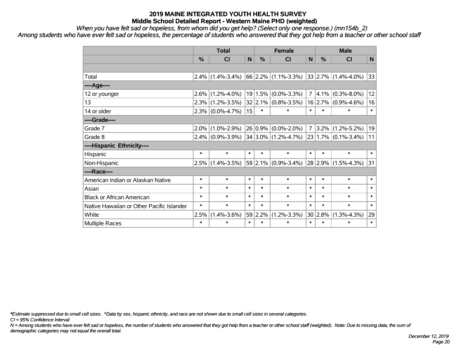*When you have felt sad or hopeless, from whom did you get help? (Select only one response.) (mn154b\_2)*

*Among students who have ever felt sad or hopeless, the percentage of students who answered that they got help from a teacher or other school staff*

|                                           | <b>Total</b> |                     |        |              | <b>Female</b>                                               | <b>Male</b>    |         |                   |        |
|-------------------------------------------|--------------|---------------------|--------|--------------|-------------------------------------------------------------|----------------|---------|-------------------|--------|
|                                           | %            | <b>CI</b>           | N      | %            | <b>CI</b>                                                   | N              | $\%$    | <b>CI</b>         | N      |
|                                           |              |                     |        |              |                                                             |                |         |                   |        |
| Total                                     |              |                     |        |              | $2.4\%$ (1.4%-3.4%) 66 2.2% (1.1%-3.3%) 33 2.7% (1.4%-4.0%) |                |         |                   | 33     |
| ----Age----                               |              |                     |        |              |                                                             |                |         |                   |        |
| 12 or younger                             | $2.6\%$      | $(1.2\% - 4.0\%)$   |        | 19 1.5%      | $(0.0\% - 3.3\%)$                                           | $\overline{7}$ | 4.1%    | $(0.3\% - 8.0\%)$ | 12     |
| 13                                        |              | $2.3\%$ (1.2%-3.5%) |        |              | $32 2.1\% $ (0.8%-3.5%)                                     |                | 16 2.7% | $(0.9\% - 4.6\%)$ | 16     |
| 14 or older                               |              | $2.3\%$ (0.0%-4.7%) | 15     | $\ast$       | $\ast$                                                      | $\ast$         | $\ast$  | $\ast$            | $\ast$ |
| ----Grade----                             |              |                     |        |              |                                                             |                |         |                   |        |
| Grade 7                                   |              | $2.0\%$ (1.0%-2.9%) |        | $ 26 0.9\% $ | $(0.0\% - 2.0\%)$                                           | $\overline{7}$ | $3.2\%$ | $(1.2\% - 5.2\%)$ | 19     |
| Grade 8                                   |              |                     |        |              | $2.4\%$ (0.9%-3.9%) 34 3.0% (1.2%-4.7%) 23 1.7% (0.1%-3.4%) |                |         |                   | 11     |
| ----Hispanic Ethnicity----                |              |                     |        |              |                                                             |                |         |                   |        |
| Hispanic                                  | $\ast$       | $\ast$              | $\ast$ | $\ast$       | $\ast$                                                      | $\ast$         | $\ast$  | $\ast$            | $\ast$ |
| Non-Hispanic                              |              | $2.5\%$ (1.4%-3.5%) |        |              | $59 2.1\% $ (0.9%-3.4%)                                     |                | 28 2.9% | $(1.5\% - 4.3\%)$ | 31     |
| ----Race----                              |              |                     |        |              |                                                             |                |         |                   |        |
| American Indian or Alaskan Native         | $\ast$       | $\ast$              | $\ast$ | $\ast$       | $\ast$                                                      | $\ast$         | $\ast$  | $\ast$            | $\ast$ |
| Asian                                     | $\ast$       | $\ast$              | $\ast$ | $\ast$       | $\ast$                                                      | $\ast$         | $\ast$  | $\ast$            | $\ast$ |
| <b>Black or African American</b>          | $\ast$       | $\ast$              | $\ast$ | $\ast$       | $\ast$                                                      | $\ast$         | $\ast$  | $\ast$            | $\ast$ |
| Native Hawaiian or Other Pacific Islander | $\ast$       | $\ast$              | $\ast$ | $\ast$       | $\ast$                                                      | $\ast$         | $\ast$  | $\ast$            | $\ast$ |
| White                                     | 2.5%         | $(1.4\% - 3.6\%)$   |        | 59 2.2%      | $(1.2\% - 3.3\%)$                                           |                | 30 2.8% | $(1.3\% - 4.3\%)$ | 29     |
| Multiple Races                            | $\ast$       | $\ast$              | $\ast$ | $\ast$       | $\ast$                                                      | $\ast$         | $\ast$  | $\ast$            | $\ast$ |

*\*Estimate suppressed due to small cell sizes. ^Data by sex, hispanic ethnicity, and race are not shown due to small cell sizes in several categories.*

*CI = 95% Confidence Interval*

*N = Among students who have ever felt sad or hopeless, the number of students who answered that they got help from a teacher or other school staff (weighted). Note: Due to missing data, the sum of demographic categories may not equal the overall total.*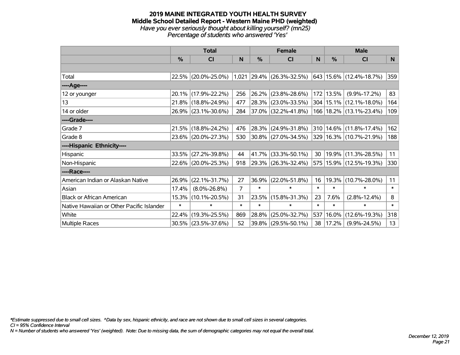#### **2019 MAINE INTEGRATED YOUTH HEALTH SURVEY Middle School Detailed Report - Western Maine PHD (weighted)** *Have you ever seriously thought about killing yourself? (mn25) Percentage of students who answered 'Yes'*

|                                           |               | <b>Total</b>        |        | <b>Female</b> |                             |        |           | <b>Male</b>                 |        |
|-------------------------------------------|---------------|---------------------|--------|---------------|-----------------------------|--------|-----------|-----------------------------|--------|
|                                           | $\frac{0}{0}$ | CI                  | N      | $\frac{0}{0}$ | CI                          | N      | %         | <b>CI</b>                   | N      |
|                                           |               |                     |        |               |                             |        |           |                             |        |
| Total                                     |               | 22.5% (20.0%-25.0%) |        |               | $1,021$ 29.4% (26.3%-32.5%) |        |           | 643   15.6%   (12.4%-18.7%) | 359    |
| ----Age----                               |               |                     |        |               |                             |        |           |                             |        |
| 12 or younger                             | 20.1%         | $(17.9\% - 22.2\%)$ | 256    | 26.2%         | $(23.8\% - 28.6\%)$         |        | 172 13.5% | $(9.9\% - 17.2\%)$          | 83     |
| 13                                        |               | 21.8% (18.8%-24.9%) | 477    | 28.3%         | $(23.0\% - 33.5\%)$         |        |           | 304   15.1%   (12.1%-18.0%) | 164    |
| 14 or older                               |               | 26.9% (23.1%-30.6%) | 284    |               | $ 37.0\% $ (32.2%-41.8%)    |        |           | 166   18.2%   (13.1%-23.4%) | 109    |
| ----Grade----                             |               |                     |        |               |                             |        |           |                             |        |
| Grade 7                                   |               | 21.5% (18.8%-24.2%) | 476    | 28.3%         | $(24.9\% - 31.8\%)$         |        |           | 310 14.6% (11.8%-17.4%)     | 162    |
| Grade 8                                   |               | 23.6% (20.0%-27.3%) | 530    |               | $ 30.8\% $ (27.0%-34.5%)    |        |           | 329 16.3% (10.7%-21.9%)     | 188    |
| ----Hispanic Ethnicity----                |               |                     |        |               |                             |        |           |                             |        |
| Hispanic                                  | 33.5%         | $(27.2\% - 39.8\%)$ | 44     | 41.7%         | $(33.3\% - 50.1\%)$         | 30     |           | 19.9% (11.3%-28.5%)         | 11     |
| Non-Hispanic                              |               | 22.6% (20.0%-25.3%) | 918    |               | $29.3\%$ (26.3%-32.4%)      |        |           | 575   15.9%   (12.5%-19.3%) | 330    |
| ----Race----                              |               |                     |        |               |                             |        |           |                             |        |
| American Indian or Alaskan Native         | 26.9%         | $(22.1\% - 31.7\%)$ | 27     | 36.9%         | $(22.0\% - 51.8\%)$         | 16     | 19.3%     | $(10.7\% - 28.0\%)$         | 11     |
| Asian                                     | 17.4%         | $(8.0\% - 26.8\%)$  | 7      | $\ast$        | $\ast$                      | $\ast$ | $\ast$    | $\ast$                      | $\ast$ |
| <b>Black or African American</b>          | 15.3%         | $(10.1\% - 20.5\%)$ | 31     | 23.5%         | $(15.8\% - 31.3\%)$         | 23     | 7.6%      | $(2.8\% - 12.4\%)$          | 8      |
| Native Hawaiian or Other Pacific Islander | $\ast$        | $\ast$              | $\ast$ | $\ast$        | $\ast$                      | $\ast$ | $\ast$    | $\ast$                      | $\ast$ |
| White                                     | 22.4%         | $(19.3\% - 25.5\%)$ | 869    | 28.8%         | $(25.0\% - 32.7\%)$         | 537    | 16.0%     | $(12.6\% - 19.3\%)$         | 318    |
| Multiple Races                            |               | 30.5% (23.5%-37.6%) | 52     | 39.8%         | $(29.5\% - 50.1\%)$         | 38     | 17.2%     | $(9.9\% - 24.5\%)$          | 13     |

*\*Estimate suppressed due to small cell sizes. ^Data by sex, hispanic ethnicity, and race are not shown due to small cell sizes in several categories.*

*CI = 95% Confidence Interval*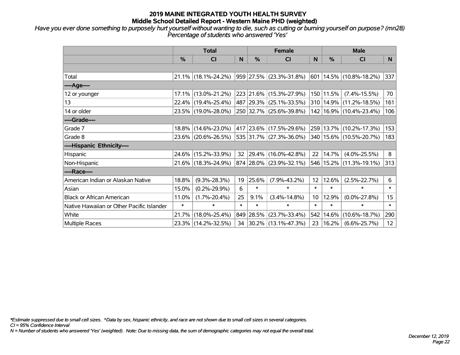*Have you ever done something to purposely hurt yourself without wanting to die, such as cutting or burning yourself on purpose? (mn28) Percentage of students who answered 'Yes'*

|                                           | <b>Total</b>  |                                                |                 |        | <b>Female</b>            |                 |        | <b>Male</b>                     |                  |
|-------------------------------------------|---------------|------------------------------------------------|-----------------|--------|--------------------------|-----------------|--------|---------------------------------|------------------|
|                                           | $\frac{0}{0}$ | CI                                             | N               | $\%$   | <b>CI</b>                | N               | %      | <b>CI</b>                       | N.               |
|                                           |               |                                                |                 |        |                          |                 |        |                                 |                  |
| Total                                     |               | $21.1\%$ (18.1%-24.2%) 959 27.5% (23.3%-31.8%) |                 |        |                          |                 |        | $ 601 14.5\% (10.8\% - 18.2\%)$ | 337              |
| ----Age----                               |               |                                                |                 |        |                          |                 |        |                                 |                  |
| 12 or younger                             |               | 17.1% (13.0%-21.2%)                            |                 |        | 223 21.6% (15.3%-27.9%)  | 150             | 11.5%  | $(7.4\% - 15.5\%)$              | 70               |
| 13                                        |               | 22.4% (19.4%-25.4%)                            |                 |        | 487 29.3% (25.1%-33.5%)  |                 |        | 310 14.9% (11.2%-18.5%)         | 161              |
| 14 or older                               |               | 23.5% (19.0%-28.0%)                            |                 |        | 250 32.7% (25.6%-39.8%)  |                 |        | 142 16.9% (10.4%-23.4%)         | 106              |
| ----Grade----                             |               |                                                |                 |        |                          |                 |        |                                 |                  |
| Grade 7                                   | $18.8\%$      | $(14.6\% - 23.0\%)$                            |                 |        | 417 23.6% (17.5%-29.6%)  | 259             | 13.7%  | $(10.2\% - 17.3\%)$             | 153              |
| Grade 8                                   |               | 23.6% (20.6%-26.5%)                            |                 |        | 535 31.7% (27.3%-36.0%)  |                 |        | 340 15.6% (10.5%-20.7%)         | 183              |
| ----Hispanic Ethnicity----                |               |                                                |                 |        |                          |                 |        |                                 |                  |
| Hispanic                                  |               | 24.6% (15.2%-33.9%)                            | 32 <sup>2</sup> |        | $ 29.4\% $ (16.0%-42.8%) | 22              | 14.7%  | $(4.0\% - 25.5\%)$              | 8                |
| Non-Hispanic                              |               | 21.6% (18.3%-24.9%)                            |                 |        | 874 28.0% (23.9%-32.1%)  |                 |        | 546 15.2% (11.3%-19.1%)         | 313              |
| ----Race----                              |               |                                                |                 |        |                          |                 |        |                                 |                  |
| American Indian or Alaskan Native         | 18.8%         | $(9.3\% - 28.3\%)$                             | 19              | 25.6%  | $(7.9\% - 43.2\%)$       | 12              | 12.6%  | $(2.5\% - 22.7\%)$              | 6                |
| Asian                                     | 15.0%         | $(0.2\% - 29.9\%)$                             | 6               | $\ast$ | $\ast$                   | $\ast$          | $\ast$ | $\ast$                          | $\ast$           |
| <b>Black or African American</b>          | 11.0%         | $(1.7\% - 20.4\%)$                             | 25              | 9.1%   | $(3.4\% - 14.8\%)$       | 10 <sup>°</sup> | 12.9%  | $(0.0\% - 27.8\%)$              | 15 <sub>15</sub> |
| Native Hawaiian or Other Pacific Islander | $\ast$        | $\ast$                                         | $\ast$          | $\ast$ | $\ast$                   | $\ast$          | $\ast$ | $\ast$                          | $\ast$           |
| White                                     | 21.7%         | $(18.0\% - 25.4\%)$                            |                 |        | 849 28.5% (23.7%-33.4%)  | 542             | 14.6%  | $(10.6\% - 18.7\%)$             | 290              |
| Multiple Races                            |               | 23.3% (14.2%-32.5%)                            |                 |        | 34 30.2% (13.1%-47.3%)   | 23              | 16.2%  | $(6.6\% - 25.7\%)$              | 12 <sub>2</sub>  |

*\*Estimate suppressed due to small cell sizes. ^Data by sex, hispanic ethnicity, and race are not shown due to small cell sizes in several categories.*

*CI = 95% Confidence Interval*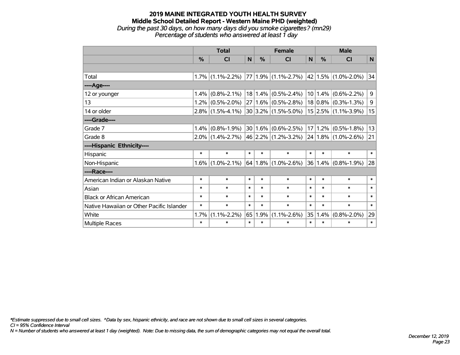# **2019 MAINE INTEGRATED YOUTH HEALTH SURVEY Middle School Detailed Report - Western Maine PHD (weighted)** *During the past 30 days, on how many days did you smoke cigarettes? (mn29)*

|                                           |         | <b>Total</b>        |        |        | <b>Female</b>                           | <b>Male</b> |               |                          |        |
|-------------------------------------------|---------|---------------------|--------|--------|-----------------------------------------|-------------|---------------|--------------------------|--------|
|                                           |         |                     |        |        |                                         |             |               |                          |        |
|                                           | $\%$    | CI                  | N      | %      | CI                                      | N           | $\frac{0}{0}$ | CI                       | N      |
|                                           |         |                     |        |        |                                         |             |               |                          |        |
| Total                                     |         | $1.7\%$ (1.1%-2.2%) |        |        | $77 1.9\% $ (1.1%-2.7%)                 |             |               | $ 42 1.5\% $ (1.0%-2.0%) | 34     |
| ----Age----                               |         |                     |        |        |                                         |             |               |                          |        |
| 12 or younger                             | $1.4\%$ | $(0.8\% - 2.1\%)$   |        |        | $18 1.4\% $ (0.5%-2.4%)                 |             |               | $10 1.4\% $ (0.6%-2.2%)  | 9      |
| 13                                        |         | $1.2\%$ (0.5%-2.0%) | 27     |        | $1.6\%$ (0.5%-2.8%) $\vert$             |             |               | $18 0.8\% $ (0.3%-1.3%)  | 9      |
| 14 or older                               |         | $2.8\%$ (1.5%-4.1%) |        |        | 30 3.2% (1.5%-5.0%)                     |             |               | $15 2.5\% $ (1.1%-3.9%)  | 15     |
| ----Grade----                             |         |                     |        |        |                                         |             |               |                          |        |
| Grade 7                                   | $1.4\%$ | $(0.8\% - 1.9\%)$   |        |        | $30 1.6\% $ (0.6%-2.5%)                 |             |               | $17 1.2\% $ (0.5%-1.8%)  | 13     |
| Grade 8                                   |         | $2.0\%$ (1.4%-2.7%) |        |        | 46 2.2% (1.2%-3.2%) 24 1.8% (1.0%-2.6%) |             |               |                          | 21     |
| ----Hispanic Ethnicity----                |         |                     |        |        |                                         |             |               |                          |        |
| Hispanic                                  | $\ast$  | $\ast$              | $\ast$ | $\ast$ | $\ast$                                  | $\ast$      | $\ast$        | $\ast$                   | $\ast$ |
| Non-Hispanic                              | 1.6%    | $(1.0\% - 2.1\%)$   |        |        | $64 1.8\% $ (1.0%-2.6%)                 |             |               | $36 1.4\% $ (0.8%-1.9%)  | 28     |
| ----Race----                              |         |                     |        |        |                                         |             |               |                          |        |
| American Indian or Alaskan Native         | $\ast$  | $\ast$              | $\ast$ | $\ast$ | $\ast$                                  | $\ast$      | $\ast$        | $\ast$                   | $\ast$ |
| Asian                                     | $\ast$  | $\ast$              | $\ast$ | $\ast$ | $\ast$                                  | $\ast$      | $\ast$        | $\ast$                   | $\ast$ |
| <b>Black or African American</b>          | $\ast$  | $\ast$              | $\ast$ | $\ast$ | $\ast$                                  | $\ast$      | $\ast$        | $\ast$                   | $\ast$ |
| Native Hawaiian or Other Pacific Islander | $\ast$  | $\ast$              | $\ast$ | $\ast$ | $\ast$                                  | $\ast$      | $\ast$        | $\ast$                   | $\ast$ |
| White                                     | 1.7%    | $(1.1\% - 2.2\%)$   | 65     | 1.9%   | $(1.1\% - 2.6\%)$                       | 35          | 1.4%          | $(0.8\% - 2.0\%)$        | 29     |
| Multiple Races                            | $\ast$  | $\ast$              | $\ast$ | $\ast$ | $\ast$                                  | $\ast$      | $\ast$        | $\ast$                   | $\ast$ |

*Percentage of students who answered at least 1 day*

*\*Estimate suppressed due to small cell sizes. ^Data by sex, hispanic ethnicity, and race are not shown due to small cell sizes in several categories.*

*CI = 95% Confidence Interval*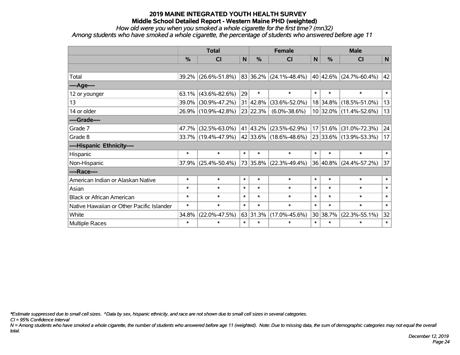*How old were you when you smoked a whole cigarette for the first time? (mn32)*

*Among students who have smoked a whole cigarette, the percentage of students who answered before age 11*

|                                           | <b>Total</b>  |                     |        | <b>Female</b> | <b>Male</b>                      |              |               |                        |        |
|-------------------------------------------|---------------|---------------------|--------|---------------|----------------------------------|--------------|---------------|------------------------|--------|
|                                           | $\frac{0}{0}$ | <b>CI</b>           | N      | %             | <b>CI</b>                        | $\mathsf{N}$ | $\frac{0}{0}$ | <b>CI</b>              | N      |
|                                           |               |                     |        |               |                                  |              |               |                        |        |
| Total                                     |               | 39.2% (26.6%-51.8%) |        |               | $ 83 36.2\%  (24.1\% - 48.4\%) $ |              |               | 40 42.6% (24.7%-60.4%) | 42     |
| ----Age----                               |               |                     |        |               |                                  |              |               |                        |        |
| 12 or younger                             | 63.1%         | $(43.6\% - 82.6\%)$ | 29     | $\ast$        | $\ast$                           | $\ast$       | $\ast$        | $\ast$                 | $\ast$ |
| 13                                        |               | 39.0% (30.9%-47.2%) |        | 31 42.8%      | $(33.6\% - 52.0\%)$              |              | 18 34.8%      | $(18.5\% - 51.0\%)$    | 13     |
| 14 or older                               |               | 26.9% (10.9%-42.8%) |        | 23 22.3%      | $(6.0\% - 38.6\%)$               |              |               | 10 32.0% (11.4%-52.6%) | 13     |
| ----Grade----                             |               |                     |        |               |                                  |              |               |                        |        |
| Grade 7                                   | 47.7%         | $(32.5\% - 63.0\%)$ |        | 41 43.2%      | $(23.5\% - 62.9\%)$              |              | 17 51.6%      | $(31.0\% - 72.3\%)$    | 24     |
| Grade 8                                   |               | 33.7% (19.4%-47.9%) |        |               | 42 33.6% (18.6%-48.6%)           |              |               | 23 33.6% (13.9%-53.3%) | 17     |
| ----Hispanic Ethnicity----                |               |                     |        |               |                                  |              |               |                        |        |
| Hispanic                                  | $\ast$        | $\ast$              | $\ast$ | $\ast$        | $\ast$                           | $\ast$       | $\ast$        | $\ast$                 | $\ast$ |
| Non-Hispanic                              |               | 37.9% (25.4%-50.4%) |        |               | 73 35.8% (22.3%-49.4%)           |              | 36 40.8%      | $(24.4\% - 57.2\%)$    | 37     |
| ----Race----                              |               |                     |        |               |                                  |              |               |                        |        |
| American Indian or Alaskan Native         | $\ast$        | $\ast$              | $\ast$ | $\ast$        | $\ast$                           | $\ast$       | $\ast$        | $\ast$                 | $\ast$ |
| Asian                                     | $\ast$        | $\ast$              | $\ast$ | $\ast$        | $\ast$                           | $\ast$       | $\ast$        | $\ast$                 | $\ast$ |
| <b>Black or African American</b>          | $\ast$        | $\ast$              | $\ast$ | $\ast$        | $\ast$                           | $\ast$       | $\ast$        | $\ast$                 | $\ast$ |
| Native Hawaiian or Other Pacific Islander | $\ast$        | $\ast$              | $\ast$ | $\ast$        | $\ast$                           | $\ast$       | $\ast$        | $\ast$                 | $\ast$ |
| White                                     | 34.8%         | $(22.0\% - 47.5\%)$ |        | 63 31.3%      | $(17.0\% - 45.6\%)$              |              | 30 38.7%      | $(22.3\% - 55.1\%)$    | 32     |
| Multiple Races                            | $\ast$        | $\ast$              | $\ast$ | $\ast$        | $\ast$                           | $\ast$       | $\ast$        | $\ast$                 | $\ast$ |

*\*Estimate suppressed due to small cell sizes. ^Data by sex, hispanic ethnicity, and race are not shown due to small cell sizes in several categories.*

*CI = 95% Confidence Interval*

*N = Among students who have smoked a whole cigarette, the number of students who answered before age 11 (weighted). Note: Due to missing data, the sum of demographic categories may not equal the overall total.*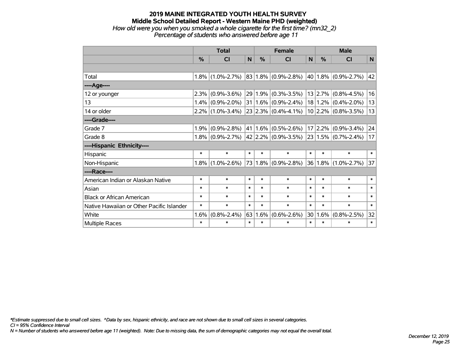# **2019 MAINE INTEGRATED YOUTH HEALTH SURVEY Middle School Detailed Report - Western Maine PHD (weighted)** *How old were you when you smoked a whole cigarette for the first time? (mn32\_2)*

*Percentage of students who answered before age 11*

|                                           | <b>Total</b> |                     |        |        | <b>Female</b>            | <b>Male</b> |              |                         |        |
|-------------------------------------------|--------------|---------------------|--------|--------|--------------------------|-------------|--------------|-------------------------|--------|
|                                           | %            | <b>CI</b>           | N      | %      | <b>CI</b>                | N           | %            | <b>CI</b>               | N      |
|                                           |              |                     |        |        |                          |             |              |                         |        |
| Total                                     | 1.8%         | $(1.0\% - 2.7\%)$   |        |        | $ 83 1.8\% $ (0.9%-2.8%) |             |              | 40   1.8%   (0.9%-2.7%) | 42     |
| ----Age----                               |              |                     |        |        |                          |             |              |                         |        |
| 12 or younger                             | 2.3%         | $(0.9\% - 3.6\%)$   | 29     |        | $1.9\%$ (0.3%-3.5%)      |             | 13 2.7%      | $(0.8\% - 4.5\%)$       | 16     |
| 13                                        | 1.4%         | $(0.9\% - 2.0\%)$   | 31     |        | $1.6\%$ (0.9%-2.4%)      |             | 18 1.2%      | $(0.4\% - 2.0\%)$       | 13     |
| 14 or older                               |              | $2.2\%$ (1.0%-3.4%) |        |        | $23 2.3\% $ (0.4%-4.1%)  |             |              | $10 2.2\% $ (0.8%-3.5%) | 13     |
| ----Grade----                             |              |                     |        |        |                          |             |              |                         |        |
| Grade 7                                   | 1.9%         | $(0.9\% - 2.8\%)$   | 41     |        | $1.6\%$ (0.5%-2.6%)      |             | 17 2.2%      | $(0.9\% - 3.4\%)$       | 24     |
| Grade 8                                   | 1.8%         | $(0.9\% - 2.7\%)$   |        |        | $42 2.2\% $ (0.9%-3.5%)  |             | 23 1.5%      | $(0.7\% - 2.4\%)$       | 17     |
| ----Hispanic Ethnicity----                |              |                     |        |        |                          |             |              |                         |        |
| Hispanic                                  | $\ast$       | $\ast$              | $\ast$ | $\ast$ | $\ast$                   | $\ast$      | $\ast$       | $\ast$                  | $\ast$ |
| Non-Hispanic                              | 1.8%         | $(1.0\% - 2.6\%)$   | 73     |        | $1.8\%$ (0.9%-2.8%)      |             | $ 36 1.8\% $ | $(1.0\% - 2.7\%)$       | 37     |
| ----Race----                              |              |                     |        |        |                          |             |              |                         |        |
| American Indian or Alaskan Native         | $\ast$       | $\ast$              | $\ast$ | $\ast$ | $\ast$                   | $\ast$      | $\ast$       | $\ast$                  | $\ast$ |
| Asian                                     | $\ast$       | $\ast$              | $\ast$ | $\ast$ | *                        | $\ast$      | $\ast$       | $\ast$                  | $\ast$ |
| <b>Black or African American</b>          | $\ast$       | $\ast$              | $\ast$ | $\ast$ | $\ast$                   | $\ast$      | $\ast$       | $\ast$                  | $\ast$ |
| Native Hawaiian or Other Pacific Islander | $\ast$       | $\ast$              | $\ast$ | $\ast$ | $\ast$                   | $\ast$      | $\ast$       | $\ast$                  | $\ast$ |
| White                                     | 1.6%         | $(0.8\% - 2.4\%)$   | 63     | 1.6%   | $(0.6\% - 2.6\%)$        | 30          | 1.6%         | $(0.8\% - 2.5\%)$       | 32     |
| Multiple Races                            | $\ast$       | $\ast$              | $\ast$ | $\ast$ | $\ast$                   | $\ast$      | $\ast$       | $\ast$                  | $\ast$ |

*\*Estimate suppressed due to small cell sizes. ^Data by sex, hispanic ethnicity, and race are not shown due to small cell sizes in several categories.*

*CI = 95% Confidence Interval*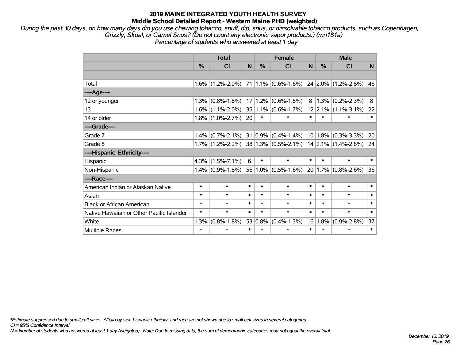*During the past 30 days, on how many days did you use chewing tobacco, snuff, dip, snus, or dissolvable tobacco products, such as Copenhagen, Grizzly, Skoal, or Camel Snus? (Do not count any electronic vapor products.) (mn181a) Percentage of students who answered at least 1 day*

|                                           | <b>Total</b> |                     |                 |        | <b>Female</b>           |                |              | <b>Male</b>               |        |  |  |
|-------------------------------------------|--------------|---------------------|-----------------|--------|-------------------------|----------------|--------------|---------------------------|--------|--|--|
|                                           | %            | CI                  | N               | %      | CI                      | N              | $\%$         | CI                        | N      |  |  |
|                                           |              |                     |                 |        |                         |                |              |                           |        |  |  |
| Total                                     |              | $1.6\%$ (1.2%-2.0%) |                 |        | $71 1.1\% $ (0.6%-1.6%) |                |              | $ 24 2.0\% $ (1.2%-2.8%)  | 46     |  |  |
| ----Age----                               |              |                     |                 |        |                         |                |              |                           |        |  |  |
| 12 or younger                             | 1.3%         | $(0.8\% - 1.8\%)$   | 17 <sup>1</sup> |        | $1.2\%$ (0.6%-1.8%)     | 8 <sup>1</sup> |              | $1.3\%$ (0.2%-2.3%)       | 8      |  |  |
| 13                                        | 1.6%         | $(1.1\% - 2.0\%)$   | 35              |        | $1.1\%$ (0.6%-1.7%)     |                |              | $12$   2.1%   (1.1%-3.1%) | 22     |  |  |
| 14 or older                               |              | $1.8\%$ (1.0%-2.7%) | 20              | $\ast$ | $\ast$                  | $\ast$         | $\ast$       | $\ast$                    | $\ast$ |  |  |
| ----Grade----                             |              |                     |                 |        |                         |                |              |                           |        |  |  |
| Grade 7                                   | 1.4%         | $(0.7\% - 2.1\%)$   |                 |        | $31 0.9\% $ (0.4%-1.4%) |                |              | $10 1.8\% $ (0.3%-3.3%)   | 20     |  |  |
| Grade 8                                   |              | $1.7\%$ (1.2%-2.2%) |                 |        | 38 1.3% (0.5%-2.1%)     |                |              | $14$ 2.1% (1.4%-2.8%)     | 24     |  |  |
| ----Hispanic Ethnicity----                |              |                     |                 |        |                         |                |              |                           |        |  |  |
| Hispanic                                  | 4.3%         | $(1.5\% - 7.1\%)$   | 6               | $\ast$ | $\ast$                  | $\ast$         | $\ast$       | $\ast$                    | $\ast$ |  |  |
| Non-Hispanic                              | 1.4%         | $(0.9\% - 1.8\%)$   | 56              |        | $1.0\%$ (0.5%-1.6%)     |                | $ 20 1.7\% $ | $(0.8\% - 2.6\%)$         | 36     |  |  |
| ----Race----                              |              |                     |                 |        |                         |                |              |                           |        |  |  |
| American Indian or Alaskan Native         | $\ast$       | $\ast$              | $\ast$          | *      | $\ast$                  | $\ast$         | $\ast$       | $\ast$                    | $\ast$ |  |  |
| Asian                                     | $\ast$       | $\ast$              | $\ast$          | $\ast$ | $\ast$                  | $\ast$         | $\ast$       | $\ast$                    | $\ast$ |  |  |
| <b>Black or African American</b>          | $\ast$       | $\ast$              | $\ast$          | $\ast$ | $\ast$                  | $\ast$         | $\ast$       | $\ast$                    | $\ast$ |  |  |
| Native Hawaiian or Other Pacific Islander | $\ast$       | $\ast$              | $\ast$          | $\ast$ | $\ast$                  | $\ast$         | $\ast$       | $\ast$                    | $\ast$ |  |  |
| White                                     | 1.3%         | $(0.8\% - 1.8\%)$   | 53              | 0.8%   | $(0.4\% - 1.3\%)$       | 16             | 1.8%         | $(0.9\% - 2.8\%)$         | 37     |  |  |
| Multiple Races                            | $\ast$       | $\ast$              | $\ast$          | $\ast$ | $\ast$                  | $\ast$         | $\ast$       | $\ast$                    | $\ast$ |  |  |

*\*Estimate suppressed due to small cell sizes. ^Data by sex, hispanic ethnicity, and race are not shown due to small cell sizes in several categories.*

*CI = 95% Confidence Interval*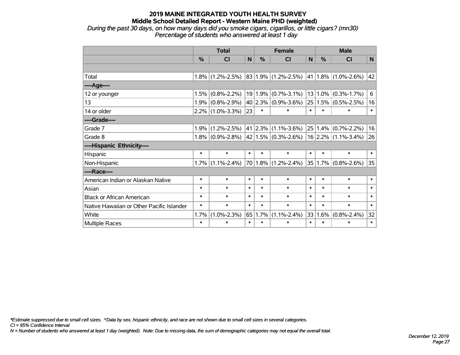*During the past 30 days, on how many days did you smoke cigars, cigarillos, or little cigars? (mn30) Percentage of students who answered at least 1 day*

|                                           |               | <b>Total</b>                            | <b>Female</b> |               |                                                    | <b>Male</b> |               |                          |        |
|-------------------------------------------|---------------|-----------------------------------------|---------------|---------------|----------------------------------------------------|-------------|---------------|--------------------------|--------|
|                                           | $\frac{9}{6}$ | <b>CI</b>                               | N             | $\frac{0}{2}$ | <b>CI</b>                                          | N           | $\frac{0}{0}$ | CI                       | N      |
|                                           |               |                                         |               |               |                                                    |             |               |                          |        |
| Total                                     |               | $1.8\%$ (1.2%-2.5%) 83 1.9% (1.2%-2.5%) |               |               |                                                    |             |               | $ 41 1.8\% $ (1.0%-2.6%) | 42     |
| ----Age----                               |               |                                         |               |               |                                                    |             |               |                          |        |
| 12 or younger                             | 1.5%          | $(0.8\% - 2.2\%)$                       |               | 19 1.9%       | $(0.7\% - 3.1\%)$                                  | 13          | 1.0%          | $(0.3\% - 1.7\%)$        | 6      |
| 13                                        | 1.9%          | $(0.8\% - 2.9\%)$                       |               |               | $40 2.3\% $ (0.9%-3.6%)                            | 25          |               | $1.5\%$ (0.5%-2.5%)      | 16     |
| 14 or older                               |               | $2.2\%$ (1.0%-3.3%)                     | 23            | $\ast$        | $\ast$                                             | $\ast$      | $\ast$        | $\ast$                   | $\ast$ |
| ----Grade----                             |               |                                         |               |               |                                                    |             |               |                          |        |
| Grade 7                                   | 1.9%          | $(1.2\% - 2.5\%)$                       |               |               | $41$   2.3%   (1.1%-3.6%)                          |             | 25 1.4%       | $(0.7\% - 2.2\%)$        | 16     |
| Grade 8                                   |               | $1.8\%$ (0.9%-2.8%)                     |               |               | $ 42 1.5\% $ (0.3%-2.6%)   16   2.2%   (1.1%-3.4%) |             |               |                          | 26     |
| ----Hispanic Ethnicity----                |               |                                         |               |               |                                                    |             |               |                          |        |
| Hispanic                                  | $\ast$        | $\ast$                                  | $\ast$        | $\ast$        | $\ast$                                             | $\ast$      | $\ast$        | $\ast$                   | $\ast$ |
| Non-Hispanic                              |               | $1.7\%$ (1.1%-2.4%)                     |               |               | $70 1.8\% $ (1.2%-2.4%)                            |             |               | $35 1.7\% $ (0.8%-2.6%)  | 35     |
| ----Race----                              |               |                                         |               |               |                                                    |             |               |                          |        |
| American Indian or Alaskan Native         | $\ast$        | $\ast$                                  | $\ast$        | $\ast$        | $\ast$                                             | $\ast$      | $\ast$        | $\ast$                   | $\ast$ |
| Asian                                     | $\ast$        | $\ast$                                  | $\ast$        | $\ast$        | $\ast$                                             | $\ast$      | $\ast$        | $\ast$                   | $\ast$ |
| <b>Black or African American</b>          | $\ast$        | $\ast$                                  | $\ast$        | $\ast$        | $\ast$                                             | $\ast$      | $\ast$        | $\ast$                   | $\ast$ |
| Native Hawaiian or Other Pacific Islander | $\ast$        | $\ast$                                  | $\ast$        | $\ast$        | $\ast$                                             | $\ast$      | $\ast$        | $\ast$                   | $\ast$ |
| White                                     | 1.7%          | $(1.0\% - 2.3\%)$                       | 65            | 1.7%          | $(1.1\% - 2.4\%)$                                  | 33          | 1.6%          | $(0.8\% - 2.4\%)$        | 32     |
| Multiple Races                            | $\ast$        | $\ast$                                  | $\ast$        | $\ast$        | $\ast$                                             | $\ast$      | *             | $\ast$                   | $\ast$ |

*\*Estimate suppressed due to small cell sizes. ^Data by sex, hispanic ethnicity, and race are not shown due to small cell sizes in several categories.*

*CI = 95% Confidence Interval*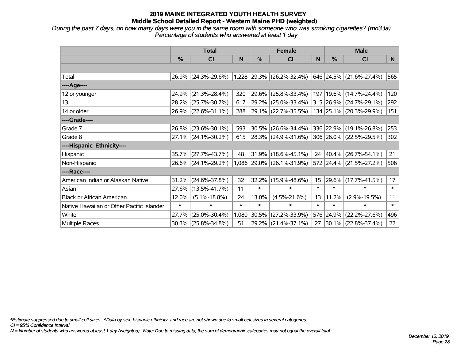*During the past 7 days, on how many days were you in the same room with someone who was smoking cigarettes? (mn33a) Percentage of students who answered at least 1 day*

|                                           | <b>Total</b>  |                        |        | <b>Female</b> |                             |                  | <b>Male</b>   |                             |        |  |
|-------------------------------------------|---------------|------------------------|--------|---------------|-----------------------------|------------------|---------------|-----------------------------|--------|--|
|                                           | $\frac{0}{0}$ | <b>CI</b>              | N      | %             | <b>CI</b>                   | N                | $\frac{0}{0}$ | <b>CI</b>                   | N.     |  |
|                                           |               |                        |        |               |                             |                  |               |                             |        |  |
| Total                                     |               | 26.9% (24.3%-29.6%)    |        |               | $1,228$ 29.3% (26.2%-32.4%) |                  |               | 646 24.5% (21.6%-27.4%)     | 565    |  |
| ----Age----                               |               |                        |        |               |                             |                  |               |                             |        |  |
| 12 or younger                             | 24.9%         | $(21.3\% - 28.4\%)$    | 320    | 29.6%         | $(25.8\% - 33.4\%)$         |                  |               | 197   19.6%   (14.7%-24.4%) | 120    |  |
| 13                                        |               | 28.2% (25.7%-30.7%)    | 617    | 29.2%         | $(25.0\% - 33.4\%)$         |                  |               | 315 26.9% (24.7%-29.1%)     | 292    |  |
| 14 or older                               |               | 26.9% (22.6%-31.1%)    | 288    |               | 29.1% (22.7%-35.5%)         |                  |               | 134 25.1% (20.3%-29.9%)     | 151    |  |
| ----Grade----                             |               |                        |        |               |                             |                  |               |                             |        |  |
| Grade 7                                   | $26.8\%$      | $(23.6\% - 30.1\%)$    | 593    | 30.5%         | $(26.6\% - 34.4\%)$         |                  |               | 336 22.9% (19.1%-26.8%)     | 253    |  |
| Grade 8                                   |               | 27.1% (24.1%-30.2%)    | 615    |               | $28.3\%$ (24.9%-31.6%)      |                  |               | 306 26.0% (22.5%-29.5%)     | 302    |  |
| ----Hispanic Ethnicity----                |               |                        |        |               |                             |                  |               |                             |        |  |
| Hispanic                                  | 35.7%         | $(27.7\% - 43.7\%)$    | 48     | 31.9%         | $(18.6\% - 45.1\%)$         | 24               | $ 40.4\% $    | $(26.7\% - 54.1\%)$         | 21     |  |
| Non-Hispanic                              |               | 26.6% (24.1%-29.2%)    |        |               | 1,086 29.0% (26.1%-31.9%)   |                  |               | 572 24.4% (21.5%-27.2%)     | 506    |  |
| ----Race----                              |               |                        |        |               |                             |                  |               |                             |        |  |
| American Indian or Alaskan Native         | 31.2%         | $(24.6\% - 37.8\%)$    | 32     | 32.2%         | $(15.9\% - 48.6\%)$         | 15 <sub>15</sub> | $ 29.6\% $    | $(17.7\% - 41.5\%)$         | 17     |  |
| Asian                                     | 27.6%         | $(13.5\% - 41.7\%)$    | 11     | $\ast$        | $\ast$                      | $\ast$           | $\ast$        | $\ast$                      | $\ast$ |  |
| <b>Black or African American</b>          | 12.0%         | $(5.1\% - 18.8\%)$     | 24     | 13.0%         | $(4.5\% - 21.6\%)$          | 13               | 11.2%         | $(2.9\% - 19.5\%)$          | 11     |  |
| Native Hawaiian or Other Pacific Islander | $\ast$        | $\ast$                 | $\ast$ | $\ast$        | $\ast$                      | $\ast$           | $\ast$        | $\ast$                      | $\ast$ |  |
| White                                     | 27.7%         | $(25.0\% - 30.4\%)$    | 1,080  | 30.5%         | $(27.2\% - 33.9\%)$         | 576              | 24.9%         | $(22.2\% - 27.6\%)$         | 496    |  |
| Multiple Races                            |               | $30.3\%$ (25.8%-34.8%) | 51     | 29.2%         | $(21.4\% - 37.1\%)$         | 27               |               | $30.1\%$ (22.8%-37.4%)      | 22     |  |

*\*Estimate suppressed due to small cell sizes. ^Data by sex, hispanic ethnicity, and race are not shown due to small cell sizes in several categories.*

*CI = 95% Confidence Interval*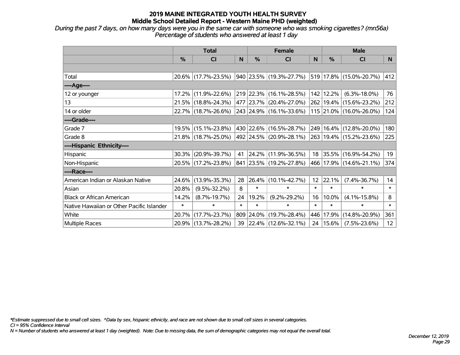*During the past 7 days, on how many days were you in the same car with someone who was smoking cigarettes? (mn56a) Percentage of students who answered at least 1 day*

|                                           | <b>Total</b> |                     |        |            | <b>Female</b>                                        |                 | <b>Male</b>   |                         |                 |  |
|-------------------------------------------|--------------|---------------------|--------|------------|------------------------------------------------------|-----------------|---------------|-------------------------|-----------------|--|
|                                           | $\%$         | <b>CI</b>           | N      | $\%$       | <b>CI</b>                                            | N               | $\frac{0}{0}$ | <b>CI</b>               | N               |  |
|                                           |              |                     |        |            |                                                      |                 |               |                         |                 |  |
| Total                                     |              | 20.6% (17.7%-23.5%) |        |            | $ 940 23.5\% $ (19.3%-27.7%) 519 17.8% (15.0%-20.7%) |                 |               |                         | 412             |  |
| ----Age----                               |              |                     |        |            |                                                      |                 |               |                         |                 |  |
| 12 or younger                             | 17.2%        | $(11.9\% - 22.6\%)$ |        |            | 219 22.3% (16.1%-28.5%)                              | 142             | 12.2%         | $(6.3\% - 18.0\%)$      | 76              |  |
| 13                                        |              | 21.5% (18.8%-24.3%) |        |            | 477 23.7% (20.4%-27.0%)                              |                 |               | 262 19.4% (15.6%-23.2%) | 212             |  |
| 14 or older                               |              | 22.7% (18.7%-26.6%) |        |            | 243 24.9% (16.1%-33.6%)                              |                 |               | 115 21.0% (16.0%-26.0%) | 124             |  |
| ----Grade----                             |              |                     |        |            |                                                      |                 |               |                         |                 |  |
| Grade 7                                   |              | 19.5% (15.1%-23.8%) |        |            | 430 22.6% (16.5%-28.7%)                              | 249             |               | $16.4\%$ (12.8%-20.0%)  | 180             |  |
| Grade 8                                   |              | 21.8% (18.7%-25.0%) |        |            | 492 24.5% (20.9%-28.1%)                              |                 |               | 263 19.4% (15.2%-23.6%) | 225             |  |
| ----Hispanic Ethnicity----                |              |                     |        |            |                                                      |                 |               |                         |                 |  |
| Hispanic                                  | 30.3%        | $(20.9\% - 39.7\%)$ | 41     |            | 24.2% (11.9%-36.5%)                                  |                 | 18 35.5%      | $(16.9\% - 54.2\%)$     | 19              |  |
| Non-Hispanic                              |              | 20.5% (17.2%-23.8%) |        |            | 841 23.5% (19.2%-27.8%)                              |                 |               | 466 17.9% (14.6%-21.1%) | 374             |  |
| ----Race----                              |              |                     |        |            |                                                      |                 |               |                         |                 |  |
| American Indian or Alaskan Native         | 24.6%        | $(13.9\% - 35.3\%)$ | 28     | $ 26.4\% $ | $(10.1\% - 42.7\%)$                                  | 12 <sup>2</sup> | 22.1%         | $(7.4\% - 36.7\%)$      | 14              |  |
| Asian                                     | 20.8%        | $(9.5\% - 32.2\%)$  | 8      | $\ast$     | $\ast$                                               | $\ast$          | $\ast$        | $\ast$                  | $\ast$          |  |
| <b>Black or African American</b>          | 14.2%        | $(8.7\% - 19.7\%)$  | 24     | 19.2%      | $(9.2\% - 29.2\%)$                                   | 16              | 10.0%         | $(4.1\% - 15.8\%)$      | 8               |  |
| Native Hawaiian or Other Pacific Islander | $\ast$       | $\ast$              | $\ast$ | $\ast$     | $\ast$                                               | $\ast$          | $\ast$        | $\ast$                  | $\ast$          |  |
| White                                     | 20.7%        | $(17.7\% - 23.7\%)$ | 809    | $ 24.0\% $ | $(19.7\% - 28.4\%)$                                  | 446             | 17.9%         | $(14.8\% - 20.9\%)$     | 361             |  |
| Multiple Races                            |              | 20.9% (13.7%-28.2%) |        |            | 39 22.4% (12.6%-32.1%)                               | 24              | 15.6%         | $(7.5\% - 23.6\%)$      | 12 <sup>2</sup> |  |

*\*Estimate suppressed due to small cell sizes. ^Data by sex, hispanic ethnicity, and race are not shown due to small cell sizes in several categories.*

*CI = 95% Confidence Interval*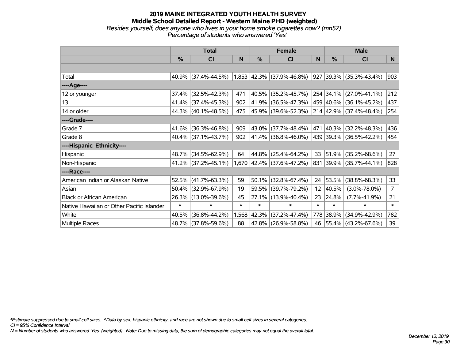#### **2019 MAINE INTEGRATED YOUTH HEALTH SURVEY Middle School Detailed Report - Western Maine PHD (weighted)** *Besides yourself, does anyone who lives in your home smoke cigarettes now? (mn57) Percentage of students who answered 'Yes'*

|                                           | <b>Total</b> |                        |        |        | <b>Female</b>               |                 | <b>Male</b>   |                          |                |  |
|-------------------------------------------|--------------|------------------------|--------|--------|-----------------------------|-----------------|---------------|--------------------------|----------------|--|
|                                           | %            | CI                     | N      | %      | <b>CI</b>                   | N               | $\frac{0}{0}$ | <b>CI</b>                | N.             |  |
|                                           |              |                        |        |        |                             |                 |               |                          |                |  |
| Total                                     |              | $40.9\%$ (37.4%-44.5%) |        |        | $1,853$ 42.3% (37.9%-46.8%) |                 |               | 927 39.3% (35.3%-43.4%)  | 903            |  |
| ----Age----                               |              |                        |        |        |                             |                 |               |                          |                |  |
| 12 or younger                             | 37.4%        | $(32.5\% - 42.3\%)$    | 471    | 40.5%  | $(35.2\% - 45.7\%)$         |                 |               | 254 34.1% (27.0%-41.1%)  | 212            |  |
| 13                                        |              | 41.4% (37.4%-45.3%)    | 902    | 41.9%  | $(36.5\% - 47.3\%)$         |                 |               | 459 40.6% (36.1%-45.2%)  | 437            |  |
| 14 or older                               |              | 44.3% (40.1%-48.5%)    | 475    |        | 45.9% (39.6%-52.3%)         |                 |               | 214 42.9% (37.4%-48.4%)  | 254            |  |
| ----Grade----                             |              |                        |        |        |                             |                 |               |                          |                |  |
| Grade 7                                   | 41.6%        | $(36.3\% - 46.8\%)$    | 909    | 43.0%  | $(37.7\% - 48.4\%)$         |                 | 471 40.3%     | $(32.2\% - 48.3\%)$      | 436            |  |
| Grade 8                                   |              | $40.4\%$ (37.1%-43.7%) | 902    |        | 41.4% (36.8%-46.0%)         |                 |               | 439 39.3% (36.5%-42.2%)  | 454            |  |
| ----Hispanic Ethnicity----                |              |                        |        |        |                             |                 |               |                          |                |  |
| Hispanic                                  | 48.7%        | $(34.5\% - 62.9\%)$    | 64     | 44.8%  | $(25.4\% - 64.2\%)$         | 33              | $ 51.9\% $    | $(35.2\% - 68.6\%)$      | 27             |  |
| Non-Hispanic                              |              | 41.2% (37.2%-45.1%)    |        |        | 1,670 42.4% (37.6%-47.2%)   |                 |               | 831 39.9% (35.7%-44.1%)  | 828            |  |
| ----Race----                              |              |                        |        |        |                             |                 |               |                          |                |  |
| American Indian or Alaskan Native         | 52.5%        | $(41.7\% - 63.3\%)$    | 59     | 50.1%  | $(32.8\% - 67.4\%)$         | 24              | 53.5%         | $(38.8\% - 68.3\%)$      | 33             |  |
| Asian                                     | 50.4%        | $(32.9\% - 67.9\%)$    | 19     | 59.5%  | $(39.7\% - 79.2\%)$         | 12 <sub>2</sub> | 40.5%         | $(3.0\% - 78.0\%)$       | 7 <sup>1</sup> |  |
| <b>Black or African American</b>          | 26.3%        | $(13.0\% - 39.6\%)$    | 45     | 27.1%  | $(13.9\% - 40.4\%)$         | 23              | 24.8%         | $(7.7\% - 41.9\%)$       | 21             |  |
| Native Hawaiian or Other Pacific Islander | $\ast$       | $\ast$                 | $\ast$ | $\ast$ | $\ast$                      | $\ast$          | $\ast$        | $\ast$                   | $\ast$         |  |
| White                                     | 40.5%        | $(36.8\% - 44.2\%)$    | 1,568  | 42.3%  | $(37.2\% - 47.4\%)$         |                 | 778 38.9%     | $(34.9\% - 42.9\%)$      | 782            |  |
| <b>Multiple Races</b>                     |              | 48.7% (37.8%-59.6%)    | 88     |        | 42.8% (26.9%-58.8%)         | 46              |               | $ 55.4\% $ (43.2%-67.6%) | 39             |  |

*\*Estimate suppressed due to small cell sizes. ^Data by sex, hispanic ethnicity, and race are not shown due to small cell sizes in several categories.*

*CI = 95% Confidence Interval*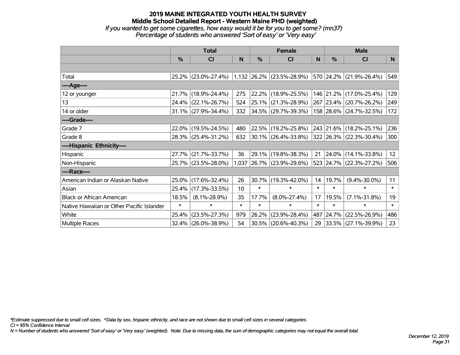#### **2019 MAINE INTEGRATED YOUTH HEALTH SURVEY Middle School Detailed Report - Western Maine PHD (weighted)** *If you wanted to get some cigarettes, how easy would it be for you to get some? (mn37) Percentage of students who answered 'Sort of easy' or 'Very easy'*

|               |   | <b>Total</b>           |     | <b>Female</b> |                                                                                                                                       | <b>Male</b> |      |                                                 |     |
|---------------|---|------------------------|-----|---------------|---------------------------------------------------------------------------------------------------------------------------------------|-------------|------|-------------------------------------------------|-----|
|               | % | <b>CI</b>              | N   | %             | CI                                                                                                                                    | N           | $\%$ | CI                                              | N   |
|               |   |                        |     |               |                                                                                                                                       |             |      |                                                 |     |
| Total         |   |                        |     |               | $\vert$ 25.2% $\vert$ (23.0%-27.4%) $\vert$ 1,132 $\vert$ 26.2% $\vert$ (23.5%-28.9%) $\vert$ 570 $\vert$ 24.2% $\vert$ (21.9%-26.4%) |             |      |                                                 | 549 |
| ----Age----   |   |                        |     |               |                                                                                                                                       |             |      |                                                 |     |
| 12 or younger |   | 21.7% (18.9%-24.4%)    | 275 |               | $ 22.2\% $ (18.9%-25.5%)                                                                                                              |             |      | 146 21.2% (17.0%-25.4%)                         | 129 |
| 13            |   | $24.4\%$ (22.1%-26.7%) | 524 |               | $ 25.1\% $ (21.3%-28.9%)                                                                                                              |             |      | $\vert$ 267 $\vert$ 23.4% $\vert$ (20.7%-26.2%) | 249 |
| 14 or older   |   | $31.1\%$ (27.9%-34.4%) | 332 |               | $ 34.5\% $ (29.7%-39.3%)                                                                                                              |             |      | $158$ 28.6% (24.7%-32.5%)                       | 172 |
| ----Grade---- |   |                        |     |               |                                                                                                                                       |             |      |                                                 |     |
| Grade 7       |   | 22.0% (19.5%-24.5%)    | 480 |               | $ 22.5\% $ (19.2%-25.8%)                                                                                                              |             |      | $ 243 21.6\% (18.2\% - 25.1\%)$                 | 236 |
| Grade 8       |   | 28.3% (25.4%-31.2%)    | 632 |               | $ 30.1\% $ (26.4%-33.8%) $ 322 26.3\% $ (22.3%-30.4%)                                                                                 |             |      |                                                 | 300 |

Hispanic 27.7% (21.7%-33.7%) 36 29.1% (19.8%-38.3%) 21 24.0% (14.1%-33.8%) 12 Non-Hispanic 25.7% (23.5%-28.0%) 1,037 26.7% (23.9%-29.6%) 523 24.7% (22.3%-27.2%) 506

American Indian or Alaskan Native 25.0% (17.6%-32.4%) 26 30.7% (19.3%-42.0%) 14 19.7% (9.4%-30.0%) 11 Asian 25.4% (17.3%-33.5%) 10 \* \* \* \* \* \* Black or African American 18.5% (8.1%-28.9%) 35 17.7% (8.0%-27.4%) 17 19.5% (7.1%-31.8%) 19 Native Hawaiian or Other Pacific Islander \* \* \* \* \* \* \* \* \* White 25.4% (23.5%-27.3%) 979 26.2% (23.9%-28.4%) 487 24.7% (22.5%-26.9%) 486 Multiple Races 32.4% (26.0%-38.9%) 54 30.5% (20.6%-40.3%) 29 33.5% (27.1%-39.9%) 23

*N = Number of students who answered 'Sort of easy' or 'Very easy' (weighted). Note: Due to missing data, the sum of demographic categories may not equal the overall total. CI = 95% Confidence Interval*

*\*Estimate suppressed due to small cell sizes. ^Data by sex, hispanic ethnicity, and race are not shown due to small cell sizes in several categories.*

**----Race----**

**----Hispanic Ethnicity----**

*Page 31 December 12, 2019*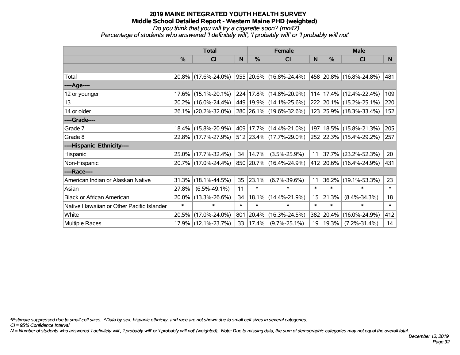*Do you think that you will try a cigarette soon? (mn47)*

*Percentage of students who answered 'I definitely will', 'I probably will' or 'I probably will not'*

|                                           | <b>Total</b>  |                        |        |               | <b>Female</b>           |        | <b>Male</b> |                               |        |  |
|-------------------------------------------|---------------|------------------------|--------|---------------|-------------------------|--------|-------------|-------------------------------|--------|--|
|                                           | $\frac{0}{0}$ | <b>CI</b>              | N      | $\frac{9}{6}$ | <b>CI</b>               | N      | %           | <b>CI</b>                     | N.     |  |
|                                           |               |                        |        |               |                         |        |             |                               |        |  |
| Total                                     |               | 20.8% (17.6%-24.0%)    |        |               | 955 20.6% (16.8%-24.4%) |        |             | 458 20.8% (16.8%-24.8%)       | 481    |  |
| ----Age----                               |               |                        |        |               |                         |        |             |                               |        |  |
| 12 or younger                             |               | 17.6% (15.1%-20.1%)    |        |               | 224 17.8% (14.8%-20.9%) |        |             | $114$   17.4%   (12.4%-22.4%) | 109    |  |
| 13                                        |               | 20.2% (16.0%-24.4%)    |        |               | 449 19.9% (14.1%-25.6%) |        |             | 222 20.1% (15.2%-25.1%)       | 220    |  |
| 14 or older                               |               | 26.1% (20.2%-32.0%)    |        |               | 280 26.1% (19.6%-32.6%) |        |             | 123 25.9% (18.3%-33.4%)       | 152    |  |
| ----Grade----                             |               |                        |        |               |                         |        |             |                               |        |  |
| Grade 7                                   |               | 18.4% (15.8%-20.9%)    |        |               | 409 17.7% (14.4%-21.0%) | 197    |             | 18.5% (15.8%-21.3%)           | 205    |  |
| Grade 8                                   |               | 22.8% (17.7%-27.9%)    |        |               | 512 23.4% (17.7%-29.0%) |        |             | 252 22.3% (15.4%-29.2%)       | 257    |  |
| ----Hispanic Ethnicity----                |               |                        |        |               |                         |        |             |                               |        |  |
| Hispanic                                  |               | 25.0% (17.7%-32.4%)    | 34     | 14.7%         | $(3.5\% - 25.9\%)$      | 11     | $ 37.7\% $  | $(23.2\% - 52.3\%)$           | 20     |  |
| Non-Hispanic                              |               | 20.7% (17.0%-24.4%)    |        |               | 850 20.7% (16.4%-24.9%) |        |             | 412 20.6% (16.4%-24.9%)       | 431    |  |
| ----Race----                              |               |                        |        |               |                         |        |             |                               |        |  |
| American Indian or Alaskan Native         |               | $31.3\%$ (18.1%-44.5%) | 35     | 23.1%         | $(6.7\% - 39.6\%)$      | 11     | 36.2%       | $(19.1\% - 53.3\%)$           | 23     |  |
| Asian                                     | 27.8%         | $(6.5\% - 49.1\%)$     | 11     | $\ast$        | $\ast$                  | $\ast$ | $\ast$      | $\ast$                        | $\ast$ |  |
| <b>Black or African American</b>          | $20.0\%$      | $(13.3\% - 26.6\%)$    | 34     | 18.1%         | $(14.4\% - 21.9\%)$     | 15     | 21.3%       | $(8.4\% - 34.3\%)$            | 18     |  |
| Native Hawaiian or Other Pacific Islander | $\ast$        | $\ast$                 | $\ast$ | $\ast$        | $\ast$                  | $\ast$ | $\ast$      | $\ast$                        | $\ast$ |  |
| White                                     |               | 20.5% (17.0%-24.0%)    | 801    | 20.4%         | $(16.3\% - 24.5\%)$     |        | 382 20.4%   | $(16.0\% - 24.9\%)$           | 412    |  |
| <b>Multiple Races</b>                     |               | 17.9% (12.1%-23.7%)    | 33     | $ 17.4\% $    | $(9.7\% - 25.1\%)$      | 19     | 19.3%       | $(7.2\% - 31.4\%)$            | 14     |  |

*\*Estimate suppressed due to small cell sizes. ^Data by sex, hispanic ethnicity, and race are not shown due to small cell sizes in several categories.*

*CI = 95% Confidence Interval*

*N = Number of students who answered 'I definitely will', 'I probably will' or 'I probably will not' (weighted). Note: Due to missing data, the sum of demographic categories may not equal the overall total.*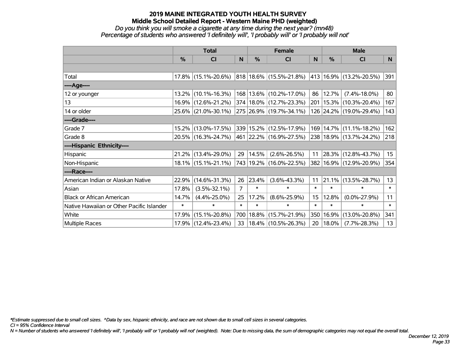#### *Do you think you will smoke a cigarette at any time during the next year? (mn48) Percentage of students who answered 'I definitely will', 'I probably will' or 'I probably will not'*

|                                           | <b>Total</b>  |                        |                | <b>Female</b> |                                                           |        | <b>Male</b>   |                             |                  |  |
|-------------------------------------------|---------------|------------------------|----------------|---------------|-----------------------------------------------------------|--------|---------------|-----------------------------|------------------|--|
|                                           | $\frac{0}{0}$ | <b>CI</b>              | N              | $\frac{0}{0}$ | CI                                                        | N      | $\frac{0}{0}$ | <b>CI</b>                   | N.               |  |
|                                           |               |                        |                |               |                                                           |        |               |                             |                  |  |
| Total                                     |               | 17.8% (15.1%-20.6%)    |                |               | $ 818 18.6\% $ (15.5%-21.8%) $ 413 16.9\% $ (13.2%-20.5%) |        |               |                             | 391              |  |
| ----Age----                               |               |                        |                |               |                                                           |        |               |                             |                  |  |
| 12 or younger                             |               | 13.2% (10.1%-16.3%)    |                |               | 168 13.6% (10.2%-17.0%)                                   | 86     | 12.7%         | $(7.4\% - 18.0\%)$          | 80               |  |
| 13                                        |               | 16.9% (12.6%-21.2%)    |                |               | 374   18.0%   (12.7%-23.3%)                               |        |               | 201   15.3%   (10.3%-20.4%) | 167              |  |
| 14 or older                               |               | 25.6% (21.0%-30.1%)    |                |               | 275 26.9% (19.7%-34.1%)                                   |        |               | 126 24.2% (19.0%-29.4%)     | 143              |  |
| ----Grade----                             |               |                        |                |               |                                                           |        |               |                             |                  |  |
| Grade 7                                   |               | 15.2% (13.0%-17.5%)    |                |               | 339 15.2% (12.5%-17.9%)                                   | 169    | 14.7%         | $(11.1\% - 18.2\%)$         | 162              |  |
| Grade 8                                   |               | 20.5% (16.3%-24.7%)    |                |               | 461 22.2% (16.9%-27.5%)                                   |        |               | 238 18.9% (13.7%-24.2%)     | 218              |  |
| ----Hispanic Ethnicity----                |               |                        |                |               |                                                           |        |               |                             |                  |  |
| Hispanic                                  |               | 21.2% (13.4%-29.0%)    | 29             | 14.5%         | $(2.6\% - 26.5\%)$                                        | 11     | $ 28.3\% $    | $(12.8\% - 43.7\%)$         | 15 <sub>15</sub> |  |
| Non-Hispanic                              |               | $18.1\%$ (15.1%-21.1%) |                |               | 743 19.2% (16.0%-22.5%)                                   | 382    |               | 16.9% (12.9%-20.9%)         | 354              |  |
| ----Race----                              |               |                        |                |               |                                                           |        |               |                             |                  |  |
| American Indian or Alaskan Native         | 22.9%         | $(14.6\% - 31.3\%)$    | 26             | 23.4%         | $(3.6\% - 43.3\%)$                                        | 11     | 21.1%         | $(13.5\% - 28.7\%)$         | 13               |  |
| Asian                                     | 17.8%         | $(3.5\% - 32.1\%)$     | $\overline{7}$ | $\ast$        | $\ast$                                                    | $\ast$ | $\ast$        | $\ast$                      | $\ast$           |  |
| <b>Black or African American</b>          | 14.7%         | $(4.4\% - 25.0\%)$     | 25             | 17.2%         | $(8.6\% - 25.9\%)$                                        | 15     | 12.8%         | $(0.0\% - 27.9\%)$          | 11               |  |
| Native Hawaiian or Other Pacific Islander | $\ast$        | $\ast$                 | $\ast$         | $\ast$        | $\ast$                                                    | $\ast$ | $\ast$        | $\ast$                      | $\ast$           |  |
| White                                     |               | 17.9% (15.1%-20.8%)    | 700            |               | $18.8\%$ (15.7%-21.9%)                                    | 350    | 16.9%         | $(13.0\% - 20.8\%)$         | 341              |  |
| <b>Multiple Races</b>                     |               | 17.9% (12.4%-23.4%)    | 33             |               | $ 18.4\% $ (10.5%-26.3%)                                  | 20     | 18.0%         | $(7.7\% - 28.3\%)$          | 13               |  |

*\*Estimate suppressed due to small cell sizes. ^Data by sex, hispanic ethnicity, and race are not shown due to small cell sizes in several categories.*

*CI = 95% Confidence Interval*

*N = Number of students who answered 'I definitely will', 'I probably will' or 'I probably will not' (weighted). Note: Due to missing data, the sum of demographic categories may not equal the overall total.*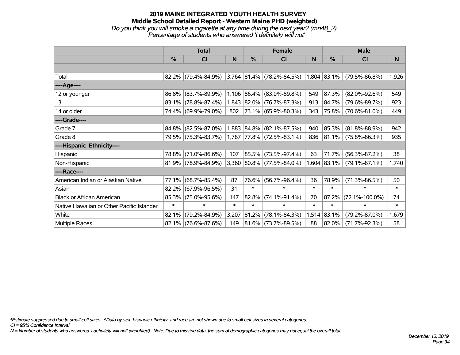#### **2019 MAINE INTEGRATED YOUTH HEALTH SURVEY Middle School Detailed Report - Western Maine PHD (weighted)** *Do you think you will smoke a cigarette at any time during the next year? (mn48\_2) Percentage of students who answered 'I definitely will not'*

|                                           | <b>Total</b>  |                        |        |             | Female                                |        | <b>Male</b>   |                      |        |  |
|-------------------------------------------|---------------|------------------------|--------|-------------|---------------------------------------|--------|---------------|----------------------|--------|--|
|                                           | $\frac{9}{6}$ | CI                     | N      | %           | <b>CI</b>                             | N      | %             | <b>CI</b>            | N      |  |
|                                           |               |                        |        |             |                                       |        |               |                      |        |  |
| Total                                     |               | 82.2% (79.4%-84.9%)    |        |             | $3,764$ $ 81.4\% $ (78.2%-84.5%)      |        | $1,804$ 83.1% | $(79.5\% - 86.8\%)$  | 1,926  |  |
| ----Age----                               |               |                        |        |             |                                       |        |               |                      |        |  |
| 12 or younger                             | 86.8%         | $(83.7\% - 89.9\%)$    |        |             | $1,106$ 86.4% (83.0%-89.8%)           | 549    | 87.3%         | $(82.0\% - 92.6\%)$  | 549    |  |
| 13                                        |               | 83.1% (78.8%-87.4%)    |        |             | 1,843 82.0% (76.7%-87.3%)             | 913    | 84.7%         | $(79.6\% - 89.7\%)$  | 923    |  |
| 14 or older                               |               | 74.4% (69.9%-79.0%)    | 802    |             | 73.1% (65.9%-80.3%)                   | 343    | 75.8%         | $(70.6\% - 81.0\%)$  | 449    |  |
| ----Grade----                             |               |                        |        |             |                                       |        |               |                      |        |  |
| Grade 7                                   | 84.8%         | $(82.5\% - 87.0\%)$    |        | 1,883 84.8% | $(82.1\% - 87.5\%)$                   | 940    | 85.3%         | $(81.8\% - 88.9\%)$  | 942    |  |
| Grade 8                                   |               | 79.5% (75.3%-83.7%)    |        |             | $(1,787   77.8\%   (72.5\% - 83.1\%)$ | 836    | $ 81.1\% $    | $(75.8\% - 86.3\%)$  | 935    |  |
| ----Hispanic Ethnicity----                |               |                        |        |             |                                       |        |               |                      |        |  |
| Hispanic                                  | 78.8%         | $(71.0\% - 86.6\%)$    | 107    | 85.5%       | $(73.5\% - 97.4\%)$                   | 63     | 71.7%         | $(56.3\% - 87.2\%)$  | 38     |  |
| Non-Hispanic                              |               | $81.9\%$ (78.9%-84.9%) |        |             | $ 3,360 80.8\% $ (77.5%-84.0%)        | 1,604  | 83.1%         | $(79.1\% - 87.1\%)$  | 1,740  |  |
| ----Race----                              |               |                        |        |             |                                       |        |               |                      |        |  |
| American Indian or Alaskan Native         | 77.1%         | $(68.7\% - 85.4\%)$    | 87     | 76.6%       | $(56.7\% - 96.4\%)$                   | 36     | 78.9%         | $(71.3\% - 86.5\%)$  | 50     |  |
| Asian                                     | 82.2%         | $(67.9\% - 96.5\%)$    | 31     | $\ast$      | $\ast$                                | $\ast$ | $\ast$        | $\ast$               | $\ast$ |  |
| <b>Black or African American</b>          | 85.3%         | $(75.0\% - 95.6\%)$    | 147    | 82.8%       | $(74.1\% - 91.4\%)$                   | 70     | 87.2%         | $(72.1\% - 100.0\%)$ | 74     |  |
| Native Hawaiian or Other Pacific Islander | $\ast$        | $\ast$                 | $\ast$ | $\ast$      | $\ast$                                | $\ast$ | $\ast$        | $\ast$               | $\ast$ |  |
| White                                     | 82.1%         | $(79.2\% - 84.9\%)$    | 3,207  | 81.2%       | $(78.1\% - 84.3\%)$                   | 1,514  | 83.1%         | $(79.2\% - 87.0\%)$  | 1,679  |  |
| Multiple Races                            |               | 82.1% (76.6%-87.6%)    | 149    |             | $81.6\%$ (73.7%-89.5%)                | 88     | 82.0%         | $(71.7\% - 92.3\%)$  | 58     |  |

*\*Estimate suppressed due to small cell sizes. ^Data by sex, hispanic ethnicity, and race are not shown due to small cell sizes in several categories.*

*CI = 95% Confidence Interval*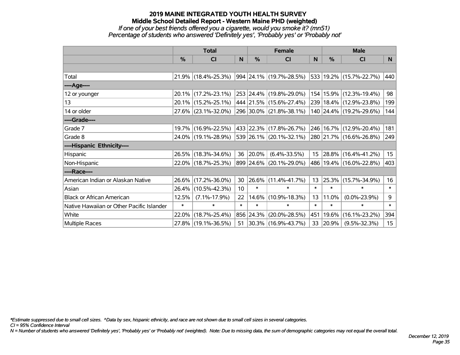# **2019 MAINE INTEGRATED YOUTH HEALTH SURVEY Middle School Detailed Report - Western Maine PHD (weighted)** *If one of your best friends offered you a cigarette, would you smoke it? (mn51)*

*Percentage of students who answered 'Definitely yes', 'Probably yes' or 'Probably not'*

|                                           | <b>Total</b>  |                        |        | <b>Female</b> |                         |          | <b>Male</b> |                             |                  |  |
|-------------------------------------------|---------------|------------------------|--------|---------------|-------------------------|----------|-------------|-----------------------------|------------------|--|
|                                           | $\frac{0}{0}$ | <b>CI</b>              | N      | $\frac{0}{0}$ | <b>CI</b>               | <b>N</b> | %           | <b>CI</b>                   | N                |  |
|                                           |               |                        |        |               |                         |          |             |                             |                  |  |
| Total                                     |               | $21.9\%$ (18.4%-25.3%) |        |               | 994 24.1% (19.7%-28.5%) |          |             | 533 19.2% (15.7%-22.7%)     | 440              |  |
| ----Age----                               |               |                        |        |               |                         |          |             |                             |                  |  |
| 12 or younger                             |               | 20.1% (17.2%-23.1%)    |        |               | 253 24.4% (19.8%-29.0%) | 154      |             | $15.9\%$ (12.3%-19.4%)      | 98               |  |
| 13                                        |               | 20.1% (15.2%-25.1%)    |        |               | 444 21.5% (15.6%-27.4%) |          |             | 239   18.4%   (12.9%-23.8%) | 199              |  |
| 14 or older                               |               | 27.6% (23.1%-32.0%)    |        |               | 296 30.0% (21.8%-38.1%) |          |             | 140 24.4% (19.2%-29.6%)     | 144              |  |
| ----Grade----                             |               |                        |        |               |                         |          |             |                             |                  |  |
| Grade 7                                   |               | 19.7% (16.9%-22.5%)    |        |               | 433 22.3% (17.8%-26.7%) | 246      | 16.7%       | $(12.9\% - 20.4\%)$         | 181              |  |
| Grade 8                                   |               | 24.0% (19.1%-28.9%)    |        |               | 539 26.1% (20.1%-32.1%) |          |             | 280 21.7% (16.6%-26.8%)     | 249              |  |
| ----Hispanic Ethnicity----                |               |                        |        |               |                         |          |             |                             |                  |  |
| Hispanic                                  |               | 26.5% (18.3%-34.6%)    | 36     | 20.0%         | $(6.4\% - 33.5\%)$      | 15       | 28.8%       | $(16.4\% - 41.2\%)$         | 15 <sub>15</sub> |  |
| Non-Hispanic                              |               | 22.0% (18.7%-25.3%)    |        |               | 899 24.6% (20.1%-29.0%) |          |             | 486   19.4%   (16.0%-22.8%) | 403              |  |
| ----Race----                              |               |                        |        |               |                         |          |             |                             |                  |  |
| American Indian or Alaskan Native         |               | 26.6% (17.2%-36.0%)    | 30     |               | 26.6% (11.4%-41.7%)     | 13       | 25.3%       | $(15.7\% - 34.9\%)$         | 16               |  |
| Asian                                     | $26.4\%$      | $(10.5\% - 42.3\%)$    | 10     | $\ast$        | $\ast$                  | $\ast$   | $\ast$      | $\ast$                      | $\ast$           |  |
| <b>Black or African American</b>          | 12.5%         | $(7.1\% - 17.9\%)$     | 22     | 14.6%         | $(10.9\% - 18.3\%)$     | 13       | 11.0%       | $(0.0\% - 23.9\%)$          | 9                |  |
| Native Hawaiian or Other Pacific Islander | $\ast$        | $\ast$                 | $\ast$ | $\ast$        | $\ast$                  | $\ast$   | $\ast$      | $\ast$                      | $\ast$           |  |
| White                                     | 22.0%         | $(18.7\% - 25.4\%)$    |        | 856 24.3%     | $(20.0\% - 28.5\%)$     | 451      | 19.6%       | $(16.1\% - 23.2\%)$         | 394              |  |
| Multiple Races                            |               | 27.8% (19.1%-36.5%)    | 51     |               | 30.3% (16.9%-43.7%)     | 33       | 20.9%       | $(9.5\% - 32.3\%)$          | 15 <sub>15</sub> |  |

*\*Estimate suppressed due to small cell sizes. ^Data by sex, hispanic ethnicity, and race are not shown due to small cell sizes in several categories.*

*CI = 95% Confidence Interval*

*N = Number of students who answered 'Definitely yes', 'Probably yes' or 'Probably not' (weighted). Note: Due to missing data, the sum of demographic categories may not equal the overall total.*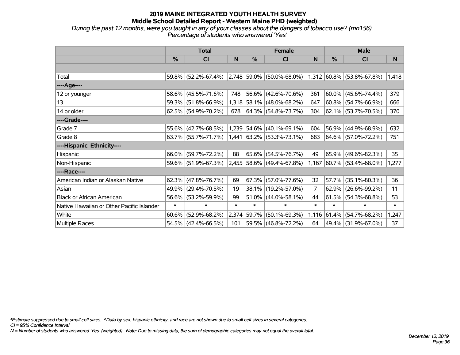*During the past 12 months, were you taught in any of your classes about the dangers of tobacco use? (mn156) Percentage of students who answered 'Yes'*

|                                           | <b>Total</b> |                        |        |        | <b>Female</b>               |        | <b>Male</b> |                             |        |  |
|-------------------------------------------|--------------|------------------------|--------|--------|-----------------------------|--------|-------------|-----------------------------|--------|--|
|                                           | $\%$         | <b>CI</b>              | N      | %      | <b>CI</b>                   | N      | %           | <b>CI</b>                   | N      |  |
|                                           |              |                        |        |        |                             |        |             |                             |        |  |
| Total                                     | 59.8%        | $(52.2\% - 67.4\%)$    |        |        | $2,748$ 59.0% (50.0%-68.0%) |        |             | $1,312$ 60.8% (53.8%-67.8%) | 1,418  |  |
| ----Age----                               |              |                        |        |        |                             |        |             |                             |        |  |
| 12 or younger                             | 58.6%        | $(45.5\% - 71.6\%)$    | 748    |        | 56.6% (42.6%-70.6%)         | 361    | $60.0\%$    | $(45.6\% - 74.4\%)$         | 379    |  |
| 13                                        | 59.3%        | $(51.8\% - 66.9\%)$    |        |        | 1,318 58.1% (48.0%-68.2%)   | 647    |             | $60.8\%$ (54.7%-66.9%)      | 666    |  |
| 14 or older                               |              | 62.5% (54.9%-70.2%)    | 678    |        | $ 64.3\% $ (54.8%-73.7%)    | 304    |             | 62.1% (53.7%-70.5%)         | 370    |  |
| ----Grade----                             |              |                        |        |        |                             |        |             |                             |        |  |
| Grade 7                                   | 55.6%        | $(42.7\% - 68.5\%)$    | 1,239  |        | $ 54.6\% $ (40.1%-69.1%)    | 604    | 56.9%       | $(44.9\% - 68.9\%)$         | 632    |  |
| Grade 8                                   |              | $63.7\%$ (55.7%-71.7%) |        |        | $1,441$ 63.2% (53.3%-73.1%) | 683    |             | 64.6% (57.0%-72.2%)         | 751    |  |
| ----Hispanic Ethnicity----                |              |                        |        |        |                             |        |             |                             |        |  |
| Hispanic                                  | 66.0%        | $(59.7\% - 72.2\%)$    | 88     |        | 65.6% (54.5%-76.7%)         | 49     | 65.9%       | $(49.6\% - 82.3\%)$         | 35     |  |
| Non-Hispanic                              |              | 59.6% (51.9%-67.3%)    |        |        | 2,455 58.6% (49.4%-67.8%)   | 1,167  |             | $ 60.7\% $ (53.4%-68.0%)    | 1,277  |  |
| ----Race----                              |              |                        |        |        |                             |        |             |                             |        |  |
| American Indian or Alaskan Native         | 62.3%        | $(47.8\% - 76.7\%)$    | 69     | 67.3%  | $(57.0\% - 77.6\%)$         | 32     | $ 57.7\% $  | $(35.1\% - 80.3\%)$         | 36     |  |
| Asian                                     | 49.9%        | $(29.4\% - 70.5\%)$    | 19     |        | 38.1% (19.2%-57.0%)         | 7      | $ 62.9\% $  | $(26.6\% - 99.2\%)$         | 11     |  |
| <b>Black or African American</b>          | 56.6%        | $(53.2\% - 59.9\%)$    | 99     |        | 51.0% (44.0%-58.1%)         | 44     | 61.5%       | $(54.3\% - 68.8\%)$         | 53     |  |
| Native Hawaiian or Other Pacific Islander | $\ast$       | $\ast$                 | $\ast$ | $\ast$ | $\ast$                      | $\ast$ | $\ast$      | $\ast$                      | $\ast$ |  |
| White                                     | 60.6%        | $(52.9\% - 68.2\%)$    | 2,374  | 59.7%  | $(50.1\% - 69.3\%)$         | 1,116  | $ 61.4\% $  | $(54.7\% - 68.2\%)$         | 1,247  |  |
| Multiple Races                            |              | 54.5% (42.4%-66.5%)    | 101    |        | 59.5% (46.8%-72.2%)         | 64     |             | 49.4% (31.9%-67.0%)         | 37     |  |

*\*Estimate suppressed due to small cell sizes. ^Data by sex, hispanic ethnicity, and race are not shown due to small cell sizes in several categories.*

*CI = 95% Confidence Interval*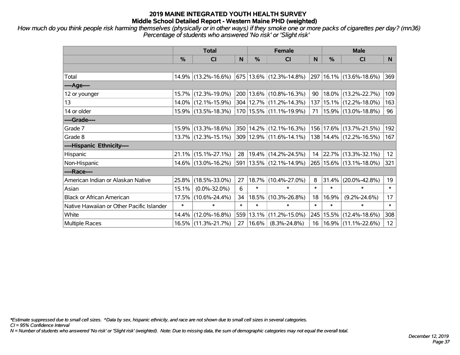*How much do you think people risk harming themselves (physically or in other ways) if they smoke one or more packs of cigarettes per day? (mn36) Percentage of students who answered 'No risk' or 'Slight risk'*

|                                           | <b>Total</b> |                        |        |               | <b>Female</b>               | <b>Male</b> |           |                             |                 |
|-------------------------------------------|--------------|------------------------|--------|---------------|-----------------------------|-------------|-----------|-----------------------------|-----------------|
|                                           | %            | <b>CI</b>              | N      | $\frac{0}{0}$ | CI                          | N           | %         | <b>CI</b>                   | N.              |
|                                           |              |                        |        |               |                             |             |           |                             |                 |
| Total                                     |              | 14.9% (13.2%-16.6%)    |        |               | 675   13.6%   (12.3%-14.8%) |             |           | 297 16.1% (13.6%-18.6%)     | 369             |
| ----Age----                               |              |                        |        |               |                             |             |           |                             |                 |
| 12 or younger                             |              | 15.7% (12.3%-19.0%)    |        |               | 200   13.6%   (10.8%-16.3%) | 90          |           | 18.0% (13.2%-22.7%)         | 109             |
| 13                                        |              | 14.0% (12.1%-15.9%)    |        |               | 304 12.7% (11.2%-14.3%)     |             |           | 137   15.1%   (12.2%-18.0%) | 163             |
| 14 or older                               |              | 15.9% (13.5%-18.3%)    |        |               | 170 15.5% (11.1%-19.9%)     | 71          |           | $ 15.9\% $ (13.0%-18.8%)    | 96              |
| ----Grade----                             |              |                        |        |               |                             |             |           |                             |                 |
| Grade 7                                   |              | 15.9% (13.3%-18.6%)    |        |               | 350 14.2% (12.1%-16.3%)     |             |           | 156 17.6% (13.7%-21.5%)     | 192             |
| Grade 8                                   |              | 13.7% (12.3%-15.1%)    |        |               | 309 12.9% (11.6%-14.1%)     |             |           | 138   14.4%   (12.2%-16.5%) | 167             |
| ----Hispanic Ethnicity----                |              |                        |        |               |                             |             |           |                             |                 |
| Hispanic                                  |              | $21.1\%$ (15.1%-27.1%) | 28     |               | 19.4% (14.2%-24.5%)         |             |           | 14 22.7% (13.3%-32.1%)      | 12              |
| Non-Hispanic                              |              | 14.6% (13.0%-16.2%)    |        |               | 591   13.5%   (12.1%-14.9%) |             |           | 265   15.6%   (13.1%-18.0%) | 321             |
| ----Race----                              |              |                        |        |               |                             |             |           |                             |                 |
| American Indian or Alaskan Native         |              | 25.8% (18.5%-33.0%)    | 27     |               | 18.7% (10.4%-27.0%)         | 8           | 31.4%     | $(20.0\% - 42.8\%)$         | 19              |
| Asian                                     | 15.1%        | $(0.0\% - 32.0\%)$     | 6      | $\ast$        | $\ast$                      | $\ast$      | $\ast$    | $\ast$                      | $\ast$          |
| <b>Black or African American</b>          |              | 17.5% (10.6%-24.4%)    | 34     | 18.5%         | $(10.3\% - 26.8\%)$         | 18          | 16.9%     | $(9.2\% - 24.6\%)$          | 17              |
| Native Hawaiian or Other Pacific Islander | $\ast$       | $\ast$                 | $\ast$ | $\ast$        | $\ast$                      | $\ast$      | $\ast$    | $\ast$                      | $\ast$          |
| White                                     |              | 14.4% (12.0%-16.8%)    | 559    | 13.1%         | $(11.2\% - 15.0\%)$         |             | 245 15.5% | $(12.4\% - 18.6\%)$         | 308             |
| <b>Multiple Races</b>                     |              | 16.5% (11.3%-21.7%)    | 27     | 16.6%         | $(8.3\% - 24.8\%)$          | 16          |           | $ 16.9\% $ (11.1%-22.6%)    | 12 <sup>2</sup> |

*\*Estimate suppressed due to small cell sizes. ^Data by sex, hispanic ethnicity, and race are not shown due to small cell sizes in several categories.*

*CI = 95% Confidence Interval*

*N = Number of students who answered 'No risk' or 'Slight risk' (weighted). Note: Due to missing data, the sum of demographic categories may not equal the overall total.*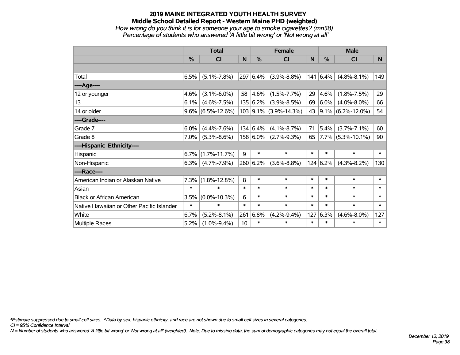#### **2019 MAINE INTEGRATED YOUTH HEALTH SURVEY Middle School Detailed Report - Western Maine PHD (weighted)** *How wrong do you think it is for someone your age to smoke cigarettes? (mn58) Percentage of students who answered 'A little bit wrong' or 'Not wrong at all'*

|                                           | <b>Total</b>  |                    |        |          | <b>Female</b>           |        |               | <b>Male</b>            |        |  |  |
|-------------------------------------------|---------------|--------------------|--------|----------|-------------------------|--------|---------------|------------------------|--------|--|--|
|                                           | $\frac{9}{6}$ | <b>CI</b>          | N      | %        | <b>CI</b>               | N      | $\frac{0}{0}$ | <b>CI</b>              | N      |  |  |
|                                           |               |                    |        |          |                         |        |               |                        |        |  |  |
| Total                                     | 6.5%          | $(5.1\% - 7.8\%)$  | 297    | 6.4%     | $(3.9\% - 8.8\%)$       | 141    | 6.4%          | $(4.8\% - 8.1\%)$      | 149    |  |  |
| ----Age----                               |               |                    |        |          |                         |        |               |                        |        |  |  |
| 12 or younger                             | 4.6%          | $(3.1\% - 6.0\%)$  | 58     | 4.6%     | $(1.5\% - 7.7\%)$       | 29     | 4.6%          | $(1.8\% - 7.5\%)$      | 29     |  |  |
| 13                                        | 6.1%          | $(4.6\% - 7.5\%)$  |        | 135 6.2% | $(3.9\% - 8.5\%)$       | 69     | 6.0%          | $(4.0\% - 8.0\%)$      | 66     |  |  |
| 14 or older                               | 9.6%          | $(6.5\% - 12.6\%)$ |        |          | $103$ 9.1% (3.9%-14.3%) | 43     |               | $ 9.1\% $ (6.2%-12.0%) | 54     |  |  |
| ----Grade----                             |               |                    |        |          |                         |        |               |                        |        |  |  |
| Grade 7                                   | 6.0%          | $(4.4\% - 7.6\%)$  |        | 134 6.4% | $(4.1\% - 8.7\%)$       | 71     | 5.4%          | $(3.7\% - 7.1\%)$      | 60     |  |  |
| Grade 8                                   | 7.0%          | $(5.3\% - 8.6\%)$  |        | 158 6.0% | $(2.7\% - 9.3\%)$       | 65     |               | $ 7.7\% $ (5.3%-10.1%) | 90     |  |  |
| ----Hispanic Ethnicity----                |               |                    |        |          |                         |        |               |                        |        |  |  |
| Hispanic                                  | 6.7%          | $(1.7\% - 11.7\%)$ | 9      | $\ast$   | $\ast$                  | $\ast$ | $\ast$        | $\ast$                 | $\ast$ |  |  |
| Non-Hispanic                              | 6.3%          | $(4.7\% - 7.9\%)$  |        | 260 6.2% | $(3.6\% - 8.8\%)$       |        | 124 6.2%      | $(4.3\% - 8.2\%)$      | 130    |  |  |
| ----Race----                              |               |                    |        |          |                         |        |               |                        |        |  |  |
| American Indian or Alaskan Native         | 7.3%          | $(1.8\% - 12.8\%)$ | 8      | $\ast$   | $\ast$                  | $\ast$ | $\ast$        | $\ast$                 | $\ast$ |  |  |
| Asian                                     | $\ast$        | $\ast$             | $\ast$ | $\ast$   | $\ast$                  | $\ast$ | $\ast$        | $\ast$                 | $\ast$ |  |  |
| <b>Black or African American</b>          | 3.5%          | $(0.0\% - 10.3\%)$ | 6      | $\ast$   | $\ast$                  | $\ast$ | $\ast$        | $\ast$                 | $\ast$ |  |  |
| Native Hawaiian or Other Pacific Islander | $\ast$        | $\ast$             | $\ast$ | $\ast$   | $\ast$                  | $\ast$ | $\ast$        | $\ast$                 | $\ast$ |  |  |
| White                                     | 6.7%          | $(5.2\% - 8.1\%)$  | 261    | 6.8%     | $(4.2\% - 9.4\%)$       | 127    | 6.3%          | $(4.6\% - 8.0\%)$      | 127    |  |  |
| <b>Multiple Races</b>                     | 5.2%          | $(1.0\% - 9.4\%)$  | 10     | $\ast$   | $\ast$                  | $\ast$ | $\ast$        | $\ast$                 | $\ast$ |  |  |

*\*Estimate suppressed due to small cell sizes. ^Data by sex, hispanic ethnicity, and race are not shown due to small cell sizes in several categories.*

*CI = 95% Confidence Interval*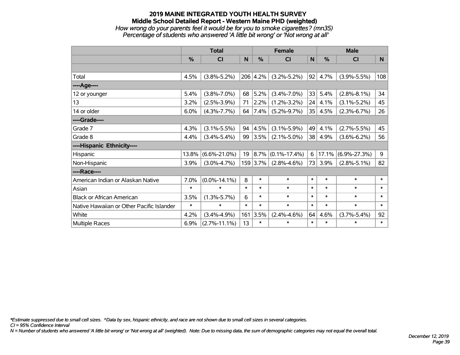#### **2019 MAINE INTEGRATED YOUTH HEALTH SURVEY Middle School Detailed Report - Western Maine PHD (weighted)** *How wrong do your parents feel it would be for you to smoke cigarettes? (mn35) Percentage of students who answered 'A little bit wrong' or 'Not wrong at all'*

|                                           | <b>Total</b> |                    |        |           | <b>Female</b>      |              |               | <b>Male</b>        |        |  |  |
|-------------------------------------------|--------------|--------------------|--------|-----------|--------------------|--------------|---------------|--------------------|--------|--|--|
|                                           | %            | <b>CI</b>          | N      | %         | <b>CI</b>          | $\mathsf{N}$ | $\frac{0}{0}$ | <b>CI</b>          | N      |  |  |
|                                           |              |                    |        |           |                    |              |               |                    |        |  |  |
| Total                                     | 4.5%         | $(3.8\% - 5.2\%)$  |        | 206 4.2%  | $(3.2\% - 5.2\%)$  | 92           | 4.7%          | $(3.9\% - 5.5\%)$  | 108    |  |  |
| ----Age----                               |              |                    |        |           |                    |              |               |                    |        |  |  |
| 12 or younger                             | 5.4%         | $(3.8\% - 7.0\%)$  | 68     | 5.2%      | $(3.4\% - 7.0\%)$  | 33           | 5.4%          | $(2.8\% - 8.1\%)$  | 34     |  |  |
| 13                                        | 3.2%         | $(2.5\% - 3.9\%)$  | 71     | $2.2\%$   | $(1.2\% - 3.2\%)$  | 24           | 4.1%          | $(3.1\% - 5.2\%)$  | 45     |  |  |
| 14 or older                               | 6.0%         | $(4.3\% - 7.7\%)$  | 64     | $7.4\%$   | $(5.2\% - 9.7\%)$  | 35           | 4.5%          | $(2.3\% - 6.7\%)$  | 26     |  |  |
| ----Grade----                             |              |                    |        |           |                    |              |               |                    |        |  |  |
| Grade 7                                   | 4.3%         | $(3.1\% - 5.5\%)$  | 94     | 4.5%      | $(3.1\% - 5.9\%)$  | 49           | 4.1%          | $(2.7\% - 5.5\%)$  | 45     |  |  |
| Grade 8                                   | 4.4%         | $(3.4\% - 5.4\%)$  | 99     | 3.5%      | $(2.1\% - 5.0\%)$  | 38           | 4.9%          | $(3.6\% - 6.2\%)$  | 56     |  |  |
| ----Hispanic Ethnicity----                |              |                    |        |           |                    |              |               |                    |        |  |  |
| Hispanic                                  | 13.8%        | $(6.6\% - 21.0\%)$ | 19     | $ 8.7\% $ | $(0.1\% - 17.4\%)$ | 6            | 17.1%         | $(6.9\% - 27.3\%)$ | 9      |  |  |
| Non-Hispanic                              | 3.9%         | $(3.0\% - 4.7\%)$  |        | 159 3.7%  | $(2.8\% - 4.6\%)$  | 73           | 3.9%          | $(2.8\% - 5.1\%)$  | 82     |  |  |
| ----Race----                              |              |                    |        |           |                    |              |               |                    |        |  |  |
| American Indian or Alaskan Native         | 7.0%         | $(0.0\% - 14.1\%)$ | 8      | $\ast$    | $\ast$             | $\ast$       | $\ast$        | $\ast$             | $\ast$ |  |  |
| Asian                                     | $\ast$       | $\ast$             | $\ast$ | $\ast$    | $\ast$             | $\ast$       | $\ast$        | $\ast$             | $\ast$ |  |  |
| <b>Black or African American</b>          | 3.5%         | $(1.3\% - 5.7\%)$  | 6      | $\ast$    | $\ast$             | $\ast$       | $\ast$        | $\ast$             | $\ast$ |  |  |
| Native Hawaiian or Other Pacific Islander | $\ast$       | $\ast$             | $\ast$ | $\ast$    | $\ast$             | $\ast$       | $\ast$        | $\ast$             | $\ast$ |  |  |
| White                                     | 4.2%         | $(3.4\% - 4.9\%)$  | 161    | 3.5%      | $(2.4\% - 4.6\%)$  | 64           | 4.6%          | $(3.7\% - 5.4\%)$  | 92     |  |  |
| <b>Multiple Races</b>                     | 6.9%         | $(2.7\% - 11.1\%)$ | 13     | $\ast$    | $\ast$             | $\ast$       | $\ast$        | $\ast$             | $\ast$ |  |  |

*\*Estimate suppressed due to small cell sizes. ^Data by sex, hispanic ethnicity, and race are not shown due to small cell sizes in several categories.*

*CI = 95% Confidence Interval*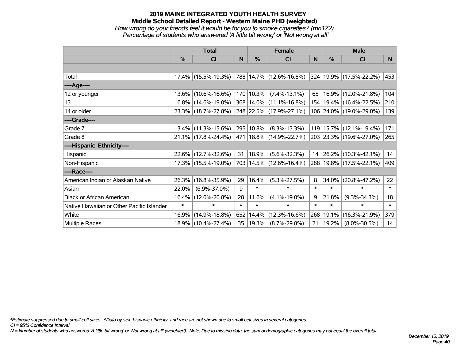#### **2019 MAINE INTEGRATED YOUTH HEALTH SURVEY Middle School Detailed Report - Western Maine PHD (weighted)** *How wrong do your friends feel it would be for you to smoke cigarettes? (mn172) Percentage of students who answered 'A little bit wrong' or 'Not wrong at all'*

|                                           | <b>Total</b>  |                     |        | <b>Female</b> | <b>Male</b>                 |              |        |                             |        |
|-------------------------------------------|---------------|---------------------|--------|---------------|-----------------------------|--------------|--------|-----------------------------|--------|
|                                           | $\frac{0}{0}$ | <b>CI</b>           | N      | %             | <b>CI</b>                   | <sub>N</sub> | %      | <b>CI</b>                   | N      |
|                                           |               |                     |        |               |                             |              |        |                             |        |
| Total                                     |               | 17.4% (15.5%-19.3%) |        |               | 788 14.7% (12.6%-16.8%)     |              |        | 324 19.9% (17.5%-22.2%)     | 453    |
| ----Age----                               |               |                     |        |               |                             |              |        |                             |        |
| 12 or younger                             | $13.6\%$      | $(10.6\% - 16.6\%)$ |        | 170 10.3%     | $(7.4\% - 13.1\%)$          | 65           | 16.9%  | $(12.0\% - 21.8\%)$         | 104    |
| 13                                        |               | 16.8% (14.6%-19.0%) |        |               | 368 14.0% (11.1%-16.8%)     |              |        | 154   19.4%   (16.4%-22.5%) | 210    |
| 14 or older                               |               | 23.3% (18.7%-27.8%) |        |               | 248 22.5% (17.9%-27.1%)     |              |        | 106 24.0% (19.0%-29.0%)     | 139    |
| ----Grade----                             |               |                     |        |               |                             |              |        |                             |        |
| Grade 7                                   | $13.4\%$      | $(11.3\% - 15.6\%)$ |        | 295 10.8%     | $(8.3\% - 13.3\%)$          | 119          | 15.7%  | $(12.1\% - 19.4\%)$         | 171    |
| Grade 8                                   |               | 21.1% (17.8%-24.4%) |        |               | 471   18.8%   (14.9%-22.7%) |              |        | 203 23.3% (19.6%-27.0%)     | 265    |
| ----Hispanic Ethnicity----                |               |                     |        |               |                             |              |        |                             |        |
| Hispanic                                  |               | 22.6% (12.7%-32.6%) | 31     | $ 18.9\% $    | $(5.6\% - 32.3\%)$          | 14           | 26.2%  | $(10.3\% - 42.1\%)$         | 14     |
| Non-Hispanic                              |               | 17.3% (15.5%-19.0%) |        |               | 703 14.5% (12.6%-16.4%)     |              |        | 288 19.8% (17.5%-22.1%)     | 409    |
| ----Race----                              |               |                     |        |               |                             |              |        |                             |        |
| American Indian or Alaskan Native         | 26.3%         | $(16.8\% - 35.9\%)$ | 29     | 16.4%         | $(5.3\% - 27.5\%)$          | 8            | 34.0%  | $(20.8\% - 47.2\%)$         | 22     |
| Asian                                     | 22.0%         | $(6.9\% - 37.0\%)$  | 9      | $\ast$        | $\ast$                      | $\ast$       | $\ast$ | $\ast$                      | $\ast$ |
| <b>Black or African American</b>          | 16.4%         | $(12.0\% - 20.8\%)$ | 28     | 11.6%         | $(4.1\% - 19.0\%)$          | 9            | 21.8%  | $(9.3\% - 34.3\%)$          | 18     |
| Native Hawaiian or Other Pacific Islander | $\ast$        | $\ast$              | $\ast$ | $\ast$        | $\ast$                      | $\ast$       | $\ast$ | $\ast$                      | $\ast$ |
| White                                     | 16.9%         | $(14.9\% - 18.8\%)$ |        | 652 14.4%     | $(12.3\% - 16.6\%)$         | 268          | 19.1%  | $(16.3\% - 21.9\%)$         | 379    |
| Multiple Races                            |               | 18.9% (10.4%-27.4%) | 35     | $ 19.3\% $    | $(8.7\% - 29.8\%)$          | 21           | 19.2%  | $(8.0\% - 30.5\%)$          | 14     |

*\*Estimate suppressed due to small cell sizes. ^Data by sex, hispanic ethnicity, and race are not shown due to small cell sizes in several categories.*

*CI = 95% Confidence Interval*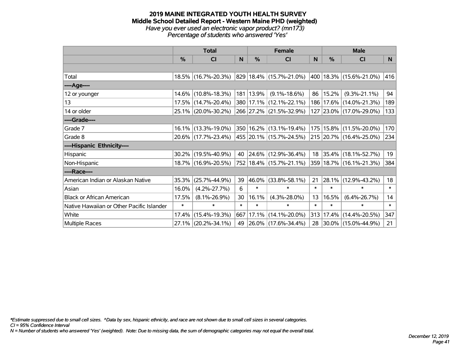## **2019 MAINE INTEGRATED YOUTH HEALTH SURVEY Middle School Detailed Report - Western Maine PHD (weighted)** *Have you ever used an electronic vapor product? (mn173)*

|                                           |        | <b>Total</b>        |        |               | <b>Female</b>            |        | <b>Male</b>   |                             |           |  |
|-------------------------------------------|--------|---------------------|--------|---------------|--------------------------|--------|---------------|-----------------------------|-----------|--|
|                                           | %      | <b>CI</b>           | N      | $\frac{9}{6}$ | CI                       | N      | $\frac{0}{0}$ | CI                          | ${\sf N}$ |  |
|                                           |        |                     |        |               |                          |        |               |                             |           |  |
| Total                                     |        | 18.5% (16.7%-20.3%) |        |               | 829 18.4% (15.7%-21.0%)  |        |               | 400 18.3% (15.6%-21.0%)     | 416       |  |
| ----Age----                               |        |                     |        |               |                          |        |               |                             |           |  |
| 12 or younger                             |        | 14.6% (10.8%-18.3%) |        | 181   13.9%   | $(9.1\% - 18.6\%)$       | 86     | 15.2%         | $(9.3\% - 21.1\%)$          | 94        |  |
| 13                                        |        | 17.5% (14.7%-20.4%) |        |               | 380 17.1% (12.1%-22.1%)  |        |               | 186   17.6%   (14.0%-21.3%) | 189       |  |
| 14 or older                               |        | 25.1% (20.0%-30.2%) |        |               | 266 27.2% (21.5%-32.9%)  |        |               | 127 23.0% (17.0%-29.0%)     | 133       |  |
| ----Grade----                             |        |                     |        |               |                          |        |               |                             |           |  |
| Grade 7                                   |        | 16.1% (13.3%-19.0%) |        |               | 350 16.2% (13.1%-19.4%)  |        |               | 175   15.8%   (11.5%-20.0%) | 170       |  |
| Grade 8                                   |        | 20.6% (17.7%-23.4%) |        |               | 455 20.1% (15.7%-24.5%)  |        |               | 215 20.7% (16.4%-25.0%)     | 234       |  |
| ----Hispanic Ethnicity----                |        |                     |        |               |                          |        |               |                             |           |  |
| Hispanic                                  |        | 30.2% (19.5%-40.9%) | 40     |               | $ 24.6\% $ (12.9%-36.4%) | 18     |               | $ 35.4\% $ (18.1%-52.7%)    | 19        |  |
| Non-Hispanic                              |        | 18.7% (16.9%-20.5%) |        |               | 752 18.4% (15.7%-21.1%)  |        |               | 359   18.7%   (16.1%-21.3%) | 384       |  |
| ----Race----                              |        |                     |        |               |                          |        |               |                             |           |  |
| American Indian or Alaskan Native         | 35.3%  | $(25.7\% - 44.9\%)$ | 39     | 46.0%         | $(33.8\% - 58.1\%)$      | 21     |               | 28.1% (12.9%-43.2%)         | 18        |  |
| Asian                                     | 16.0%  | $(4.2\% - 27.7\%)$  | 6      | $\ast$        | $\ast$                   | $\ast$ | $\ast$        | $\ast$                      | $\ast$    |  |
| <b>Black or African American</b>          | 17.5%  | $(8.1\% - 26.9\%)$  | 30     | 16.1%         | $(4.3\% - 28.0\%)$       | 13     | 16.5%         | $(6.4\% - 26.7\%)$          | 14        |  |
| Native Hawaiian or Other Pacific Islander | $\ast$ | $\ast$              | $\ast$ | $\ast$        | $\ast$                   | $\ast$ | $\ast$        | $\ast$                      | $\ast$    |  |
| White                                     | 17.4%  | $(15.4\% - 19.3\%)$ | 667    | 17.1%         | $(14.1\% - 20.0\%)$      | 313    |               | $17.4\%$ (14.4%-20.5%)      | 347       |  |
| <b>Multiple Races</b>                     |        | 27.1% (20.2%-34.1%) | 49     |               | $ 26.0\% $ (17.6%-34.4%) | 28     |               | $ 30.0\% $ (15.0%-44.9%)    | 21        |  |

*Percentage of students who answered 'Yes'*

*\*Estimate suppressed due to small cell sizes. ^Data by sex, hispanic ethnicity, and race are not shown due to small cell sizes in several categories.*

*CI = 95% Confidence Interval*

*N = Number of students who answered 'Yes' (weighted). Note: Due to missing data, the sum of demographic categories may not equal the overall total.*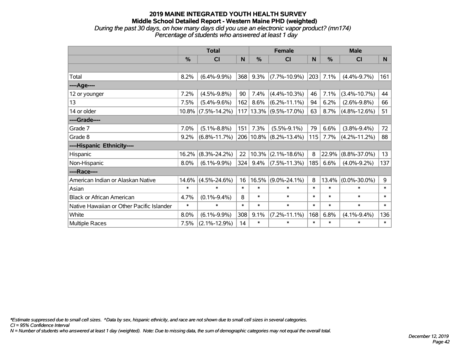### **2019 MAINE INTEGRATED YOUTH HEALTH SURVEY Middle School Detailed Report - Western Maine PHD (weighted)** *During the past 30 days, on how many days did you use an electronic vapor product? (mn174)*

*Percentage of students who answered at least 1 day*

|                                           | <b>Total</b>  |                    |        |        | <b>Female</b>         |        | <b>Male</b>   |                    |              |  |
|-------------------------------------------|---------------|--------------------|--------|--------|-----------------------|--------|---------------|--------------------|--------------|--|
|                                           | $\frac{0}{0}$ | <b>CI</b>          | N      | %      | <b>CI</b>             | N      | $\frac{0}{0}$ | <b>CI</b>          | <b>N</b>     |  |
|                                           |               |                    |        |        |                       |        |               |                    |              |  |
| Total                                     | 8.2%          | $(6.4\% - 9.9\%)$  | 368    | 9.3%   | $(7.7\% - 10.9\%)$    | 203    | 7.1%          | $(4.4\% - 9.7\%)$  | 161          |  |
| ----Age----                               |               |                    |        |        |                       |        |               |                    |              |  |
| 12 or younger                             | 7.2%          | $(4.5\% - 9.8\%)$  | 90     | 7.4%   | $(4.4\% - 10.3\%)$    | 46     | 7.1%          | $(3.4\% - 10.7\%)$ | 44           |  |
| 13                                        | 7.5%          | $(5.4\% - 9.6\%)$  | 162    | 8.6%   | $(6.2\% - 11.1\%)$    | 94     | 6.2%          | $(2.6\% - 9.8\%)$  | 66           |  |
| 14 or older                               | $10.8\%$      | $(7.5\% - 14.2\%)$ | 117    |        | $13.3\%$ (9.5%-17.0%) | 63     | 8.7%          | $(4.8\% - 12.6\%)$ | 51           |  |
| ----Grade----                             |               |                    |        |        |                       |        |               |                    |              |  |
| Grade 7                                   | 7.0%          | $(5.1\% - 8.8\%)$  | 151    | 7.3%   | $(5.5\% - 9.1\%)$     | 79     | 6.6%          | $(3.8\% - 9.4\%)$  | 72           |  |
| Grade 8                                   | 9.2%          | $(6.8\% - 11.7\%)$ | 206    |        | $10.8\%$ (8.2%-13.4%) | 115    | 7.7%          | $(4.2\% - 11.2\%)$ | 88           |  |
| ----Hispanic Ethnicity----                |               |                    |        |        |                       |        |               |                    |              |  |
| Hispanic                                  | 16.2%         | $(8.3\% - 24.2\%)$ | 22     | 10.3%  | $(2.1\% - 18.6\%)$    | 8      | 22.9%         | $(8.8\% - 37.0\%)$ | 13           |  |
| Non-Hispanic                              | 8.0%          | $(6.1\% - 9.9\%)$  | 324    | 9.4%   | $(7.5\% - 11.3\%)$    | 185    | 6.6%          | $(4.0\% - 9.2\%)$  | 137          |  |
| ----Race----                              |               |                    |        |        |                       |        |               |                    |              |  |
| American Indian or Alaskan Native         | 14.6%         | $(4.5\% - 24.6\%)$ | 16     | 16.5%  | $(9.0\% - 24.1\%)$    | 8      | 13.4%         | $(0.0\% - 30.0\%)$ | 9            |  |
| Asian                                     | $\ast$        | $\ast$             | $\ast$ | $\ast$ | $\ast$                | $\ast$ | $\ast$        | $\ast$             | $\ast$       |  |
| <b>Black or African American</b>          | 4.7%          | $(0.1\% - 9.4\%)$  | 8      | $\ast$ | $\ast$                | $\ast$ | $\ast$        | $\ast$             | $\ast$       |  |
| Native Hawaiian or Other Pacific Islander | $\ast$        | $\ast$             | $\ast$ | $\ast$ | $\ast$                | $\ast$ | $\ast$        | $\ast$             | $\pmb{\ast}$ |  |
| White                                     | 8.0%          | $(6.1\% - 9.9\%)$  | 308    | 9.1%   | $(7.2\% - 11.1\%)$    | 168    | 6.8%          | $(4.1\% - 9.4\%)$  | 136          |  |
| <b>Multiple Races</b>                     | 7.5%          | $(2.1\% - 12.9\%)$ | 14     | $\ast$ | $\ast$                | $\ast$ | $\ast$        | $\ast$             | $\ast$       |  |

*\*Estimate suppressed due to small cell sizes. ^Data by sex, hispanic ethnicity, and race are not shown due to small cell sizes in several categories.*

*CI = 95% Confidence Interval*

*N = Number of students who answered at least 1 day (weighted). Note: Due to missing data, the sum of demographic categories may not equal the overall total.*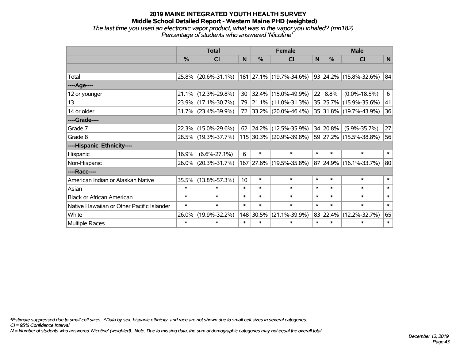*The last time you used an electronic vapor product, what was in the vapor you inhaled? (mn182) Percentage of students who answered 'Nicotine'*

|                                           | <b>Total</b> |                        |                 | <b>Female</b> |                         |        | <b>Male</b> |                            |        |  |
|-------------------------------------------|--------------|------------------------|-----------------|---------------|-------------------------|--------|-------------|----------------------------|--------|--|
|                                           | %            | <b>CI</b>              | N               | $\frac{0}{0}$ | <b>CI</b>               | N      | %           | <b>CI</b>                  | N      |  |
|                                           |              |                        |                 |               |                         |        |             |                            |        |  |
| Total                                     |              | 25.8% (20.6%-31.1%)    |                 |               | 181 27.1% (19.7%-34.6%) |        |             | $93 24.2\% $ (15.8%-32.6%) | 84     |  |
| ----Age----                               |              |                        |                 |               |                         |        |             |                            |        |  |
| 12 or younger                             | 21.1%        | $(12.3\% - 29.8\%)$    | 30              | 32.4%         | $(15.0\% - 49.9\%)$     | 22     | 8.8%        | $(0.0\% - 18.5\%)$         | 6      |  |
| 13                                        | 23.9%        | $(17.1\% - 30.7\%)$    | 79              |               | 21.1% (11.0%-31.3%)     |        |             | 35 25.7% (15.9%-35.6%)     | 41     |  |
| 14 or older                               |              | $31.7\%$ (23.4%-39.9%) | 72              |               | 33.2% (20.0%-46.4%)     |        |             | 35 31.8% (19.7%-43.9%)     | 36     |  |
| ----Grade----                             |              |                        |                 |               |                         |        |             |                            |        |  |
| Grade 7                                   | 22.3%        | $(15.0\% - 29.6\%)$    | 62              | 24.2%         | $(12.5\% - 35.9\%)$     |        | 34 20.8%    | $(5.9\% - 35.7\%)$         | 27     |  |
| Grade 8                                   |              | 28.5% (19.3%-37.7%)    |                 |               | 115 30.3% (20.9%-39.8%) |        |             | 59 27.2% (15.5%-38.8%)     | 56     |  |
| ----Hispanic Ethnicity----                |              |                        |                 |               |                         |        |             |                            |        |  |
| Hispanic                                  | 16.9%        | $(6.6\% - 27.1\%)$     | 6               | $\ast$        | $\ast$                  | $\ast$ | $\ast$      | $\ast$                     | $\ast$ |  |
| Non-Hispanic                              | 26.0%        | $(20.3\% - 31.7\%)$    |                 |               | 167 27.6% (19.5%-35.8%) |        | 87 24.9%    | $(16.1\% - 33.7\%)$        | 80     |  |
| ----Race----                              |              |                        |                 |               |                         |        |             |                            |        |  |
| American Indian or Alaskan Native         | 35.5%        | $(13.8\% - 57.3\%)$    | 10 <sup>1</sup> | $\ast$        | $\ast$                  | $\ast$ | $\ast$      | $\ast$                     | $\ast$ |  |
| Asian                                     | $\ast$       | $\ast$                 | $\ast$          | $\ast$        | $\ast$                  | $\ast$ | $\ast$      | $\ast$                     | $\ast$ |  |
| <b>Black or African American</b>          | $\ast$       | $\ast$                 | $\ast$          | $\ast$        | $\ast$                  | $\ast$ | $\ast$      | $\ast$                     | $\ast$ |  |
| Native Hawaiian or Other Pacific Islander | $\ast$       | $\ast$                 | $\ast$          | $\ast$        | $\ast$                  | $\ast$ | $\ast$      | $\ast$                     | $\ast$ |  |
| White                                     | 26.0%        | $(19.9\% - 32.2\%)$    |                 | 148 30.5%     | $(21.1\% - 39.9\%)$     |        | 83 22.4%    | $(12.2\% - 32.7\%)$        | 65     |  |
| Multiple Races                            | $\ast$       | $\ast$                 | $\ast$          | $\ast$        | $\ast$                  | $\ast$ | $\ast$      | $\ast$                     | $\ast$ |  |

*\*Estimate suppressed due to small cell sizes. ^Data by sex, hispanic ethnicity, and race are not shown due to small cell sizes in several categories.*

*CI = 95% Confidence Interval*

*N = Number of students who answered 'Nicotine' (weighted). Note: Due to missing data, the sum of demographic categories may not equal the overall total.*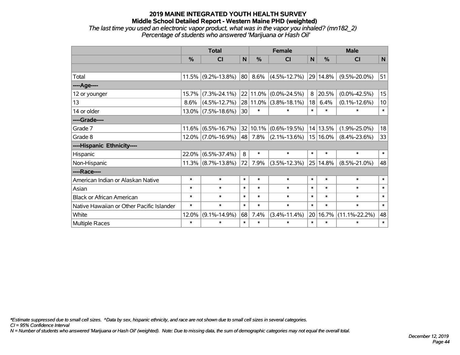*The last time you used an electronic vapor product, what was in the vapor you inhaled? (mn182\_2) Percentage of students who answered 'Marijuana or Hash Oil'*

|                                           | <b>Total</b> |                       |        |               | <b>Female</b>         |        | <b>Male</b> |                     |             |  |
|-------------------------------------------|--------------|-----------------------|--------|---------------|-----------------------|--------|-------------|---------------------|-------------|--|
|                                           | %            | <b>CI</b>             | N      | $\frac{0}{0}$ | <b>CI</b>             | N      | %           | <b>CI</b>           | $\mathbf N$ |  |
|                                           |              |                       |        |               |                       |        |             |                     |             |  |
| Total                                     |              | $11.5\%$ (9.2%-13.8%) | 80     | 8.6%          | $(4.5\% - 12.7\%)$    |        | 29 14.8%    | $(9.5\% - 20.0\%)$  | 51          |  |
| ----Age----                               |              |                       |        |               |                       |        |             |                     |             |  |
| 12 or younger                             | 15.7%        | $(7.3\% - 24.1\%)$    |        | 22 11.0%      | $(0.0\% - 24.5\%)$    | 8      | 20.5%       | $(0.0\% - 42.5\%)$  | 15          |  |
| 13                                        | 8.6%         | $(4.5\% - 12.7\%)$    |        |               | 28 11.0% (3.8%-18.1%) | 18     | 6.4%        | $(0.1\% - 12.6\%)$  | 10          |  |
| 14 or older                               |              | $13.0\%$ (7.5%-18.6%) | 30     | $\ast$        | *                     | $\ast$ | $\ast$      | $\ast$              | $\ast$      |  |
| ----Grade----                             |              |                       |        |               |                       |        |             |                     |             |  |
| Grade 7                                   | 11.6%        | $(6.5\% - 16.7\%)$    |        | 32 10.1%      | $(0.6\% - 19.5\%)$    |        | 14 13.5%    | $(1.9\% - 25.0\%)$  | 18          |  |
| Grade 8                                   |              | $12.0\%$ (7.0%-16.9%) |        | 48 7.8%       | $(2.1\% - 13.6\%)$    |        | 15 16.0%    | $(8.4\% - 23.6\%)$  | 33          |  |
| ----Hispanic Ethnicity----                |              |                       |        |               |                       |        |             |                     |             |  |
| Hispanic                                  | 22.0%        | $(6.5\% - 37.4\%)$    | 8      | $\ast$        | $\ast$                | $\ast$ | $\ast$      | $\ast$              | $\ast$      |  |
| Non-Hispanic                              |              | $11.3\%$ (8.7%-13.8%) | 72     | 7.9%          | $(3.5\% - 12.3\%)$    |        | 25 14.8%    | $(8.5\% - 21.0\%)$  | 48          |  |
| ----Race----                              |              |                       |        |               |                       |        |             |                     |             |  |
| American Indian or Alaskan Native         | $\ast$       | $\ast$                | $\ast$ | $\ast$        | $\ast$                | $\ast$ | $\ast$      | $\ast$              | $\ast$      |  |
| Asian                                     | $\ast$       | $\ast$                | $\ast$ | $\ast$        | $\ast$                | $\ast$ | $\ast$      | $\ast$              | $\ast$      |  |
| <b>Black or African American</b>          | $\ast$       | $\ast$                | $\ast$ | $\ast$        | $\ast$                | $\ast$ | $\ast$      | $\ast$              | $\ast$      |  |
| Native Hawaiian or Other Pacific Islander | $\ast$       | $\ast$                | $\ast$ | $\ast$        | $\ast$                | $\ast$ | $\ast$      | $\ast$              | $\ast$      |  |
| White                                     | 12.0%        | $(9.1\% - 14.9\%)$    | 68     | 7.4%          | $(3.4\% - 11.4\%)$    |        | 20 16.7%    | $(11.1\% - 22.2\%)$ | 48          |  |
| <b>Multiple Races</b>                     | $\ast$       | $\ast$                | $\ast$ | $\ast$        | $\ast$                | $\ast$ | $\ast$      | $\ast$              | $\ast$      |  |

*\*Estimate suppressed due to small cell sizes. ^Data by sex, hispanic ethnicity, and race are not shown due to small cell sizes in several categories.*

*CI = 95% Confidence Interval*

*N = Number of students who answered 'Marijuana or Hash Oil' (weighted). Note: Due to missing data, the sum of demographic categories may not equal the overall total.*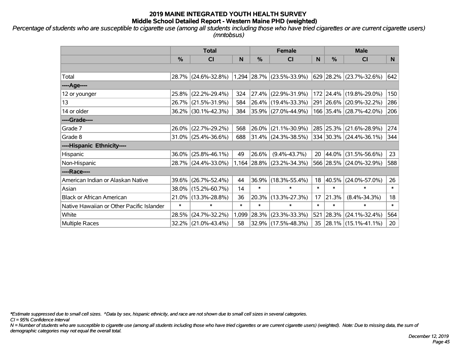*Percentage of students who are susceptible to cigarette use (among all students including those who have tried cigarettes or are current cigarette users) (mntobsus)*

|                                           | <b>Total</b> |                        |        |          | <b>Female</b>               | <b>Male</b> |           |                          |        |
|-------------------------------------------|--------------|------------------------|--------|----------|-----------------------------|-------------|-----------|--------------------------|--------|
|                                           | %            | C <sub>l</sub>         | N      | $\%$     | C <sub>l</sub>              | N           | %         | <b>CI</b>                | N.     |
|                                           |              |                        |        |          |                             |             |           |                          |        |
| Total                                     |              | 28.7% (24.6%-32.8%)    |        |          | $1,294$ 28.7% (23.5%-33.9%) |             | 629 28.2% | $(23.7\% - 32.6\%)$      | 642    |
| ----Age----                               |              |                        |        |          |                             |             |           |                          |        |
| 12 or younger                             | 25.8%        | $(22.2\% - 29.4\%)$    | 324    |          | 27.4% (22.9%-31.9%)         |             | 172 24.4% | $(19.8\% - 29.0\%)$      | 150    |
| 13                                        |              | 26.7% (21.5%-31.9%)    | 584    |          | 26.4% (19.4%-33.3%)         |             | 291 26.6% | $(20.9\% - 32.2\%)$      | 286    |
| 14 or older                               |              | 36.2% (30.1%-42.3%)    | 384    |          | $ 35.9\% $ (27.0%-44.9%)    |             |           | 166 35.4% (28.7%-42.0%)  | 206    |
| ----Grade----                             |              |                        |        |          |                             |             |           |                          |        |
| Grade 7                                   | 26.0%        | $(22.7\% - 29.2\%)$    | 568    | $26.0\%$ | $(21.1\% - 30.9\%)$         |             | 285 25.3% | $(21.6\% - 28.9\%)$      | 274    |
| Grade 8                                   |              | $31.0\%$ (25.4%-36.6%) | 688    |          | $ 31.4\% $ (24.3%-38.5%)    |             |           | 334 30.3% (24.4%-36.1%)  | 344    |
| ----Hispanic Ethnicity----                |              |                        |        |          |                             |             |           |                          |        |
| Hispanic                                  | 36.0%        | $(25.8\% - 46.1\%)$    | 49     | 26.6%    | $(9.4\% - 43.7\%)$          | 20          | 44.0%     | $(31.5\% - 56.6\%)$      | 23     |
| Non-Hispanic                              |              | 28.7% (24.4%-33.0%)    |        |          | $1,164$ 28.8% (23.2%-34.3%) |             |           | 566 28.5% (24.0%-32.9%)  | 588    |
| ----Race----                              |              |                        |        |          |                             |             |           |                          |        |
| American Indian or Alaskan Native         | 39.6%        | $(26.7\% - 52.4\%)$    | 44     | 36.9%    | $(18.3\% - 55.4\%)$         | 18          | 40.5%     | $(24.0\% - 57.0\%)$      | 26     |
| Asian                                     | 38.0%        | $(15.2\% - 60.7\%)$    | 14     | $\ast$   | $\ast$                      | $\ast$      | $\ast$    | $\ast$                   | $\ast$ |
| <b>Black or African American</b>          | 21.0%        | $(13.3\% - 28.8\%)$    | 36     | 20.3%    | $(13.3\% - 27.3\%)$         | 17          | 21.3%     | $(8.4\% - 34.3\%)$       | 18     |
| Native Hawaiian or Other Pacific Islander | $\ast$       | $\ast$                 | $\ast$ | $\ast$   | $\ast$                      | $\ast$      | $\ast$    | $\ast$                   | $\ast$ |
| White                                     | 28.5%        | $(24.7\% - 32.2\%)$    | 1,099  | 28.3%    | $(23.3\% - 33.3\%)$         | 521         | 28.3%     | $(24.1\% - 32.4\%)$      | 564    |
| Multiple Races                            |              | 32.2% (21.0%-43.4%)    | 58     |          | 32.9% (17.5%-48.3%)         | 35          |           | $ 28.1\% $ (15.1%-41.1%) | 20     |

*\*Estimate suppressed due to small cell sizes. ^Data by sex, hispanic ethnicity, and race are not shown due to small cell sizes in several categories.*

*CI = 95% Confidence Interval*

*N = Number of students who are susceptible to cigarette use (among all students including those who have tried cigarettes or are current cigarette users) (weighted). Note: Due to missing data, the sum of demographic categories may not equal the overall total.*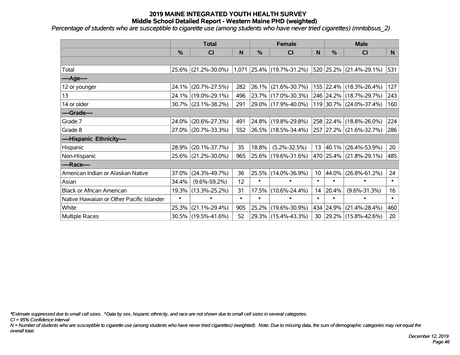*Percentage of students who are susceptible to cigarette use (among students who have never tried cigarettes) (mntobsus\_2)*

|                                           | <b>Total</b>  |                        |        | <b>Female</b> | <b>Male</b>                 |                 |           |                          |        |
|-------------------------------------------|---------------|------------------------|--------|---------------|-----------------------------|-----------------|-----------|--------------------------|--------|
|                                           | $\frac{0}{0}$ | C <sub>l</sub>         | N      | %             | <b>CI</b>                   | N               | %         | <b>CI</b>                | N      |
|                                           |               |                        |        |               |                             |                 |           |                          |        |
| Total                                     |               | 25.6% (21.2%-30.0%)    |        |               | $1,071$ 25.4% (19.7%-31.2%) |                 |           | 520 25.2% (21.4%-29.1%)  | 531    |
| ----Age----                               |               |                        |        |               |                             |                 |           |                          |        |
| 12 or younger                             | 24.1%         | $(20.7\% - 27.5\%)$    | 282    | 26.1%         | $(21.6\% - 30.7\%)$         |                 |           | 155 22.4% (18.3%-26.4%)  | 127    |
| 13                                        |               | 24.1% (19.0%-29.1%)    | 496    |               | 23.7% (17.0%-30.3%)         |                 |           | 246 24.2% (18.7%-29.7%)  | 243    |
| 14 or older                               |               | $30.7\%$ (23.1%-38.2%) | 291    |               | 29.0% (17.9%-40.0%)         |                 |           | 119 30.7% (24.0%-37.4%)  | 160    |
| ----Grade----                             |               |                        |        |               |                             |                 |           |                          |        |
| Grade 7                                   | 24.0%         | $(20.6\% - 27.3\%)$    | 491    |               | 24.8% (19.8%-29.8%)         |                 |           | 258 22.4% (18.8%-26.0%)  | 224    |
| Grade 8                                   |               | 27.0% (20.7%-33.3%)    | 552    |               | $26.5\%$ (18.5%-34.4%)      |                 |           | 257 27.2% (21.6%-32.7%)  | 286    |
| ----Hispanic Ethnicity----                |               |                        |        |               |                             |                 |           |                          |        |
| Hispanic                                  | 28.9%         | $(20.1\% - 37.7\%)$    | 35     | 18.8%         | $(5.2\% - 32.5\%)$          | 13              |           | $ 40.1\% $ (26.4%-53.9%) | 20     |
| Non-Hispanic                              |               | 25.6% (21.2%-30.0%)    | 965    |               | 25.6% (19.6%-31.6%)         |                 |           | 470 25.4% (21.8%-29.1%)  | 485    |
| ----Race----                              |               |                        |        |               |                             |                 |           |                          |        |
| American Indian or Alaskan Native         | 37.0%         | $(24.3\% - 49.7\%)$    | 36     | 25.5%         | $(14.0\% - 36.9\%)$         | 10 <sup>°</sup> | 44.0%     | $(26.8\% - 61.2\%)$      | 24     |
| Asian                                     | 34.4%         | $(9.6\% - 59.2\%)$     | 12     | $\ast$        | $\ast$                      | $\ast$          | $\ast$    | $\ast$                   | $\ast$ |
| <b>Black or African American</b>          | 19.3%         | $(13.3\% - 25.2\%)$    | 31     | 17.5%         | $(10.6\% - 24.4\%)$         | 14              | 20.4%     | $(9.6\% - 31.3\%)$       | 16     |
| Native Hawaiian or Other Pacific Islander | $\ast$        | $\ast$                 | $\ast$ | $\ast$        | $\ast$                      | $\ast$          | $\ast$    | $\ast$                   | $\ast$ |
| White                                     | 25.3%         | $(21.1\% - 29.4\%)$    | 905    | 25.2%         | $(19.6\% - 30.9\%)$         |                 | 434 24.9% | $(21.4\% - 28.4\%)$      | 460    |
| Multiple Races                            |               | 30.5% (19.5%-41.6%)    | 52     |               | 29.3% (15.4%-43.3%)         | 30              |           | $ 29.2\% $ (15.8%-42.6%) | 20     |

*\*Estimate suppressed due to small cell sizes. ^Data by sex, hispanic ethnicity, and race are not shown due to small cell sizes in several categories.*

*CI = 95% Confidence Interval*

*N = Number of students who are susceptible to cigarette use (among students who have never tried cigarettes) (weighted). Note: Due to missing data, the sum of demographic categories may not equal the overall total.*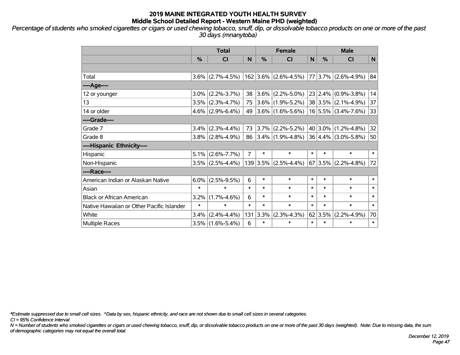*Percentage of students who smoked cigarettes or cigars or used chewing tobacco, snuff, dip, or dissolvable tobacco products on one or more of the past 30 days (mnanytoba)*

|                                           | <b>Total</b> |                     |        | <b>Female</b> |                        |        | <b>Male</b>     |                         |        |  |
|-------------------------------------------|--------------|---------------------|--------|---------------|------------------------|--------|-----------------|-------------------------|--------|--|
|                                           | %            | <b>CI</b>           | N      | $\frac{0}{0}$ | <b>CI</b>              | N      | %               | <b>CI</b>               | N      |  |
|                                           |              |                     |        |               |                        |        |                 |                         |        |  |
| Total                                     |              | $3.6\%$ (2.7%-4.5%) |        |               | $162$ 3.6% (2.6%-4.5%) |        |                 | 77 3.7% (2.6%-4.9%)     | 84     |  |
| ----Age----                               |              |                     |        |               |                        |        |                 |                         |        |  |
| 12 or younger                             | $3.0\%$      | $(2.2\% - 3.7\%)$   | 38     | $3.6\%$       | $(2.2\% - 5.0\%)$      |        | 23 2.4%         | $(0.9\% - 3.8\%)$       | 14     |  |
| 13                                        |              | $3.5\%$ (2.3%-4.7%) | 75     |               | $3.6\%$ (1.9%-5.2%)    |        |                 | $38 3.5\% $ (2.1%-4.9%) | 37     |  |
| 14 or older                               |              | $4.6\%$ (2.9%-6.4%) | 49     |               | $ 3.6\% $ (1.6%-5.6%)  |        |                 | $16 5.5\% $ (3.4%-7.6%) | 33     |  |
| ----Grade----                             |              |                     |        |               |                        |        |                 |                         |        |  |
| Grade 7                                   | $3.4\%$      | $(2.3\% - 4.4\%)$   | 73     |               | $ 3.7\% $ (2.2%-5.2%)  |        | 40 3.0%         | $(1.2\% - 4.8\%)$       | 32     |  |
| Grade 8                                   |              | $3.8\%$ (2.8%-4.9%) | 86     |               | $ 3.4\% $ (1.9%-4.8%)  |        |                 | $36 4.4\% $ (3.0%-5.8%) | 50     |  |
| ----Hispanic Ethnicity----                |              |                     |        |               |                        |        |                 |                         |        |  |
| Hispanic                                  | 5.1%         | $(2.6\% - 7.7\%)$   | 7      | $\ast$        | $\ast$                 | $\ast$ | $\ast$          | $\ast$                  | $\ast$ |  |
| Non-Hispanic                              |              | $3.5\%$ (2.5%-4.4%) |        | 139 3.5%      | $(2.5\% - 4.4\%)$      |        | 67 3.5%         | $(2.2\% - 4.8\%)$       | 72     |  |
| ----Race----                              |              |                     |        |               |                        |        |                 |                         |        |  |
| American Indian or Alaskan Native         | $6.0\%$      | $(2.5\% - 9.5\%)$   | 6      | $\ast$        | $\ast$                 | $\ast$ | $\ast$          | $\ast$                  | $\ast$ |  |
| Asian                                     | $\ast$       | $\ast$              | $\ast$ | $\ast$        | $\ast$                 | $\ast$ | $\ast$          | $\ast$                  | $\ast$ |  |
| <b>Black or African American</b>          | 3.2%         | $(1.7\% - 4.6\%)$   | 6      | $\ast$        | $\ast$                 | $\ast$ | $\ast$          | $\ast$                  | $\ast$ |  |
| Native Hawaiian or Other Pacific Islander | $\ast$       | $\ast$              | $\ast$ | $\ast$        | $\ast$                 | $\ast$ | $\ast$          | $\ast$                  | $\ast$ |  |
| White                                     | 3.4%         | $(2.4\% - 4.4\%)$   | 131    | 3.3%          | $(2.3\% - 4.3\%)$      |        | $62 \mid 3.5\%$ | $(2.2\% - 4.9\%)$       | 70     |  |
| Multiple Races                            |              | $3.5\%$ (1.6%-5.4%) | 6      | $\ast$        | $\ast$                 | $\ast$ | $\ast$          | $\ast$                  | $\ast$ |  |

*\*Estimate suppressed due to small cell sizes. ^Data by sex, hispanic ethnicity, and race are not shown due to small cell sizes in several categories.*

*CI = 95% Confidence Interval*

*N = Number of students who smoked cigarettes or cigars or used chewing tobacco, snuff, dip, or dissolvable tobacco products on one or more of the past 30 days (weighted). Note: Due to missing data, the sum of demographic categories may not equal the overall total.*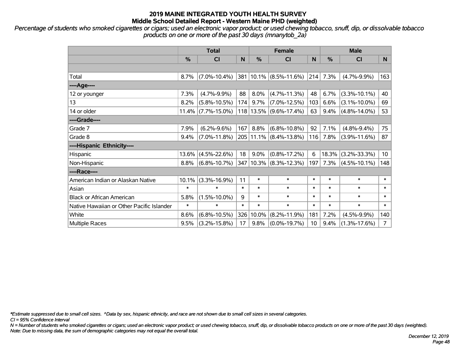*Percentage of students who smoked cigarettes or cigars; used an electronic vapor product; or used chewing tobacco, snuff, dip, or dissolvable tobacco products on one or more of the past 30 days (mnanytob\_2a)*

|                                           | <b>Total</b> |                       |        |        | <b>Female</b>          |        | <b>Male</b> |                    |                 |  |
|-------------------------------------------|--------------|-----------------------|--------|--------|------------------------|--------|-------------|--------------------|-----------------|--|
|                                           | %            | <b>CI</b>             | N      | %      | <b>CI</b>              | N      | %           | <b>CI</b>          | N.              |  |
|                                           |              |                       |        |        |                        |        |             |                    |                 |  |
| Total                                     | 8.7%         | $(7.0\% - 10.4\%)$    |        |        | 381 10.1% (8.5%-11.6%) | 214    | 7.3%        | $(4.7\% - 9.9\%)$  | 163             |  |
| ----Age----                               |              |                       |        |        |                        |        |             |                    |                 |  |
| 12 or younger                             | 7.3%         | $(4.7\% - 9.9\%)$     | 88     | 8.0%   | $(4.7\% - 11.3\%)$     | 48     | 6.7%        | $(3.3\% - 10.1\%)$ | 40              |  |
| 13                                        | 8.2%         | $(5.8\% - 10.5\%)$    | 174    | 9.7%   | $(7.0\% - 12.5\%)$     | 103    | 6.6%        | $(3.1\% - 10.0\%)$ | 69              |  |
| 14 or older                               |              | $11.4\%$ (7.7%-15.0%) |        |        | 118 13.5% (9.6%-17.4%) | 63     | 9.4%        | $(4.8\% - 14.0\%)$ | 53              |  |
| ----Grade----                             |              |                       |        |        |                        |        |             |                    |                 |  |
| Grade 7                                   | 7.9%         | $(6.2\% - 9.6\%)$     | 167    | 8.8%   | $(6.8\% - 10.8\%)$     | 92     | 7.1%        | $(4.8\% - 9.4\%)$  | 75              |  |
| Grade 8                                   | 9.4%         | $(7.0\% - 11.8\%)$    |        |        | 205 11.1% (8.4%-13.8%) | 116    | 7.8%        | $(3.9\% - 11.6\%)$ | 87              |  |
| ----Hispanic Ethnicity----                |              |                       |        |        |                        |        |             |                    |                 |  |
| Hispanic                                  | 13.6%        | $(4.5\% - 22.6\%)$    | 18     | 9.0%   | $(0.8\% - 17.2\%)$     | 6      | 18.3%       | $(3.2\% - 33.3\%)$ | 10 <sup>°</sup> |  |
| Non-Hispanic                              | 8.8%         | $(6.8\% - 10.7\%)$    |        |        | 347 10.3% (8.3%-12.3%) | 197    | 7.3%        | $(4.5\% - 10.1\%)$ | 148             |  |
| ----Race----                              |              |                       |        |        |                        |        |             |                    |                 |  |
| American Indian or Alaskan Native         | 10.1%        | $(3.3\% - 16.9\%)$    | 11     | $\ast$ | $\ast$                 | $\ast$ | $\ast$      | $\ast$             | $\ast$          |  |
| Asian                                     | $\ast$       | $\ast$                | $\ast$ | $\ast$ | $\ast$                 | $\ast$ | $\ast$      | $\ast$             | $\ast$          |  |
| <b>Black or African American</b>          | 5.8%         | $(1.5\% - 10.0\%)$    | 9      | $\ast$ | $\ast$                 | $\ast$ | $\ast$      | $\ast$             | $\ast$          |  |
| Native Hawaiian or Other Pacific Islander | $\ast$       | $\ast$                | $\ast$ | $\ast$ | $\ast$                 | $\ast$ | $\ast$      | $\ast$             | $\ast$          |  |
| White                                     | 8.6%         | $(6.8\% - 10.5\%)$    | 326    | 10.0%  | $(8.2\% - 11.9\%)$     | 181    | 7.2%        | $(4.5\% - 9.9\%)$  | 140             |  |
| Multiple Races                            | 9.5%         | $(3.2\% - 15.8\%)$    | 17     | 9.8%   | $(0.0\% - 19.7\%)$     | 10     | 9.4%        | $(1.3\% - 17.6\%)$ | $\overline{7}$  |  |

*\*Estimate suppressed due to small cell sizes. ^Data by sex, hispanic ethnicity, and race are not shown due to small cell sizes in several categories.*

*CI = 95% Confidence Interval*

*N = Number of students who smoked cigarettes or cigars; used an electronic vapor product; or used chewing tobacco, snuff, dip, or dissolvable tobacco products on one or more of the past 30 days (weighted). Note: Due to missing data, the sum of demographic categories may not equal the overall total.*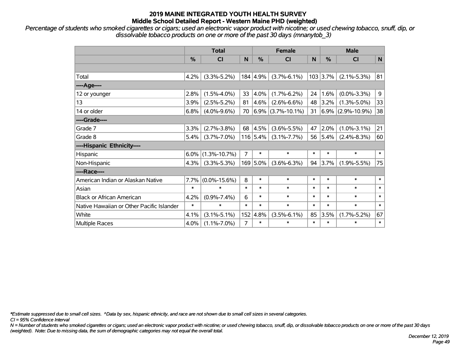*Percentage of students who smoked cigarettes or cigars; used an electronic vapor product with nicotine; or used chewing tobacco, snuff, dip, or dissolvable tobacco products on one or more of the past 30 days (mnanytob\_3)*

|                                           |        | <b>Total</b>       |        | <b>Female</b> |                        |        | <b>Male</b> |                      |        |  |
|-------------------------------------------|--------|--------------------|--------|---------------|------------------------|--------|-------------|----------------------|--------|--|
|                                           | %      | <b>CI</b>          | N      | %             | <b>CI</b>              | N      | $\%$        | <b>CI</b>            | N      |  |
|                                           |        |                    |        |               |                        |        |             |                      |        |  |
| Total                                     | 4.2%   | $(3.3\% - 5.2\%)$  |        | 184 4.9%      | $(3.7\% - 6.1\%)$      |        | $103$ 3.7%  | $(2.1\% - 5.3\%)$    | 81     |  |
| ----Age----                               |        |                    |        |               |                        |        |             |                      |        |  |
| 12 or younger                             | 2.8%   | $(1.5\% - 4.0\%)$  | 33     | $ 4.0\%$      | $(1.7\% - 6.2\%)$      | 24     | 1.6%        | $(0.0\% - 3.3\%)$    | 9      |  |
| 13                                        | 3.9%   | $(2.5\% - 5.2\%)$  | 81     | 4.6%          | $(2.6\% - 6.6\%)$      | 48     | 3.2%        | $(1.3\% - 5.0\%)$    | 33     |  |
| 14 or older                               | 6.8%   | $(4.0\% - 9.6\%)$  | 70     |               | $ 6.9\% $ (3.7%-10.1%) | 31     |             | $6.9\%$ (2.9%-10.9%) | 38     |  |
| ----Grade----                             |        |                    |        |               |                        |        |             |                      |        |  |
| Grade 7                                   | 3.3%   | $(2.7\% - 3.8\%)$  | 68     | 4.5%          | $(3.6\% - 5.5\%)$      | 47     | 2.0%        | $(1.0\% - 3.1\%)$    | 21     |  |
| Grade 8                                   | 5.4%   | $(3.7\% - 7.0\%)$  |        | $116$ 5.4%    | $(3.1\% - 7.7\%)$      | 56     | 5.4%        | $(2.4\% - 8.3\%)$    | 60     |  |
| ----Hispanic Ethnicity----                |        |                    |        |               |                        |        |             |                      |        |  |
| Hispanic                                  | 6.0%   | $(1.3\% - 10.7\%)$ | 7      | $\ast$        | $\ast$                 | $\ast$ | $\ast$      | $\ast$               | $\ast$ |  |
| Non-Hispanic                              | 4.3%   | $(3.3\% - 5.3\%)$  |        | 169 5.0%      | $(3.6\% - 6.3\%)$      | 94     | 3.7%        | $(1.9\% - 5.5\%)$    | 75     |  |
| ----Race----                              |        |                    |        |               |                        |        |             |                      |        |  |
| American Indian or Alaskan Native         | 7.7%   | $(0.0\% - 15.6\%)$ | 8      | $\ast$        | $\ast$                 | $\ast$ | $\ast$      | $\ast$               | $\ast$ |  |
| Asian                                     | $\ast$ | $\ast$             | $\ast$ | $\ast$        | $\ast$                 | $\ast$ | $\ast$      | $\ast$               | $\ast$ |  |
| <b>Black or African American</b>          | 4.2%   | $(0.9\% - 7.4\%)$  | 6      | $\ast$        | $\ast$                 | $\ast$ | $\ast$      | $\ast$               | $\ast$ |  |
| Native Hawaiian or Other Pacific Islander | $\ast$ | $\ast$             | $\ast$ | $\ast$        | $\ast$                 | $\ast$ | $\ast$      | $\ast$               | $\ast$ |  |
| White                                     | 4.1%   | $(3.1\% - 5.1\%)$  |        | 152 4.8%      | $(3.5\% - 6.1\%)$      | 85     | 3.5%        | $(1.7\% - 5.2\%)$    | 67     |  |
| Multiple Races                            | 4.0%   | $(1.1\% - 7.0\%)$  | 7      | $\ast$        | $\ast$                 | $\ast$ | $\ast$      | $\ast$               | $\ast$ |  |

*\*Estimate suppressed due to small cell sizes. ^Data by sex, hispanic ethnicity, and race are not shown due to small cell sizes in several categories.*

*CI = 95% Confidence Interval*

*N = Number of students who smoked cigarettes or cigars; used an electronic vapor product with nicotine; or used chewing tobacco, snuff, dip, or dissolvable tobacco products on one or more of the past 30 days (weighted). Note: Due to missing data, the sum of demographic categories may not equal the overall total.*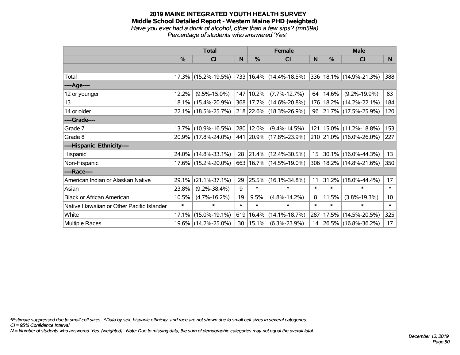#### **2019 MAINE INTEGRATED YOUTH HEALTH SURVEY Middle School Detailed Report - Western Maine PHD (weighted)** *Have you ever had a drink of alcohol, other than a few sips? (mn59a) Percentage of students who answered 'Yes'*

|                                           | <b>Total</b> |                        |        |               | <b>Female</b>                                             |          | <b>Male</b> |                             |                 |  |
|-------------------------------------------|--------------|------------------------|--------|---------------|-----------------------------------------------------------|----------|-------------|-----------------------------|-----------------|--|
|                                           | $\%$         | <b>CI</b>              | N      | $\%$          | <b>CI</b>                                                 | <b>N</b> | $\%$        | <b>CI</b>                   | N               |  |
|                                           |              |                        |        |               |                                                           |          |             |                             |                 |  |
| Total                                     |              | $17.3\%$ (15.2%-19.5%) |        |               | 733   16.4%   (14.4%-18.5%)   336   18.1%   (14.9%-21.3%) |          |             |                             | 388             |  |
| ----Age----                               |              |                        |        |               |                                                           |          |             |                             |                 |  |
| 12 or younger                             | 12.2%        | $(9.5\% - 15.0\%)$     |        | 147 10.2%     | $(7.7\% - 12.7\%)$                                        | 64       | 14.6%       | $(9.2\% - 19.9\%)$          | 83              |  |
| 13                                        |              | 18.1% (15.4%-20.9%)    |        |               | 368 17.7% (14.6%-20.8%)                                   |          |             | 176   18.2%   (14.2%-22.1%) | 184             |  |
| 14 or older                               |              | 22.1% (18.5%-25.7%)    |        |               | 218 22.6% (18.3%-26.9%)                                   | 96       |             | $ 21.7\% $ (17.5%-25.9%)    | 120             |  |
| ----Grade----                             |              |                        |        |               |                                                           |          |             |                             |                 |  |
| Grade 7                                   | 13.7%        | $(10.9\% - 16.5\%)$    |        | 280 12.0%     | $(9.4\% - 14.5\%)$                                        | 121      |             | 15.0% (11.2%-18.8%)         | 153             |  |
| Grade 8                                   |              | 20.9% (17.8%-24.0%)    |        |               | 441 20.9% (17.8%-23.9%)                                   |          |             | 210 21.0% (16.0%-26.0%)     | 227             |  |
| ----Hispanic Ethnicity----                |              |                        |        |               |                                                           |          |             |                             |                 |  |
| Hispanic                                  |              | 24.0% (14.8%-33.1%)    | 28     |               | $ 21.4\% $ (12.4%-30.5%)                                  | 15       |             | 30.1% (16.0%-44.3%)         | 13              |  |
| Non-Hispanic                              |              | 17.6% (15.2%-20.0%)    |        |               | 663 16.7% (14.5%-19.0%)                                   |          |             | 306   18.2%   (14.8%-21.6%) | 350             |  |
| ----Race----                              |              |                        |        |               |                                                           |          |             |                             |                 |  |
| American Indian or Alaskan Native         | 29.1%        | $(21.1\% - 37.1\%)$    | 29     | 25.5%         | $(16.1\% - 34.8\%)$                                       | 11       |             | 31.2% (18.0%-44.4%)         | 17 <sup>2</sup> |  |
| Asian                                     | 23.8%        | $(9.2\% - 38.4\%)$     | 9      | $\ast$        | $\ast$                                                    | $\ast$   | $\ast$      | $\ast$                      | $\ast$          |  |
| <b>Black or African American</b>          | 10.5%        | $(4.7\% - 16.2\%)$     | 19     | 9.5%          | $(4.8\% - 14.2\%)$                                        | 8        | 11.5%       | $(3.8\% - 19.3\%)$          | 10 <sup>1</sup> |  |
| Native Hawaiian or Other Pacific Islander | $\ast$       | $\ast$                 | $\ast$ | $\ast$        | $\ast$                                                    | $\ast$   | $\ast$      | $\ast$                      | $\ast$          |  |
| White                                     | 17.1%        | $(15.0\% - 19.1\%)$    | 619    | 16.4%         | $(14.1\% - 18.7\%)$                                       | 287      |             | 17.5% (14.5%-20.5%)         | 325             |  |
| <b>Multiple Races</b>                     |              | 19.6% (14.2%-25.0%)    |        | $30  15.1\% $ | $(6.3\% - 23.9\%)$                                        | 14       |             | 26.5% (16.8%-36.2%)         | 17              |  |

*\*Estimate suppressed due to small cell sizes. ^Data by sex, hispanic ethnicity, and race are not shown due to small cell sizes in several categories.*

*CI = 95% Confidence Interval*

*N = Number of students who answered 'Yes' (weighted). Note: Due to missing data, the sum of demographic categories may not equal the overall total.*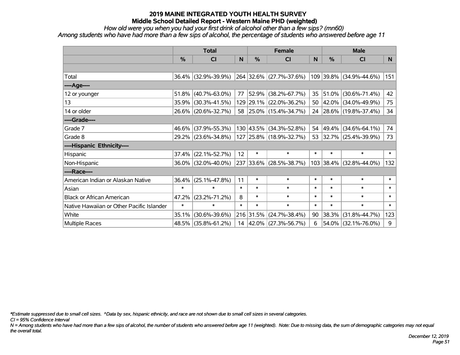*How old were you when you had your first drink of alcohol other than a few sips? (mn60)*

*Among students who have had more than a few sips of alcohol, the percentage of students who answered before age 11*

|                                           | <b>Total</b> |                     |        | <b>Female</b> |                         |        | <b>Male</b>   |                         |                |
|-------------------------------------------|--------------|---------------------|--------|---------------|-------------------------|--------|---------------|-------------------------|----------------|
|                                           | %            | <b>CI</b>           | N      | %             | <b>CI</b>               | N      | $\frac{0}{0}$ | <b>CI</b>               | N <sub>1</sub> |
|                                           |              |                     |        |               |                         |        |               |                         |                |
| Total                                     |              | 36.4% (32.9%-39.9%) |        |               | 264 32.6% (27.7%-37.6%) |        |               | 109 39.8% (34.9%-44.6%) | 151            |
| ----Age----                               |              |                     |        |               |                         |        |               |                         |                |
| 12 or younger                             | 51.8%        | $(40.7\% - 63.0\%)$ | 77     | 52.9%         | $(38.2\% - 67.7\%)$     |        | 35 51.0%      | $(30.6\% - 71.4\%)$     | 42             |
| 13                                        | 35.9%        | $(30.3\% - 41.5\%)$ |        |               | 129 29.1% (22.0%-36.2%) |        |               | 50 42.0% (34.0%-49.9%)  | 75             |
| 14 or older                               |              | 26.6% (20.6%-32.7%) |        |               | 58 25.0% (15.4%-34.7%)  |        |               | 24 28.6% (19.8%-37.4%)  | 34             |
| ----Grade----                             |              |                     |        |               |                         |        |               |                         |                |
| Grade 7                                   | 46.6%        | $(37.9\% - 55.3\%)$ |        |               | 130 43.5% (34.3%-52.8%) | 54     | 49.4%         | $(34.6\% - 64.1\%)$     | 74             |
| Grade 8                                   |              | 29.2% (23.6%-34.8%) |        |               | 127 25.8% (18.9%-32.7%) |        |               | 53 32.7% (25.4%-39.9%)  | 73             |
| ----Hispanic Ethnicity----                |              |                     |        |               |                         |        |               |                         |                |
| Hispanic                                  | 37.4%        | $(22.1\% - 52.7\%)$ | 12     | $\ast$        | $\ast$                  | $\ast$ | $\ast$        | $\ast$                  | $\ast$         |
| Non-Hispanic                              |              | 36.0% (32.0%-40.0%) |        |               | 237 33.6% (28.5%-38.7%) |        | 103 38.4%     | $(32.8\% - 44.0\%)$     | 132            |
| ----Race----                              |              |                     |        |               |                         |        |               |                         |                |
| American Indian or Alaskan Native         | 36.4%        | $(25.1\% - 47.8\%)$ | 11     | $\ast$        | $\ast$                  | $\ast$ | $\ast$        | $\ast$                  | $\ast$         |
| Asian                                     | $\ast$       | $\ast$              | $\ast$ | $\ast$        | $\ast$                  | $\ast$ | $\ast$        | $\ast$                  | $\ast$         |
| <b>Black or African American</b>          | 47.2%        | $(23.2\% - 71.2\%)$ | 8      | $\ast$        | $\ast$                  | $\ast$ | $\ast$        | $\ast$                  | $\ast$         |
| Native Hawaiian or Other Pacific Islander | $\ast$       | $\ast$              | $\ast$ | $\ast$        | $\ast$                  | $\ast$ | $\ast$        | $\ast$                  | $\pmb{\ast}$   |
| White                                     | 35.1%        | $(30.6\% - 39.6\%)$ |        | 216 31.5%     | $(24.7\% - 38.4\%)$     | 90     | 38.3%         | $(31.8\% - 44.7\%)$     | 123            |
| Multiple Races                            |              | 48.5% (35.8%-61.2%) |        |               | 14 42.0% (27.3%-56.7%)  | 6      | 54.0%         | $(32.1\% - 76.0\%)$     | 9              |

*\*Estimate suppressed due to small cell sizes. ^Data by sex, hispanic ethnicity, and race are not shown due to small cell sizes in several categories.*

*CI = 95% Confidence Interval*

*N = Among students who have had more than a few sips of alcohol, the number of students who answered before age 11 (weighted). Note: Due to missing data, the sum of demographic categories may not equal the overall total.*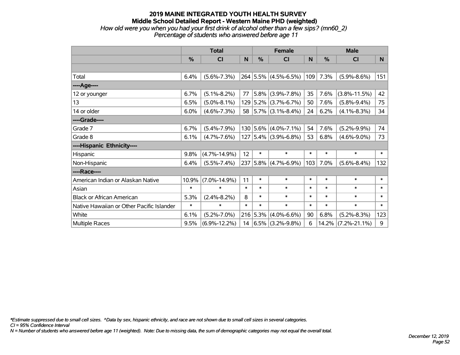### **2019 MAINE INTEGRATED YOUTH HEALTH SURVEY Middle School Detailed Report - Western Maine PHD (weighted)** *How old were you when you had your first drink of alcohol other than a few sips? (mn60\_2)*

*Percentage of students who answered before age 11*

|                                           | <b>Total</b> |                    |        | <b>Female</b> |                             |        | <b>Male</b> |                    |        |
|-------------------------------------------|--------------|--------------------|--------|---------------|-----------------------------|--------|-------------|--------------------|--------|
|                                           | $\%$         | <b>CI</b>          | N      | %             | <b>CI</b>                   | N      | %           | <b>CI</b>          | N.     |
|                                           |              |                    |        |               |                             |        |             |                    |        |
| Total                                     | 6.4%         | $(5.6\% - 7.3\%)$  |        |               | 264 5.5% (4.5%-6.5%)        | 109    | 7.3%        | $(5.9\% - 8.6\%)$  | 151    |
| ----Age----                               |              |                    |        |               |                             |        |             |                    |        |
| 12 or younger                             | 6.7%         | $(5.1\% - 8.2\%)$  | 77     |               | $5.8\%$ (3.9%-7.8%)         | 35     | 7.6%        | $(3.8\% - 11.5\%)$ | 42     |
| 13                                        | 6.5%         | $(5.0\% - 8.1\%)$  |        |               | 129 5.2% (3.7%-6.7%)        | 50     | 7.6%        | $(5.8\% - 9.4\%)$  | 75     |
| 14 or older                               | 6.0%         | $(4.6\% - 7.3\%)$  | 58     |               | $ 5.7\% $ (3.1%-8.4%)       | 24     | 6.2%        | $(4.1\% - 8.3\%)$  | 34     |
| ----Grade----                             |              |                    |        |               |                             |        |             |                    |        |
| Grade 7                                   | 6.7%         | $(5.4\% - 7.9\%)$  |        |               | $130 5.6\% (4.0\% - 7.1\%)$ | 54     | 7.6%        | $(5.2\% - 9.9\%)$  | 74     |
| Grade 8                                   | 6.1%         | $(4.7\% - 7.6\%)$  |        |               | $127$ 5.4% (3.9%-6.8%)      | 53     | 6.8%        | $(4.6\% - 9.0\%)$  | 73     |
| ----Hispanic Ethnicity----                |              |                    |        |               |                             |        |             |                    |        |
| Hispanic                                  | 9.8%         | $(4.7\% - 14.9\%)$ | 12     | $\ast$        | $\ast$                      | $\ast$ | $\ast$      | $\ast$             | $\ast$ |
| Non-Hispanic                              | 6.4%         | $(5.5\% - 7.4\%)$  | 237    |               | $5.8\%$ (4.7%-6.9%)         | 103    | 7.0%        | $(5.6\% - 8.4\%)$  | 132    |
| ----Race----                              |              |                    |        |               |                             |        |             |                    |        |
| American Indian or Alaskan Native         | 10.9%        | $(7.0\% - 14.9\%)$ | 11     | $\ast$        | $\ast$                      | $\ast$ | $\ast$      | $\ast$             | $\ast$ |
| Asian                                     | $\ast$       | $\ast$             | $\ast$ | $\ast$        | $\ast$                      | $\ast$ | $\ast$      | $\ast$             | $\ast$ |
| <b>Black or African American</b>          | 5.3%         | $(2.4\% - 8.2\%)$  | 8      | $\ast$        | $\ast$                      | $\ast$ | $\ast$      | $\ast$             | $\ast$ |
| Native Hawaiian or Other Pacific Islander | $\ast$       | $\ast$             | $\ast$ | $\ast$        | $\ast$                      | $\ast$ | $\ast$      | $\ast$             | $\ast$ |
| White                                     | 6.1%         | $(5.2\% - 7.0\%)$  |        |               | $216$ 5.3% (4.0%-6.6%)      | 90     | 6.8%        | $(5.2\% - 8.3\%)$  | 123    |
| Multiple Races                            | 9.5%         | $(6.9\% - 12.2\%)$ | 14     |               | $ 6.5\% $ (3.2%-9.8%)       | 6      | 14.2%       | $(7.2\% - 21.1\%)$ | 9      |

*\*Estimate suppressed due to small cell sizes. ^Data by sex, hispanic ethnicity, and race are not shown due to small cell sizes in several categories.*

*CI = 95% Confidence Interval*

*N = Number of students who answered before age 11 (weighted). Note: Due to missing data, the sum of demographic categories may not equal the overall total.*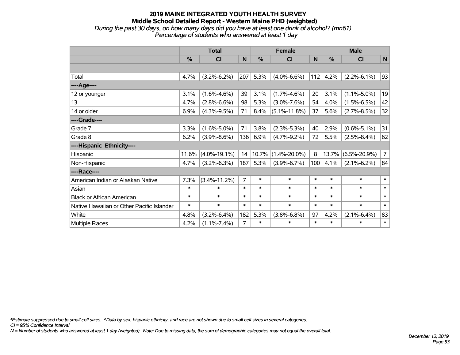### **2019 MAINE INTEGRATED YOUTH HEALTH SURVEY Middle School Detailed Report - Western Maine PHD (weighted)** *During the past 30 days, on how many days did you have at least one drink of alcohol? (mn61)*

*Percentage of students who answered at least 1 day*

|                                           | <b>Total</b> |                    |                | <b>Female</b> |                    |        | <b>Male</b>   |                    |                |
|-------------------------------------------|--------------|--------------------|----------------|---------------|--------------------|--------|---------------|--------------------|----------------|
|                                           | $\%$         | <b>CI</b>          | N              | %             | <b>CI</b>          | N      | $\frac{0}{0}$ | <b>CI</b>          | N              |
|                                           |              |                    |                |               |                    |        |               |                    |                |
| Total                                     | 4.7%         | $(3.2\% - 6.2\%)$  | 207            | 5.3%          | $(4.0\% - 6.6\%)$  | 112    | 4.2%          | $(2.2\% - 6.1\%)$  | 93             |
| ----Age----                               |              |                    |                |               |                    |        |               |                    |                |
| 12 or younger                             | 3.1%         | $(1.6\% - 4.6\%)$  | 39             | 3.1%          | $(1.7\% - 4.6\%)$  | 20     | 3.1%          | $(1.1\% - 5.0\%)$  | 19             |
| 13                                        | 4.7%         | $(2.8\% - 6.6\%)$  | 98             | 5.3%          | $(3.0\% - 7.6\%)$  | 54     | 4.0%          | $(1.5\% - 6.5\%)$  | 42             |
| 14 or older                               | 6.9%         | $(4.3\% - 9.5\%)$  | 71             | 8.4%          | $(5.1\% - 11.8\%)$ | 37     | 5.6%          | $(2.7\% - 8.5\%)$  | 32             |
| ----Grade----                             |              |                    |                |               |                    |        |               |                    |                |
| Grade 7                                   | 3.3%         | $(1.6\% - 5.0\%)$  | 71             | 3.8%          | $(2.3\% - 5.3\%)$  | 40     | 2.9%          | $(0.6\% - 5.1\%)$  | 31             |
| Grade 8                                   | 6.2%         | $(3.9\% - 8.6\%)$  | 136            | 6.9%          | $(4.7\% - 9.2\%)$  | 72     | 5.5%          | $(2.5\% - 8.4\%)$  | 62             |
| ----Hispanic Ethnicity----                |              |                    |                |               |                    |        |               |                    |                |
| Hispanic                                  | 11.6%        | $(4.0\% - 19.1\%)$ | 14             | 10.7%         | $(1.4\% - 20.0\%)$ | 8      | 13.7%         | $(6.5\% - 20.9\%)$ | $\overline{7}$ |
| Non-Hispanic                              | 4.7%         | $(3.2\% - 6.3\%)$  | 187            | 5.3%          | $(3.9\% - 6.7\%)$  | 100    | 4.1%          | $(2.1\% - 6.2\%)$  | 84             |
| ----Race----                              |              |                    |                |               |                    |        |               |                    |                |
| American Indian or Alaskan Native         | 7.3%         | $(3.4\% - 11.2\%)$ | $\overline{7}$ | $\ast$        | $\ast$             | $\ast$ | $\ast$        | $\ast$             | $\ast$         |
| Asian                                     | $\ast$       | $\ast$             | $\ast$         | $\ast$        | $\ast$             | $\ast$ | $\ast$        | $\ast$             | $\ast$         |
| <b>Black or African American</b>          | $\ast$       | $\ast$             | $\ast$         | $\ast$        | $\ast$             | $\ast$ | $\ast$        | $\ast$             | $\ast$         |
| Native Hawaiian or Other Pacific Islander | $\ast$       | $\ast$             | $\ast$         | $\ast$        | $\ast$             | $\ast$ | $\ast$        | $\ast$             | $\ast$         |
| White                                     | 4.8%         | $(3.2\% - 6.4\%)$  | 182            | 5.3%          | $(3.8\% - 6.8\%)$  | 97     | 4.2%          | $(2.1\% - 6.4\%)$  | 83             |
| Multiple Races                            | 4.2%         | $(1.1\% - 7.4\%)$  | $\overline{7}$ | $\ast$        | $\ast$             | $\ast$ | $\ast$        | $\ast$             | $\pmb{\ast}$   |

*\*Estimate suppressed due to small cell sizes. ^Data by sex, hispanic ethnicity, and race are not shown due to small cell sizes in several categories.*

*CI = 95% Confidence Interval*

*N = Number of students who answered at least 1 day (weighted). Note: Due to missing data, the sum of demographic categories may not equal the overall total.*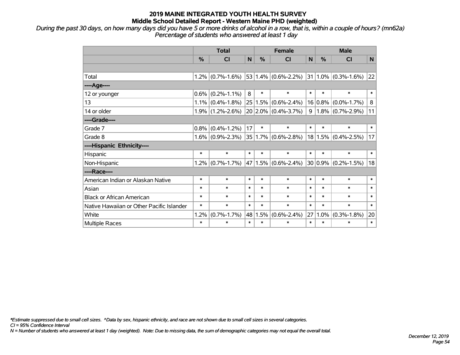*During the past 30 days, on how many days did you have 5 or more drinks of alcohol in a row, that is, within a couple of hours? (mn62a) Percentage of students who answered at least 1 day*

|                                           |         | <b>Total</b>        |        | <b>Female</b> |                           |        | <b>Male</b> |                                            |              |  |
|-------------------------------------------|---------|---------------------|--------|---------------|---------------------------|--------|-------------|--------------------------------------------|--------------|--|
|                                           | $\%$    | <b>CI</b>           | N      | $\%$          | <b>CI</b>                 | N      | $\%$        | <b>CI</b>                                  | <sub>N</sub> |  |
|                                           |         |                     |        |               |                           |        |             |                                            |              |  |
| Total                                     |         | $1.2\%$ (0.7%-1.6%) |        |               |                           |        |             | 53 1.4% (0.6%-2.2%) 31 1.0% (0.3%-1.6%) 22 |              |  |
| ----Age----                               |         |                     |        |               |                           |        |             |                                            |              |  |
| 12 or younger                             | $0.6\%$ | $(0.2\% - 1.1\%)$   | 8      | $\ast$        | $\ast$                    | $\ast$ | $\ast$      | $\ast$                                     | $\ast$       |  |
| 13                                        |         | $1.1\%$ (0.4%-1.8%) | 25     |               | $1.5\%$ $(0.6\% - 2.4\%)$ |        |             | $16 0.8\% $ (0.0%-1.7%)                    | 8            |  |
| 14 or older                               |         | $1.9\%$ (1.2%-2.6%) |        |               | $20 2.0\% $ (0.4%-3.7%)   | 9      |             | $1.8\%$ (0.7%-2.9%)                        | 11           |  |
| ----Grade----                             |         |                     |        |               |                           |        |             |                                            |              |  |
| Grade 7                                   | 0.8%    | $(0.4\% - 1.2\%)$   | 17     | $\ast$        | $\ast$                    | $\ast$ | $\ast$      | $\ast$                                     | $\ast$       |  |
| Grade 8                                   |         | $1.6\%$ (0.9%-2.3%) |        |               | $35 1.7\% $ (0.6%-2.8%)   |        |             | $18 1.5\% $ (0.4%-2.5%)                    | 17           |  |
| ----Hispanic Ethnicity----                |         |                     |        |               |                           |        |             |                                            |              |  |
| Hispanic                                  | $\ast$  | $\ast$              | $\ast$ | $\ast$        | $\ast$                    | $\ast$ | $\ast$      | $\ast$                                     | $\ast$       |  |
| Non-Hispanic                              |         | $1.2\%$ (0.7%-1.7%) | 47     |               | $1.5\%$ $(0.6\%$ -2.4%)   |        |             | $30 0.9\% $ (0.2%-1.5%)                    | 18           |  |
| ----Race----                              |         |                     |        |               |                           |        |             |                                            |              |  |
| American Indian or Alaskan Native         | $\ast$  | $\ast$              | $\ast$ | $\ast$        | $\ast$                    | $\ast$ | $\ast$      | $\ast$                                     | $\ast$       |  |
| Asian                                     | $\ast$  | $\ast$              | $\ast$ | $\ast$        | $\ast$                    | $\ast$ | $\ast$      | $\ast$                                     | $\ast$       |  |
| <b>Black or African American</b>          | $\ast$  | $\ast$              | $\ast$ | $\ast$        | $\ast$                    | $\ast$ | $\ast$      | $\ast$                                     | $\ast$       |  |
| Native Hawaiian or Other Pacific Islander | $\ast$  | $\ast$              | $\ast$ | $\ast$        | $\ast$                    | $\ast$ | $\ast$      | $\ast$                                     | $\ast$       |  |
| White                                     | 1.2%    | $(0.7\% - 1.7\%)$   | 48     | 1.5%          | $(0.6\% - 2.4\%)$         | 27     | $1.0\%$     | $(0.3\% - 1.8\%)$                          | 20           |  |
| Multiple Races                            | $\ast$  | $\ast$              | $\ast$ | $\ast$        | $\ast$                    | $\ast$ | $\ast$      | $\ast$                                     | $\ast$       |  |

*\*Estimate suppressed due to small cell sizes. ^Data by sex, hispanic ethnicity, and race are not shown due to small cell sizes in several categories.*

*CI = 95% Confidence Interval*

*N = Number of students who answered at least 1 day (weighted). Note: Due to missing data, the sum of demographic categories may not equal the overall total.*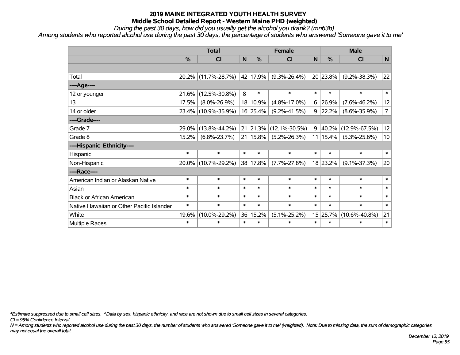*During the past 30 days, how did you usually get the alcohol you drank? (mn63b)*

*Among students who reported alcohol use during the past 30 days, the percentage of students who answered 'Someone gave it to me'*

|                                           | <b>Total</b> |                     |        |                  | <b>Female</b>       | <b>Male</b> |          |                     |                |
|-------------------------------------------|--------------|---------------------|--------|------------------|---------------------|-------------|----------|---------------------|----------------|
|                                           | %            | CI                  | N      | $\frac{0}{0}$    | <b>CI</b>           | N           | %        | <b>CI</b>           | $\mathsf{N}$   |
|                                           |              |                     |        |                  |                     |             |          |                     |                |
| Total                                     |              | 20.2% (11.7%-28.7%) |        | 42 17.9%         | $(9.3\% - 26.4\%)$  |             | 20 23.8% | $(9.2\% - 38.3\%)$  | $ 22\rangle$   |
| ---- Age----                              |              |                     |        |                  |                     |             |          |                     |                |
| 12 or younger                             | 21.6%        | $(12.5\% - 30.8\%)$ | 8      | $\ast$           | $\ast$              | $\ast$      | $\ast$   | $\ast$              | $\ast$         |
| 13                                        | 17.5%        | $(8.0\% - 26.9\%)$  |        | 18 10.9%         | $(4.8\% - 17.0\%)$  | 6           | 26.9%    | $(7.6\% - 46.2\%)$  | 12             |
| 14 or older                               |              | 23.4% (10.9%-35.9%) |        | 16 25.4%         | $(9.2\% - 41.5\%)$  | 9           | 22.2%    | $(8.6\% - 35.9\%)$  | $\overline{7}$ |
| ----Grade----                             |              |                     |        |                  |                     |             |          |                     |                |
| Grade 7                                   | 29.0%        | $(13.8\% - 44.2\%)$ |        | $21 \mid 21.3\%$ | $(12.1\% - 30.5\%)$ | 9           | 40.2%    | $(12.9\% - 67.5\%)$ | 12             |
| Grade 8                                   | 15.2%        | $(6.8\% - 23.7\%)$  |        | $21 15.8\% $     | $(5.2\% - 26.3\%)$  |             | 11 15.4% | $(5.3\% - 25.6\%)$  | 10             |
| ----Hispanic Ethnicity----                |              |                     |        |                  |                     |             |          |                     |                |
| Hispanic                                  | $\ast$       | $\ast$              | $\ast$ | $\ast$           | $\ast$              | $\ast$      | $\ast$   | $\ast$              | $\ast$         |
| Non-Hispanic                              |              | 20.0% (10.7%-29.2%) |        | 38 17.8%         | $(7.7\% - 27.8\%)$  |             | 18 23.2% | $(9.1\% - 37.3\%)$  | 20             |
| ----Race----                              |              |                     |        |                  |                     |             |          |                     |                |
| American Indian or Alaskan Native         | $\ast$       | $\ast$              | $\ast$ | $\ast$           | $\ast$              | $\ast$      | $\ast$   | $\ast$              | $\ast$         |
| Asian                                     | $\ast$       | $\ast$              | $\ast$ | $\ast$           | $\ast$              | $\ast$      | $\ast$   | $\ast$              | $\ast$         |
| <b>Black or African American</b>          | $\ast$       | $\ast$              | $\ast$ | $\ast$           | $\ast$              | $\ast$      | $\ast$   | $\ast$              | $\ast$         |
| Native Hawaiian or Other Pacific Islander | $\ast$       | $\ast$              | $\ast$ | $\ast$           | $\ast$              | $\ast$      | $\ast$   | $\ast$              | $\ast$         |
| White                                     | 19.6%        | $(10.0\% - 29.2\%)$ |        | 36 15.2%         | $(5.1\% - 25.2\%)$  |             | 15 25.7% | $(10.6\% - 40.8\%)$ | 21             |
| Multiple Races                            | $\ast$       | $\ast$              | $\ast$ | $\ast$           | $\ast$              | $\ast$      | $\ast$   | $\ast$              | $\ast$         |

*\*Estimate suppressed due to small cell sizes. ^Data by sex, hispanic ethnicity, and race are not shown due to small cell sizes in several categories.*

*CI = 95% Confidence Interval*

*N = Among students who reported alcohol use during the past 30 days, the number of students who answered 'Someone gave it to me' (weighted). Note: Due to missing data, the sum of demographic categories may not equal the overall total.*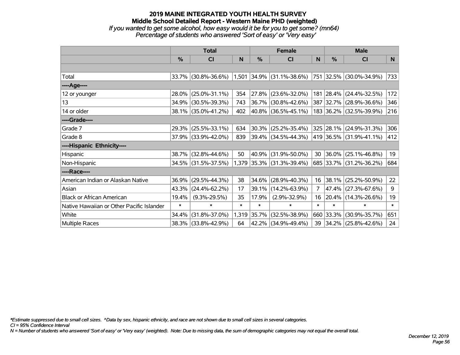### **2019 MAINE INTEGRATED YOUTH HEALTH SURVEY Middle School Detailed Report - Western Maine PHD (weighted)** *If you wanted to get some alcohol, how easy would it be for you to get some? (mn64)*

| Percentage of students who answered 'Sort of easy' or 'Very easy' |  |  |
|-------------------------------------------------------------------|--|--|

|                                           | <b>Total</b>  |                     |        | <b>Female</b> |                                                     |                | <b>Male</b>   |                          |        |
|-------------------------------------------|---------------|---------------------|--------|---------------|-----------------------------------------------------|----------------|---------------|--------------------------|--------|
|                                           | $\frac{9}{6}$ | <b>CI</b>           | N      | %             | <b>CI</b>                                           | N              | $\frac{0}{0}$ | <b>CI</b>                | N.     |
|                                           |               |                     |        |               |                                                     |                |               |                          |        |
| Total                                     |               | 33.7% (30.8%-36.6%) |        |               | $1,501$ 34.9% (31.1%-38.6%) 751 32.5% (30.0%-34.9%) |                |               |                          | 733    |
| ----Age----                               |               |                     |        |               |                                                     |                |               |                          |        |
| 12 or younger                             | 28.0%         | $(25.0\% - 31.1\%)$ | 354    | 27.8%         | $(23.6\% - 32.0\%)$                                 | 181            |               | $ 28.4\% $ (24.4%-32.5%) | 172    |
| 13                                        | 34.9%         | $(30.5\% - 39.3\%)$ | 743    |               | 36.7% (30.8%-42.6%)                                 |                |               | 387 32.7% (28.9%-36.6%)  | 346    |
| 14 or older                               |               | 38.1% (35.0%-41.2%) | 402    |               | $ 40.8\% $ (36.5%-45.1%)                            |                |               | 183 36.2% (32.5%-39.9%)  | 216    |
| ----Grade----                             |               |                     |        |               |                                                     |                |               |                          |        |
| Grade 7                                   | 29.3%         | $(25.5\% - 33.1\%)$ | 634    | 30.3%         | $(25.2\% - 35.4\%)$                                 |                |               | 325 28.1% (24.9%-31.3%)  | 306    |
| Grade 8                                   |               | 37.9% (33.9%-42.0%) | 839    |               | 39.4% (34.5%-44.3%)                                 |                |               | 419 36.5% (31.9%-41.1%)  | 412    |
| ----Hispanic Ethnicity----                |               |                     |        |               |                                                     |                |               |                          |        |
| Hispanic                                  |               | 38.7% (32.8%-44.6%) | 50     | 40.9%         | $(31.9\% - 50.0\%)$                                 | 30             |               | $36.0\%$ (25.1%-46.8%)   | 19     |
| Non-Hispanic                              |               | 34.5% (31.5%-37.5%) |        |               | 1,379 35.3% (31.3%-39.4%)                           |                |               | 685 33.7% (31.2%-36.2%)  | 684    |
| ----Race----                              |               |                     |        |               |                                                     |                |               |                          |        |
| American Indian or Alaskan Native         | 36.9%         | $(29.5\% - 44.3\%)$ | 38     | 34.6%         | $(28.9\% - 40.3\%)$                                 | 16             |               | 38.1% (25.2%-50.9%)      | 22     |
| Asian                                     | 43.3%         | $(24.4\% - 62.2\%)$ | 17     | 39.1%         | $(14.2\% - 63.9\%)$                                 | $\overline{7}$ |               | 47.4% (27.3%-67.6%)      | 9      |
| <b>Black or African American</b>          | 19.4%         | $(9.3\% - 29.5\%)$  | 35     | 17.9%         | $(2.9\% - 32.9\%)$                                  | 16             |               | 20.4% (14.3%-26.6%)      | 19     |
| Native Hawaiian or Other Pacific Islander | $\ast$        | $\ast$              | $\ast$ | $\ast$        | $\ast$                                              | $\ast$         | $\ast$        | $\ast$                   | $\ast$ |
| White                                     | 34.4%         | $(31.8\% - 37.0\%)$ |        | 1,319 35.7%   | $(32.5\% - 38.9\%)$                                 | 660            | 33.3%         | $(30.9\% - 35.7\%)$      | 651    |
| <b>Multiple Races</b>                     |               | 38.3% (33.8%-42.9%) | 64     |               | 42.2% (34.9%-49.4%)                                 | 39             |               | $ 34.2\% $ (25.8%-42.6%) | 24     |

*\*Estimate suppressed due to small cell sizes. ^Data by sex, hispanic ethnicity, and race are not shown due to small cell sizes in several categories.*

*CI = 95% Confidence Interval*

*N = Number of students who answered 'Sort of easy' or 'Very easy' (weighted). Note: Due to missing data, the sum of demographic categories may not equal the overall total.*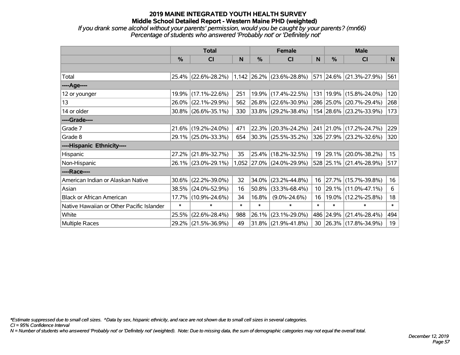*If you drank some alcohol without your parents' permission, would you be caught by your parents? (mn66) Percentage of students who answered 'Probably not' or 'Definitely not'*

|                                           | <b>Total</b>  |                     |        | <b>Female</b> |                                               |        | <b>Male</b>   |                             |                  |  |
|-------------------------------------------|---------------|---------------------|--------|---------------|-----------------------------------------------|--------|---------------|-----------------------------|------------------|--|
|                                           | $\frac{0}{0}$ | <b>CI</b>           | N      | %             | <b>CI</b>                                     | N      | $\frac{0}{0}$ | <b>CI</b>                   | N.               |  |
|                                           |               |                     |        |               |                                               |        |               |                             |                  |  |
| Total                                     |               |                     |        |               | 25.4% (22.6%-28.2%) 1,142 26.2% (23.6%-28.8%) |        |               | 571 24.6% (21.3%-27.9%)     | 561              |  |
| ----Age----                               |               |                     |        |               |                                               |        |               |                             |                  |  |
| 12 or younger                             | 19.9%         | $(17.1\% - 22.6\%)$ | 251    | 19.9%         | $(17.4\% - 22.5\%)$                           |        |               | 131   19.9%   (15.8%-24.0%) | 120              |  |
| 13                                        | 26.0%         | $(22.1\% - 29.9\%)$ | 562    |               | 26.8% (22.6%-30.9%)                           |        |               | 286 25.0% (20.7%-29.4%)     | 268              |  |
| 14 or older                               |               | 30.8% (26.6%-35.1%) | 330    |               | $ 33.8\% $ (29.2%-38.4%)                      |        |               | 154 28.6% (23.2%-33.9%)     | 173              |  |
| ----Grade----                             |               |                     |        |               |                                               |        |               |                             |                  |  |
| Grade 7                                   | 21.6%         | $(19.2\% - 24.0\%)$ | 471    | 22.3%         | $(20.3\% - 24.2\%)$                           |        |               | 241 21.0% (17.2%-24.7%)     | 229              |  |
| Grade 8                                   |               | 29.1% (25.0%-33.3%) | 654    |               | $30.3\%$ (25.5%-35.2%)                        |        |               | 326 27.9% (23.2%-32.6%)     | 320              |  |
| ----Hispanic Ethnicity----                |               |                     |        |               |                                               |        |               |                             |                  |  |
| Hispanic                                  | 27.2%         | $(21.8\% - 32.7\%)$ | 35     | 25.4%         | $(18.2\% - 32.5\%)$                           | 19     |               | 29.1% (20.0%-38.2%)         | 15 <sub>15</sub> |  |
| Non-Hispanic                              |               | 26.1% (23.0%-29.1%) |        |               | 1,052 27.0% (24.0%-29.9%)                     |        |               | 528 25.1% (21.4%-28.9%)     | 517              |  |
| ----Race----                              |               |                     |        |               |                                               |        |               |                             |                  |  |
| American Indian or Alaskan Native         | 30.6%         | $(22.2\% - 39.0\%)$ | 32     | 34.0%         | $(23.2\% - 44.8\%)$                           | 16     |               | 27.7% (15.7%-39.8%)         | 16               |  |
| Asian                                     | 38.5%         | $(24.0\% - 52.9\%)$ | 16     | 50.8%         | $(33.3\% - 68.4\%)$                           | 10     | $ 29.1\% $    | $(11.0\% - 47.1\%)$         | 6                |  |
| <b>Black or African American</b>          |               | 17.7% (10.9%-24.6%) | 34     | 16.8%         | $(9.0\% - 24.6\%)$                            | 16     |               | 19.0% (12.2%-25.8%)         | 18               |  |
| Native Hawaiian or Other Pacific Islander | $\ast$        | $\ast$              | $\ast$ | $\ast$        | $\ast$                                        | $\ast$ | $\ast$        | $\ast$                      | $\ast$           |  |
| White                                     | 25.5%         | $(22.6\% - 28.4\%)$ | 988    | 26.1%         | $(23.1\% - 29.0\%)$                           |        | 486 24.9%     | $(21.4\% - 28.4\%)$         | 494              |  |
| Multiple Races                            |               | 29.2% (21.5%-36.9%) | 49     | 31.8%         | $(21.9\% - 41.8\%)$                           | 30     |               | 26.3% (17.8%-34.9%)         | 19               |  |

*\*Estimate suppressed due to small cell sizes. ^Data by sex, hispanic ethnicity, and race are not shown due to small cell sizes in several categories.*

*CI = 95% Confidence Interval*

*N = Number of students who answered 'Probably not' or 'Definitely not' (weighted). Note: Due to missing data, the sum of demographic categories may not equal the overall total.*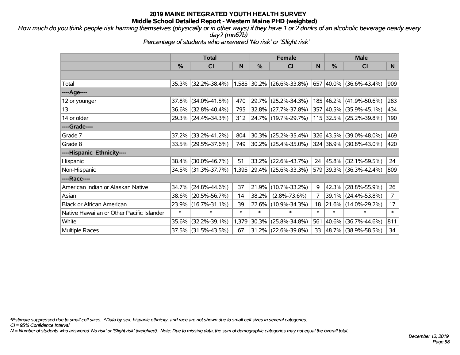*How much do you think people risk harming themselves (physically or in other ways) if they have 1 or 2 drinks of an alcoholic beverage nearly every day? (mn67b)*

*Percentage of students who answered 'No risk' or 'Slight risk'*

|                                           | <b>Total</b> |                     |        |        | <b>Female</b>             |        | <b>Male</b>   |                          |                |  |
|-------------------------------------------|--------------|---------------------|--------|--------|---------------------------|--------|---------------|--------------------------|----------------|--|
|                                           | %            | C <sub>l</sub>      | N      | %      | <b>CI</b>                 | N      | $\frac{0}{0}$ | <b>CI</b>                | N              |  |
|                                           |              |                     |        |        |                           |        |               |                          |                |  |
| Total                                     | 35.3%        | $(32.2\% - 38.4\%)$ |        |        | 1,585 30.2% (26.6%-33.8%) | 657    |               | $ 40.0\% $ (36.6%-43.4%) | 909            |  |
| ----Age----                               |              |                     |        |        |                           |        |               |                          |                |  |
| 12 or younger                             | 37.8%        | $(34.0\% - 41.5\%)$ | 470    | 29.7%  | $(25.2\% - 34.3\%)$       |        |               | 185 46.2% (41.9%-50.6%)  | 283            |  |
| 13                                        | 36.6%        | $(32.8\% - 40.4\%)$ | 795    |        | $32.8\%$ (27.7%-37.8%)    |        |               | 357 40.5% (35.9%-45.1%)  | 434            |  |
| 14 or older                               |              | 29.3% (24.4%-34.3%) | 312    |        | 24.7% (19.7%-29.7%)       |        |               | 115 32.5% (25.2%-39.8%)  | 190            |  |
| ----Grade----                             |              |                     |        |        |                           |        |               |                          |                |  |
| Grade 7                                   | 37.2%        | $(33.2\% - 41.2\%)$ | 804    | 30.3%  | $(25.2\% - 35.4\%)$       |        | 326 43.5%     | $(39.0\% - 48.0\%)$      | 469            |  |
| Grade 8                                   |              | 33.5% (29.5%-37.6%) | 749    |        | $30.2\%$ (25.4%-35.0%)    |        |               | 324 36.9% (30.8%-43.0%)  | 420            |  |
| ----Hispanic Ethnicity----                |              |                     |        |        |                           |        |               |                          |                |  |
| Hispanic                                  | 38.4%        | $(30.0\% - 46.7\%)$ | 51     | 33.2%  | $(22.6\% - 43.7\%)$       | 24     |               | 45.8%   (32.1%-59.5%)    | 24             |  |
| Non-Hispanic                              |              | 34.5% (31.3%-37.7%) |        |        | 1,395 29.4% (25.6%-33.3%) |        |               | 579 39.3% (36.3%-42.4%)  | 809            |  |
| ----Race----                              |              |                     |        |        |                           |        |               |                          |                |  |
| American Indian or Alaskan Native         | 34.7%        | $(24.8\% - 44.6\%)$ | 37     | 21.9%  | $(10.7\% - 33.2\%)$       | 9      | 42.3%         | $(28.8\% - 55.9\%)$      | 26             |  |
| Asian                                     | 38.6%        | $(20.5\% - 56.7\%)$ | 14     | 38.2%  | $(2.8\% - 73.6\%)$        | 7      |               | 39.1% (24.4%-53.8%)      | $\overline{7}$ |  |
| <b>Black or African American</b>          | 23.9%        | $(16.7\% - 31.1\%)$ | 39     | 22.6%  | $(10.9\% - 34.3\%)$       | 18     |               | 21.6% (14.0%-29.2%)      | 17             |  |
| Native Hawaiian or Other Pacific Islander | $\pmb{\ast}$ | $\ast$              | $\ast$ | $\ast$ | $\ast$                    | $\ast$ | $\ast$        | $\ast$                   | $\pmb{\ast}$   |  |
| White                                     | 35.6%        | $(32.2\% - 39.1\%)$ | 1,379  | 30.3%  | $(25.8\% - 34.8\%)$       | 561    | 40.6%         | $(36.7\% - 44.6\%)$      | 811            |  |
| <b>Multiple Races</b>                     | 37.5%        | $(31.5\% - 43.5\%)$ | 67     | 31.2%  | $(22.6\% - 39.8\%)$       | 33     |               | 48.7% (38.9%-58.5%)      | 34             |  |

*\*Estimate suppressed due to small cell sizes. ^Data by sex, hispanic ethnicity, and race are not shown due to small cell sizes in several categories.*

*CI = 95% Confidence Interval*

*N = Number of students who answered 'No risk' or 'Slight risk' (weighted). Note: Due to missing data, the sum of demographic categories may not equal the overall total.*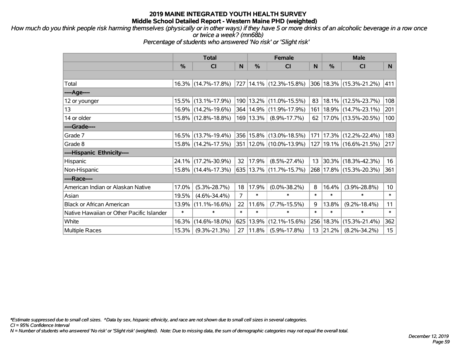*How much do you think people risk harming themselves (physically or in other ways) if they have 5 or more drinks of an alcoholic beverage in a row once or twice a week? (mn68b)*

*Percentage of students who answered 'No risk' or 'Slight risk'*

|                                           | <b>Total</b>  |                                                      |                | <b>Female</b> |                             |        | <b>Male</b> |                             |                  |  |
|-------------------------------------------|---------------|------------------------------------------------------|----------------|---------------|-----------------------------|--------|-------------|-----------------------------|------------------|--|
|                                           | $\frac{0}{0}$ | <b>CI</b>                                            | N              | $\frac{9}{6}$ | <b>CI</b>                   | N      | %           | <b>CI</b>                   | N.               |  |
|                                           |               |                                                      |                |               |                             |        |             |                             |                  |  |
| Total                                     |               | $16.3\%$ (14.7%-17.8%)   727   14.1%   (12.3%-15.8%) |                |               |                             |        |             | 306 18.3% (15.3%-21.2%)     | 411              |  |
| ----Age----                               |               |                                                      |                |               |                             |        |             |                             |                  |  |
| 12 or younger                             |               | 15.5% (13.1%-17.9%)                                  |                |               | 190   13.2%   (11.0%-15.5%) | 83     | 18.1%       | $(12.5\% - 23.7\%)$         | 108              |  |
| 13                                        |               | 16.9% (14.2%-19.6%)                                  |                |               | 364   14.9%   (11.9%-17.9%) | 161    |             | 18.9% (14.7%-23.1%)         | 201              |  |
| 14 or older                               |               | 15.8% (12.8%-18.8%)                                  |                | $169$   13.3% | $(8.9\% - 17.7\%)$          | 62     |             | 17.0% (13.5%-20.5%)         | 100              |  |
| ----Grade----                             |               |                                                      |                |               |                             |        |             |                             |                  |  |
| Grade 7                                   |               | 16.5% (13.7%-19.4%)                                  |                |               | 356 15.8% (13.0%-18.5%)     | 171    | 17.3%       | $(12.2\% - 22.4\%)$         | 183              |  |
| Grade 8                                   |               | 15.8% (14.2%-17.5%)                                  |                |               | 351 12.0% (10.0%-13.9%)     |        |             | 127   19.1%   (16.6%-21.5%) | 217              |  |
| ----Hispanic Ethnicity----                |               |                                                      |                |               |                             |        |             |                             |                  |  |
| Hispanic                                  |               | 24.1% (17.2%-30.9%)                                  | 32             | 17.9%         | $(8.5\% - 27.4\%)$          | 13     | 30.3%       | $(18.3\% - 42.3\%)$         | 16               |  |
| Non-Hispanic                              |               | 15.8% (14.4%-17.3%)                                  |                |               | 635 13.7% (11.7%-15.7%)     |        |             | 268 17.8% (15.3%-20.3%)     | 361              |  |
| ----Race----                              |               |                                                      |                |               |                             |        |             |                             |                  |  |
| American Indian or Alaskan Native         | 17.0%         | $(5.3\% - 28.7\%)$                                   | 18             | 17.9%         | $(0.0\% - 38.2\%)$          | 8      | 16.4%       | $(3.9\% - 28.8\%)$          | 10 <sup>°</sup>  |  |
| Asian                                     | 19.5%         | $(4.6\% - 34.4\%)$                                   | $\overline{7}$ | $\ast$        | $\ast$                      | $\ast$ | $\ast$      | $\ast$                      | $\ast$           |  |
| <b>Black or African American</b>          | $13.9\%$      | $(11.1\% - 16.6\%)$                                  | 22             | 11.6%         | $(7.7\% - 15.5\%)$          | 9      | 13.8%       | $(9.2\% - 18.4\%)$          | 11               |  |
| Native Hawaiian or Other Pacific Islander | $\ast$        | $\ast$                                               | $\ast$         | $\ast$        | $\ast$                      | $\ast$ | $\ast$      | $\ast$                      | $\ast$           |  |
| White                                     | 16.3%         | $(14.6\% - 18.0\%)$                                  | 625            | 13.9%         | $(12.1\% - 15.6\%)$         | 256    | 18.3%       | $(15.3\% - 21.4\%)$         | 362              |  |
| <b>Multiple Races</b>                     | 15.3%         | $(9.3\% - 21.3\%)$                                   | 27             | 11.8%         | $(5.9\% - 17.8\%)$          |        | 13 21.2%    | $(8.2\% - 34.2\%)$          | 15 <sub>15</sub> |  |

*\*Estimate suppressed due to small cell sizes. ^Data by sex, hispanic ethnicity, and race are not shown due to small cell sizes in several categories.*

*CI = 95% Confidence Interval*

*N = Number of students who answered 'No risk' or 'Slight risk' (weighted). Note: Due to missing data, the sum of demographic categories may not equal the overall total.*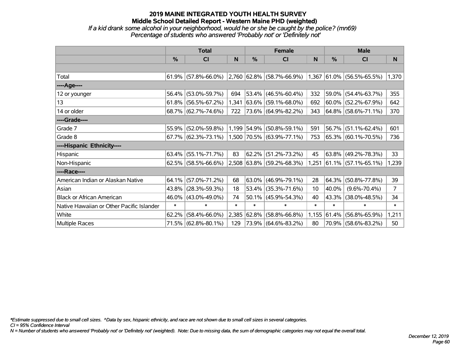*If a kid drank some alcohol in your neighborhood, would he or she be caught by the police? (mn69) Percentage of students who answered 'Probably not' or 'Definitely not'*

|                                           | <b>Total</b> |                        |        |             | <b>Female</b>                                                                                       |        | <b>Male</b> |                          |                |  |
|-------------------------------------------|--------------|------------------------|--------|-------------|-----------------------------------------------------------------------------------------------------|--------|-------------|--------------------------|----------------|--|
|                                           | $\%$         | <b>CI</b>              | N      | %           | <b>CI</b>                                                                                           | N      | %           | <b>CI</b>                | N              |  |
|                                           |              |                        |        |             |                                                                                                     |        |             |                          |                |  |
| Total                                     |              | 61.9% (57.8%-66.0%)    |        |             | $\vert 2.760 \vert 62.8\% \vert (58.7\% - 66.9\%) \vert 1.367 \vert 61.0\% \vert (56.5\% - 65.5\%)$ |        |             |                          | 1,370          |  |
| ----Age----                               |              |                        |        |             |                                                                                                     |        |             |                          |                |  |
| 12 or younger                             | 56.4%        | $(53.0\% - 59.7\%)$    | 694    |             | $53.4\%$ (46.5%-60.4%)                                                                              | 332    | 59.0%       | $(54.4\% - 63.7\%)$      | 355            |  |
| 13                                        |              | $61.8\%$ (56.5%-67.2%) | 1,341  |             | 63.6% (59.1%-68.0%)                                                                                 | 692    |             | $60.0\%$ (52.2%-67.9%)   | 642            |  |
| 14 or older                               |              | 68.7% (62.7%-74.6%)    | 722    |             | 73.6% (64.9%-82.2%)                                                                                 | 343    |             | $ 64.8\% $ (58.6%-71.1%) | 370            |  |
| ----Grade----                             |              |                        |        |             |                                                                                                     |        |             |                          |                |  |
| Grade 7                                   | 55.9%        | $(52.0\% - 59.8\%)$    |        | 1,199 54.9% | $(50.8\% - 59.1\%)$                                                                                 | 591    | 56.7%       | $(51.1\% - 62.4\%)$      | 601            |  |
| Grade 8                                   |              | $67.7\%$ (62.3%-73.1%) |        |             | 1,500 70.5% (63.9%-77.1%)                                                                           | 753    |             | 65.3% (60.1%-70.5%)      | 736            |  |
| ----Hispanic Ethnicity----                |              |                        |        |             |                                                                                                     |        |             |                          |                |  |
| Hispanic                                  | 63.4%        | $(55.1\% - 71.7\%)$    | 83     | 62.2%       | $(51.2\% - 73.2\%)$                                                                                 | 45     | 63.8%       | $(49.2\% - 78.3\%)$      | 33             |  |
| Non-Hispanic                              |              | 62.5% (58.5%-66.6%)    |        |             | 2,508 63.8% (59.2%-68.3%)                                                                           | 1,251  |             | $ 61.1\% $ (57.1%-65.1%) | 1,239          |  |
| ----Race----                              |              |                        |        |             |                                                                                                     |        |             |                          |                |  |
| American Indian or Alaskan Native         | 64.1%        | $(57.0\% - 71.2\%)$    | 68     |             | $63.0\%$ (46.9%-79.1%)                                                                              | 28     | 64.3%       | $(50.8\% - 77.8\%)$      | 39             |  |
| Asian                                     | 43.8%        | $(28.3\% - 59.3\%)$    | 18     |             | 53.4% (35.3%-71.6%)                                                                                 | 10     | 40.0%       | $(9.6\% - 70.4\%)$       | $\overline{7}$ |  |
| <b>Black or African American</b>          | 46.0%        | $(43.0\% - 49.0\%)$    | 74     |             | $50.1\%$ (45.9%-54.3%)                                                                              | 40     | 43.3%       | $(38.0\% - 48.5\%)$      | 34             |  |
| Native Hawaiian or Other Pacific Islander | $\ast$       | $\ast$                 | $\ast$ | $\ast$      | $\ast$                                                                                              | $\ast$ | $\ast$      | $\ast$                   | $\ast$         |  |
| White                                     | 62.2%        | $(58.4\% - 66.0\%)$    | 2,385  | 62.8%       | $(58.8\% - 66.8\%)$                                                                                 | 1,155  | 61.4%       | $(56.8\% - 65.9\%)$      | 1,211          |  |
| <b>Multiple Races</b>                     |              | 71.5% (62.8%-80.1%)    | 129    |             | 73.9% (64.6%-83.2%)                                                                                 | 80     |             | 70.9% (58.6%-83.2%)      | 50             |  |

*\*Estimate suppressed due to small cell sizes. ^Data by sex, hispanic ethnicity, and race are not shown due to small cell sizes in several categories.*

*CI = 95% Confidence Interval*

*N = Number of students who answered 'Probably not' or 'Definitely not' (weighted). Note: Due to missing data, the sum of demographic categories may not equal the overall total.*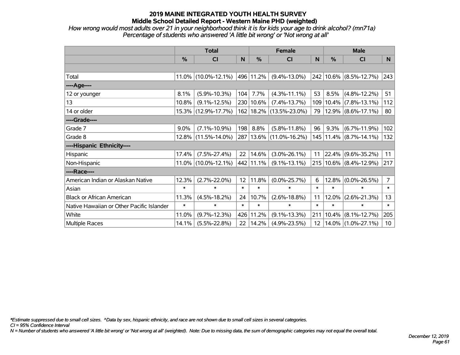*How wrong would most adults over 21 in your neighborhood think it is for kids your age to drink alcohol? (mn71a) Percentage of students who answered 'A little bit wrong' or 'Not wrong at all'*

|                                           | <b>Total</b>  |                        |        |           | <b>Female</b>               | <b>Male</b>       |           |                            |                 |
|-------------------------------------------|---------------|------------------------|--------|-----------|-----------------------------|-------------------|-----------|----------------------------|-----------------|
|                                           | $\frac{0}{0}$ | <b>CI</b>              | N      | %         | <b>CI</b>                   | N                 | $\%$      | <b>CI</b>                  | N               |
|                                           |               |                        |        |           |                             |                   |           |                            |                 |
| Total                                     |               | $11.0\%$ (10.0%-12.1%) |        | 496 11.2% | $(9.4\% - 13.0\%)$          |                   |           | 242 10.6% (8.5%-12.7%)     | 243             |
| ----Age----                               |               |                        |        |           |                             |                   |           |                            |                 |
| 12 or younger                             | 8.1%          | $(5.9\% - 10.3\%)$     | 104    | 7.7%      | $(4.3\% - 11.1\%)$          | 53                | 8.5%      | $(4.8\% - 12.2\%)$         | 51              |
| 13                                        | 10.8%         | $(9.1\% - 12.5\%)$     |        | 230 10.6% | $(7.4\% - 13.7\%)$          |                   | 109 10.4% | $(7.8\% - 13.1\%)$         | 112             |
| 14 or older                               |               | 15.3% (12.9%-17.7%)    |        |           | 162   18.2%   (13.5%-23.0%) | 79                |           | $ 12.9\% $ (8.6%-17.1%)    | 80              |
| ----Grade----                             |               |                        |        |           |                             |                   |           |                            |                 |
| Grade 7                                   | 9.0%          | $(7.1\% - 10.9\%)$     | 198    | 8.8%      | $(5.8\% - 11.8\%)$          | 96                | 9.3%      | $(6.7\% - 11.9\%)$         | 102             |
| Grade 8                                   | 12.8%         | $(11.5\% - 14.0\%)$    |        |           | 287   13.6%   (11.0%-16.2%) |                   |           | 145   11.4%   (8.7%-14.1%) | 132             |
| ----Hispanic Ethnicity----                |               |                        |        |           |                             |                   |           |                            |                 |
| Hispanic                                  | 17.4%         | $(7.5\% - 27.4\%)$     | 22     | 14.6%     | $(3.0\% - 26.1\%)$          | 11                | 22.4%     | $(9.6\% - 35.2\%)$         | 11              |
| Non-Hispanic                              |               | $11.0\%$ (10.0%-12.1%) |        | 442 11.1% | $(9.1\% - 13.1\%)$          |                   |           | $215 10.6\% $ (8.4%-12.9%) | 217             |
| ----Race----                              |               |                        |        |           |                             |                   |           |                            |                 |
| American Indian or Alaskan Native         | 12.3%         | $(2.7\% - 22.0\%)$     | 12     | 11.8%     | $(0.0\% - 25.7\%)$          | 6                 | 12.8%     | $(0.0\% - 26.5\%)$         | $\overline{7}$  |
| Asian                                     | $\ast$        | $\ast$                 | $\ast$ | $\ast$    | $\ast$                      | $\ast$            | $\ast$    | $\ast$                     | $\ast$          |
| <b>Black or African American</b>          | 11.3%         | $(4.5\% - 18.2\%)$     | 24     | 10.7%     | $(2.6\% - 18.8\%)$          | 11                | 12.0%     | $(2.6\% - 21.3\%)$         | 13              |
| Native Hawaiian or Other Pacific Islander | $\ast$        | $\ast$                 | $\ast$ | $\ast$    | $\ast$                      | $\ast$            | $\ast$    | $\ast$                     | $\ast$          |
| White                                     | 11.0%         | $(9.7\% - 12.3\%)$     | 426    | 11.2%     | $(9.1\% - 13.3\%)$          | 211               | 10.4%     | $(8.1\% - 12.7\%)$         | 205             |
| Multiple Races                            | 14.1%         | $(5.5\% - 22.8\%)$     | 22     | 14.2%     | $(4.9\% - 23.5\%)$          | $12 \overline{ }$ |           | $14.0\%$ (1.0%-27.1%)      | 10 <sup>°</sup> |

*\*Estimate suppressed due to small cell sizes. ^Data by sex, hispanic ethnicity, and race are not shown due to small cell sizes in several categories.*

*CI = 95% Confidence Interval*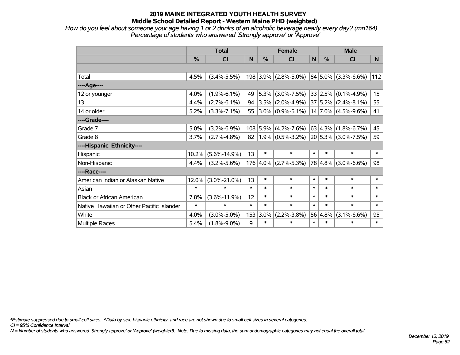*How do you feel about someone your age having 1 or 2 drinks of an alcoholic beverage nearly every day? (mn164) Percentage of students who answered 'Strongly approve' or 'Approve'*

|                                           | <b>Total</b> |                    |        |            | <b>Female</b>                                     |        | <b>Male</b>  |                              |                 |  |
|-------------------------------------------|--------------|--------------------|--------|------------|---------------------------------------------------|--------|--------------|------------------------------|-----------------|--|
|                                           | %            | <b>CI</b>          | N      | %          | <b>CI</b>                                         | N      | %            | <b>CI</b>                    | N.              |  |
|                                           |              |                    |        |            |                                                   |        |              |                              |                 |  |
| Total                                     | 4.5%         | $(3.4\% - 5.5\%)$  |        |            | $198$ 3.9% (2.8%-5.0%)                            |        |              | $ 84 5.0\% $ (3.3%-6.6%)     | 112             |  |
| ----Age----                               |              |                    |        |            |                                                   |        |              |                              |                 |  |
| 12 or younger                             | 4.0%         | $(1.9\% - 6.1\%)$  | 49     | 5.3%       | $(3.0\% - 7.5\%)$                                 |        |              | $ 33 2.5\% $ (0.1%-4.9%)     | 15 <sub>1</sub> |  |
| 13                                        | 4.4%         | $(2.7\% - 6.1\%)$  | 94     |            | $ 3.5\% $ (2.0%-4.9%)                             |        |              | $ 37 5.2\% $ (2.4%-8.1%)     | 55              |  |
| 14 or older                               | 5.2%         | $(3.3\% - 7.1\%)$  | 55     |            | $3.0\%$ (0.9%-5.1%)                               |        |              | $ 14 7.0\% $ (4.5%-9.6%)     | 41              |  |
| ----Grade----                             |              |                    |        |            |                                                   |        |              |                              |                 |  |
| Grade 7                                   | 5.0%         | $(3.2\% - 6.9\%)$  |        | $108$ 5.9% | $(4.2\% - 7.6\%)$                                 |        |              | $ 63 4.3\%  (1.8\% - 6.7\%)$ | 45              |  |
| Grade 8                                   | 3.7%         | $(2.7\% - 4.8\%)$  | 82     |            | $(1.9\% (0.5\% - 3.2\%) 20 5.3\% (3.0\% - 7.5\%)$ |        |              |                              | 59              |  |
| ----Hispanic Ethnicity----                |              |                    |        |            |                                                   |        |              |                              |                 |  |
| Hispanic                                  | 10.2%        | $(5.6\% - 14.9\%)$ | 13     | $\ast$     | $\ast$                                            | $\ast$ | $\ast$       | $\ast$                       | $\ast$          |  |
| Non-Hispanic                              | 4.4%         | $(3.2\% - 5.6\%)$  |        | 176 4.0%   | $(2.7\% - 5.3\%)$                                 |        | $ 78 4.8\% $ | $(3.0\% - 6.6\%)$            | 98              |  |
| ----Race----                              |              |                    |        |            |                                                   |        |              |                              |                 |  |
| American Indian or Alaskan Native         | 12.0%        | $(3.0\% - 21.0\%)$ | 13     | $\ast$     | $\ast$                                            | $\ast$ | $\ast$       | $\ast$                       | $\ast$          |  |
| Asian                                     | $\ast$       | $\ast$             | $\ast$ | $\ast$     | $\ast$                                            | $\ast$ | $\ast$       | $\ast$                       | $\ast$          |  |
| <b>Black or African American</b>          | 7.8%         | $(3.6\% - 11.9\%)$ | 12     | $\ast$     | $\ast$                                            | $\ast$ | $\ast$       | $\ast$                       | $\ast$          |  |
| Native Hawaiian or Other Pacific Islander | $\ast$       | $\ast$             | $\ast$ | $\ast$     | $\ast$                                            | $\ast$ | $\ast$       | $\ast$                       | $\ast$          |  |
| White                                     | 4.0%         | $(3.0\% - 5.0\%)$  |        | 153 3.0%   | $(2.2\% - 3.8\%)$                                 |        | 56 4.8%      | $(3.1\% - 6.6\%)$            | 95              |  |
| Multiple Races                            | 5.4%         | $(1.8\% - 9.0\%)$  | 9      | $\ast$     | $\ast$                                            | $\ast$ | $\ast$       | $\ast$                       | $\ast$          |  |

*\*Estimate suppressed due to small cell sizes. ^Data by sex, hispanic ethnicity, and race are not shown due to small cell sizes in several categories.*

*CI = 95% Confidence Interval*

*N = Number of students who answered 'Strongly approve' or 'Approve' (weighted). Note: Due to missing data, the sum of demographic categories may not equal the overall total.*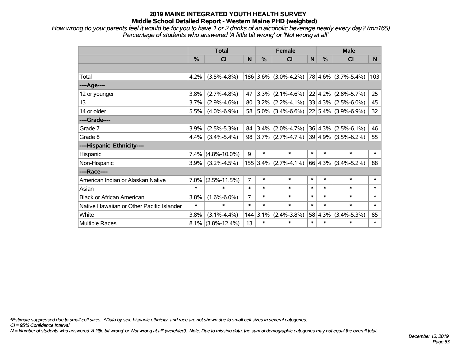*How wrong do your parents feel it would be for you to have 1 or 2 drinks of an alcoholic beverage nearly every day? (mn165) Percentage of students who answered 'A little bit wrong' or 'Not wrong at all'*

|                                           | <b>Total</b> |                      |                |            | <b>Female</b>                                  |        | <b>Male</b> |                                |        |  |
|-------------------------------------------|--------------|----------------------|----------------|------------|------------------------------------------------|--------|-------------|--------------------------------|--------|--|
|                                           | %            | CI                   | N              | %          | <b>CI</b>                                      | N      | %           | <b>CI</b>                      | N.     |  |
|                                           |              |                      |                |            |                                                |        |             |                                |        |  |
| Total                                     | 4.2%         | $(3.5\% - 4.8\%)$    |                |            | $186$ 3.6% (3.0%-4.2%)                         |        |             | $78 4.6\% $ (3.7%-5.4%)        | 103    |  |
| ---- Age----                              |              |                      |                |            |                                                |        |             |                                |        |  |
| 12 or younger                             | 3.8%         | $(2.7\% - 4.8\%)$    | 47             | $3.3\%$    | $(2.1\% - 4.6\%)$                              |        |             | $22   4.2\%   (2.8\% - 5.7\%)$ | 25     |  |
| 13                                        | 3.7%         | $(2.9\% - 4.6\%)$    | 80             |            | $3.2\%$ (2.2%-4.1%)                            |        |             | $ 33 4.3\% $ (2.5%-6.0%)       | 45     |  |
| 14 or older                               | 5.5%         | $(4.0\% - 6.9\%)$    | 58             |            | $ 5.0\% $ (3.4%-6.6%)                          |        |             | $22 5.4\% $ (3.9%-6.9%)        | 32     |  |
| ----Grade----                             |              |                      |                |            |                                                |        |             |                                |        |  |
| Grade 7                                   | 3.9%         | $(2.5\% - 5.3\%)$    | 84             |            | $ 3.4\% $ (2.0%-4.7%)                          |        |             | $ 36 4.3\% $ (2.5%-6.1%)       | 46     |  |
| Grade 8                                   | 4.4%         | $(3.4\% - 5.4\%)$    | 98             |            | $ 3.7\% $ (2.7%-4.7%) $ 39 4.9\% $ (3.5%-6.2%) |        |             |                                | 55     |  |
| ----Hispanic Ethnicity----                |              |                      |                |            |                                                |        |             |                                |        |  |
| Hispanic                                  | 7.4%         | $(4.8\% - 10.0\%)$   | 9              | $\ast$     | $\ast$                                         | $\ast$ | $\ast$      | $\ast$                         | $\ast$ |  |
| Non-Hispanic                              | 3.9%         | $(3.2\% - 4.5\%)$    |                | $155$ 3.4% | $(2.7\% - 4.1\%)$                              |        | 66 4.3%     | $(3.4\% - 5.2\%)$              | 88     |  |
| ----Race----                              |              |                      |                |            |                                                |        |             |                                |        |  |
| American Indian or Alaskan Native         | 7.0%         | $(2.5\% - 11.5\%)$   | $\overline{7}$ | $\ast$     | $\ast$                                         | $\ast$ | $\ast$      | $\ast$                         | $\ast$ |  |
| Asian                                     | $\ast$       | $\ast$               | $\ast$         | $\ast$     | $\ast$                                         | $\ast$ | $\ast$      | $\ast$                         | $\ast$ |  |
| <b>Black or African American</b>          | 3.8%         | $(1.6\% - 6.0\%)$    | 7              | $\ast$     | $\ast$                                         | $\ast$ | $\ast$      | $\ast$                         | $\ast$ |  |
| Native Hawaiian or Other Pacific Islander | $\ast$       | $\ast$               | $\ast$         | $\ast$     | $\ast$                                         | $\ast$ | $\ast$      | $\ast$                         | $\ast$ |  |
| White                                     | 3.8%         | $(3.1\% - 4.4\%)$    | 144            | 3.1%       | $(2.4\% - 3.8\%)$                              |        | 58 4.3%     | $(3.4\% - 5.3\%)$              | 85     |  |
| <b>Multiple Races</b>                     |              | $8.1\%$ (3.8%-12.4%) | 13             | $\ast$     | $\ast$                                         | $\ast$ | $\ast$      | $\ast$                         | $\ast$ |  |

*\*Estimate suppressed due to small cell sizes. ^Data by sex, hispanic ethnicity, and race are not shown due to small cell sizes in several categories.*

*CI = 95% Confidence Interval*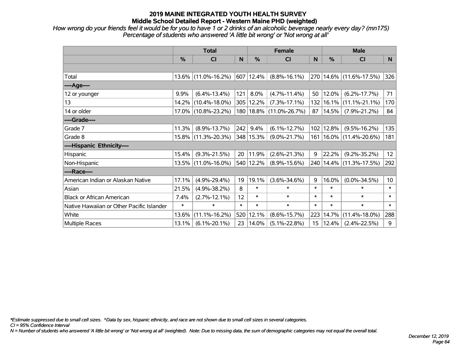*How wrong do your friends feel it would be for you to have 1 or 2 drinks of an alcoholic beverage nearly every day? (mn175) Percentage of students who answered 'A little bit wrong' or 'Not wrong at all'*

|                                           | <b>Total</b> |                        |        |                | <b>Female</b>               |                 | <b>Male</b> |                         |                 |  |
|-------------------------------------------|--------------|------------------------|--------|----------------|-----------------------------|-----------------|-------------|-------------------------|-----------------|--|
|                                           | %            | CI                     | N      | %              | <b>CI</b>                   | N               | %           | <b>CI</b>               | N               |  |
|                                           |              |                        |        |                |                             |                 |             |                         |                 |  |
| Total                                     |              | $13.6\%$ (11.0%-16.2%) |        | $ 607 12.4\% $ | $(8.8\% - 16.1\%)$          |                 |             | 270 14.6% (11.6%-17.5%) | 326             |  |
| ----Age----                               |              |                        |        |                |                             |                 |             |                         |                 |  |
| 12 or younger                             | 9.9%         | $(6.4\% - 13.4\%)$     | 121    | 8.0%           | $(4.7\% - 11.4\%)$          | 50              | 12.0%       | $(6.2\% - 17.7\%)$      | 71              |  |
| 13                                        | 14.2%        | $(10.4\% - 18.0\%)$    |        | 305 12.2%      | $(7.3\% - 17.1\%)$          | 132             | 16.1%       | $(11.1\% - 21.1\%)$     | 170             |  |
| 14 or older                               |              | 17.0% (10.8%-23.2%)    |        |                | 180   18.8%   (11.0%-26.7%) | 87              | 14.5%       | $(7.9\% - 21.2\%)$      | 84              |  |
| ----Grade----                             |              |                        |        |                |                             |                 |             |                         |                 |  |
| Grade 7                                   | 11.3%        | $(8.9\% - 13.7\%)$     | 242    | 9.4%           | $(6.1\% - 12.7\%)$          | 102             | 12.8%       | $(9.5\% - 16.2\%)$      | 135             |  |
| Grade 8                                   |              | 15.8% (11.3%-20.3%)    |        | 348 15.3%      | $(9.0\% - 21.7\%)$          | 161             |             | $16.0\%$ (11.4%-20.6%)  | 181             |  |
| ----Hispanic Ethnicity----                |              |                        |        |                |                             |                 |             |                         |                 |  |
| Hispanic                                  | 15.4%        | $(9.3\% - 21.5\%)$     | 20     | 11.9%          | $(2.6\% - 21.3\%)$          | 9               | 22.2%       | $(9.2\% - 35.2\%)$      | 12              |  |
| Non-Hispanic                              |              | 13.5% (11.0%-16.0%)    |        | 540 12.2%      | $(8.9\% - 15.6\%)$          | 240             |             | $14.4\%$ (11.3%-17.5%)  | 292             |  |
| ----Race----                              |              |                        |        |                |                             |                 |             |                         |                 |  |
| American Indian or Alaskan Native         | 17.1%        | $(4.9\% - 29.4\%)$     | 19     | 19.1%          | $(3.6\% - 34.6\%)$          | 9               | 16.0%       | $(0.0\% - 34.5\%)$      | 10 <sup>°</sup> |  |
| Asian                                     | 21.5%        | $(4.9\% - 38.2\%)$     | 8      | $\ast$         | $\ast$                      | $\ast$          | $\ast$      | $\ast$                  | $\ast$          |  |
| <b>Black or African American</b>          | 7.4%         | $(2.7\% - 12.1\%)$     | 12     | $\ast$         | $\ast$                      | $\ast$          | $\ast$      | $\ast$                  | $\ast$          |  |
| Native Hawaiian or Other Pacific Islander | $\ast$       | ∗                      | $\ast$ | $\ast$         | $\ast$                      | $\ast$          | $\ast$      | $\ast$                  | $\ast$          |  |
| White                                     | 13.6%        | $(11.1\% - 16.2\%)$    |        | 520 12.1%      | $(8.6\% - 15.7\%)$          | 223             | 14.7%       | $(11.4\% - 18.0\%)$     | 288             |  |
| Multiple Races                            | 13.1%        | $(6.1\% - 20.1\%)$     | 23     | 14.0%          | $(5.1\% - 22.8\%)$          | 15 <sub>1</sub> | 12.4%       | $(2.4\% - 22.5\%)$      | 9               |  |

*\*Estimate suppressed due to small cell sizes. ^Data by sex, hispanic ethnicity, and race are not shown due to small cell sizes in several categories.*

*CI = 95% Confidence Interval*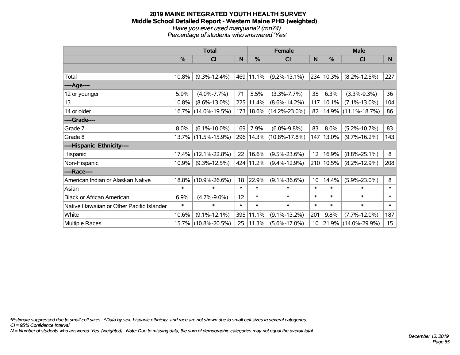#### **2019 MAINE INTEGRATED YOUTH HEALTH SURVEY Middle School Detailed Report - Western Maine PHD (weighted)** *Have you ever used marijuana? (mn74) Percentage of students who answered 'Yes'*

|                                           | <b>Total</b> |                     |              |               | <b>Female</b>               | <b>Male</b>     |           |                        |        |
|-------------------------------------------|--------------|---------------------|--------------|---------------|-----------------------------|-----------------|-----------|------------------------|--------|
|                                           | %            | C <sub>l</sub>      | $\mathsf{N}$ | $\frac{0}{0}$ | CI                          | N               | %         | <b>CI</b>              | N      |
|                                           |              |                     |              |               |                             |                 |           |                        |        |
| Total                                     | 10.8%        | $(9.3\% - 12.4\%)$  |              | 469 11.1%     | $(9.2\% - 13.1\%)$          | 234             | 10.3%     | $(8.2\% - 12.5\%)$     | 227    |
| ----Age----                               |              |                     |              |               |                             |                 |           |                        |        |
| 12 or younger                             | 5.9%         | $(4.0\% - 7.7\%)$   | 71           | 5.5%          | $(3.3\% -7.7\%)$            | 35              | 6.3%      | $(3.3\% - 9.3\%)$      | 36     |
| 13                                        | 10.8%        | $(8.6\% - 13.0\%)$  |              | 225   11.4%   | $(8.6\% - 14.2\%)$          | 117             | 10.1%     | $(7.1\% - 13.0\%)$     | 104    |
| 14 or older                               |              | 16.7% (14.0%-19.5%) |              |               | 173   18.6%   (14.2%-23.0%) | 82              |           | $14.9\%$ (11.1%-18.7%) | 86     |
| ----Grade----                             |              |                     |              |               |                             |                 |           |                        |        |
| Grade 7                                   | 8.0%         | $(6.1\% - 10.0\%)$  | 169          | 7.9%          | $(6.0\% - 9.8\%)$           | 83              | 8.0%      | $(5.2\% - 10.7\%)$     | 83     |
| Grade 8                                   | $13.7\%$     | $(11.5\% - 15.9\%)$ |              |               | 296   14.3%   (10.8%-17.8%) | 147             | 13.0%     | $(9.7\% - 16.2\%)$     | 143    |
| ----Hispanic Ethnicity----                |              |                     |              |               |                             |                 |           |                        |        |
| Hispanic                                  | 17.4%        | $(12.1\% - 22.8\%)$ | 22           | 16.6%         | $(9.5\% - 23.6\%)$          | 12              | 16.9%     | $(8.8\% - 25.1\%)$     | 8      |
| Non-Hispanic                              | 10.9%        | $(9.3\% - 12.5\%)$  |              | 424 11.2%     | $(9.4\% - 12.9\%)$          |                 | 210 10.5% | $(8.2\% - 12.9\%)$     | 208    |
| ----Race----                              |              |                     |              |               |                             |                 |           |                        |        |
| American Indian or Alaskan Native         | 18.8%        | $(10.9\% - 26.6\%)$ | 18           | 22.9%         | $(9.1\% - 36.6\%)$          | 10 <sup>1</sup> | 14.4%     | $(5.9\% - 23.0\%)$     | 8      |
| Asian                                     | $\ast$       | $\ast$              | $\ast$       | $\ast$        | $\ast$                      | $\ast$          | $\ast$    | $\ast$                 | $\ast$ |
| <b>Black or African American</b>          | 6.9%         | $(4.7\% - 9.0\%)$   | 12           | $\ast$        | $\ast$                      | $\ast$          | $\ast$    | $\ast$                 | $\ast$ |
| Native Hawaiian or Other Pacific Islander | $\ast$       | $\ast$              | $\ast$       | $\ast$        | $\ast$                      | $\ast$          | $\ast$    | $\ast$                 | $\ast$ |
| White                                     | 10.6%        | $(9.1\% - 12.1\%)$  | 395          | 11.1%         | $(9.1\% - 13.2\%)$          | 201             | 9.8%      | $(7.7\% - 12.0\%)$     | 187    |
| <b>Multiple Races</b>                     | 15.7%        | $(10.8\% - 20.5\%)$ | 25           | 11.3%         | $(5.6\% - 17.0\%)$          | 10 <sup>°</sup> | 21.9%     | $(14.0\% - 29.9\%)$    | 15     |

*\*Estimate suppressed due to small cell sizes. ^Data by sex, hispanic ethnicity, and race are not shown due to small cell sizes in several categories.*

*CI = 95% Confidence Interval*

*N = Number of students who answered 'Yes' (weighted). Note: Due to missing data, the sum of demographic categories may not equal the overall total.*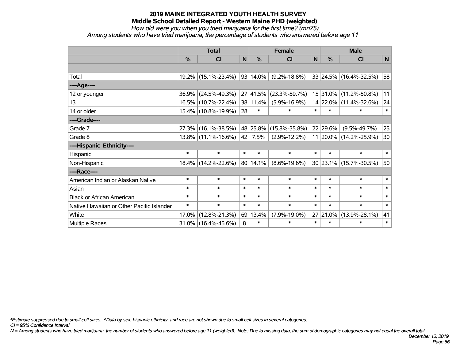*How old were you when you tried marijuana for the first time? (mn75)*

*Among students who have tried marijuana, the percentage of students who answered before age 11*

|                                           | <b>Total</b>  |                        |              |          | <b>Female</b>       | <b>Male</b>  |               |                        |              |
|-------------------------------------------|---------------|------------------------|--------------|----------|---------------------|--------------|---------------|------------------------|--------------|
|                                           | $\frac{0}{0}$ | <b>CI</b>              | $\mathsf{N}$ | %        | <b>CI</b>           | $\mathsf{N}$ | $\frac{0}{0}$ | <b>CI</b>              | $\mathsf{N}$ |
|                                           |               |                        |              |          |                     |              |               |                        |              |
| Total                                     |               | 19.2% (15.1%-23.4%)    |              | 93 14.0% | $(9.2\% - 18.8\%)$  |              |               | 33 24.5% (16.4%-32.5%) | 58           |
| ----Age----                               |               |                        |              |          |                     |              |               |                        |              |
| 12 or younger                             | 36.9%         | $(24.5\% - 49.3\%)$    |              | 27 41.5% | $(23.3\% - 59.7\%)$ |              | 15 31.0%      | $(11.2\% - 50.8\%)$    | 11           |
| 13                                        |               | 16.5% (10.7%-22.4%)    |              | 38 11.4% | $(5.9\% - 16.9\%)$  |              | 14 22.0%      | $(11.4\% - 32.6\%)$    | 24           |
| 14 or older                               |               | 15.4% (10.8%-19.9%)    | 28           | $\ast$   | $\ast$              | $\ast$       | $\ast$        | $\ast$                 | $\ast$       |
| ----Grade----                             |               |                        |              |          |                     |              |               |                        |              |
| Grade 7                                   |               | 27.3% (16.1%-38.5%)    |              | 48 25.8% | $(15.8\% - 35.8\%)$ |              | 22 29.6%      | $(9.5\% - 49.7\%)$     | 25           |
| Grade 8                                   |               | $13.8\%$ (11.1%-16.6%) |              | 42 7.5%  | $(2.9\% - 12.2\%)$  |              |               | 11 20.0% (14.2%-25.9%) | 30           |
| ----Hispanic Ethnicity----                |               |                        |              |          |                     |              |               |                        |              |
| Hispanic                                  | $\ast$        | $\ast$                 | $\ast$       | $\ast$   | $\ast$              | $\ast$       | $\ast$        | $\ast$                 | $\ast$       |
| Non-Hispanic                              |               | 18.4% (14.2%-22.6%)    |              | 80 14.1% | $(8.6\% - 19.6\%)$  |              |               | 30 23.1% (15.7%-30.5%) | 50           |
| ----Race----                              |               |                        |              |          |                     |              |               |                        |              |
| American Indian or Alaskan Native         | $\ast$        | $\ast$                 | $\ast$       | $\ast$   | $\ast$              | $\ast$       | $\ast$        | $\ast$                 | $\ast$       |
| Asian                                     | $\ast$        | $\ast$                 | $\ast$       | $\ast$   | $\ast$              | $\ast$       | $\ast$        | $\ast$                 | $\ast$       |
| <b>Black or African American</b>          | $\ast$        | $\ast$                 | $\ast$       | $\ast$   | $\ast$              | $\ast$       | $\ast$        | $\ast$                 | $\ast$       |
| Native Hawaiian or Other Pacific Islander | $\ast$        | $\ast$                 | $\ast$       | $\ast$   | $\ast$              | $\ast$       | $\ast$        | $\ast$                 | $\ast$       |
| White                                     | 17.0%         | $(12.8\% - 21.3\%)$    |              | 69 13.4% | $(7.9\% - 19.0\%)$  | 27           | 21.0%         | $(13.9\% - 28.1\%)$    | 41           |
| Multiple Races                            |               | 31.0% (16.4%-45.6%)    | 8            | $\ast$   | $\ast$              | $\ast$       | $\ast$        | $\ast$                 | $\ast$       |

*\*Estimate suppressed due to small cell sizes. ^Data by sex, hispanic ethnicity, and race are not shown due to small cell sizes in several categories.*

*CI = 95% Confidence Interval*

*N = Among students who have tried marijuana, the number of students who answered before age 11 (weighted). Note: Due to missing data, the sum of demographic categories may not equal the overall total.*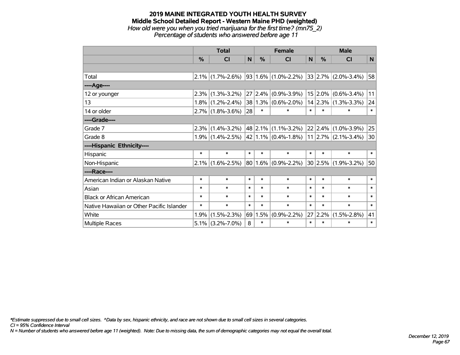#### **2019 MAINE INTEGRATED YOUTH HEALTH SURVEY Middle School Detailed Report - Western Maine PHD (weighted)** *How old were you when you tried marijuana for the first time? (mn75\_2)*

*Percentage of students who answered before age 11*

|                                           | <b>Total</b>  |                     |              |        | <b>Female</b>            | <b>Male</b> |              |                           |        |
|-------------------------------------------|---------------|---------------------|--------------|--------|--------------------------|-------------|--------------|---------------------------|--------|
|                                           | $\frac{0}{0}$ | <b>CI</b>           | $\mathsf{N}$ | $\%$   | <b>CI</b>                | N           | $\%$         | <b>CI</b>                 | N      |
|                                           |               |                     |              |        |                          |             |              |                           |        |
| Total                                     |               | $2.1\%$ (1.7%-2.6%) |              |        | $ 93 1.6\% $ (1.0%-2.2%) |             |              | $ 33 2.7\% $ (2.0%-3.4%)  | 58     |
| ----Age----                               |               |                     |              |        |                          |             |              |                           |        |
| 12 or younger                             | 2.3%          | $(1.3\% - 3.2\%)$   | 27           |        | $ 2.4\% $ (0.9%-3.9%)    |             | $15 2.0\% $  | $(0.6\% - 3.4\%)$         | 11     |
| 13                                        |               | $1.8\%$ (1.2%-2.4%) |              |        | $38 1.3\% $ (0.6%-2.0%)  |             |              | $14$   2.3%   (1.3%-3.3%) | 24     |
| 14 or older                               |               | $2.7\%$ (1.8%-3.6%) | 28           | $\ast$ | $\ast$                   | $\ast$      | $\ast$       | ∗                         | $\ast$ |
| ----Grade----                             |               |                     |              |        |                          |             |              |                           |        |
| Grade 7                                   | 2.3%          | $(1.4\% - 3.2\%)$   |              |        | $ 48 2.1\% $ (1.1%-3.2%) |             | $ 22 2.4\% $ | $(1.0\% - 3.9\%)$         | 25     |
| Grade 8                                   |               | $1.9\%$ (1.4%-2.5%) |              |        | $ 42 1.1\% $ (0.4%-1.8%) |             |              | $11$   2.7%   (2.1%-3.4%) | 30     |
| ----Hispanic Ethnicity----                |               |                     |              |        |                          |             |              |                           |        |
| Hispanic                                  | $\ast$        | $\ast$              | $\ast$       | $\ast$ | $\ast$                   | $\ast$      | $\ast$       | $\ast$                    | $\ast$ |
| Non-Hispanic                              |               | $2.1\%$ (1.6%-2.5%) |              |        | $80 1.6\% $ (0.9%-2.2%)  |             | $ 30 2.5\% $ | $(1.9\% - 3.2\%)$         | 50     |
| ----Race----                              |               |                     |              |        |                          |             |              |                           |        |
| American Indian or Alaskan Native         | $\ast$        | $\ast$              | $\ast$       | $\ast$ | $\ast$                   | $\ast$      | $\ast$       | $\ast$                    | $\ast$ |
| Asian                                     | $\ast$        | $\ast$              | $\ast$       | $\ast$ | $\ast$                   | $\ast$      | $\ast$       | $\ast$                    | $\ast$ |
| <b>Black or African American</b>          | $\ast$        | $\ast$              | $\ast$       | $\ast$ | $\ast$                   | $\ast$      | $\ast$       | $\ast$                    | $\ast$ |
| Native Hawaiian or Other Pacific Islander | $\ast$        | $\ast$              | $\ast$       | $\ast$ | $\ast$                   | $\ast$      | $\ast$       | $\ast$                    | $\ast$ |
| White                                     | 1.9%          | $(1.5\% - 2.3\%)$   | 69           | 1.5%   | $(0.9\% - 2.2\%)$        |             | 27 2.2%      | $(1.5\% - 2.8\%)$         | 41     |
| <b>Multiple Races</b>                     | $5.1\%$       | $(3.2\% - 7.0\%)$   | 8            | $\ast$ | $\ast$                   | $\ast$      | $\ast$       | $\ast$                    | $\ast$ |

*\*Estimate suppressed due to small cell sizes. ^Data by sex, hispanic ethnicity, and race are not shown due to small cell sizes in several categories.*

*CI = 95% Confidence Interval*

*N = Number of students who answered before age 11 (weighted). Note: Due to missing data, the sum of demographic categories may not equal the overall total.*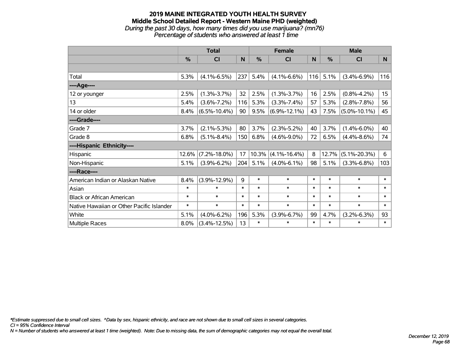*During the past 30 days, how many times did you use marijuana? (mn76) Percentage of students who answered at least 1 time*

|                                           | <b>Total</b> |                    |        |        | <b>Female</b>      |        | <b>Male</b> |                    |              |  |
|-------------------------------------------|--------------|--------------------|--------|--------|--------------------|--------|-------------|--------------------|--------------|--|
|                                           | %            | C <sub>l</sub>     | N      | %      | C <sub>l</sub>     | N      | %           | C <sub>1</sub>     | $\mathsf{N}$ |  |
|                                           |              |                    |        |        |                    |        |             |                    |              |  |
| Total                                     | 5.3%         | $(4.1\% - 6.5\%)$  | 237    | 5.4%   | $(4.1\% - 6.6\%)$  | 116    | 5.1%        | $(3.4\% - 6.9\%)$  | 116          |  |
| ----Age----                               |              |                    |        |        |                    |        |             |                    |              |  |
| 12 or younger                             | 2.5%         | $(1.3\% - 3.7\%)$  | 32     | 2.5%   | $(1.3\% - 3.7\%)$  | 16     | 2.5%        | $(0.8\% - 4.2\%)$  | 15           |  |
| 13                                        | 5.4%         | $(3.6\% - 7.2\%)$  | 116    | 5.3%   | $(3.3\% - 7.4\%)$  | 57     | 5.3%        | $(2.8\% - 7.8\%)$  | 56           |  |
| 14 or older                               | 8.4%         | $(6.5\% - 10.4\%)$ | 90     | 9.5%   | $(6.9\% - 12.1\%)$ | 43     | 7.5%        | $(5.0\% - 10.1\%)$ | 45           |  |
| ----Grade----                             |              |                    |        |        |                    |        |             |                    |              |  |
| Grade 7                                   | 3.7%         | $(2.1\% - 5.3\%)$  | 80     | 3.7%   | $(2.3\% - 5.2\%)$  | 40     | 3.7%        | $(1.4\% - 6.0\%)$  | 40           |  |
| Grade 8                                   | 6.8%         | $(5.1\% - 8.4\%)$  | 150    | 6.8%   | $(4.6\% - 9.0\%)$  | 72     | 6.5%        | $(4.4\% - 8.6\%)$  | 74           |  |
| ----Hispanic Ethnicity----                |              |                    |        |        |                    |        |             |                    |              |  |
| Hispanic                                  | 12.6%        | $(7.2\% - 18.0\%)$ | 17     | 10.3%  | $(4.1\% - 16.4\%)$ | 8      | 12.7%       | $(5.1\% - 20.3\%)$ | 6            |  |
| Non-Hispanic                              | 5.1%         | $(3.9\% - 6.2\%)$  | 204    | 5.1%   | $(4.0\% - 6.1\%)$  | 98     | 5.1%        | $(3.3\% - 6.8\%)$  | 103          |  |
| ----Race----                              |              |                    |        |        |                    |        |             |                    |              |  |
| American Indian or Alaskan Native         | 8.4%         | $(3.9\% - 12.9\%)$ | 9      | $\ast$ | $\ast$             | $\ast$ | $\ast$      | $\ast$             | $\ast$       |  |
| Asian                                     | $\ast$       | $\ast$             | $\ast$ | $\ast$ | $\ast$             | $\ast$ | $\ast$      | $\ast$             | $\ast$       |  |
| <b>Black or African American</b>          | $\ast$       | $\ast$             | $\ast$ | $\ast$ | $\ast$             | $\ast$ | $\ast$      | $\ast$             | $\ast$       |  |
| Native Hawaiian or Other Pacific Islander | $\ast$       | $\ast$             | $\ast$ | $\ast$ | $\ast$             | $\ast$ | $\ast$      | $\ast$             | $\ast$       |  |
| White                                     | 5.1%         | $(4.0\% - 6.2\%)$  | 196    | 5.3%   | $(3.9\% - 6.7\%)$  | 99     | 4.7%        | $(3.2\% - 6.3\%)$  | 93           |  |
| <b>Multiple Races</b>                     | 8.0%         | $(3.4\% - 12.5\%)$ | 13     | $\ast$ | $\ast$             | $\ast$ | $\ast$      | $\ast$             | $\ast$       |  |

*\*Estimate suppressed due to small cell sizes. ^Data by sex, hispanic ethnicity, and race are not shown due to small cell sizes in several categories.*

*CI = 95% Confidence Interval*

*N = Number of students who answered at least 1 time (weighted). Note: Due to missing data, the sum of demographic categories may not equal the overall total.*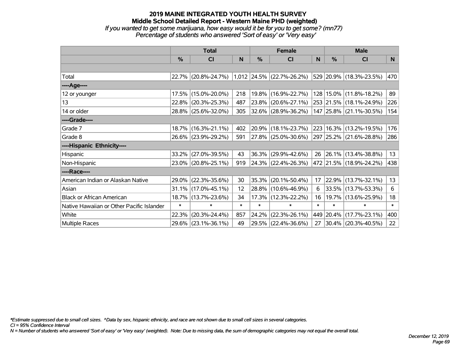*If you wanted to get some marijuana, how easy would it be for you to get some? (mn77) Percentage of students who answered 'Sort of easy' or 'Very easy'*

|                                           | <b>Total</b>  |                     |        |               | <b>Female</b>               |        | <b>Male</b> |                             |        |  |
|-------------------------------------------|---------------|---------------------|--------|---------------|-----------------------------|--------|-------------|-----------------------------|--------|--|
|                                           | $\frac{0}{0}$ | CI                  | N      | $\frac{0}{0}$ | <b>CI</b>                   | N      | %           | <b>CI</b>                   | N      |  |
|                                           |               |                     |        |               |                             |        |             |                             |        |  |
| Total                                     |               | 22.7% (20.8%-24.7%) |        |               | $1,012$ 24.5% (22.7%-26.2%) |        |             | 529 20.9% (18.3%-23.5%)     | 470    |  |
| ----Age----                               |               |                     |        |               |                             |        |             |                             |        |  |
| 12 or younger                             | 17.5%         | $(15.0\% - 20.0\%)$ | 218    | 19.8%         | $(16.9\% - 22.7\%)$         |        |             | 128 15.0% (11.8%-18.2%)     | 89     |  |
| 13                                        |               | 22.8% (20.3%-25.3%) | 487    | 23.8%         | $(20.6\% - 27.1\%)$         |        |             | 253 21.5% (18.1%-24.9%)     | 226    |  |
| 14 or older                               |               | 28.8% (25.6%-32.0%) | 305    |               | $ 32.6\% $ (28.9%-36.2%)    |        |             | 147 25.8% (21.1%-30.5%)     | 154    |  |
| ----Grade----                             |               |                     |        |               |                             |        |             |                             |        |  |
| Grade 7                                   |               | 18.7% (16.3%-21.1%) | 402    |               | 20.9% (18.1%-23.7%)         |        |             | 223   16.3%   (13.2%-19.5%) | 176    |  |
| Grade 8                                   |               | 26.6% (23.9%-29.2%) | 591    |               | $ 27.8\% $ (25.0%-30.6%)    |        |             | 297 25.2% (21.6%-28.8%)     | 286    |  |
| ----Hispanic Ethnicity----                |               |                     |        |               |                             |        |             |                             |        |  |
| Hispanic                                  | 33.2%         | $(27.0\% - 39.5\%)$ | 43     | 36.3%         | $(29.9\% - 42.6\%)$         | 26     |             | $ 26.1\% $ (13.4%-38.8%)    | 13     |  |
| Non-Hispanic                              |               | 23.0% (20.8%-25.1%) | 919    |               | 24.3% (22.4%-26.3%)         |        |             | 472 21.5% (18.9%-24.2%)     | 438    |  |
| ----Race----                              |               |                     |        |               |                             |        |             |                             |        |  |
| American Indian or Alaskan Native         |               | 29.0% (22.3%-35.6%) | 30     | 35.3%         | $(20.1\% - 50.4\%)$         | 17     |             | 22.9% (13.7%-32.1%)         | 13     |  |
| Asian                                     |               | 31.1% (17.0%-45.1%) | 12     | 28.8%         | $(10.6\% - 46.9\%)$         | 6      |             | 33.5% (13.7%-53.3%)         | 6      |  |
| <b>Black or African American</b>          |               | 18.7% (13.7%-23.6%) | 34     | 17.3%         | $(12.3\% - 22.2\%)$         | 16     |             | 19.7% (13.6%-25.9%)         | 18     |  |
| Native Hawaiian or Other Pacific Islander | $\ast$        | $\ast$              | $\ast$ | $\ast$        | $\ast$                      | $\ast$ | $\ast$      | $\ast$                      | $\ast$ |  |
| White                                     | 22.3%         | $(20.3\% - 24.4\%)$ | 857    | 24.2%         | $(22.3\% - 26.1\%)$         | 449    |             | 20.4% (17.7%-23.1%)         | 400    |  |
| Multiple Races                            |               | 29.6% (23.1%-36.1%) | 49     |               | 29.5% (22.4%-36.6%)         | 27     |             | 30.4% (20.3%-40.5%)         | 22     |  |

*\*Estimate suppressed due to small cell sizes. ^Data by sex, hispanic ethnicity, and race are not shown due to small cell sizes in several categories.*

*CI = 95% Confidence Interval*

*N = Number of students who answered 'Sort of easy' or 'Very easy' (weighted). Note: Due to missing data, the sum of demographic categories may not equal the overall total.*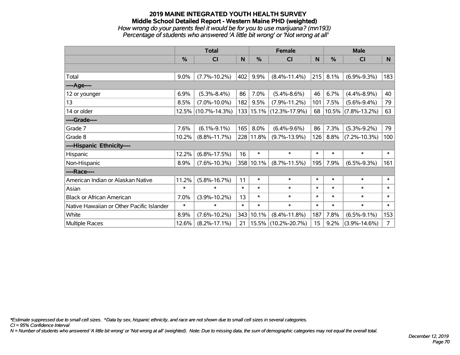### **2019 MAINE INTEGRATED YOUTH HEALTH SURVEY Middle School Detailed Report - Western Maine PHD (weighted)** *How wrong do your parents feel it would be for you to use marijuana? (mn193)*

*Percentage of students who answered 'A little bit wrong' or 'Not wrong at all'*

|                                           | <b>Total</b> |                     |        |            | <b>Female</b>               |        | <b>Male</b> |                    |                |  |
|-------------------------------------------|--------------|---------------------|--------|------------|-----------------------------|--------|-------------|--------------------|----------------|--|
|                                           | %            | <b>CI</b>           | N      | %          | <b>CI</b>                   | N      | %           | <b>CI</b>          | N              |  |
|                                           |              |                     |        |            |                             |        |             |                    |                |  |
| Total                                     | 9.0%         | $(7.7\% - 10.2\%)$  | 402    | 9.9%       | $(8.4\% - 11.4\%)$          | 215    | 8.1%        | $(6.9\% - 9.3\%)$  | 183            |  |
| ----Age----                               |              |                     |        |            |                             |        |             |                    |                |  |
| 12 or younger                             | 6.9%         | $(5.3\% - 8.4\%)$   | 86     | 7.0%       | $(5.4\% - 8.6\%)$           | 46     | 6.7%        | $(4.4\% - 8.9\%)$  | 40             |  |
| 13                                        | 8.5%         | $(7.0\% - 10.0\%)$  | 182    | 9.5%       | $(7.9\% - 11.2\%)$          | 101    | 7.5%        | $(5.6\% - 9.4\%)$  | 79             |  |
| 14 or older                               |              | 12.5% (10.7%-14.3%) |        |            | 133   15.1%   (12.3%-17.9%) | 68     | 10.5%       | $(7.8\% - 13.2\%)$ | 63             |  |
| ----Grade----                             |              |                     |        |            |                             |        |             |                    |                |  |
| Grade 7                                   | 7.6%         | $(6.1\% - 9.1\%)$   | 165    | 8.0%       | $(6.4\% - 9.6\%)$           | 86     | 7.3%        | $(5.3\% - 9.2\%)$  | 79             |  |
| Grade 8                                   | 10.2%        | $(8.8\% - 11.7\%)$  |        | 228 11.8%  | $(9.7\% - 13.9\%)$          | 126    | 8.8%        | $(7.2\% - 10.3\%)$ | 100            |  |
| ----Hispanic Ethnicity----                |              |                     |        |            |                             |        |             |                    |                |  |
| Hispanic                                  | 12.2%        | $(6.8\% - 17.5\%)$  | 16     | $\ast$     | $\ast$                      | $\ast$ | $\ast$      | $\ast$             | $\ast$         |  |
| Non-Hispanic                              | 8.9%         | $(7.6\% - 10.3\%)$  |        | 358 10.1%  | $(8.7\% - 11.5\%)$          | 195    | 7.9%        | $(6.5\% - 9.3\%)$  | 161            |  |
| ----Race----                              |              |                     |        |            |                             |        |             |                    |                |  |
| American Indian or Alaskan Native         | 11.2%        | $(5.8\% - 16.7\%)$  | 11     | $\ast$     | $\ast$                      | $\ast$ | $\ast$      | $\ast$             | $\ast$         |  |
| Asian                                     | $\ast$       | $\ast$              | $\ast$ | $\ast$     | $\ast$                      | $\ast$ | $\ast$      | $\ast$             | $\ast$         |  |
| <b>Black or African American</b>          | 7.0%         | $(3.9\% - 10.2\%)$  | 13     | $\ast$     | $\ast$                      | $\ast$ | $\ast$      | $\ast$             | $\ast$         |  |
| Native Hawaiian or Other Pacific Islander | $\ast$       | $\ast$              | $\ast$ | $\ast$     | $\ast$                      | $\ast$ | $\ast$      | $\ast$             | $\ast$         |  |
| White                                     | 8.9%         | $(7.6\% - 10.2\%)$  | 343    | 10.1%      | $(8.4\% - 11.8\%)$          | 187    | 7.8%        | $(6.5\% - 9.1\%)$  | 153            |  |
| Multiple Races                            | 12.6%        | $(8.2\% - 17.1\%)$  | 21     | $ 15.5\% $ | $(10.2\% - 20.7\%)$         | 15     | 9.2%        | $(3.9\% - 14.6\%)$ | $\overline{7}$ |  |

*\*Estimate suppressed due to small cell sizes. ^Data by sex, hispanic ethnicity, and race are not shown due to small cell sizes in several categories.*

*CI = 95% Confidence Interval*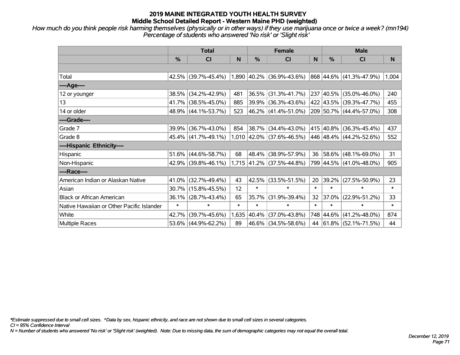*How much do you think people risk harming themselves (physically or in other ways) if they use marijuana once or twice a week? (mn194) Percentage of students who answered 'No risk' or 'Slight risk'*

|                                           | <b>Total</b> |                        |        |        | <b>Female</b>                    |        | <b>Male</b>   |                              |        |  |
|-------------------------------------------|--------------|------------------------|--------|--------|----------------------------------|--------|---------------|------------------------------|--------|--|
|                                           | %            | <b>CI</b>              | N      | %      | CI                               | N      | $\frac{0}{0}$ | <b>CI</b>                    | N      |  |
|                                           |              |                        |        |        |                                  |        |               |                              |        |  |
| Total                                     |              | $42.5\%$ (39.7%-45.4%) |        |        | $1,890$ $ 40.2\% $ (36.9%-43.6%) |        |               | $ 868 44.6\% $ (41.3%-47.9%) | 1,004  |  |
| ----Age----                               |              |                        |        |        |                                  |        |               |                              |        |  |
| 12 or younger                             | 38.5%        | $(34.2\% - 42.9\%)$    | 481    | 36.5%  | $(31.3\% - 41.7\%)$              |        |               | 237 40.5% (35.0%-46.0%)      | 240    |  |
| 13                                        | 41.7%        | $(38.5\% - 45.0\%)$    | 885    |        | 39.9% (36.3%-43.6%)              |        |               | 422 43.5% (39.3%-47.7%)      | 455    |  |
| 14 or older                               |              | 48.9% (44.1%-53.7%)    | 523    |        | 46.2% (41.4%-51.0%)              |        |               | 209 50.7% (44.4%-57.0%)      | 308    |  |
| ----Grade----                             |              |                        |        |        |                                  |        |               |                              |        |  |
| Grade 7                                   | 39.9%        | $(36.7\% - 43.0\%)$    | 854    |        | 38.7% (34.4%-43.0%)              |        |               | 415 40.8% (36.3%-45.4%)      | 437    |  |
| Grade 8                                   |              | $45.4\%$ (41.7%-49.1%) |        |        | $1,010$ 42.0% (37.6%-46.5%)      |        |               | 446 48.4% (44.2%-52.6%)      | 552    |  |
| ----Hispanic Ethnicity----                |              |                        |        |        |                                  |        |               |                              |        |  |
| Hispanic                                  | 51.6%        | $(44.6\% - 58.7\%)$    | 68     | 48.4%  | $(38.9\% - 57.9\%)$              | 36     |               | $58.6\%$ (48.1%-69.0%)       | 31     |  |
| Non-Hispanic                              |              | $42.9\%$ (39.8%-46.1%) |        |        | $1,715$ 41.2% (37.5%-44.8%)      |        |               | 799 44.5% (41.0%-48.0%)      | 905    |  |
| ----Race----                              |              |                        |        |        |                                  |        |               |                              |        |  |
| American Indian or Alaskan Native         | 41.0%        | $(32.7\% - 49.4\%)$    | 43     | 42.5%  | $(33.5\% - 51.5\%)$              | 20     | 39.2%         | $(27.5\% - 50.9\%)$          | 23     |  |
| Asian                                     | 30.7%        | $(15.8\% - 45.5\%)$    | 12     | $\ast$ | $\ast$                           | $\ast$ | $\ast$        | $\ast$                       | $\ast$ |  |
| <b>Black or African American</b>          | 36.1%        | $(28.7\% - 43.4\%)$    | 65     | 35.7%  | $(31.9\% - 39.4\%)$              | 32     | 37.0%         | $(22.9\% - 51.2\%)$          | 33     |  |
| Native Hawaiian or Other Pacific Islander | $\ast$       | $\ast$                 | $\ast$ | $\ast$ | $\ast$                           | $\ast$ | $\ast$        | $\ast$                       | $\ast$ |  |
| White                                     | 42.7%        | $(39.7\% - 45.6\%)$    | 1,635  | 40.4%  | $(37.0\% - 43.8\%)$              |        |               | 748 44.6% (41.2%-48.0%)      | 874    |  |
| Multiple Races                            |              | 53.6% (44.9%-62.2%)    | 89     |        | 46.6% (34.5%-58.6%)              |        |               | 44 61.8% (52.1%-71.5%)       | 44     |  |

*\*Estimate suppressed due to small cell sizes. ^Data by sex, hispanic ethnicity, and race are not shown due to small cell sizes in several categories.*

*CI = 95% Confidence Interval*

*N = Number of students who answered 'No risk' or 'Slight risk' (weighted). Note: Due to missing data, the sum of demographic categories may not equal the overall total.*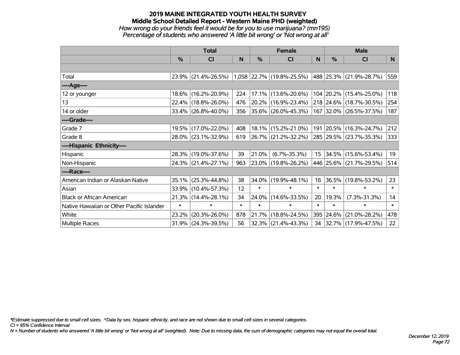### **2019 MAINE INTEGRATED YOUTH HEALTH SURVEY Middle School Detailed Report - Western Maine PHD (weighted)** *How wrong do your friends feel it would be for you to use marijuana? (mn195) Percentage of students who answered 'A little bit wrong' or 'Not wrong at all'*

|                                           | <b>Total</b>  |                                               |        | <b>Female</b> |                          |                 | <b>Male</b>   |                          |        |
|-------------------------------------------|---------------|-----------------------------------------------|--------|---------------|--------------------------|-----------------|---------------|--------------------------|--------|
|                                           | $\frac{0}{0}$ | CI                                            | N      | %             | <b>CI</b>                | N               | $\frac{0}{0}$ | <b>CI</b>                | N.     |
|                                           |               |                                               |        |               |                          |                 |               |                          |        |
| Total                                     |               | 23.9% (21.4%-26.5%) 1,058 22.7% (19.8%-25.5%) |        |               |                          |                 |               | 488 25.3% (21.9%-28.7%)  | 559    |
| ----Age----                               |               |                                               |        |               |                          |                 |               |                          |        |
| 12 or younger                             |               | 18.6% (16.2%-20.9%)                           | 224    |               | 17.1% (13.6%-20.6%)      |                 |               | 104 20.2% (15.4%-25.0%)  | 118    |
| 13                                        |               | 22.4% (18.8%-26.0%)                           | 476    |               | 20.2% (16.9%-23.4%)      |                 |               | 218 24.6% (18.7%-30.5%)  | 254    |
| 14 or older                               |               | 33.4% (26.8%-40.0%)                           | 356    |               | $ 35.6\% $ (26.0%-45.3%) |                 |               | 167 32.0% (26.5%-37.5%)  | 187    |
| ----Grade----                             |               |                                               |        |               |                          |                 |               |                          |        |
| Grade 7                                   |               | 19.5% (17.0%-22.0%)                           | 408    |               | $18.1\%$ (15.2%-21.0%)   |                 |               | 191 20.5% (16.3%-24.7%)  | 212    |
| Grade 8                                   |               | 28.0% (23.1%-32.9%)                           | 619    |               | $ 26.7\% $ (21.2%-32.2%) |                 |               | 285 29.5% (23.7%-35.3%)  | 333    |
| ----Hispanic Ethnicity----                |               |                                               |        |               |                          |                 |               |                          |        |
| Hispanic                                  | 28.3%         | $(19.0\% - 37.6\%)$                           | 39     | 21.0%         | $(6.7\% - 35.3\%)$       | 15 <sub>1</sub> |               | $ 34.5\% $ (15.6%-53.4%) | 19     |
| Non-Hispanic                              |               | 24.3% (21.4%-27.1%)                           | 963    |               | 23.0% (19.8%-26.2%)      |                 |               | 446 25.6% (21.7%-29.5%)  | 514    |
| ----Race----                              |               |                                               |        |               |                          |                 |               |                          |        |
| American Indian or Alaskan Native         | 35.1%         | $(25.3\% - 44.8\%)$                           | 38     | 34.0%         | $(19.9\% - 48.1\%)$      | 16              |               | 36.5% (19.8%-53.2%)      | 23     |
| Asian                                     | 33.9%         | $(10.4\% - 57.3\%)$                           | 12     | $\ast$        | $\ast$                   | $\ast$          | $\ast$        | $\ast$                   | $\ast$ |
| <b>Black or African American</b>          | 21.3%         | $(14.4\% - 28.1\%)$                           | 34     | 24.0%         | $(14.6\% - 33.5\%)$      | 20              | 19.3%         | $(7.3\% - 31.3\%)$       | 14     |
| Native Hawaiian or Other Pacific Islander | $\ast$        | $\ast$                                        | $\ast$ | $\ast$        | $\ast$                   | $\ast$          | $\ast$        | $\ast$                   | $\ast$ |
| White                                     | 23.2%         | $(20.3\% - 26.0\%)$                           | 878    | 21.7%         | $(18.8\% - 24.5\%)$      | 395             | 24.6%         | $(21.0\% - 28.2\%)$      | 478    |
| Multiple Races                            |               | 31.9% (24.3%-39.5%)                           | 56     |               | 32.3% (21.4%-43.3%)      | 34              |               | $ 32.7\% $ (17.9%-47.5%) | 22     |

*\*Estimate suppressed due to small cell sizes. ^Data by sex, hispanic ethnicity, and race are not shown due to small cell sizes in several categories.*

*CI = 95% Confidence Interval*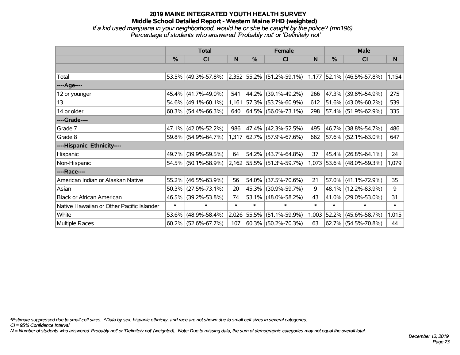*If a kid used marijuana in your neighborhood, would he or she be caught by the police? (mn196) Percentage of students who answered 'Probably not' or 'Definitely not'*

|                                           | <b>Total</b> |                        |        |            | <b>Female</b>                                                                                       |        | <b>Male</b>   |                           |        |  |
|-------------------------------------------|--------------|------------------------|--------|------------|-----------------------------------------------------------------------------------------------------|--------|---------------|---------------------------|--------|--|
|                                           | $\%$         | CI                     | N      | %          | <b>CI</b>                                                                                           | N      | $\frac{0}{0}$ | <b>CI</b>                 | N      |  |
|                                           |              |                        |        |            |                                                                                                     |        |               |                           |        |  |
| Total                                     |              | 53.5% (49.3%-57.8%)    |        |            | $\vert 2.352 \vert 55.2\% \vert (51.2\% - 59.1\%) \vert 1.177 \vert 52.1\% \vert (46.5\% - 57.8\%)$ |        |               |                           | 1,154  |  |
| ----Age----                               |              |                        |        |            |                                                                                                     |        |               |                           |        |  |
| 12 or younger                             | 45.4%        | $(41.7\% - 49.0\%)$    | 541    | 44.2%      | $(39.1\% - 49.2\%)$                                                                                 | 266    |               | 47.3% (39.8%-54.9%)       | 275    |  |
| 13                                        | 54.6%        | $(49.1\% - 60.1\%)$    | 1,161  |            | $ 57.3\% $ (53.7%-60.9%)                                                                            | 612    |               | $51.6\%$ (43.0%-60.2%)    | 539    |  |
| 14 or older                               |              | $60.3\%$ (54.4%-66.3%) | 640    |            | $ 64.5\% $ (56.0%-73.1%)                                                                            | 298    |               | 57.4% (51.9%-62.9%)       | 335    |  |
| ----Grade----                             |              |                        |        |            |                                                                                                     |        |               |                           |        |  |
| Grade 7                                   | 47.1%        | $(42.0\% - 52.2\%)$    | 986    |            | 47.4% (42.3%-52.5%)                                                                                 | 495    |               | 46.7% (38.8%-54.7%)       | 486    |  |
| Grade 8                                   |              | 59.8% (54.9%-64.7%)    |        |            | 1,317 62.7% (57.9%-67.6%)                                                                           | 662    |               | 57.6% (52.1%-63.0%)       | 647    |  |
| ----Hispanic Ethnicity----                |              |                        |        |            |                                                                                                     |        |               |                           |        |  |
| Hispanic                                  | 49.7%        | $(39.9\% - 59.5\%)$    | 64     |            | 54.2% (43.7%-64.8%)                                                                                 | 37     | 45.4%         | $(26.8\% - 64.1\%)$       | 24     |  |
| Non-Hispanic                              |              | 54.5% (50.1%-58.9%)    |        |            | $2,162$ 55.5% (51.3%-59.7%)                                                                         |        |               | 1,073 53.6% (48.0%-59.3%) | 1,079  |  |
| ----Race----                              |              |                        |        |            |                                                                                                     |        |               |                           |        |  |
| American Indian or Alaskan Native         | 55.2%        | $(46.5\% - 63.9\%)$    | 56     | $ 54.0\% $ | $(37.5\% - 70.6\%)$                                                                                 | 21     |               | $57.0\%$ (41.1%-72.9%)    | 35     |  |
| Asian                                     | 50.3%        | $(27.5\% - 73.1\%)$    | 20     | $ 45.3\% $ | $(30.9\% - 59.7\%)$                                                                                 | 9      |               | 48.1% (12.2%-83.9%)       | 9      |  |
| <b>Black or African American</b>          | 46.5%        | $(39.2\% - 53.8\%)$    | 74     | 53.1%      | $(48.0\% - 58.2\%)$                                                                                 | 43     |               | 41.0% (29.0%-53.0%)       | 31     |  |
| Native Hawaiian or Other Pacific Islander | $\ast$       | $\ast$                 | $\ast$ | $\ast$     | $\ast$                                                                                              | $\ast$ | $\ast$        | $\ast$                    | $\ast$ |  |
| White                                     | 53.6%        | $(48.9\% - 58.4\%)$    | 2,026  | $ 55.5\% $ | $(51.1\% - 59.9\%)$                                                                                 | 1,003  |               | $52.2\%$ (45.6%-58.7%)    | 1,015  |  |
| <b>Multiple Races</b>                     |              | $60.2\%$ (52.6%-67.7%) | 107    |            | $ 60.3\% $ (50.2%-70.3%)                                                                            | 63     |               | $62.7\%$ (54.5%-70.8%)    | 44     |  |

*\*Estimate suppressed due to small cell sizes. ^Data by sex, hispanic ethnicity, and race are not shown due to small cell sizes in several categories.*

*CI = 95% Confidence Interval*

*N = Number of students who answered 'Probably not' or 'Definitely not' (weighted). Note: Due to missing data, the sum of demographic categories may not equal the overall total.*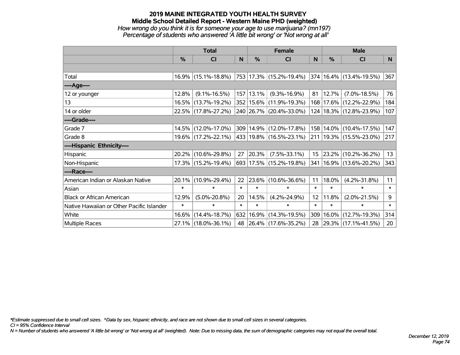*How wrong do you think it is for someone your age to use marijuana? (mn197) Percentage of students who answered 'A little bit wrong' or 'Not wrong at all'*

|                                           | <b>Total</b> |                     |        | <b>Female</b> | <b>Male</b>                 |                 |        |                                  |        |
|-------------------------------------------|--------------|---------------------|--------|---------------|-----------------------------|-----------------|--------|----------------------------------|--------|
|                                           | $\%$         | <b>CI</b>           | N      | $\%$          | <b>CI</b>                   | <sub>N</sub>    | %      | <b>CI</b>                        | N      |
|                                           |              |                     |        |               |                             |                 |        |                                  |        |
| Total                                     |              | 16.9% (15.1%-18.8%) |        |               | 753  17.3%  (15.2%-19.4%)   |                 |        | $ 374 16.4\%  (13.4\% - 19.5\%)$ | 367    |
| ----Age----                               |              |                     |        |               |                             |                 |        |                                  |        |
| 12 or younger                             | 12.8%        | $(9.1\% - 16.5\%)$  |        | 157 13.1%     | $(9.3\% - 16.9\%)$          | 81              | 12.7%  | $(7.0\% - 18.5\%)$               | 76     |
| 13                                        |              | 16.5% (13.7%-19.2%) |        |               | 352   15.6%   (11.9%-19.3%) |                 |        | 168   17.6%   (12.2%-22.9%)      | 184    |
| 14 or older                               |              | 22.5% (17.8%-27.2%) |        |               | 240 26.7% (20.4%-33.0%)     |                 |        | 124   18.3%   (12.8%-23.9%)      | 107    |
| ----Grade----                             |              |                     |        |               |                             |                 |        |                                  |        |
| Grade 7                                   |              | 14.5% (12.0%-17.0%) |        |               | 309 14.9% (12.0%-17.8%)     | 158             |        | $14.0\%$ (10.4%-17.5%)           | 147    |
| Grade 8                                   |              | 19.6% (17.2%-22.1%) |        |               | 433   19.8%   (16.5%-23.1%) |                 |        | 211   19.3%   (15.5%-23.0%)      | 217    |
| ----Hispanic Ethnicity----                |              |                     |        |               |                             |                 |        |                                  |        |
| Hispanic                                  |              | 20.2% (10.6%-29.8%) | 27     | 20.3%         | $(7.5\% - 33.1\%)$          | 15              | 23.2%  | $(10.2\% - 36.2\%)$              | 13     |
| Non-Hispanic                              |              | 17.3% (15.2%-19.4%) |        |               | 693 17.5% (15.2%-19.8%)     | 341             |        | 16.9% (13.6%-20.2%)              | 343    |
| ----Race----                              |              |                     |        |               |                             |                 |        |                                  |        |
| American Indian or Alaskan Native         | $20.1\%$     | $(10.9\% - 29.4\%)$ | 22     |               | 23.6% (10.6%-36.6%)         | 11              | 18.0%  | $(4.2\% - 31.8\%)$               | 11     |
| Asian                                     | $\ast$       | $\ast$              | $\ast$ | $\ast$        | $\ast$                      | $\ast$          | $\ast$ | $\ast$                           | $\ast$ |
| <b>Black or African American</b>          | 12.9%        | $(5.0\% - 20.8\%)$  | 20     | 14.5%         | $(4.2\% - 24.9\%)$          | 12 <sup>2</sup> | 11.8%  | $(2.0\% - 21.5\%)$               | 9      |
| Native Hawaiian or Other Pacific Islander | $\ast$       | $\ast$              | $\ast$ | $\ast$        | $\ast$                      | $\ast$          | $\ast$ | $\ast$                           | $\ast$ |
| White                                     | 16.6%        | $(14.4\% - 18.7\%)$ |        |               | 632 16.9% (14.3%-19.5%)     | 309             | 16.0%  | $(12.7\% - 19.3\%)$              | 314    |
| <b>Multiple Races</b>                     |              | 27.1% (18.0%-36.1%) |        |               | 48 26.4% (17.6%-35.2%)      | 28              |        | 29.3% (17.1%-41.5%)              | 20     |

*\*Estimate suppressed due to small cell sizes. ^Data by sex, hispanic ethnicity, and race are not shown due to small cell sizes in several categories.*

*CI = 95% Confidence Interval*

*N = Number of students who answered 'A little bit wrong' or 'Not wrong at all' (weighted). Note: Due to missing data, the sum of demographic categories may not equal the overall total.*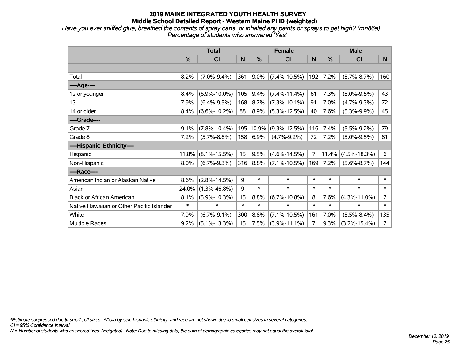*Have you ever sniffed glue, breathed the contents of spray cans, or inhaled any paints or sprays to get high? (mn86a) Percentage of students who answered 'Yes'*

|                                           | <b>Total</b> |                    |        | <b>Female</b> |                    | <b>Male</b>    |        |                    |                |
|-------------------------------------------|--------------|--------------------|--------|---------------|--------------------|----------------|--------|--------------------|----------------|
|                                           | %            | <b>CI</b>          | N      | %             | <b>CI</b>          | N              | %      | <b>CI</b>          | N              |
|                                           |              |                    |        |               |                    |                |        |                    |                |
| Total                                     | 8.2%         | $(7.0\% - 9.4\%)$  | 361    | $9.0\%$       | $(7.4\% - 10.5\%)$ | 192            | 7.2%   | $(5.7\% - 8.7\%)$  | 160            |
| ----Age----                               |              |                    |        |               |                    |                |        |                    |                |
| 12 or younger                             | 8.4%         | $(6.9\% - 10.0\%)$ | 105    | 9.4%          | $(7.4\% - 11.4\%)$ | 61             | 7.3%   | $(5.0\% - 9.5\%)$  | 43             |
| 13                                        | 7.9%         | $(6.4\% - 9.5\%)$  | 168    | 8.7%          | $(7.3\% - 10.1\%)$ | 91             | 7.0%   | $(4.7\% - 9.3\%)$  | 72             |
| 14 or older                               | 8.4%         | $(6.6\% - 10.2\%)$ | 88     | 8.9%          | $(5.3\% - 12.5\%)$ | 40             | 7.6%   | $(5.3\% - 9.9\%)$  | 45             |
| ----Grade----                             |              |                    |        |               |                    |                |        |                    |                |
| Grade 7                                   | 9.1%         | $(7.8\% - 10.4\%)$ | 195    | 10.9%         | $(9.3\% - 12.5\%)$ | 116            | 7.4%   | $(5.5\% - 9.2\%)$  | 79             |
| Grade 8                                   | 7.2%         | $(5.7\% - 8.8\%)$  | 158    | 6.9%          | $(4.7\% - 9.2\%)$  | 72             | 7.2%   | $(5.0\% - 9.5\%)$  | 81             |
| ----Hispanic Ethnicity----                |              |                    |        |               |                    |                |        |                    |                |
| Hispanic                                  | 11.8%        | $(8.1\% - 15.5\%)$ | 15     | 9.5%          | $(4.6\% - 14.5\%)$ | $\overline{7}$ | 11.4%  | $(4.5\% - 18.3\%)$ | 6              |
| Non-Hispanic                              | 8.0%         | $(6.7\% - 9.3\%)$  | 316    | 8.8%          | $(7.1\% - 10.5\%)$ | 169            | 7.2%   | $(5.6\% - 8.7\%)$  | 144            |
| ----Race----                              |              |                    |        |               |                    |                |        |                    |                |
| American Indian or Alaskan Native         | 8.6%         | $(2.8\% - 14.5\%)$ | 9      | $\ast$        | $\ast$             | $\ast$         | $\ast$ | $\ast$             | $\ast$         |
| Asian                                     | 24.0%        | $(1.3\% - 46.8\%)$ | 9      | $\ast$        | $\ast$             | $\ast$         | $\ast$ | $\ast$             | $\ast$         |
| <b>Black or African American</b>          | 8.1%         | $(5.9\% - 10.3\%)$ | 15     | 8.8%          | $(6.7\% - 10.8\%)$ | 8              | 7.6%   | $(4.3\% - 11.0\%)$ | $\overline{7}$ |
| Native Hawaiian or Other Pacific Islander | $\ast$       | $\ast$             | $\ast$ | $\ast$        | $\ast$             | $\ast$         | $\ast$ | $\ast$             | $\ast$         |
| White                                     | 7.9%         | $(6.7\% - 9.1\%)$  | 300    | 8.8%          | $(7.1\% - 10.5\%)$ | 161            | 7.0%   | $(5.5\% - 8.4\%)$  | 135            |
| Multiple Races                            | 9.2%         | $(5.1\% - 13.3\%)$ | 15     | 7.5%          | $(3.9\% - 11.1\%)$ | $\overline{7}$ | 9.3%   | $(3.2\% - 15.4\%)$ | $\overline{7}$ |

*\*Estimate suppressed due to small cell sizes. ^Data by sex, hispanic ethnicity, and race are not shown due to small cell sizes in several categories.*

*CI = 95% Confidence Interval*

*N = Number of students who answered 'Yes' (weighted). Note: Due to missing data, the sum of demographic categories may not equal the overall total.*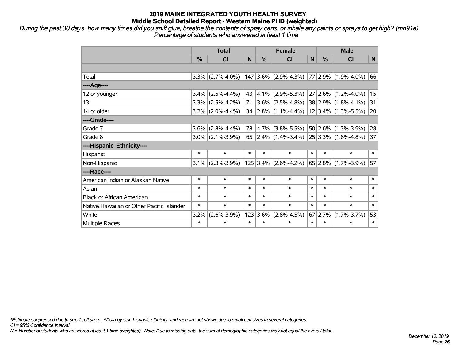*During the past 30 days, how many times did you sniff glue, breathe the contents of spray cans, or inhale any paints or sprays to get high? (mn91a) Percentage of students who answered at least 1 time*

|                                           | <b>Total</b> |                     |        | <b>Female</b> |                                                |        | <b>Male</b> |                         |        |
|-------------------------------------------|--------------|---------------------|--------|---------------|------------------------------------------------|--------|-------------|-------------------------|--------|
|                                           | %            | <b>CI</b>           | N      | %             | <b>CI</b>                                      | N      | $\%$        | <b>CI</b>               | N      |
|                                           |              |                     |        |               |                                                |        |             |                         |        |
| Total                                     |              |                     |        |               | $3.3\%$ (2.7%-4.0%)   147   3.6%   (2.9%-4.3%) |        |             | $77 2.9\% $ (1.9%-4.0%) | 66     |
| ----Age----                               |              |                     |        |               |                                                |        |             |                         |        |
| 12 or younger                             | $3.4\%$      | $(2.5\% - 4.4\%)$   | 43     | $4.1\%$       | $(2.9\% - 5.3\%)$                              |        | $27 2.6\% $ | $(1.2\% - 4.0\%)$       | 15     |
| 13                                        |              | $3.3\%$ (2.5%-4.2%) | 71     |               | $3.6\%$ (2.5%-4.8%)                            |        |             | $38 2.9\% $ (1.8%-4.1%) | 31     |
| 14 or older                               |              | $3.2\%$ (2.0%-4.4%) |        |               | 34 $\left 2.8\% \right $ (1.1%-4.4%)           |        |             | $12 3.4\% $ (1.3%-5.5%) | 20     |
| ----Grade----                             |              |                     |        |               |                                                |        |             |                         |        |
| Grade 7                                   | 3.6%         | $(2.8\% - 4.4\%)$   | 78     | $ 4.7\% $     | $(3.8\% - 5.5\%)$                              |        | 50 2.6%     | $(1.3\% - 3.9\%)$       | 28     |
| Grade 8                                   |              | $3.0\%$ (2.1%-3.9%) | 65     |               | $ 2.4\% $ (1.4%-3.4%)                          |        |             | $25 3.3\% $ (1.8%-4.8%) | 37     |
| ----Hispanic Ethnicity----                |              |                     |        |               |                                                |        |             |                         |        |
| Hispanic                                  | $\ast$       | $\ast$              | $\ast$ | $\ast$        | $\ast$                                         | $\ast$ | $\ast$      | $\ast$                  | $\ast$ |
| Non-Hispanic                              |              | $3.1\%$ (2.3%-3.9%) |        | $125$ 3.4%    | $(2.6\% - 4.2\%)$                              |        | 65 2.8%     | $(1.7\% - 3.9\%)$       | 57     |
| ----Race----                              |              |                     |        |               |                                                |        |             |                         |        |
| American Indian or Alaskan Native         | *            | $\ast$              | $\ast$ | $\ast$        | $\ast$                                         | $\ast$ | $\ast$      | $\ast$                  | $\ast$ |
| Asian                                     | $\ast$       | $\ast$              | $\ast$ | $\ast$        | $\ast$                                         | $\ast$ | $\ast$      | $\ast$                  | $\ast$ |
| <b>Black or African American</b>          | *            | $\ast$              | $\ast$ | $\ast$        | $\ast$                                         | $\ast$ | $\ast$      | $\ast$                  | $\ast$ |
| Native Hawaiian or Other Pacific Islander | $\ast$       | $\ast$              | $\ast$ | $\ast$        | $\ast$                                         | $\ast$ | $\ast$      | $\ast$                  | $\ast$ |
| White                                     | 3.2%         | $(2.6\% - 3.9\%)$   | 123    | 3.6%          | $(2.8\% - 4.5\%)$                              |        | 67 2.7%     | $(1.7\% - 3.7\%)$       | 53     |
| Multiple Races                            | $\ast$       | $\ast$              | $\ast$ | $\ast$        | $\ast$                                         | $\ast$ | $\ast$      | $\ast$                  | $\ast$ |

*\*Estimate suppressed due to small cell sizes. ^Data by sex, hispanic ethnicity, and race are not shown due to small cell sizes in several categories.*

*CI = 95% Confidence Interval*

*N = Number of students who answered at least 1 time (weighted). Note: Due to missing data, the sum of demographic categories may not equal the overall total.*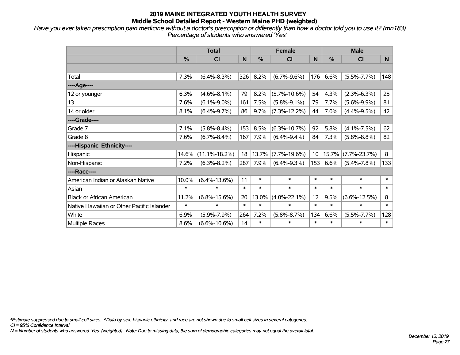*Have you ever taken prescription pain medicine without a doctor's prescription or differently than how a doctor told you to use it? (mn183) Percentage of students who answered 'Yes'*

|                                           | <b>Total</b>  |                     |        |               | <b>Female</b>      |        | <b>Male</b> |                    |        |  |
|-------------------------------------------|---------------|---------------------|--------|---------------|--------------------|--------|-------------|--------------------|--------|--|
|                                           | $\frac{0}{0}$ | <b>CI</b>           | N      | $\frac{0}{0}$ | <b>CI</b>          | N      | %           | <b>CI</b>          | N      |  |
|                                           |               |                     |        |               |                    |        |             |                    |        |  |
| Total                                     | 7.3%          | $(6.4\% - 8.3\%)$   | 326    | 8.2%          | $(6.7\% - 9.6\%)$  | 176    | 6.6%        | $(5.5\% - 7.7\%)$  | 148    |  |
| ----Age----                               |               |                     |        |               |                    |        |             |                    |        |  |
| 12 or younger                             | 6.3%          | $(4.6\% - 8.1\%)$   | 79     | 8.2%          | $(5.7\% - 10.6\%)$ | 54     | 4.3%        | $(2.3\% - 6.3\%)$  | 25     |  |
| 13                                        | 7.6%          | $(6.1\% - 9.0\%)$   | 161    | 7.5%          | $(5.8\% - 9.1\%)$  | 79     | 7.7%        | $(5.6\% - 9.9\%)$  | 81     |  |
| 14 or older                               | 8.1%          | $(6.4\% - 9.7\%)$   | 86     | 9.7%          | $(7.3\% - 12.2\%)$ | 44     | 7.0%        | $(4.4\% - 9.5\%)$  | 42     |  |
| ----Grade----                             |               |                     |        |               |                    |        |             |                    |        |  |
| Grade 7                                   | 7.1%          | $(5.8\% - 8.4\%)$   | 153    | 8.5%          | $(6.3\% - 10.7\%)$ | 92     | 5.8%        | $(4.1\% - 7.5\%)$  | 62     |  |
| Grade 8                                   | 7.6%          | $(6.7\% - 8.4\%)$   | 167    | 7.9%          | $(6.4\% - 9.4\%)$  | 84     | 7.3%        | $(5.8\% - 8.8\%)$  | 82     |  |
| ----Hispanic Ethnicity----                |               |                     |        |               |                    |        |             |                    |        |  |
| Hispanic                                  | 14.6%         | $(11.1\% - 18.2\%)$ | 18     | 13.7%         | $(7.7\% - 19.6\%)$ | 10     | 15.7%       | $(7.7\% - 23.7\%)$ | 8      |  |
| Non-Hispanic                              | 7.2%          | $(6.3\% - 8.2\%)$   | 287    | 7.9%          | $(6.4\% - 9.3\%)$  | 153    | 6.6%        | $(5.4\% - 7.8\%)$  | 133    |  |
| ----Race----                              |               |                     |        |               |                    |        |             |                    |        |  |
| American Indian or Alaskan Native         | 10.0%         | $(6.4\% - 13.6\%)$  | 11     | $\ast$        | $\ast$             | $\ast$ | $\ast$      | $\ast$             | $\ast$ |  |
| Asian                                     | $\ast$        | $\ast$              | $\ast$ | $\ast$        | $\ast$             | $\ast$ | $\ast$      | $\ast$             | $\ast$ |  |
| <b>Black or African American</b>          | 11.2%         | $(6.8\% - 15.6\%)$  | 20     | 13.0%         | $(4.0\% - 22.1\%)$ | 12     | 9.5%        | $(6.6\% - 12.5\%)$ | 8      |  |
| Native Hawaiian or Other Pacific Islander | $\ast$        | $\ast$              | $\ast$ | $\ast$        | $\ast$             | $\ast$ | $\ast$      | $\ast$             | $\ast$ |  |
| White                                     | 6.9%          | $(5.9\% - 7.9\%)$   | 264    | 7.2%          | $(5.8\% - 8.7\%)$  | 134    | 6.6%        | $(5.5\% - 7.7\%)$  | 128    |  |
| Multiple Races                            | 8.6%          | $(6.6\% - 10.6\%)$  | 14     | $\ast$        | $\ast$             | $\ast$ | $\ast$      | $\ast$             | $\ast$ |  |

*\*Estimate suppressed due to small cell sizes. ^Data by sex, hispanic ethnicity, and race are not shown due to small cell sizes in several categories.*

*CI = 95% Confidence Interval*

*N = Number of students who answered 'Yes' (weighted). Note: Due to missing data, the sum of demographic categories may not equal the overall total.*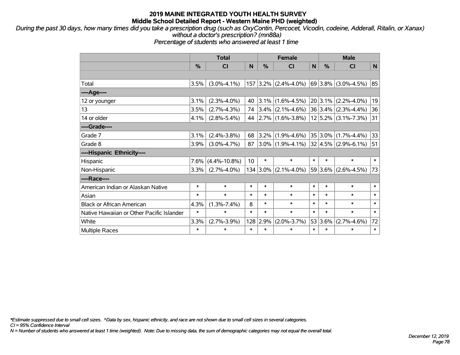*During the past 30 days, how many times did you take a prescription drug (such as OxyContin, Percocet, Vicodin, codeine, Adderall, Ritalin, or Xanax) without a doctor's prescription? (mn88a)*

*Percentage of students who answered at least 1 time*

|                                           | <b>Total</b> |                    |        | <b>Female</b> |                       |        | <b>Male</b> |                              |        |  |
|-------------------------------------------|--------------|--------------------|--------|---------------|-----------------------|--------|-------------|------------------------------|--------|--|
|                                           | %            | <b>CI</b>          | N      | $\frac{9}{6}$ | <b>CI</b>             | N      | %           | <b>CI</b>                    | N      |  |
|                                           |              |                    |        |               |                       |        |             |                              |        |  |
| Total                                     | 3.5%         | $(3.0\% - 4.1\%)$  | 157    |               | $3.2\%$ (2.4%-4.0%)   |        |             | $ 69 3.8\% $ (3.0%-4.5%)     | 85     |  |
| ----Age----                               |              |                    |        |               |                       |        |             |                              |        |  |
| 12 or younger                             | 3.1%         | $(2.3\% - 4.0\%)$  | 40     | 3.1%          | $(1.6\% - 4.5\%)$     |        |             | $20 3.1\% $ (2.2%-4.0%)      | 19     |  |
| 13                                        | 3.5%         | $(2.7\% - 4.3\%)$  | 74     | $3.4\%$       | $(2.1\% - 4.6\%)$     |        |             | $ 36 3.4\%  (2.3\% - 4.4\%)$ | 36     |  |
| 14 or older                               | 4.1%         | $(2.8\% - 5.4\%)$  | 44     |               | $ 2.7\% $ (1.6%-3.8%) |        |             | $12 5.2\% $ (3.1%-7.3%)      | 31     |  |
| ----Grade----                             |              |                    |        |               |                       |        |             |                              |        |  |
| Grade 7                                   | 3.1%         | $(2.4\% - 3.8\%)$  | 68     | 3.2%          | $(1.9\% - 4.6\%)$     |        | 35 3.0%     | $(1.7\% - 4.4\%)$            | 33     |  |
| Grade 8                                   | 3.9%         | $(3.0\% - 4.7\%)$  | 87     |               | $3.0\%$ (1.9%-4.1%)   |        |             | $32 4.5\% $ (2.9%-6.1%)      | 51     |  |
| ----Hispanic Ethnicity----                |              |                    |        |               |                       |        |             |                              |        |  |
| <b>Hispanic</b>                           | 7.6%         | $(4.4\% - 10.8\%)$ | 10     | $\ast$        | $\ast$                | $\ast$ | $\ast$      | $\ast$                       | $\ast$ |  |
| Non-Hispanic                              | 3.3%         | $(2.7\% - 4.0\%)$  |        | $134 3.0\% $  | $(2.1\% - 4.0\%)$     |        |             | $ 59 3.6\% $ (2.6%-4.5%)     | 73     |  |
| ----Race----                              |              |                    |        |               |                       |        |             |                              |        |  |
| American Indian or Alaskan Native         | $\ast$       | $\ast$             | $\ast$ | $\ast$        | $\ast$                | $\ast$ | $\ast$      | $\ast$                       | $\ast$ |  |
| Asian                                     | $\ast$       | $\ast$             | $\ast$ | $\ast$        | $\ast$                | $\ast$ | $\ast$      | $\ast$                       | $\ast$ |  |
| <b>Black or African American</b>          | 4.3%         | $(1.3\% - 7.4\%)$  | 8      | $\ast$        | $\ast$                | $\ast$ | $\ast$      | $\ast$                       | $\ast$ |  |
| Native Hawaiian or Other Pacific Islander | $\ast$       | $\ast$             | $\ast$ | $\ast$        | $\ast$                | $\ast$ | $\ast$      | $\ast$                       | $\ast$ |  |
| White                                     | 3.3%         | $(2.7\% - 3.9\%)$  | 128    | 2.9%          | $(2.0\% - 3.7\%)$     |        | 53 3.6%     | $(2.7\% - 4.6\%)$            | 72     |  |
| <b>Multiple Races</b>                     | $\ast$       | $\ast$             | $\ast$ | $\ast$        | $\ast$                | $\ast$ | $\ast$      | $\ast$                       | $\ast$ |  |

*\*Estimate suppressed due to small cell sizes. ^Data by sex, hispanic ethnicity, and race are not shown due to small cell sizes in several categories.*

*CI = 95% Confidence Interval*

*N = Number of students who answered at least 1 time (weighted). Note: Due to missing data, the sum of demographic categories may not equal the overall total.*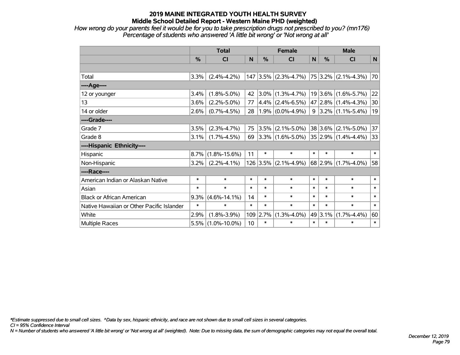*How wrong do your parents feel it would be for you to take prescription drugs not prescribed to you? (mn176) Percentage of students who answered 'A little bit wrong' or 'Not wrong at all'*

|                                           | <b>Total</b>  |                    | <b>Female</b>   |           |                        | <b>Male</b> |             |                              |        |
|-------------------------------------------|---------------|--------------------|-----------------|-----------|------------------------|-------------|-------------|------------------------------|--------|
|                                           | $\frac{0}{0}$ | <b>CI</b>          | N               | $\%$      | <b>CI</b>              | N           | $\%$        | <b>CI</b>                    | N      |
|                                           |               |                    |                 |           |                        |             |             |                              |        |
| Total                                     | 3.3%          | $(2.4\% - 4.2\%)$  |                 |           | $147$ 3.5% (2.3%-4.7%) |             |             | $ 75 3.2\% $ (2.1%-4.3%)     | 70     |
| ----Age----                               |               |                    |                 |           |                        |             |             |                              |        |
| 12 or younger                             | 3.4%          | $(1.8\% - 5.0\%)$  | 42              | $ 3.0\% $ | $(1.3\% - 4.7\%)$      |             |             | $19 3.6\% $ (1.6%-5.7%)      | 22     |
| 13                                        | 3.6%          | $(2.2\% - 5.0\%)$  | 77              |           | $ 4.4\% $ (2.4%-6.5%)  |             |             | 47 2.8% (1.4%-4.3%)          | 30     |
| 14 or older                               | 2.6%          | $(0.7\% - 4.5\%)$  | 28              |           | $1.9\%$ (0.0%-4.9%)    |             |             | $9 3.2\% (1.1\% - 5.4\%)$    | 19     |
| ----Grade----                             |               |                    |                 |           |                        |             |             |                              |        |
| Grade 7                                   | 3.5%          | $(2.3\% - 4.7\%)$  | 75              | 3.5%      | $(2.1\% - 5.0\%)$      |             | $38 3.6\% $ | $(2.1\% - 5.0\%)$            | 37     |
| Grade 8                                   | 3.1%          | $(1.7\% - 4.5\%)$  | 69              |           | $ 3.3\% $ (1.6%-5.0%)  |             |             | $ 35 2.9\%  (1.4\% - 4.4\%)$ | 33     |
| ----Hispanic Ethnicity----                |               |                    |                 |           |                        |             |             |                              |        |
| Hispanic                                  | 8.7%          | $(1.8\% - 15.6\%)$ | 11              | $\ast$    | $\ast$                 | $\ast$      | $\ast$      | $\ast$                       | $\ast$ |
| Non-Hispanic                              | 3.2%          | $(2.2\% - 4.1\%)$  |                 |           | $126$ 3.5% (2.1%-4.9%) |             | 68 2.9%     | $(1.7\% - 4.0\%)$            | 58     |
| ----Race----                              |               |                    |                 |           |                        |             |             |                              |        |
| American Indian or Alaskan Native         | $\ast$        | $\ast$             | $\ast$          | $\ast$    | $\ast$                 | $\ast$      | $\ast$      | $\ast$                       | $\ast$ |
| Asian                                     | $\ast$        | $\ast$             | $\ast$          | $\ast$    | $\ast$                 | $\ast$      | $\ast$      | $\ast$                       | $\ast$ |
| <b>Black or African American</b>          | 9.3%          | $(4.6\% - 14.1\%)$ | 14              | $\ast$    | $\ast$                 | $\ast$      | $\ast$      | $\ast$                       | $\ast$ |
| Native Hawaiian or Other Pacific Islander | $\ast$        | $\ast$             | $\ast$          | $\ast$    | $\ast$                 | $\ast$      | $\ast$      | $\ast$                       | $\ast$ |
| White                                     | 2.9%          | $(1.8\% - 3.9\%)$  | 109             | 2.7%      | $(1.3\% - 4.0\%)$      |             | 49 3.1%     | $(1.7\% - 4.4\%)$            | 60     |
| Multiple Races                            | 5.5%          | $(1.0\% - 10.0\%)$ | 10 <sup>1</sup> | $\ast$    | $\ast$                 | $\ast$      | $\ast$      | $\ast$                       | $\ast$ |

*\*Estimate suppressed due to small cell sizes. ^Data by sex, hispanic ethnicity, and race are not shown due to small cell sizes in several categories.*

*CI = 95% Confidence Interval*

*N = Number of students who answered 'A little bit wrong' or 'Not wrong at all' (weighted). Note: Due to missing data, the sum of demographic categories may not equal the overall total.*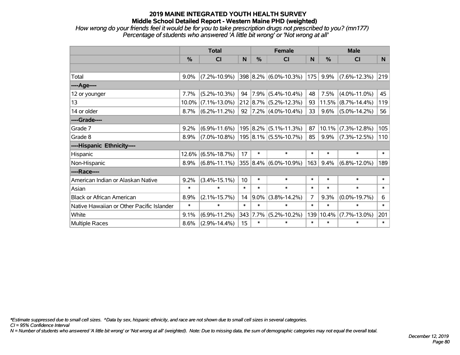*How wrong do your friends feel it would be for you to take prescription drugs not prescribed to you? (mn177) Percentage of students who answered 'A little bit wrong' or 'Not wrong at all'*

|                                           | <b>Total</b>  |                                                |        |               | <b>Female</b>             |        | <b>Male</b>   |                    |          |  |
|-------------------------------------------|---------------|------------------------------------------------|--------|---------------|---------------------------|--------|---------------|--------------------|----------|--|
|                                           | $\frac{0}{0}$ | CI                                             | N      | $\frac{0}{0}$ | <b>CI</b>                 | N      | $\frac{0}{0}$ | <b>CI</b>          | <b>N</b> |  |
|                                           |               |                                                |        |               |                           |        |               |                    |          |  |
| Total                                     | $9.0\%$       | $(7.2\% - 10.9\%)$                             |        |               | $398 8.2\% $ (6.0%-10.3%) | 175    | 9.9%          | $(7.6\% - 12.3\%)$ | 219      |  |
| ----Age----                               |               |                                                |        |               |                           |        |               |                    |          |  |
| 12 or younger                             | 7.7%          | $(5.2\% - 10.3\%)$                             | 94     |               | 7.9% (5.4%-10.4%)         | 48     | 7.5%          | $(4.0\% - 11.0\%)$ | 45       |  |
| 13                                        | 10.0%         | $(7.1\% - 13.0\%)$                             |        |               | $212 8.7\% $ (5.2%-12.3%) | 93     | 11.5%         | $(8.7\% - 14.4\%)$ | 119      |  |
| 14 or older                               | 8.7%          | $(6.2\% - 11.2\%)$                             | 92     |               | $ 7.2\% $ (4.0%-10.4%)    | 33     | 9.6%          | $(5.0\% - 14.2\%)$ | 56       |  |
| ----Grade----                             |               |                                                |        |               |                           |        |               |                    |          |  |
| Grade 7                                   | 9.2%          | $(6.9\% - 11.6\%)$                             |        |               | $195 8.2\% $ (5.1%-11.3%) | 87     | 10.1%         | $(7.3\% - 12.8\%)$ | 105      |  |
| Grade 8                                   | 8.9%          | $(7.0\% - 10.8\%)$   195   8.1%   (5.5%-10.7%) |        |               |                           | 85     | 9.9%          | $(7.3\% - 12.5\%)$ | 110      |  |
| ----Hispanic Ethnicity----                |               |                                                |        |               |                           |        |               |                    |          |  |
| Hispanic                                  | 12.6%         | $(6.5\% - 18.7\%)$                             | 17     | $\ast$        | $\ast$                    | $\ast$ | $\ast$        | $\ast$             | $\ast$   |  |
| Non-Hispanic                              | 8.9%          | $(6.8\% - 11.1\%)$                             |        |               | 355 8.4% (6.0%-10.9%)     | 163    | 9.4%          | $(6.8\% - 12.0\%)$ | 189      |  |
| ----Race----                              |               |                                                |        |               |                           |        |               |                    |          |  |
| American Indian or Alaskan Native         | 9.2%          | $(3.4\% - 15.1\%)$                             | 10     | $\ast$        | $\ast$                    | $\ast$ | $\ast$        | $\ast$             | $\ast$   |  |
| Asian                                     | $\ast$        | $\ast$                                         | $\ast$ | $\ast$        | $\ast$                    | $\ast$ | $\ast$        | $\ast$             | $\ast$   |  |
| <b>Black or African American</b>          | 8.9%          | $(2.1\% - 15.7\%)$                             | 14     | $9.0\%$       | $(3.8\% - 14.2\%)$        | 7      | 9.3%          | $(0.0\% - 19.7\%)$ | 6        |  |
| Native Hawaiian or Other Pacific Islander | $\ast$        | $\ast$                                         | $\ast$ | $\ast$        | $\ast$                    | $\ast$ | $\ast$        | $\ast$             | $\ast$   |  |
| White                                     | 9.1%          | $(6.9\% - 11.2\%)$                             | 343    | $7.7\%$       | $(5.2\% - 10.2\%)$        | 139    | 10.4%         | $(7.7\% - 13.0\%)$ | 201      |  |
| <b>Multiple Races</b>                     | 8.6%          | $(2.9\% - 14.4\%)$                             | 15     | $\ast$        | $\ast$                    | $\ast$ | $\ast$        | $\ast$             | $\ast$   |  |

*\*Estimate suppressed due to small cell sizes. ^Data by sex, hispanic ethnicity, and race are not shown due to small cell sizes in several categories.*

*CI = 95% Confidence Interval*

*N = Number of students who answered 'A little bit wrong' or 'Not wrong at all' (weighted). Note: Due to missing data, the sum of demographic categories may not equal the overall total.*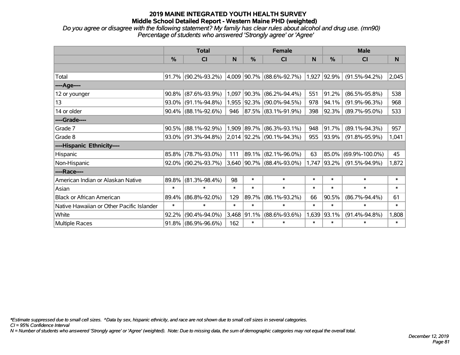*Do you agree or disagree with the following statement? My family has clear rules about alcohol and drug use. (mn90) Percentage of students who answered 'Strongly agree' or 'Agree'*

|                                           | <b>Total</b>  |                        |        |             | <b>Female</b>                   |        | <b>Male</b>   |                      |        |  |
|-------------------------------------------|---------------|------------------------|--------|-------------|---------------------------------|--------|---------------|----------------------|--------|--|
|                                           | $\frac{0}{2}$ | CI                     | N      | %           | CI                              | N      | $\frac{0}{0}$ | <b>CI</b>            | N      |  |
|                                           |               |                        |        |             |                                 |        |               |                      |        |  |
| Total                                     |               | $91.7\%$ (90.2%-93.2%) |        |             | 4,009 90.7% (88.6%-92.7%)       |        | $1,927$ 92.9% | $(91.5\% - 94.2\%)$  | 2,045  |  |
| ----Age----                               |               |                        |        |             |                                 |        |               |                      |        |  |
| 12 or younger                             | 90.8%         | $(87.6\% - 93.9\%)$    | 1,097  | $ 90.3\%$   | $(86.2\% - 94.4\%)$             | 551    | 91.2%         | $(86.5\% - 95.8\%)$  | 538    |  |
| 13                                        |               | $93.0\%$ (91.1%-94.8%) |        | 1,955 92.3% | $(90.0\% - 94.5\%)$             | 978    | 94.1%         | $(91.9\% - 96.3\%)$  | 968    |  |
| 14 or older                               |               | $90.4\%$ (88.1%-92.6%) | 946    |             | $ 87.5\% $ (83.1%-91.9%)        | 398    | 92.3%         | $(89.7\% - 95.0\%)$  | 533    |  |
| ----Grade----                             |               |                        |        |             |                                 |        |               |                      |        |  |
| Grade 7                                   | 90.5%         | $(88.1\% - 92.9\%)$    |        | 1,909 89.7% | $(86.3\% - 93.1\%)$             | 948    | 91.7%         | $(89.1\% - 94.3\%)$  | 957    |  |
| Grade 8                                   |               | $93.0\%$ (91.3%-94.8%) |        |             | 2,014 92.2% (90.1%-94.3%)       | 955    | 93.9%         | $(91.8\% - 95.9\%)$  | 1,041  |  |
| ----Hispanic Ethnicity----                |               |                        |        |             |                                 |        |               |                      |        |  |
| Hispanic                                  | 85.8%         | $(78.7\% - 93.0\%)$    | 111    | 89.1%       | $(82.1\% - 96.0\%)$             | 63     | 85.0%         | $(69.9\% - 100.0\%)$ | 45     |  |
| Non-Hispanic                              |               | $92.0\%$ (90.2%-93.7%) |        |             | $3,640$   90.7%   (88.4%-93.0%) | 1,747  | 93.2%         | $(91.5\% - 94.9\%)$  | 1,872  |  |
| ----Race----                              |               |                        |        |             |                                 |        |               |                      |        |  |
| American Indian or Alaskan Native         | 89.8%         | $(81.3\% - 98.4\%)$    | 98     | $\ast$      | $\ast$                          | $\ast$ | $\ast$        | $\ast$               | $\ast$ |  |
| Asian                                     | $\ast$        | $\ast$                 | $\ast$ | $\ast$      | $\ast$                          | $\ast$ | $\ast$        | $\ast$               | $\ast$ |  |
| <b>Black or African American</b>          | 89.4%         | $(86.8\% - 92.0\%)$    | 129    | 89.7%       | $(86.1\% - 93.2\%)$             | 66     | 90.5%         | $(86.7\% - 94.4\%)$  | 61     |  |
| Native Hawaiian or Other Pacific Islander | $\ast$        | $\ast$                 | $\ast$ | $\ast$      | $\ast$                          | $\ast$ | $\ast$        | $\ast$               | $\ast$ |  |
| White                                     | 92.2%         | $(90.4\% - 94.0\%)$    | 3,468  | 91.1%       | $(88.6\% - 93.6\%)$             | 1,639  | 93.1%         | $(91.4\% - 94.8\%)$  | 1,808  |  |
| Multiple Races                            |               | 91.8% (86.9%-96.6%)    | 162    | $\ast$      | $\ast$                          | $\ast$ | $\ast$        | $\ast$               | $\ast$ |  |

*\*Estimate suppressed due to small cell sizes. ^Data by sex, hispanic ethnicity, and race are not shown due to small cell sizes in several categories.*

*CI = 95% Confidence Interval*

*N = Number of students who answered 'Strongly agree' or 'Agree' (weighted). Note: Due to missing data, the sum of demographic categories may not equal the overall total.*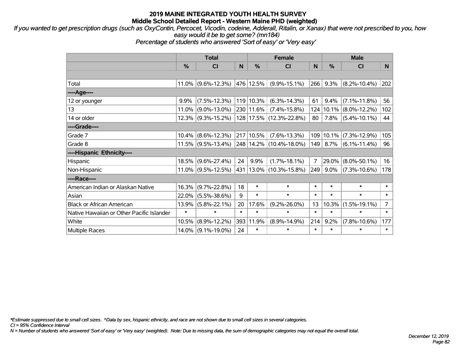*If you wanted to get prescription drugs (such as OxyContin, Percocet, Vicodin, codeine, Adderall, Ritalin, or Xanax) that were not prescribed to you, how easy would it be to get some? (mn184)*

*Percentage of students who answered 'Sort of easy' or 'Very easy'*

|                                           | <b>Total</b>  |                       |        | <b>Female</b> | <b>Male</b>                 |                |               |                    |                |
|-------------------------------------------|---------------|-----------------------|--------|---------------|-----------------------------|----------------|---------------|--------------------|----------------|
|                                           | $\frac{0}{0}$ | <b>CI</b>             | N      | $\frac{0}{0}$ | <b>CI</b>                   | N.             | $\frac{0}{0}$ | <b>CI</b>          | N <sub>1</sub> |
|                                           |               |                       |        |               |                             |                |               |                    |                |
| Total                                     |               | $11.0\%$ (9.6%-12.3%) |        | 476 12.5%     | $(9.9\% - 15.1\%)$          | 266            | 9.3%          | $(8.2\% - 10.4\%)$ | 202            |
| ----Age----                               |               |                       |        |               |                             |                |               |                    |                |
| 12 or younger                             | 9.9%          | $(7.5\% - 12.3\%)$    |        | 119 10.3%     | $(6.3\% - 14.3\%)$          | 61             | 9.4%          | $(7.1\% - 11.8\%)$ | 56             |
| 13                                        |               | $11.0\%$ (9.0%-13.0%) |        | 230 11.6%     | $(7.4\% - 15.8\%)$          | 124            | $10.1\%$      | $(8.0\% - 12.2\%)$ | 102            |
| 14 or older                               |               | $12.3\%$ (9.3%-15.2%) |        |               | 128 17.5% (12.3%-22.8%)     | 80             | 7.8%          | $(5.4\% - 10.1\%)$ | 44             |
| ----Grade----                             |               |                       |        |               |                             |                |               |                    |                |
| Grade 7                                   | 10.4%         | $(8.6\% - 12.3\%)$    |        | 217 10.5%     | $(7.6\% - 13.3\%)$          | 109            | $10.1\%$      | $(7.3\% - 12.9\%)$ | 105            |
| Grade 8                                   |               | $11.5\%$ (9.5%-13.4%) |        |               | 248 14.2% (10.4%-18.0%)     | 149            | $8.7\%$       | $(6.1\% - 11.4\%)$ | 96             |
| ----Hispanic Ethnicity----                |               |                       |        |               |                             |                |               |                    |                |
| Hispanic                                  | 18.5%         | $(9.6\% - 27.4\%)$    | 24     | 9.9%          | $(1.7\% - 18.1\%)$          | $\overline{7}$ | 29.0%         | $(8.0\% - 50.1\%)$ | 16             |
| Non-Hispanic                              |               | $11.0\%$ (9.5%-12.5%) |        |               | 431   13.0%   (10.3%-15.8%) | 249            | $9.0\%$       | $(7.3\% - 10.6\%)$ | 178            |
| ----Race----                              |               |                       |        |               |                             |                |               |                    |                |
| American Indian or Alaskan Native         | 16.3%         | $(9.7\% - 22.8\%)$    | 18     | $\ast$        | $\ast$                      | $\ast$         | $\ast$        | $\ast$             | $\ast$         |
| Asian                                     | 22.0%         | $(5.5\% - 38.6\%)$    | 9      | $\ast$        | $\ast$                      | $\ast$         | $\ast$        | $\ast$             | $\ast$         |
| <b>Black or African American</b>          | 13.9%         | $(5.8\% - 22.1\%)$    | 20     | 17.6%         | $(9.2\% - 26.0\%)$          | 13             | 10.3%         | $(1.5\% - 19.1\%)$ | $\overline{7}$ |
| Native Hawaiian or Other Pacific Islander | $\ast$        | $\ast$                | $\ast$ | $\ast$        | $\ast$                      | $\ast$         | $\ast$        | $\ast$             | $\ast$         |
| White                                     | 10.5%         | $(8.9\% - 12.2\%)$    | 393    | 11.9%         | $(8.9\% - 14.9\%)$          | 214            | 9.2%          | $(7.8\% - 10.6\%)$ | 177            |
| <b>Multiple Races</b>                     |               | 14.0% (9.1%-19.0%)    | 24     | $\ast$        | $\ast$                      | $\ast$         | $\ast$        | $\ast$             | $\ast$         |

*\*Estimate suppressed due to small cell sizes. ^Data by sex, hispanic ethnicity, and race are not shown due to small cell sizes in several categories.*

*CI = 95% Confidence Interval*

*N = Number of students who answered 'Sort of easy' or 'Very easy' (weighted). Note: Due to missing data, the sum of demographic categories may not equal the overall total.*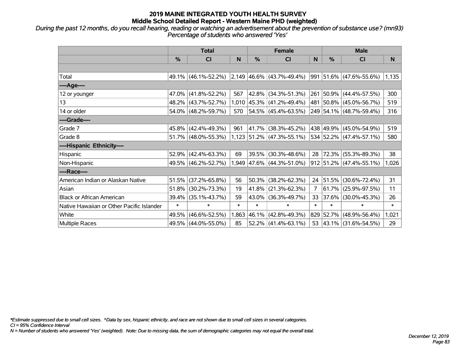*During the past 12 months, do you recall hearing, reading or watching an advertisement about the prevention of substance use? (mn93) Percentage of students who answered 'Yes'*

|                                           | <b>Total</b> |                        |        | <b>Female</b> |                             | <b>Male</b> |               |                              |        |
|-------------------------------------------|--------------|------------------------|--------|---------------|-----------------------------|-------------|---------------|------------------------------|--------|
|                                           | %            | CI                     | N      | %             | <b>CI</b>                   | N           | $\frac{0}{0}$ | <b>CI</b>                    | N      |
|                                           |              |                        |        |               |                             |             |               |                              |        |
| Total                                     |              | 49.1% (46.1%-52.2%)    |        |               | $2,149$ 46.6% (43.7%-49.4%) |             |               | $ 991 51.6\% $ (47.6%-55.6%) | 1,135  |
| ----Age----                               |              |                        |        |               |                             |             |               |                              |        |
| 12 or younger                             | 47.0%        | $(41.8\% - 52.2\%)$    | 567    | 42.8%         | $(34.3\% - 51.3\%)$         | 261         |               | $ 50.9\% $ (44.4%-57.5%)     | 300    |
| 13                                        | 48.2%        | $(43.7\% - 52.7\%)$    | 1,010  |               | 45.3% (41.2%-49.4%)         |             |               | 481 50.8% (45.0%-56.7%)      | 519    |
| 14 or older                               | 54.0%        | $(48.2\% - 59.7\%)$    | 570    |               | 54.5% (45.4%-63.5%)         |             |               | 249 54.1% (48.7%-59.4%)      | 316    |
| ----Grade----                             |              |                        |        |               |                             |             |               |                              |        |
| Grade 7                                   | 45.8%        | $(42.4\% - 49.3\%)$    | 961    |               | 41.7% (38.3%-45.2%)         |             |               | 438 49.9% (45.0%-54.9%)      | 519    |
| Grade 8                                   |              | $51.7\%$ (48.0%-55.3%) |        |               | $1,123$ 51.2% (47.3%-55.1%) |             |               | 534 52.2% (47.4%-57.1%)      | 580    |
| ----Hispanic Ethnicity----                |              |                        |        |               |                             |             |               |                              |        |
| Hispanic                                  | 52.9%        | $(42.4\% - 63.3\%)$    | 69     | 39.5%         | $(30.3\% - 48.6\%)$         | 28          |               | 72.3% (55.3%-89.3%)          | 38     |
| Non-Hispanic                              |              | 49.5% (46.2%-52.7%)    |        |               | 1,949 47.6% (44.3%-51.0%)   |             |               | 912 51.2% (47.4%-55.1%)      | 1,026  |
| ----Race----                              |              |                        |        |               |                             |             |               |                              |        |
| American Indian or Alaskan Native         | 51.5%        | $(37.2\% - 65.8\%)$    | 56     |               | $50.3\%$ (38.2%-62.3%)      |             |               | 24 51.5% (30.6%-72.4%)       | 31     |
| Asian                                     | 51.8%        | $(30.2\% - 73.3\%)$    | 19     | 41.8%         | $(21.3\% - 62.3\%)$         | 7           | 61.7%         | $(25.9\% - 97.5\%)$          | 11     |
| <b>Black or African American</b>          | 39.4%        | $(35.1\% - 43.7\%)$    | 59     |               | 43.0% (36.3%-49.7%)         | 33          |               | 37.6% (30.0%-45.3%)          | 26     |
| Native Hawaiian or Other Pacific Islander | $\ast$       | $\ast$                 | $\ast$ | $\ast$        | $\ast$                      | $\ast$      | $\ast$        | $\ast$                       | $\ast$ |
| White                                     | 49.5%        | $(46.6\% - 52.5\%)$    | 1,863  |               | 46.1% (42.8%-49.3%)         | 829         |               | 52.7% (48.9%-56.4%)          | 1,021  |
| <b>Multiple Races</b>                     | 49.5%        | $(44.0\% - 55.0\%)$    | 85     |               | $52.2\%$ (41.4%-63.1%)      |             |               | 53 43.1% (31.6%-54.5%)       | 29     |

*\*Estimate suppressed due to small cell sizes. ^Data by sex, hispanic ethnicity, and race are not shown due to small cell sizes in several categories.*

*CI = 95% Confidence Interval*

*N = Number of students who answered 'Yes' (weighted). Note: Due to missing data, the sum of demographic categories may not equal the overall total.*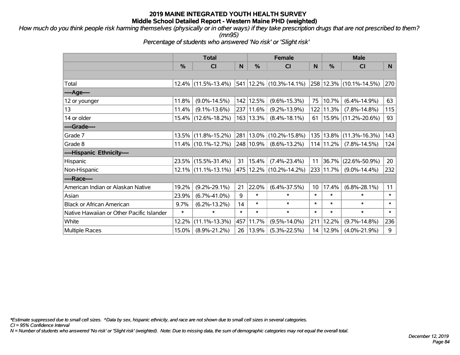*How much do you think people risk harming themselves (physically or in other ways) if they take prescription drugs that are not prescribed to them? (mn95)*

*Percentage of students who answered 'No risk' or 'Slight risk'*

|                                           | <b>Total</b> |                        |        | <b>Female</b> | <b>Male</b>                              |                 |               |                         |        |
|-------------------------------------------|--------------|------------------------|--------|---------------|------------------------------------------|-----------------|---------------|-------------------------|--------|
|                                           | %            | <b>CI</b>              | N      | %             | C <sub>l</sub>                           | N               | $\frac{0}{0}$ | CI                      | N      |
|                                           |              |                        |        |               |                                          |                 |               |                         |        |
| Total                                     |              | $12.4\%$ (11.5%-13.4%) |        |               | $541 \mid 12.2\% \mid (10.3\% - 14.1\%)$ |                 |               | 258 12.3% (10.1%-14.5%) | 270    |
| ----Age----                               |              |                        |        |               |                                          |                 |               |                         |        |
| 12 or younger                             | 11.8%        | $(9.0\% - 14.5\%)$     |        | 142 12.5%     | $(9.6\% - 15.3\%)$                       | 75              | 10.7%         | $(6.4\% - 14.9\%)$      | 63     |
| 13                                        | 11.4%        | $(9.1\% - 13.6\%)$     |        | 237 11.6%     | $(9.2\% - 13.9\%)$                       | 122             | 11.3%         | $(7.8\% - 14.8\%)$      | 115    |
| 14 or older                               |              | 15.4% (12.6%-18.2%)    |        | 163 13.3%     | $(8.4\% - 18.1\%)$                       | 61              |               | 15.9% (11.2%-20.6%)     | 93     |
| ----Grade----                             |              |                        |        |               |                                          |                 |               |                         |        |
| Grade 7                                   |              | 13.5% (11.8%-15.2%)    |        | 281 13.0%     | $(10.2\% - 15.8\%)$                      | 135             | 13.8%         | $(11.3\% - 16.3\%)$     | 143    |
| Grade 8                                   |              | $11.4\%$ (10.1%-12.7%) |        | 248 10.9%     | $(8.6\% - 13.2\%)$                       |                 | 114 11.2%     | $(7.8\% - 14.5\%)$      | 124    |
| ----Hispanic Ethnicity----                |              |                        |        |               |                                          |                 |               |                         |        |
| Hispanic                                  |              | 23.5% (15.5%-31.4%)    | 31     | 15.4%         | $(7.4\% - 23.4\%)$                       | 11              | 36.7%         | $(22.6\% - 50.9\%)$     | 20     |
| Non-Hispanic                              |              | $12.1\%$ (11.1%-13.1%) |        |               | 475   12.2%   (10.2%-14.2%)              |                 | 233 11.7%     | $(9.0\% - 14.4\%)$      | 232    |
| ----Race----                              |              |                        |        |               |                                          |                 |               |                         |        |
| American Indian or Alaskan Native         | 19.2%        | $(9.2\% - 29.1\%)$     | 21     | 22.0%         | $(6.4\% - 37.5\%)$                       | 10 <sup>°</sup> | 17.4%         | $(6.8\% - 28.1\%)$      | 11     |
| Asian                                     | 23.9%        | $(6.7\% - 41.0\%)$     | 9      | $\ast$        | $\ast$                                   | $\ast$          | $\ast$        | $\ast$                  | $\ast$ |
| <b>Black or African American</b>          | 9.7%         | $(6.2\% - 13.2\%)$     | 14     | $\ast$        | $\ast$                                   | $\ast$          | $\ast$        | $\ast$                  | $\ast$ |
| Native Hawaiian or Other Pacific Islander | $\ast$       | $\ast$                 | $\ast$ | $\ast$        | $\ast$                                   | $\ast$          | $\ast$        | $\ast$                  | $\ast$ |
| White                                     | 12.2%        | $(11.1\% - 13.3\%)$    | 457    | 11.7%         | $(9.5\% - 14.0\%)$                       | 211             | 12.2%         | $(9.7\% - 14.8\%)$      | 236    |
| <b>Multiple Races</b>                     | 15.0%        | $(8.9\% - 21.2\%)$     | 26     | 13.9%         | $(5.3\% - 22.5\%)$                       | 14              | 12.9%         | $(4.0\% - 21.9\%)$      | 9      |

*\*Estimate suppressed due to small cell sizes. ^Data by sex, hispanic ethnicity, and race are not shown due to small cell sizes in several categories.*

*CI = 95% Confidence Interval*

*N = Number of students who answered 'No risk' or 'Slight risk' (weighted). Note: Due to missing data, the sum of demographic categories may not equal the overall total.*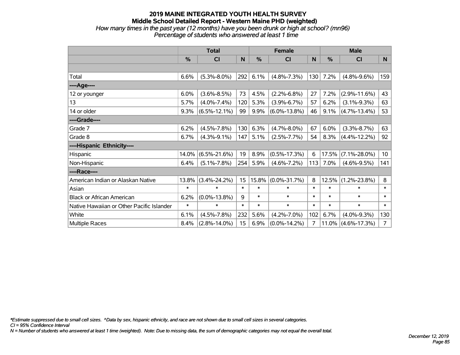#### **2019 MAINE INTEGRATED YOUTH HEALTH SURVEY Middle School Detailed Report - Western Maine PHD (weighted)** *How many times in the past year (12 months) have you been drunk or high at school? (mn96)*

*Percentage of students who answered at least 1 time*

|                                           | <b>Total</b> |                    | <b>Female</b> |        |                    | <b>Male</b> |        |                    |                |
|-------------------------------------------|--------------|--------------------|---------------|--------|--------------------|-------------|--------|--------------------|----------------|
|                                           | $\%$         | <b>CI</b>          | N             | %      | <b>CI</b>          | N           | %      | <b>CI</b>          | N              |
|                                           |              |                    |               |        |                    |             |        |                    |                |
| Total                                     | 6.6%         | $(5.3\% - 8.0\%)$  | 292           | 6.1%   | $(4.8\% - 7.3\%)$  | 130         | 7.2%   | $(4.8\% - 9.6\%)$  | 159            |
| ----Age----                               |              |                    |               |        |                    |             |        |                    |                |
| 12 or younger                             | 6.0%         | $(3.6\% - 8.5\%)$  | 73            | 4.5%   | $(2.2\% - 6.8\%)$  | 27          | 7.2%   | $(2.9\% - 11.6\%)$ | 43             |
| 13                                        | 5.7%         | $(4.0\% - 7.4\%)$  | 120           | 5.3%   | $(3.9\% - 6.7\%)$  | 57          | 6.2%   | $(3.1\% - 9.3\%)$  | 63             |
| 14 or older                               | 9.3%         | $(6.5\% - 12.1\%)$ | 99            | 9.9%   | $(6.0\% - 13.8\%)$ | 46          | 9.1%   | $(4.7\% - 13.4\%)$ | 53             |
| ----Grade----                             |              |                    |               |        |                    |             |        |                    |                |
| Grade 7                                   | 6.2%         | $(4.5\% - 7.8\%)$  | 130           | 6.3%   | $(4.7\% - 8.0\%)$  | 67          | 6.0%   | $(3.3\% - 8.7\%)$  | 63             |
| Grade 8                                   | 6.7%         | $(4.3\% - 9.1\%)$  | 147           | 5.1%   | $(2.5\% - 7.7\%)$  | 54          | 8.3%   | $(4.4\% - 12.2\%)$ | 92             |
| ----Hispanic Ethnicity----                |              |                    |               |        |                    |             |        |                    |                |
| Hispanic                                  | 14.0%        | $(6.5\% - 21.6\%)$ | 19            | 8.9%   | $(0.5\% - 17.3\%)$ | 6           | 17.5%  | $(7.1\% - 28.0\%)$ | 10             |
| Non-Hispanic                              | 6.4%         | $(5.1\% - 7.8\%)$  | 254           | 5.9%   | $(4.6\% - 7.2\%)$  | 113         | 7.0%   | $(4.6\% - 9.5\%)$  | 141            |
| ----Race----                              |              |                    |               |        |                    |             |        |                    |                |
| American Indian or Alaskan Native         | 13.8%        | $(3.4\% - 24.2\%)$ | 15            | 15.8%  | $(0.0\% - 31.7\%)$ | 8           | 12.5%  | $(1.2\% - 23.8\%)$ | 8              |
| Asian                                     | $\ast$       | $\ast$             | $\ast$        | $\ast$ | $\ast$             | $\ast$      | $\ast$ | $\ast$             | $\pmb{\ast}$   |
| <b>Black or African American</b>          | 6.2%         | $(0.0\% - 13.8\%)$ | 9             | $\ast$ | $\ast$             | $\ast$      | $\ast$ | $\ast$             | $\ast$         |
| Native Hawaiian or Other Pacific Islander | $\ast$       | $\ast$             | $\ast$        | $\ast$ | $\ast$             | $\ast$      | $\ast$ | $\ast$             | $\ast$         |
| White                                     | 6.1%         | $(4.5\% - 7.8\%)$  | 232           | 5.6%   | $(4.2\% - 7.0\%)$  | 102         | 6.7%   | $(4.0\% - 9.3\%)$  | 130            |
| <b>Multiple Races</b>                     | 8.4%         | $(2.8\% - 14.0\%)$ | 15            | 6.9%   | $(0.0\% - 14.2\%)$ | 7           | 11.0%  | $(4.6\% - 17.3\%)$ | $\overline{7}$ |

*\*Estimate suppressed due to small cell sizes. ^Data by sex, hispanic ethnicity, and race are not shown due to small cell sizes in several categories.*

*CI = 95% Confidence Interval*

*N = Number of students who answered at least 1 time (weighted). Note: Due to missing data, the sum of demographic categories may not equal the overall total.*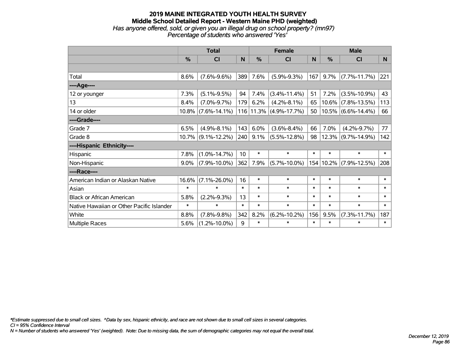#### **2019 MAINE INTEGRATED YOUTH HEALTH SURVEY Middle School Detailed Report - Western Maine PHD (weighted)** *Has anyone offered, sold, or given you an illegal drug on school property? (mn97) Percentage of students who answered 'Yes'*

|                                           | <b>Total</b> |                       | <b>Female</b> |               |                            | <b>Male</b> |               |                       |        |
|-------------------------------------------|--------------|-----------------------|---------------|---------------|----------------------------|-------------|---------------|-----------------------|--------|
|                                           | $\%$         | <b>CI</b>             | N             | $\frac{0}{0}$ | <b>CI</b>                  | N           | $\frac{0}{0}$ | <b>CI</b>             | N      |
|                                           |              |                       |               |               |                            |             |               |                       |        |
| Total                                     | 8.6%         | $(7.6\% - 9.6\%)$     | 389           | 7.6%          | $(5.9\% - 9.3\%)$          | 167         | 9.7%          | $(7.7\% - 11.7\%)$    | 221    |
| ---- Age----                              |              |                       |               |               |                            |             |               |                       |        |
| 12 or younger                             | 7.3%         | $(5.1\% - 9.5\%)$     | 94            | 7.4%          | $(3.4\% - 11.4\%)$         | 51          | 7.2%          | $(3.5\% - 10.9\%)$    | 43     |
| 13                                        | 8.4%         | $(7.0\% - 9.7\%)$     | 179           | 6.2%          | $(4.2\% - 8.1\%)$          | 65          | $10.6\%$      | $(7.8\% - 13.5\%)$    | 113    |
| 14 or older                               |              | $10.8\%$ (7.6%-14.1%) |               |               | $116 11.3\% $ (4.9%-17.7%) | 50          |               | $10.5\%$ (6.6%-14.4%) | 66     |
| ----Grade----                             |              |                       |               |               |                            |             |               |                       |        |
| Grade 7                                   | 6.5%         | $(4.9\% - 8.1\%)$     | 143           | 6.0%          | $(3.6\% - 8.4\%)$          | 66          | 7.0%          | $(4.2\% - 9.7\%)$     | 77     |
| Grade 8                                   |              | $10.7\%$ (9.1%-12.2%) | 240           | 9.1%          | $(5.5\% - 12.8\%)$         | 98          |               | $12.3\%$ (9.7%-14.9%) | 142    |
| ----Hispanic Ethnicity----                |              |                       |               |               |                            |             |               |                       |        |
| Hispanic                                  | 7.8%         | $(1.0\% - 14.7\%)$    | 10            | $\ast$        | $\ast$                     | $\ast$      | $\ast$        | $\ast$                | $\ast$ |
| Non-Hispanic                              | $9.0\%$      | $(7.9\% - 10.0\%)$    | 362           | 7.9%          | $(5.7\% - 10.0\%)$         |             | 154 10.2%     | $(7.9\% - 12.5\%)$    | 208    |
| ----Race----                              |              |                       |               |               |                            |             |               |                       |        |
| American Indian or Alaskan Native         | 16.6%        | $(7.1\% - 26.0\%)$    | 16            | $\ast$        | $\ast$                     | $\ast$      | $\ast$        | $\ast$                | $\ast$ |
| Asian                                     | $\ast$       | $\ast$                | $\ast$        | $\ast$        | $\ast$                     | $\ast$      | $\ast$        | $\ast$                | $\ast$ |
| <b>Black or African American</b>          | 5.8%         | $(2.2\% - 9.3\%)$     | 13            | $\ast$        | $\ast$                     | $\ast$      | $\ast$        | $\ast$                | $\ast$ |
| Native Hawaiian or Other Pacific Islander | $\ast$       | $\ast$                | $\ast$        | $\ast$        | $\ast$                     | $\ast$      | $\ast$        | $\ast$                | $\ast$ |
| White                                     | 8.8%         | $(7.8\% - 9.8\%)$     | 342           | 8.2%          | $(6.2\% - 10.2\%)$         | 156         | 9.5%          | $(7.3\% - 11.7\%)$    | 187    |
| <b>Multiple Races</b>                     | 5.6%         | $(1.2\% - 10.0\%)$    | 9             | $\ast$        | $\ast$                     | $\ast$      | $\ast$        | $\ast$                | $\ast$ |

*\*Estimate suppressed due to small cell sizes. ^Data by sex, hispanic ethnicity, and race are not shown due to small cell sizes in several categories.*

*CI = 95% Confidence Interval*

*N = Number of students who answered 'Yes' (weighted). Note: Due to missing data, the sum of demographic categories may not equal the overall total.*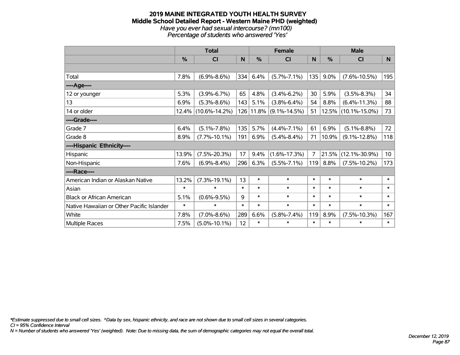# **2019 MAINE INTEGRATED YOUTH HEALTH SURVEY Middle School Detailed Report - Western Maine PHD (weighted)** *Have you ever had sexual intercourse? (mn100)*

*Percentage of students who answered 'Yes'*

|                                           | <b>Total</b>  |                     | <b>Female</b> |           |                    | <b>Male</b> |               |                     |                 |
|-------------------------------------------|---------------|---------------------|---------------|-----------|--------------------|-------------|---------------|---------------------|-----------------|
|                                           | $\frac{0}{0}$ | C <sub>l</sub>      | N             | %         | C <sub>l</sub>     | N           | $\frac{0}{0}$ | <b>CI</b>           | N               |
|                                           |               |                     |               |           |                    |             |               |                     |                 |
| Total                                     | 7.8%          | $(6.9\% - 8.6\%)$   | 334           | 6.4%      | $(5.7\% - 7.1\%)$  | 135         | 9.0%          | $(7.6\% - 10.5\%)$  | 195             |
| ----Age----                               |               |                     |               |           |                    |             |               |                     |                 |
| 12 or younger                             | 5.3%          | $(3.9\% - 6.7\%)$   | 65            | 4.8%      | $(3.4\% - 6.2\%)$  | 30          | 5.9%          | $(3.5\% - 8.3\%)$   | 34              |
| 13                                        | 6.9%          | $(5.3\% - 8.6\%)$   | 143           | 5.1%      | $(3.8\% - 6.4\%)$  | 54          | 8.8%          | $(6.4\% - 11.3\%)$  | 88              |
| 14 or older                               |               | 12.4% (10.6%-14.2%) |               | 126 11.8% | $(9.1\% - 14.5\%)$ | 51          | 12.5%         | $(10.1\% - 15.0\%)$ | 73              |
| ----Grade----                             |               |                     |               |           |                    |             |               |                     |                 |
| Grade 7                                   | 6.4%          | $(5.1\% - 7.8\%)$   | 135           | 5.7%      | $(4.4\% - 7.1\%)$  | 61          | 6.9%          | $(5.1\% - 8.8\%)$   | 72              |
| Grade 8                                   | 8.9%          | $(7.7\% - 10.1\%)$  | 191           | 6.9%      | $(5.4\% - 8.4\%)$  | 71          | 10.9%         | $(9.1\% - 12.8\%)$  | 118             |
| ----Hispanic Ethnicity----                |               |                     |               |           |                    |             |               |                     |                 |
| Hispanic                                  | 13.9%         | $(7.5\% - 20.3\%)$  | 17            | 9.4%      | $(1.6\% - 17.3\%)$ | 7           | 21.5%         | $(12.1\% - 30.9\%)$ | 10 <sup>°</sup> |
| Non-Hispanic                              | 7.6%          | $(6.9\% - 8.4\%)$   | 296           | 6.3%      | $(5.5\% - 7.1\%)$  | 119         | 8.8%          | $(7.5\% - 10.2\%)$  | 173             |
| ----Race----                              |               |                     |               |           |                    |             |               |                     |                 |
| American Indian or Alaskan Native         | 13.2%         | $(7.3\% - 19.1\%)$  | 13            | $\ast$    | $\ast$             | $\ast$      | $\ast$        | $\ast$              | $\ast$          |
| Asian                                     | $\ast$        | $\ast$              | $\ast$        | $\ast$    | $\ast$             | $\ast$      | $\ast$        | $\ast$              | $\ast$          |
| <b>Black or African American</b>          | 5.1%          | $(0.6\% - 9.5\%)$   | 9             | $\ast$    | $\ast$             | $\ast$      | $\ast$        | $\ast$              | $\ast$          |
| Native Hawaiian or Other Pacific Islander | $\ast$        | $\ast$              | $\ast$        | $\ast$    | $\ast$             | $\ast$      | $\ast$        | $\ast$              | $\ast$          |
| White                                     | 7.8%          | $(7.0\% - 8.6\%)$   | 289           | 6.6%      | $(5.8\% - 7.4\%)$  | 119         | 8.9%          | $(7.5\% - 10.3\%)$  | 167             |
| Multiple Races                            | 7.5%          | $(5.0\% - 10.1\%)$  | 12            | $\ast$    | $\ast$             | $\ast$      | $\ast$        | $\ast$              | $\ast$          |

*\*Estimate suppressed due to small cell sizes. ^Data by sex, hispanic ethnicity, and race are not shown due to small cell sizes in several categories.*

*CI = 95% Confidence Interval*

*N = Number of students who answered 'Yes' (weighted). Note: Due to missing data, the sum of demographic categories may not equal the overall total.*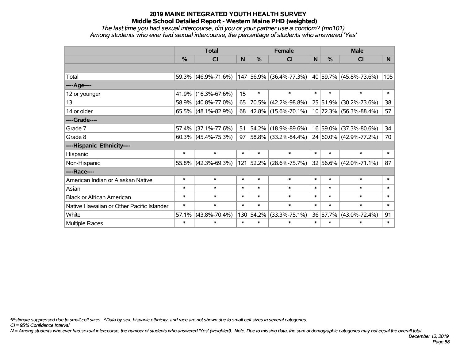*The last time you had sexual intercourse, did you or your partner use a condom? (mn101) Among students who ever had sexual intercourse, the percentage of students who answered 'Yes'*

|                                           | <b>Total</b> |                        |        |        | <b>Female</b>            | <b>Male</b> |              |                             |        |
|-------------------------------------------|--------------|------------------------|--------|--------|--------------------------|-------------|--------------|-----------------------------|--------|
|                                           | %            | CI                     | N      | %      | <b>CI</b>                | N           | %            | <b>CI</b>                   | N.     |
|                                           |              |                        |        |        |                          |             |              |                             |        |
| Total                                     |              | 59.3% (46.9%-71.6%)    |        |        | 147 56.9% (36.4%-77.3%)  |             |              | $ 40 59.7\% $ (45.8%-73.6%) | 105    |
| ----Age----                               |              |                        |        |        |                          |             |              |                             |        |
| 12 or younger                             | 41.9%        | $(16.3\% - 67.6\%)$    | 15     | $\ast$ | $\ast$                   | $\ast$      | $\ast$       | $\ast$                      | $\ast$ |
| 13                                        | 58.9%        | $(40.8\% - 77.0\%)$    | 65     | 70.5%  | $(42.2\% - 98.8\%)$      |             | 25 51.9%     | $(30.2\% - 73.6\%)$         | 38     |
| 14 or older                               | 65.5%        | $(48.1\% - 82.9\%)$    | 68     |        | $ 42.8\% $ (15.6%-70.1%) |             |              | 10 72.3% (56.3%-88.4%)      | 57     |
| ----Grade----                             |              |                        |        |        |                          |             |              |                             |        |
| Grade 7                                   | 57.4%        | $(37.1\% - 77.6\%)$    | 51     | 54.2%  | $(18.9\% - 89.6\%)$      |             | 16 59.0%     | $(37.3\% - 80.6\%)$         | 34     |
| Grade 8                                   |              | $60.3\%$ (45.4%-75.3%) | 97     |        | $ 58.8\% $ (33.2%-84.4%) |             |              | 24 60.0% (42.9%-77.2%)      | 70     |
| ----Hispanic Ethnicity----                |              |                        |        |        |                          |             |              |                             |        |
| Hispanic                                  | $\ast$       | $\ast$                 | $\ast$ | $\ast$ | $\ast$                   | $\ast$      | $\ast$       | $\ast$                      | $\ast$ |
| Non-Hispanic                              |              | 55.8% (42.3%-69.3%)    |        |        | 121 52.2% (28.6%-75.7%)  |             | $32 56.6\% $ | $(42.0\% - 71.1\%)$         | 87     |
| ----Race----                              |              |                        |        |        |                          |             |              |                             |        |
| American Indian or Alaskan Native         | $\ast$       | $\ast$                 | $\ast$ | $\ast$ | $\ast$                   | $\ast$      | $\ast$       | $\ast$                      | $\ast$ |
| Asian                                     | $\ast$       | $\ast$                 | $\ast$ | $\ast$ | $\ast$                   | $\ast$      | $\ast$       | $\ast$                      | $\ast$ |
| <b>Black or African American</b>          | $\ast$       | $\ast$                 | $\ast$ | $\ast$ | $\ast$                   | $\ast$      | $\ast$       | $\ast$                      | $\ast$ |
| Native Hawaiian or Other Pacific Islander | $\ast$       | $\ast$                 | $\ast$ | $\ast$ | $\ast$                   | $\ast$      | $\ast$       | $\ast$                      | $\ast$ |
| White                                     | 57.1%        | $(43.8\% - 70.4\%)$    | 130    | 54.2%  | $(33.3\% - 75.1\%)$      |             | 36 57.7%     | $(43.0\% - 72.4\%)$         | 91     |
| <b>Multiple Races</b>                     | $\ast$       | $\ast$                 | $\ast$ | $\ast$ | $\ast$                   | $\ast$      | $\ast$       | $\ast$                      | $\ast$ |

*\*Estimate suppressed due to small cell sizes. ^Data by sex, hispanic ethnicity, and race are not shown due to small cell sizes in several categories.*

*CI = 95% Confidence Interval*

*N = Among students who ever had sexual intercourse, the number of students who answered 'Yes' (weighted). Note: Due to missing data, the sum of demographic categories may not equal the overall total.*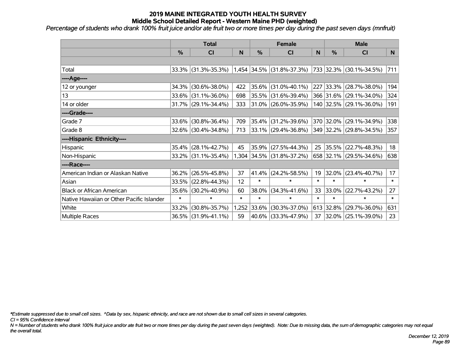*Percentage of students who drank 100% fruit juice and/or ate fruit two or more times per day during the past seven days (mnfruit)*

|                                           | <b>Total</b>  |                     |        | <b>Female</b> | <b>Male</b>                 |        |               |                         |        |
|-------------------------------------------|---------------|---------------------|--------|---------------|-----------------------------|--------|---------------|-------------------------|--------|
|                                           | $\frac{0}{0}$ | CI                  | N      | %             | <b>CI</b>                   | N      | $\frac{0}{0}$ | <b>CI</b>               | N      |
|                                           |               |                     |        |               |                             |        |               |                         |        |
| Total                                     |               | 33.3% (31.3%-35.3%) |        |               | $1,454$ 34.5% (31.8%-37.3%) |        |               | 733 32.3% (30.1%-34.5%) | 711    |
| ----Age----                               |               |                     |        |               |                             |        |               |                         |        |
| 12 or younger                             | 34.3%         | $(30.6\% - 38.0\%)$ | 422    | 35.6%         | $(31.0\% - 40.1\%)$         |        | 227 33.3%     | $(28.7\% - 38.0\%)$     | 194    |
| 13                                        |               | 33.6% (31.1%-36.0%) | 698    | 35.5%         | $(31.6\% - 39.4\%)$         |        |               | 366 31.6% (29.1%-34.0%) | 324    |
| 14 or older                               |               | 31.7% (29.1%-34.4%) | 333    |               | $ 31.0\% $ (26.0%-35.9%)    |        |               | 140 32.5% (29.1%-36.0%) | 191    |
| ----Grade----                             |               |                     |        |               |                             |        |               |                         |        |
| Grade 7                                   | 33.6%         | $(30.8\% - 36.4\%)$ | 709    | 35.4%         | $(31.2\% - 39.6\%)$         |        | 370 32.0%     | $(29.1\% - 34.9\%)$     | 338    |
| Grade 8                                   |               | 32.6% (30.4%-34.8%) | 713    |               | $ 33.1\% $ (29.4%-36.8%)    |        |               | 349 32.2% (29.8%-34.5%) | 357    |
| ----Hispanic Ethnicity----                |               |                     |        |               |                             |        |               |                         |        |
| Hispanic                                  | 35.4%         | $(28.1\% - 42.7\%)$ | 45     | 35.9%         | $(27.5\% - 44.3\%)$         | 25     | $ 35.5\% $    | $(22.7\% - 48.3\%)$     | 18     |
| Non-Hispanic                              |               | 33.2% (31.1%-35.4%) |        |               | 1,304 34.5% (31.8%-37.2%)   |        |               | 658 32.1% (29.5%-34.6%) | 638    |
| ----Race----                              |               |                     |        |               |                             |        |               |                         |        |
| American Indian or Alaskan Native         | 36.2%         | $(26.5\% - 45.8\%)$ | 37     | 41.4%         | $(24.2\% - 58.5\%)$         | 19     | $ 32.0\% $    | $(23.4\% - 40.7\%)$     | 17     |
| Asian                                     | 33.5%         | $(22.8\% - 44.3\%)$ | 12     | $\ast$        | $\ast$                      | $\ast$ | $\ast$        | $\ast$                  | $\ast$ |
| <b>Black or African American</b>          | 35.6%         | $(30.2\% - 40.9\%)$ | 60     | 38.0%         | $(34.3\% - 41.6\%)$         | 33     | 33.0%         | $(22.7\% - 43.2\%)$     | 27     |
| Native Hawaiian or Other Pacific Islander | $\ast$        | $\ast$              | $\ast$ | $\ast$        | $\ast$                      | $\ast$ | $\ast$        | $\ast$                  | $\ast$ |
| White                                     | 33.2%         | $(30.8\% - 35.7\%)$ | 1,252  | 33.6%         | $(30.3\% - 37.0\%)$         |        | 613 32.8%     | $(29.7\% - 36.0\%)$     | 631    |
| <b>Multiple Races</b>                     |               | 36.5% (31.9%-41.1%) | 59     |               | 40.6% (33.3%-47.9%)         | 37     |               | 32.0% (25.1%-39.0%)     | 23     |

*\*Estimate suppressed due to small cell sizes. ^Data by sex, hispanic ethnicity, and race are not shown due to small cell sizes in several categories.*

*CI = 95% Confidence Interval*

*N = Number of students who drank 100% fruit juice and/or ate fruit two or more times per day during the past seven days (weighted). Note: Due to missing data, the sum of demographic categories may not equal the overall total.*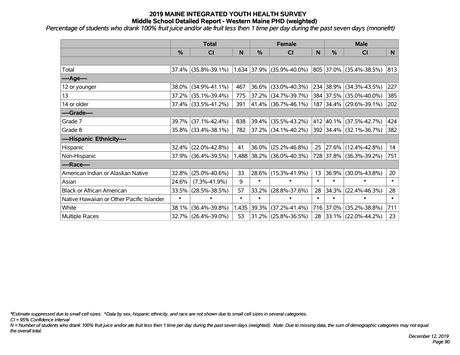*Percentage of students who drank 100% fruit juice and/or ate fruit less then 1 time per day during the past seven days (mnonefrt)*

|                                           | <b>Total</b>  |                     |        | <b>Female</b> |                          | <b>Male</b> |               |                          |        |
|-------------------------------------------|---------------|---------------------|--------|---------------|--------------------------|-------------|---------------|--------------------------|--------|
|                                           | $\frac{0}{0}$ | <b>CI</b>           | N      | %             | <b>CI</b>                | N           | $\frac{0}{0}$ | <b>CI</b>                | N      |
|                                           |               |                     |        |               |                          |             |               |                          |        |
| Total                                     |               | 37.4% (35.8%-39.1%) |        | 1,634 37.9%   | $(35.9\% - 40.0\%)$      |             |               | 805 37.0% (35.4%-38.5%)  | 813    |
| ----Age----                               |               |                     |        |               |                          |             |               |                          |        |
| 12 or younger                             | 38.0%         | $(34.9\% - 41.1\%)$ | 467    | 36.6%         | $(33.0\% - 40.3\%)$      |             | 234 38.9%     | $(34.3\% - 43.5\%)$      | 227    |
| 13                                        |               | 37.2% (35.1%-39.4%) | 775    | 37.2%         | $(34.7\% - 39.7\%)$      |             |               | 384 37.5% (35.0%-40.0%)  | 385    |
| 14 or older                               |               | 37.4% (33.5%-41.2%) | 391    |               | $41.4\%$ (36.7%-46.1%)   |             |               | 187 34.4% (29.6%-39.1%)  | 202    |
| ----Grade----                             |               |                     |        |               |                          |             |               |                          |        |
| Grade 7                                   | 39.7%         | $(37.1\% - 42.4\%)$ | 838    | 39.4%         | $(35.5\% - 43.2\%)$      |             | 412 40.1%     | $(37.5\% - 42.7\%)$      | 424    |
| Grade 8                                   |               | 35.8% (33.4%-38.1%) | 782    |               | $ 37.2\% $ (34.1%-40.2%) |             |               | 392 34.4% (32.1%-36.7%)  | 382    |
| ----Hispanic Ethnicity----                |               |                     |        |               |                          |             |               |                          |        |
| Hispanic                                  | 32.4%         | $(22.0\% - 42.8\%)$ | 41     | 36.0%         | $(25.2\% - 46.8\%)$      | 25          |               | $ 27.6\% $ (12.4%-42.8%) | 14     |
| Non-Hispanic                              |               | 37.9% (36.4%-39.5%) |        | 1,488 38.2%   | $(36.0\% - 40.3\%)$      |             |               | 728 37.8% (36.3%-39.2%)  | 751    |
| ----Race----                              |               |                     |        |               |                          |             |               |                          |        |
| American Indian or Alaskan Native         | 32.8%         | $(25.0\% - 40.6\%)$ | 33     | 28.6%         | $(15.3\% - 41.9\%)$      | 13          | $ 36.9\% $    | $(30.0\% - 43.8\%)$      | 20     |
| Asian                                     | 24.6%         | $(7.3\% - 41.9\%)$  | 9      | $\ast$        | $\ast$                   | $\ast$      | $\ast$        | $\ast$                   | $\ast$ |
| <b>Black or African American</b>          | 33.5%         | $(28.5\% - 38.5\%)$ | 57     | 33.2%         | $(28.8\% - 37.6\%)$      | 28          | 34.3%         | $(22.4\% - 46.3\%)$      | 28     |
| Native Hawaiian or Other Pacific Islander | $\ast$        | $\ast$              | $\ast$ | $\ast$        | $\ast$                   | $\ast$      | $\ast$        | $\ast$                   | $\ast$ |
| White                                     | 38.1%         | $(36.4\% - 39.8\%)$ | 1,435  | 39.3%         | $(37.2\% - 41.4\%)$      |             | 716 37.0%     | $(35.2\% - 38.8\%)$      | 711    |
| Multiple Races                            |               | 32.7% (26.4%-39.0%) | 53     |               | $31.2\%$ (25.8%-36.5%)   | 28          |               | $ 33.1\% $ (22.0%-44.2%) | 23     |

*\*Estimate suppressed due to small cell sizes. ^Data by sex, hispanic ethnicity, and race are not shown due to small cell sizes in several categories.*

*CI = 95% Confidence Interval*

*N = Number of students who drank 100% fruit juice and/or ate fruit less then 1 time per day during the past seven days (weighted). Note: Due to missing data, the sum of demographic categories may not equal the overall total.*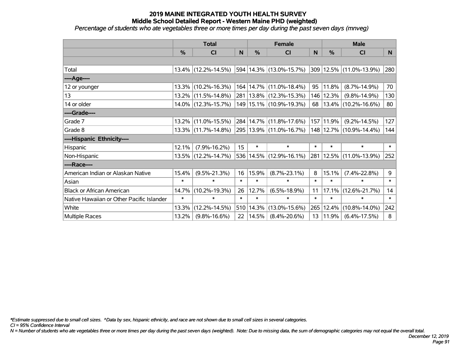*Percentage of students who ate vegetables three or more times per day during the past seven days (mnveg)*

|                                           | <b>Total</b>  |                     | <b>Female</b> |               |                             | <b>Male</b> |                       |                         |        |
|-------------------------------------------|---------------|---------------------|---------------|---------------|-----------------------------|-------------|-----------------------|-------------------------|--------|
|                                           | $\frac{0}{0}$ | CI                  | N             | $\frac{9}{6}$ | CI                          | N           | %                     | <b>CI</b>               | N      |
|                                           |               |                     |               |               |                             |             |                       |                         |        |
| Total                                     |               | 13.4% (12.2%-14.5%) |               |               | 594 14.3% (13.0%-15.7%)     |             |                       | 309 12.5% (11.0%-13.9%) | 280    |
| ----Age----                               |               |                     |               |               |                             |             |                       |                         |        |
| 12 or younger                             | $13.3\%$      | $(10.2\% - 16.3\%)$ |               |               | 164   14.7%   (11.0%-18.4%) | 95          | 11.8%                 | $(8.7\% - 14.9\%)$      | 70     |
| 13                                        |               | 13.2% (11.5%-14.8%) |               |               | 281   13.8%   (12.3%-15.3%) | 146         | 12.3%                 | $(9.8\% - 14.9\%)$      | 130    |
| 14 or older                               |               | 14.0% (12.3%-15.7%) |               |               | 149   15.1%   (10.9%-19.3%) | 68          |                       | 13.4% (10.2%-16.6%)     | 80     |
| ----Grade----                             |               |                     |               |               |                             |             |                       |                         |        |
| Grade 7                                   | 13.2%         | $(11.0\% - 15.5\%)$ |               |               | 284   14.7%   (11.8%-17.6%) | 157         | 11.9%                 | $(9.2\% - 14.5\%)$      | 127    |
| Grade 8                                   |               | 13.3% (11.7%-14.8%) |               |               | 295   13.9%   (11.0%-16.7%) |             |                       | 148 12.7% (10.9%-14.4%) | 144    |
| ----Hispanic Ethnicity----                |               |                     |               |               |                             |             |                       |                         |        |
| Hispanic                                  | 12.1%         | $(7.9\% - 16.2\%)$  | 15            | $\ast$        | $\ast$                      | $\ast$      | $\ast$                | $\ast$                  | $\ast$ |
| Non-Hispanic                              |               | 13.5% (12.2%-14.7%) |               |               | 536 14.5% (12.9%-16.1%)     | 281         |                       | $12.5\%$ (11.0%-13.9%)  | 252    |
| ----Race----                              |               |                     |               |               |                             |             |                       |                         |        |
| American Indian or Alaskan Native         | 15.4%         | $(9.5\% - 21.3\%)$  | 16            | 15.9%         | $(8.7\% - 23.1\%)$          | 8           | 15.1%                 | $(7.4\% - 22.8\%)$      | 9      |
| Asian                                     | $\ast$        | $\ast$              | $\ast$        | $\ast$        | $\ast$                      | $\ast$      | $\ast$                | *                       | $\ast$ |
| <b>Black or African American</b>          | 14.7%         | $(10.2\% - 19.3\%)$ | 26            | 12.7%         | $(6.5\% - 18.9\%)$          | 11          | 17.1%                 | $(12.6\% - 21.7\%)$     | 14     |
| Native Hawaiian or Other Pacific Islander | $\ast$        | $\ast$              | $\ast$        | $\ast$        | $\ast$                      | $\ast$      | $\ast$                | $\ast$                  | $\ast$ |
| White                                     | 13.3%         | $(12.2\% - 14.5\%)$ |               | 510 14.3%     | $(13.0\% - 15.6\%)$         | 265         | 12.4%                 | $(10.8\% - 14.0\%)$     | 242    |
| Multiple Races                            | 13.2%         | $(9.8\% - 16.6\%)$  |               | 22   14.5%    | $(8.4\% - 20.6\%)$          |             | $13 \mid 11.9\% \mid$ | $(6.4\% - 17.5\%)$      | 8      |

*\*Estimate suppressed due to small cell sizes. ^Data by sex, hispanic ethnicity, and race are not shown due to small cell sizes in several categories.*

*CI = 95% Confidence Interval*

*N = Number of students who ate vegetables three or more times per day during the past seven days (weighted). Note: Due to missing data, the sum of demographic categories may not equal the overall total.*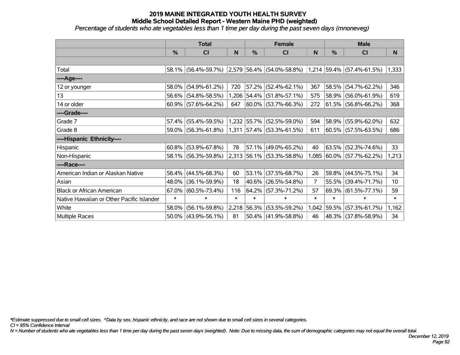*Percentage of students who ate vegetables less than 1 time per day during the past seven days (mnoneveg)*

|                                           | <b>Total</b> |                        |        |               | <b>Female</b>                                                         |                | <b>Male</b>   |                           |        |  |
|-------------------------------------------|--------------|------------------------|--------|---------------|-----------------------------------------------------------------------|----------------|---------------|---------------------------|--------|--|
|                                           | $\%$         | <b>CI</b>              | N      | $\frac{0}{0}$ | <b>CI</b>                                                             | N              | $\frac{0}{0}$ | <b>CI</b>                 | N      |  |
|                                           |              |                        |        |               |                                                                       |                |               |                           |        |  |
| Total                                     |              | 58.1% (56.4%-59.7%)    |        |               | $ 2,579 56.4\%  (54.0\% - 58.8\%)  1,214  59.4\%   (57.4\% - 61.5\%)$ |                |               |                           | 1,333  |  |
| ----Age----                               |              |                        |        |               |                                                                       |                |               |                           |        |  |
| 12 or younger                             | 58.0%        | $(54.9\% - 61.2\%)$    | 720    | 57.2%         | $(52.4\% - 62.1\%)$                                                   | 367            |               | 58.5% (54.7%-62.2%)       | 346    |  |
| 13                                        |              | 56.6% (54.8%-58.5%)    |        |               | 1,206 54.4% (51.8%-57.1%)                                             | 575            |               | 58.9% (56.0%-61.9%)       | 619    |  |
| 14 or older                               |              | $60.9\%$ (57.6%-64.2%) | 647    |               | $ 60.0\% $ (53.7%-66.3%)                                              | 272            |               | $61.5\%$ (56.8%-66.2%)    | 368    |  |
| ----Grade----                             |              |                        |        |               |                                                                       |                |               |                           |        |  |
| Grade 7                                   | 57.4%        | $(55.4\% - 59.5\%)$    |        |               | 1,232 55.7% (52.5%-59.0%)                                             | 594            |               | 58.9% (55.9%-62.0%)       | 632    |  |
| Grade 8                                   |              | 59.0% (56.3%-61.8%)    |        |               | 1,311 57.4% (53.3%-61.5%)                                             | 611            |               | 60.5% (57.5%-63.5%)       | 686    |  |
| ----Hispanic Ethnicity----                |              |                        |        |               |                                                                       |                |               |                           |        |  |
| Hispanic                                  | $60.8\%$     | $(53.9\% - 67.8\%)$    | 78     | 57.1%         | $(49.0\% - 65.2\%)$                                                   | 40             |               | $63.5\%$ (52.3%-74.6%)    | 33     |  |
| Non-Hispanic                              |              | 58.1% (56.3%-59.8%)    |        |               | 2,313 56.1% (53.3%-58.8%)                                             |                |               | 1,085 60.0% (57.7%-62.2%) | 1,213  |  |
| ----Race----                              |              |                        |        |               |                                                                       |                |               |                           |        |  |
| American Indian or Alaskan Native         | 56.4%        | $(44.5\% - 68.3\%)$    | 60     | 53.1%         | $(37.5\% - 68.7\%)$                                                   | 26             |               | 59.8% (44.5%-75.1%)       | 34     |  |
| Asian                                     | 48.0%        | $(36.1\% - 59.9\%)$    | 18     | $40.6\%$      | $(26.5\% - 54.8\%)$                                                   | $\overline{7}$ |               | 55.5% (39.4%-71.7%)       | 10     |  |
| <b>Black or African American</b>          | 67.0%        | $(60.5\% - 73.4\%)$    | 116    | 64.2%         | $(57.3\% - 71.2\%)$                                                   | 57             |               | $69.3\%$ (61.5%-77.1%)    | 59     |  |
| Native Hawaiian or Other Pacific Islander | $\ast$       | $\ast$                 | $\ast$ | $\ast$        | $\ast$                                                                | $\ast$         | $\ast$        | $\ast$                    | $\ast$ |  |
| White                                     | 58.0%        | $(56.1\% - 59.8\%)$    |        | 2,218 56.3%   | $(53.5\% - 59.2\%)$                                                   | 1,042          | 59.5%         | $(57.3\% - 61.7\%)$       | 1,162  |  |
| <b>Multiple Races</b>                     |              | $50.0\%$ (43.9%-56.1%) | 81     |               | $50.4\%$ (41.9%-58.8%)                                                | 46             |               | 48.3% (37.8%-58.9%)       | 34     |  |

*\*Estimate suppressed due to small cell sizes. ^Data by sex, hispanic ethnicity, and race are not shown due to small cell sizes in several categories.*

*CI = 95% Confidence Interval*

*N = Number of students who ate vegetables less than 1 time per day during the past seven days (weighted). Note: Due to missing data, the sum of demographic categories may not equal the overall total.*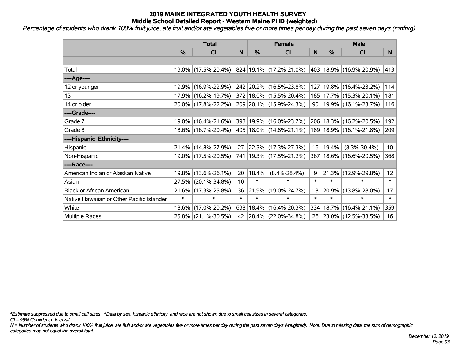*Percentage of students who drank 100% fruit juice, ate fruit and/or ate vegetables five or more times per day during the past seven days (mnfrvg)*

|                                           | <b>Total</b>  |                     |                 | <b>Female</b> | <b>Male</b>                 |        |               |                             |                 |
|-------------------------------------------|---------------|---------------------|-----------------|---------------|-----------------------------|--------|---------------|-----------------------------|-----------------|
|                                           | $\frac{0}{0}$ | <b>CI</b>           | N               | $\frac{0}{0}$ | CI                          | N      | $\frac{0}{0}$ | <b>CI</b>                   | N               |
|                                           |               |                     |                 |               |                             |        |               |                             |                 |
| Total                                     |               | 19.0% (17.5%-20.4%) |                 |               | 824 19.1% (17.2%-21.0%)     |        |               | 403 18.9% (16.9%-20.9%)     | 413             |
| ----Age----                               |               |                     |                 |               |                             |        |               |                             |                 |
| 12 or younger                             |               | 19.9% (16.9%-22.9%) |                 |               | 242 20.2% (16.5%-23.8%)     | 127    | $19.8\%$      | $(16.4\% - 23.2\%)$         | 114             |
| 13                                        |               | 17.9% (16.2%-19.7%) |                 |               | 372 18.0% (15.5%-20.4%)     | 185    |               | 17.7% (15.3%-20.1%)         | 181             |
| 14 or older                               |               | 20.0% (17.8%-22.2%) |                 |               | 209 20.1% (15.9%-24.3%)     | 90     |               | 19.9% (16.1%-23.7%)         | 116             |
| ----Grade----                             |               |                     |                 |               |                             |        |               |                             |                 |
| Grade 7                                   |               | 19.0% (16.4%-21.6%) |                 |               | 398 19.9% (16.0%-23.7%)     | 206    | 18.3%         | $(16.2\% - 20.5\%)$         | 192             |
| Grade 8                                   |               | 18.6% (16.7%-20.4%) |                 |               | 405   18.0%   (14.8%-21.1%) |        |               | 189   18.9%   (16.1%-21.8%) | 209             |
| ----Hispanic Ethnicity----                |               |                     |                 |               |                             |        |               |                             |                 |
| Hispanic                                  |               | 21.4% (14.8%-27.9%) | 27              |               | 22.3% (17.3%-27.3%)         | 16     | 19.4%         | $(8.3\% - 30.4\%)$          | 10 <sub>1</sub> |
| Non-Hispanic                              |               | 19.0% (17.5%-20.5%) |                 |               | 741   19.3%   (17.5%-21.2%) | 367    |               | 18.6% (16.6%-20.5%)         | 368             |
| ----Race----                              |               |                     |                 |               |                             |        |               |                             |                 |
| American Indian or Alaskan Native         |               | 19.8% (13.6%-26.1%) | 20              | 18.4%         | $(8.4\% - 28.4\%)$          | 9      | 21.3%         | $(12.9\% - 29.8\%)$         | 12 <sub>2</sub> |
| Asian                                     |               | 27.5% (20.1%-34.8%) | 10 <sup>°</sup> | $\ast$        | $\ast$                      | $\ast$ | $\ast$        | $\ast$                      | $\ast$          |
| <b>Black or African American</b>          |               | 21.6% (17.3%-25.8%) | 36              | 21.9%         | $(19.0\% - 24.7\%)$         | 18     | 20.9%         | $(13.8\% - 28.0\%)$         | 17              |
| Native Hawaiian or Other Pacific Islander | $\ast$        | $\ast$              | $\ast$          | $\ast$        | $\ast$                      | $\ast$ | $\ast$        | $\ast$                      | $\ast$          |
| White                                     |               | 18.6% (17.0%-20.2%) | 698             | 18.4%         | $(16.4\% - 20.3\%)$         | 334    | 18.7%         | $(16.4\% - 21.1\%)$         | 359             |
| <b>Multiple Races</b>                     |               | 25.8% (21.1%-30.5%) |                 |               | 42 28.4% (22.0%-34.8%)      |        |               | 26 23.0% (12.5%-33.5%)      | 16              |

*\*Estimate suppressed due to small cell sizes. ^Data by sex, hispanic ethnicity, and race are not shown due to small cell sizes in several categories.*

*CI = 95% Confidence Interval*

*N = Number of students who drank 100% fruit juice, ate fruit and/or ate vegetables five or more times per day during the past seven days (weighted). Note: Due to missing data, the sum of demographic categories may not equal the overall total.*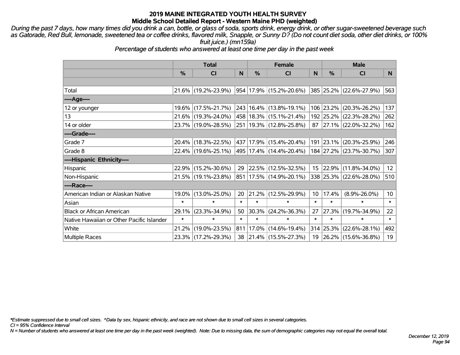*During the past 7 days, how many times did you drink a can, bottle, or glass of soda, sports drink, energy drink, or other sugar-sweetened beverage such as Gatorade, Red Bull, lemonade, sweetened tea or coffee drinks, flavored milk, Snapple, or Sunny D? (Do not count diet soda, other diet drinks, or 100% fruit juice.) (mn159a)*

*Percentage of students who answered at least one time per day in the past week*

|                                           | <b>Total</b>  |                     |        | <b>Female</b> |                                  | <b>Male</b> |           |                         |                 |
|-------------------------------------------|---------------|---------------------|--------|---------------|----------------------------------|-------------|-----------|-------------------------|-----------------|
|                                           | $\frac{0}{0}$ | CI                  | N      | $\frac{9}{6}$ | CI                               | N           | %         | <b>CI</b>               | N               |
|                                           |               |                     |        |               |                                  |             |           |                         |                 |
| Total                                     |               | 21.6% (19.2%-23.9%) |        |               | $ 954 17.9\% $ (15.2%-20.6%)     |             |           | 385 25.2% (22.6%-27.9%) | 563             |
| ----Age----                               |               |                     |        |               |                                  |             |           |                         |                 |
| 12 or younger                             | $19.6\%$      | $(17.5\% - 21.7\%)$ |        |               | 243 16.4% (13.8%-19.1%)          |             | 106 23.2% | $(20.3\% - 26.2\%)$     | 137             |
| 13                                        |               | 21.6% (19.3%-24.0%) |        |               | 458 18.3% (15.1%-21.4%)          |             | 192 25.2% | $(22.3\% - 28.2\%)$     | 262             |
| 14 or older                               |               | 23.7% (19.0%-28.5%) |        |               | 251 19.3% (12.8%-25.8%)          |             |           | 87 27.1% (22.0%-32.2%)  | 162             |
| ----Grade----                             |               |                     |        |               |                                  |             |           |                         |                 |
| Grade 7                                   | $20.4\%$      | $(18.3\% - 22.5\%)$ |        |               | 437 17.9% (15.4%-20.4%)          |             | 191 23.1% | $(20.3\% - 25.9\%)$     | 246             |
| Grade 8                                   |               | 22.4% (19.6%-25.1%) |        |               | $ 495 17.4\%  (14.4\% - 20.4\%)$ |             |           | 184 27.2% (23.7%-30.7%) | 307             |
| ----Hispanic Ethnicity----                |               |                     |        |               |                                  |             |           |                         |                 |
| Hispanic                                  | 22.9%         | $(15.2\% - 30.6\%)$ | 29     |               | $ 22.5\% $ (12.5%-32.5%)         |             | 15 22.9%  | $(11.8\% - 34.0\%)$     | 12 <sub>2</sub> |
| Non-Hispanic                              |               | 21.5% (19.1%-23.8%) |        |               | 851   17.5%   (14.9%-20.1%)      |             |           | 338 25.3% (22.6%-28.0%) | 510             |
| ----Race----                              |               |                     |        |               |                                  |             |           |                         |                 |
| American Indian or Alaskan Native         | 19.0%         | $(13.0\% - 25.0\%)$ | 20     |               | $ 21.2\% $ (12.5%-29.9%)         | 10          | 17.4%     | $(8.9\% - 26.0\%)$      | 10 <sup>°</sup> |
| Asian                                     | $\ast$        | $\ast$              | $\ast$ | $\ast$        | $\ast$                           | $\ast$      | $\ast$    | $\ast$                  | $\ast$          |
| <b>Black or African American</b>          | 29.1%         | $(23.3\% - 34.9\%)$ | 50     |               | 30.3% (24.2%-36.3%)              | 27          | 27.3%     | $(19.7\% - 34.9\%)$     | 22              |
| Native Hawaiian or Other Pacific Islander | $\ast$        | $\ast$              | $\ast$ | $\ast$        | $\ast$                           | $\ast$      | $\ast$    | $\ast$                  | $\ast$          |
| White                                     | 21.2%         | $(19.0\% - 23.5\%)$ | 811    |               | $ 17.0\% $ (14.6%-19.4%)         |             | 314 25.3% | $(22.6\% - 28.1\%)$     | 492             |
| <b>Multiple Races</b>                     |               | 23.3% (17.2%-29.3%) | 38     |               | $ 21.4\% $ (15.5%-27.3%)         |             |           | 19 26.2% (15.6%-36.8%)  | 19              |

*\*Estimate suppressed due to small cell sizes. ^Data by sex, hispanic ethnicity, and race are not shown due to small cell sizes in several categories.*

*CI = 95% Confidence Interval*

*N = Number of students who answered at least one time per day in the past week (weighted). Note: Due to missing data, the sum of demographic categories may not equal the overall total.*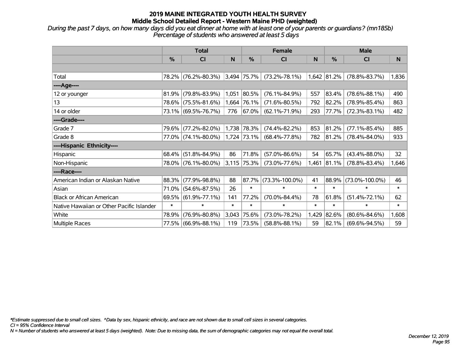*During the past 7 days, on how many days did you eat dinner at home with at least one of your parents or guardians? (mn185b) Percentage of students who answered at least 5 days*

|                                           | <b>Total</b>  |                     |        |               | <b>Female</b>        |        | <b>Male</b>   |                      |              |  |
|-------------------------------------------|---------------|---------------------|--------|---------------|----------------------|--------|---------------|----------------------|--------------|--|
|                                           | $\frac{0}{0}$ | CI                  | N      | %             | <b>CI</b>            | N      | $\frac{0}{0}$ | <b>CI</b>            | <sub>N</sub> |  |
|                                           |               |                     |        |               |                      |        |               |                      |              |  |
| Total                                     |               | 78.2% (76.2%-80.3%) |        | $3,494$ 75.7% | $(73.2\% - 78.1\%)$  |        | 1,642 81.2%   | $(78.8\% - 83.7\%)$  | 1,836        |  |
| ----Age----                               |               |                     |        |               |                      |        |               |                      |              |  |
| 12 or younger                             | 81.9%         | $(79.8\% - 83.9\%)$ |        | 1,051 80.5%   | $(76.1\% - 84.9\%)$  | 557    | 83.4%         | $(78.6\% - 88.1\%)$  | 490          |  |
| 13                                        | 78.6%         | $(75.5\% - 81.6\%)$ |        | 1,664 76.1%   | $(71.6\% - 80.5\%)$  | 792    | 82.2%         | $(78.9\% - 85.4\%)$  | 863          |  |
| 14 or older                               |               | 73.1% (69.5%-76.7%) | 776    | 67.0%         | $(62.1\% - 71.9\%)$  | 293    | 77.7%         | $(72.3\% - 83.1\%)$  | 482          |  |
| ----Grade----                             |               |                     |        |               |                      |        |               |                      |              |  |
| Grade 7                                   | 79.6%         | $(77.2\% - 82.0\%)$ |        | 1,738 78.3%   | $(74.4\% - 82.2\%)$  | 853    | 81.2%         | $(77.1\% - 85.4\%)$  | 885          |  |
| Grade 8                                   |               | 77.0% (74.1%-80.0%) |        | 1,724 73.1%   | $(68.4\% - 77.8\%)$  | 782    | $ 81.2\% $    | $(78.4\% - 84.0\%)$  | 933          |  |
| ----Hispanic Ethnicity----                |               |                     |        |               |                      |        |               |                      |              |  |
| Hispanic                                  | 68.4%         | $(51.8\% - 84.9\%)$ | 86     | 71.8%         | $(57.0\% - 86.6\%)$  | 54     | 65.7%         | $(43.4\% - 88.0\%)$  | 32           |  |
| Non-Hispanic                              |               | 78.0% (76.1%-80.0%) |        | $3,115$ 75.3% | $(73.0\% - 77.6\%)$  | 1,461  | 81.1%         | $(78.8\% - 83.4\%)$  | 1,646        |  |
| ----Race----                              |               |                     |        |               |                      |        |               |                      |              |  |
| American Indian or Alaskan Native         | 88.3%         | $(77.9\% - 98.8\%)$ | 88     | 87.7%         | $(73.3\% - 100.0\%)$ | 41     | 88.9%         | $(73.0\% - 100.0\%)$ | 46           |  |
| Asian                                     | 71.0%         | $(54.6\% - 87.5\%)$ | 26     | $\ast$        | $\ast$               | $\ast$ | $\ast$        | $\ast$               | $\ast$       |  |
| <b>Black or African American</b>          | 69.5%         | $(61.9\% - 77.1\%)$ | 141    | 77.2%         | $(70.0\% - 84.4\%)$  | 78     | 61.8%         | $(51.4\% - 72.1\%)$  | 62           |  |
| Native Hawaiian or Other Pacific Islander | $\ast$        | $\ast$              | $\ast$ | $\ast$        | $\ast$               | $\ast$ | $\ast$        | $\ast$               | $\ast$       |  |
| White                                     | 78.9%         | $(76.9\% - 80.8\%)$ | 3,043  | 75.6%         | $(73.0\% - 78.2\%)$  | 1,429  | 82.6%         | $(80.6\% - 84.6\%)$  | 1,608        |  |
| Multiple Races                            |               | 77.5% (66.9%-88.1%) | 119    | 73.5%         | $(58.8\% - 88.1\%)$  | 59     | 82.1%         | $(69.6\% - 94.5\%)$  | 59           |  |

*\*Estimate suppressed due to small cell sizes. ^Data by sex, hispanic ethnicity, and race are not shown due to small cell sizes in several categories.*

*CI = 95% Confidence Interval*

*N = Number of students who answered at least 5 days (weighted). Note: Due to missing data, the sum of demographic categories may not equal the overall total.*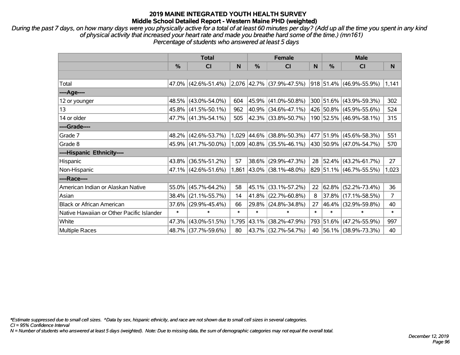*During the past 7 days, on how many days were you physically active for a total of at least 60 minutes per day? (Add up all the time you spent in any kind of physical activity that increased your heart rate and made you breathe hard some of the time.) (mn161) Percentage of students who answered at least 5 days*

|                                           | <b>Total</b>  |                     |        |               | <b>Female</b>                                      |        | <b>Male</b>   |                          |       |  |
|-------------------------------------------|---------------|---------------------|--------|---------------|----------------------------------------------------|--------|---------------|--------------------------|-------|--|
|                                           | $\frac{0}{0}$ | CI                  | N      | $\frac{0}{0}$ | <b>CI</b>                                          | N      | $\frac{0}{0}$ | <b>CI</b>                | N     |  |
|                                           |               |                     |        |               |                                                    |        |               |                          |       |  |
| Total                                     |               | 47.0% (42.6%-51.4%) |        |               | $\vert 2.076 \vert 42.7\% \vert (37.9\% - 47.5\%)$ |        |               | 918 51.4% (46.9%-55.9%)  | 1,141 |  |
| ----Age----                               |               |                     |        |               |                                                    |        |               |                          |       |  |
| 12 or younger                             | 48.5%         | $(43.0\% - 54.0\%)$ | 604    | 45.9%         | $(41.0\% - 50.8\%)$                                |        |               | 300 51.6% (43.9%-59.3%)  | 302   |  |
| 13                                        |               | 45.8% (41.5%-50.1%) | 962    |               | 40.9% (34.6%-47.1%)                                |        |               | 426 50.8% (45.9%-55.6%)  | 524   |  |
| 14 or older                               |               | 47.7% (41.3%-54.1%) | 505    |               | 42.3% (33.8%-50.7%)                                |        |               | 190 52.5% (46.9%-58.1%)  | 315   |  |
| ----Grade----                             |               |                     |        |               |                                                    |        |               |                          |       |  |
| Grade 7                                   | 48.2%         | $(42.6\% - 53.7\%)$ |        | 1,029 44.6%   | $(38.8\% - 50.3\%)$                                |        |               | 477 51.9% (45.6%-58.3%)  | 551   |  |
| Grade 8                                   |               | 45.9% (41.7%-50.0%) |        |               | $1,009$ 40.8% (35.5%-46.1%)                        |        |               | 430 50.9% (47.0%-54.7%)  | 570   |  |
| ----Hispanic Ethnicity----                |               |                     |        |               |                                                    |        |               |                          |       |  |
| Hispanic                                  | 43.8%         | $(36.5\% - 51.2\%)$ | 57     |               | 38.6% (29.9%-47.3%)                                | 28     |               | $ 52.4\% $ (43.2%-61.7%) | 27    |  |
| Non-Hispanic                              |               | 47.1% (42.6%-51.6%) |        |               | 1,861 43.0% (38.1%-48.0%)                          |        |               | 829 51.1% (46.7%-55.5%)  | 1,023 |  |
| ----Race----                              |               |                     |        |               |                                                    |        |               |                          |       |  |
| American Indian or Alaskan Native         | 55.0%         | $(45.7\% - 64.2\%)$ | 58     |               | 45.1% (33.1%-57.2%)                                | 22     | 62.8%         | $(52.2\% - 73.4\%)$      | 36    |  |
| Asian                                     | 38.4%         | $(21.1\% - 55.7\%)$ | 14     |               | $41.8\%$ (22.7%-60.8%)                             | 8      | 37.8%         | $(17.1\% - 58.5\%)$      | 7     |  |
| <b>Black or African American</b>          | 37.6%         | $(29.9\% - 45.4\%)$ | 66     |               | 29.8% (24.8%-34.8%)                                | 27     |               | 46.4% (32.9%-59.8%)      | 40    |  |
| Native Hawaiian or Other Pacific Islander | $\ast$        | $\ast$              | $\ast$ | $\ast$        | $\ast$                                             | $\ast$ | $\ast$        | $\ast$                   | *     |  |
| White                                     | 47.3%         | $(43.0\% - 51.5\%)$ | 1,795  | 43.1%         | $(38.2\% - 47.9\%)$                                | 793    | 51.6%         | $(47.2\% - 55.9\%)$      | 997   |  |
| Multiple Races                            |               | 48.7% (37.7%-59.6%) | 80     |               | 43.7% (32.7%-54.7%)                                |        |               | 40 56.1% (38.9%-73.3%)   | 40    |  |

*\*Estimate suppressed due to small cell sizes. ^Data by sex, hispanic ethnicity, and race are not shown due to small cell sizes in several categories.*

*CI = 95% Confidence Interval*

*N = Number of students who answered at least 5 days (weighted). Note: Due to missing data, the sum of demographic categories may not equal the overall total.*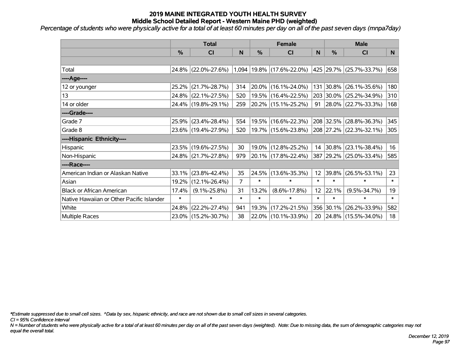*Percentage of students who were physically active for a total of at least 60 minutes per day on all of the past seven days (mnpa7day)*

|                                           | <b>Total</b> |                     |                |            | <b>Female</b>                   |                 | <b>Male</b> |                          |        |  |
|-------------------------------------------|--------------|---------------------|----------------|------------|---------------------------------|-----------------|-------------|--------------------------|--------|--|
|                                           | %            | <b>CI</b>           | N              | %          | <b>CI</b>                       | N               | %           | <b>CI</b>                | N      |  |
|                                           |              |                     |                |            |                                 |                 |             |                          |        |  |
| Total                                     |              | 24.8% (22.0%-27.6%) |                |            | $1,094$   19.8%   (17.6%-22.0%) |                 |             | 425 29.7% (25.7%-33.7%)  | 658    |  |
| ----Age----                               |              |                     |                |            |                                 |                 |             |                          |        |  |
| 12 or younger                             | 25.2%        | $(21.7\% - 28.7\%)$ | 314            | $ 20.0\% $ | $(16.1\% - 24.0\%)$             |                 | 131 30.8%   | $(26.1\% - 35.6\%)$      | 180    |  |
| 13                                        |              | 24.8% (22.1%-27.5%) | 520            |            | 19.5% (16.4%-22.5%)             |                 |             | 203 30.0% (25.2%-34.9%)  | 310    |  |
| 14 or older                               |              | 24.4% (19.8%-29.1%) | 259            |            | $ 20.2\% $ (15.1%-25.2%)        | 91              |             | $ 28.0\% $ (22.7%-33.3%) | 168    |  |
| ----Grade----                             |              |                     |                |            |                                 |                 |             |                          |        |  |
| Grade 7                                   |              | 25.9% (23.4%-28.4%) | 554            | 19.5%      | $(16.6\% - 22.3\%)$             |                 | 208 32.5%   | $(28.8\% - 36.3\%)$      | 345    |  |
| Grade 8                                   |              | 23.6% (19.4%-27.9%) | 520            |            | 19.7% (15.6%-23.8%)             |                 |             | 208 27.2% (22.3%-32.1%)  | 305    |  |
| ----Hispanic Ethnicity----                |              |                     |                |            |                                 |                 |             |                          |        |  |
| Hispanic                                  | 23.5%        | $(19.6\% - 27.5\%)$ | 30             | 19.0%      | $(12.8\% - 25.2\%)$             | 14              | $ 30.8\% $  | $(23.1\% - 38.4\%)$      | 16     |  |
| Non-Hispanic                              |              | 24.8% (21.7%-27.8%) | 979            |            | 20.1% (17.8%-22.4%)             |                 |             | 387 29.2% (25.0%-33.4%)  | 585    |  |
| ----Race----                              |              |                     |                |            |                                 |                 |             |                          |        |  |
| American Indian or Alaskan Native         | 33.1%        | $(23.8\% - 42.4\%)$ | 35             | 24.5%      | $(13.6\% - 35.3\%)$             | 12 <sub>2</sub> | 39.8%       | $(26.5\% - 53.1\%)$      | 23     |  |
| Asian                                     | 19.2%        | $(12.1\% - 26.4\%)$ | $\overline{7}$ | $\ast$     | $\ast$                          | $\ast$          | $\ast$      | $\ast$                   | $\ast$ |  |
| <b>Black or African American</b>          | 17.4%        | $(9.1\% - 25.8\%)$  | 31             | 13.2%      | $(8.6\% - 17.8\%)$              | 12 <sub>2</sub> | 22.1%       | $(9.5\% - 34.7\%)$       | 19     |  |
| Native Hawaiian or Other Pacific Islander | $\ast$       | $\ast$              | $\ast$         | $\ast$     | $\ast$                          | $\ast$          | $\ast$      | $\ast$                   | $\ast$ |  |
| White                                     | 24.8%        | $(22.2\% - 27.4\%)$ | 941            | 19.3%      | $(17.2\% - 21.5\%)$             |                 | 356 30.1%   | $(26.2\% - 33.9\%)$      | 582    |  |
| Multiple Races                            |              | 23.0% (15.2%-30.7%) | 38             |            | 22.0% (10.1%-33.9%)             | 20              |             | $ 24.8\% $ (15.5%-34.0%) | 18     |  |

*\*Estimate suppressed due to small cell sizes. ^Data by sex, hispanic ethnicity, and race are not shown due to small cell sizes in several categories.*

*CI = 95% Confidence Interval*

*N = Number of students who were physically active for a total of at least 60 minutes per day on all of the past seven days (weighted). Note: Due to missing data, the sum of demographic categories may not equal the overall total.*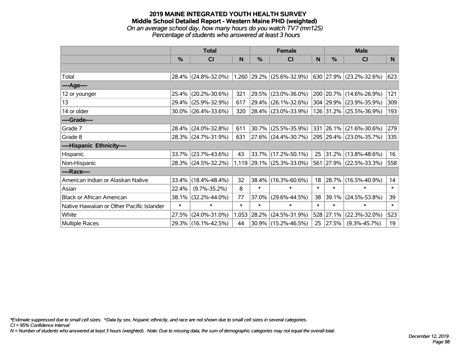#### **2019 MAINE INTEGRATED YOUTH HEALTH SURVEY Middle School Detailed Report - Western Maine PHD (weighted)** *On an average school day, how many hours do you watch TV? (mn125) Percentage of students who answered at least 3 hours*

|                                           | <b>Total</b> |                                               |        |        | <b>Female</b>               | <b>Male</b> |               |                         |        |
|-------------------------------------------|--------------|-----------------------------------------------|--------|--------|-----------------------------|-------------|---------------|-------------------------|--------|
|                                           | %            | <b>CI</b>                                     | N      | %      | CI                          | N           | $\frac{0}{0}$ | CI                      | N      |
|                                           |              |                                               |        |        |                             |             |               |                         |        |
| Total                                     |              | 28.4% (24.8%-32.0%) 1,260 29.2% (25.6%-32.9%) |        |        |                             |             |               | 630 27.9% (23.2%-32.6%) | 623    |
| ----Age----                               |              |                                               |        |        |                             |             |               |                         |        |
| 12 or younger                             | 25.4%        | $(20.2\% - 30.6\%)$                           | 321    | 29.5%  | $(23.0\% - 36.0\%)$         |             |               | 200 20.7% (14.6%-26.9%) | 121    |
| 13                                        | 29.4%        | $(25.9\% - 32.9\%)$                           | 617    | 29.4%  | $(26.1\% - 32.6\%)$         |             |               | 304 29.9% (23.9%-35.9%) | 309    |
| 14 or older                               |              | 30.0% (26.4%-33.6%)                           | 320    |        | 28.4% (23.0%-33.9%)         |             |               | 126 31.2% (25.5%-36.9%) | 193    |
| ----Grade----                             |              |                                               |        |        |                             |             |               |                         |        |
| Grade 7                                   | 28.4%        | $(24.0\% - 32.8\%)$                           | 611    | 30.7%  | $(25.5\% - 35.9\%)$         |             |               | 331 26.1% (21.6%-30.6%) | 279    |
| Grade 8                                   |              | 28.3% (24.7%-31.9%)                           | 631    |        | 27.6% (24.4%-30.7%)         |             |               | 295 29.4% (23.0%-35.7%) | 335    |
| ----Hispanic Ethnicity----                |              |                                               |        |        |                             |             |               |                         |        |
| Hispanic                                  | 33.7%        | $(23.7\% - 43.6\%)$                           | 43     | 33.7%  | $(17.2\% - 50.1\%)$         | 25          |               | 31.2% (13.8%-48.6%)     | 16     |
| Non-Hispanic                              |              | 28.3% (24.5%-32.2%)                           |        |        | $1,119$ 29.1% (25.3%-33.0%) |             |               | 561 27.9% (22.5%-33.3%) | 558    |
| ----Race----                              |              |                                               |        |        |                             |             |               |                         |        |
| American Indian or Alaskan Native         | 33.4%        | $(18.4\% - 48.4\%)$                           | 32     | 38.4%  | $(16.3\% - 60.6\%)$         | 18          | 28.7%         | $(16.5\% - 40.9\%)$     | 14     |
| Asian                                     | 22.4%        | $(9.7\% - 35.2\%)$                            | 8      | $\ast$ | $\ast$                      | $\ast$      | $\ast$        | $\ast$                  | $\ast$ |
| <b>Black or African American</b>          | 38.1%        | $(32.2\% - 44.0\%)$                           | 77     | 37.0%  | $(29.6\% - 44.5\%)$         | 38          | 39.1%         | $(24.5\% - 53.8\%)$     | 39     |
| Native Hawaiian or Other Pacific Islander | $\ast$       | $\ast$                                        | $\ast$ | $\ast$ | $\ast$                      | $\ast$      | $\ast$        | $\ast$                  | $\ast$ |
| White                                     | 27.5%        | $(24.0\% - 31.0\%)$                           | 1,053  | 28.2%  | $(24.5\% - 31.9\%)$         |             | 528 27.1%     | $(22.3\% - 32.0\%)$     | 523    |
| Multiple Races                            |              | 29.3% (16.1%-42.5%)                           | 44     |        | $30.9\%$ (15.2%-46.5%)      | 25          | 27.5%         | $(9.3\% - 45.7\%)$      | 19     |

*\*Estimate suppressed due to small cell sizes. ^Data by sex, hispanic ethnicity, and race are not shown due to small cell sizes in several categories.*

*CI = 95% Confidence Interval*

*N = Number of students who answered at least 3 hours (weighted). Note: Due to missing data, the sum of demographic categories may not equal the overall total.*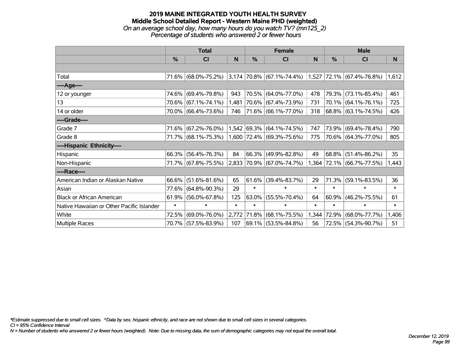# **2019 MAINE INTEGRATED YOUTH HEALTH SURVEY Middle School Detailed Report - Western Maine PHD (weighted)** *On an average school day, how many hours do you watch TV? (mn125\_2)*

*Percentage of students who answered 2 or fewer hours*

|                                           | <b>Total</b> |                     |        |          | <b>Female</b>                                                 |        | <b>Male</b> |                           |        |  |
|-------------------------------------------|--------------|---------------------|--------|----------|---------------------------------------------------------------|--------|-------------|---------------------------|--------|--|
|                                           | $\%$         | <b>CI</b>           | N      | %        | <b>CI</b>                                                     | N      | %           | <b>CI</b>                 | N.     |  |
|                                           |              |                     |        |          |                                                               |        |             |                           |        |  |
| Total                                     |              | 71.6% (68.0%-75.2%) |        |          | $ 3,174 70.8\% $ (67.1%-74.4%) $ 1,527 72.1\% $ (67.4%-76.8%) |        |             |                           | 1,612  |  |
| ----Age----                               |              |                     |        |          |                                                               |        |             |                           |        |  |
| 12 or younger                             | 74.6%        | $(69.4\% - 79.8\%)$ | 943    |          | 70.5% (64.0%-77.0%)                                           | 478    | 79.3%       | $(73.1\% - 85.4\%)$       | 461    |  |
| 13                                        |              | 70.6% (67.1%-74.1%) | 1,481  |          | 70.6% (67.4%-73.9%)                                           | 731    |             | 70.1% (64.1%-76.1%)       | 725    |  |
| 14 or older                               |              | 70.0% (66.4%-73.6%) | 746    |          | 71.6% (66.1%-77.0%)                                           | 318    |             | 68.8% (63.1%-74.5%)       | 426    |  |
| ----Grade----                             |              |                     |        |          |                                                               |        |             |                           |        |  |
| Grade 7                                   | 71.6%        | $(67.2\% - 76.0\%)$ |        |          | $1,542$ 69.3% (64.1%-74.5%)                                   | 747    | 73.9%       | $(69.4\% - 78.4\%)$       | 790    |  |
| Grade 8                                   |              | 71.7% (68.1%-75.3%) |        |          | 1,600 72.4% (69.3%-75.6%)                                     | 775    |             | 70.6% (64.3%-77.0%)       | 805    |  |
| ----Hispanic Ethnicity----                |              |                     |        |          |                                                               |        |             |                           |        |  |
| Hispanic                                  | 66.3%        | $(56.4\% - 76.3\%)$ | 84     |          | 66.3% (49.9%-82.8%)                                           | 49     | $68.8\%$    | $(51.4\% - 86.2\%)$       | 35     |  |
| Non-Hispanic                              |              | 71.7% (67.8%-75.5%) |        |          | 2,833 70.9% (67.0%-74.7%)                                     |        |             | 1,364 72.1% (66.7%-77.5%) | 1,443  |  |
| ----Race----                              |              |                     |        |          |                                                               |        |             |                           |        |  |
| American Indian or Alaskan Native         | 66.6%        | $(51.6\% - 81.6\%)$ | 65     | 61.6%    | $(39.4\% - 83.7\%)$                                           | 29     | 71.3%       | $(59.1\% - 83.5\%)$       | 36     |  |
| Asian                                     | 77.6%        | $(64.8\% - 90.3\%)$ | 29     | $\ast$   | $\ast$                                                        | $\ast$ | $\ast$      | $\ast$                    | $\ast$ |  |
| <b>Black or African American</b>          | 61.9%        | $(56.0\% - 67.8\%)$ | 125    | $63.0\%$ | $(55.5\% - 70.4\%)$                                           | 64     | 60.9%       | $(46.2\% - 75.5\%)$       | 61     |  |
| Native Hawaiian or Other Pacific Islander | $\ast$       | $\ast$              | $\ast$ | $\ast$   | $\ast$                                                        | $\ast$ | $\ast$      | $\ast$                    | $\ast$ |  |
| White                                     | 72.5%        | $(69.0\% - 76.0\%)$ | 2,772  | 71.8%    | $(68.1\% - 75.5\%)$                                           | 1,344  | 72.9%       | $(68.0\% - 77.7\%)$       | 1,406  |  |
| Multiple Races                            |              | 70.7% (57.5%-83.9%) | 107    |          | 69.1% (53.5%-84.8%)                                           | 56     |             | 72.5% (54.3%-90.7%)       | 51     |  |

*\*Estimate suppressed due to small cell sizes. ^Data by sex, hispanic ethnicity, and race are not shown due to small cell sizes in several categories.*

*CI = 95% Confidence Interval*

*N = Number of students who answered 2 or fewer hours (weighted). Note: Due to missing data, the sum of demographic categories may not equal the overall total.*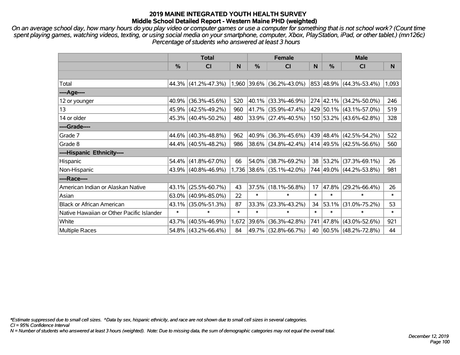*On an average school day, how many hours do you play video or computer games or use a computer for something that is not school work? (Count time spent playing games, watching videos, texting, or using social media on your smartphone, computer, Xbox, PlayStation, iPad, or other tablet.) (mn126c) Percentage of students who answered at least 3 hours*

|                                           | <b>Total</b> |                     |        |        | <b>Female</b>             |        | <b>Male</b> |                         |        |  |
|-------------------------------------------|--------------|---------------------|--------|--------|---------------------------|--------|-------------|-------------------------|--------|--|
|                                           | $\%$         | <b>CI</b>           | N      | $\%$   | <b>CI</b>                 | N      | $\%$        | <b>CI</b>               | N      |  |
|                                           |              |                     |        |        |                           |        |             |                         |        |  |
| Total                                     |              | 44.3% (41.2%-47.3%) |        |        | 1,960 39.6% (36.2%-43.0%) |        |             | 853 48.9% (44.3%-53.4%) | 1,093  |  |
| ----Age----                               |              |                     |        |        |                           |        |             |                         |        |  |
| 12 or younger                             | 40.9%        | $(36.3\% - 45.6\%)$ | 520    |        | 40.1% (33.3%-46.9%)       |        |             | 274 42.1% (34.2%-50.0%) | 246    |  |
| 13                                        | 45.9%        | $(42.5\% - 49.2\%)$ | 960    |        | 41.7% (35.9%-47.4%)       |        |             | 429 50.1% (43.1%-57.0%) | 519    |  |
| 14 or older                               |              | 45.3% (40.4%-50.2%) | 480    |        | $33.9\%$ (27.4%-40.5%)    |        |             | 150 53.2% (43.6%-62.8%) | 328    |  |
| ----Grade----                             |              |                     |        |        |                           |        |             |                         |        |  |
| Grade 7                                   | 44.6%        | $(40.3\% - 48.8\%)$ | 962    |        | 40.9% (36.3%-45.6%)       |        |             | 439 48.4% (42.5%-54.2%) | 522    |  |
| Grade 8                                   |              | 44.4% (40.5%-48.2%) | 986    |        | 38.6% (34.8%-42.4%)       |        |             | 414 49.5% (42.5%-56.6%) | 560    |  |
| ----Hispanic Ethnicity----                |              |                     |        |        |                           |        |             |                         |        |  |
| Hispanic                                  | 54.4%        | $(41.8\% - 67.0\%)$ | 66     | 54.0%  | $(38.7\% - 69.2\%)$       | 38     | 53.2%       | $(37.3\% - 69.1\%)$     | 26     |  |
| Non-Hispanic                              |              | 43.9% (40.8%-46.9%) |        |        | 1,736 38.6% (35.1%-42.0%) |        |             | 744 49.0% (44.2%-53.8%) | 981    |  |
| ----Race----                              |              |                     |        |        |                           |        |             |                         |        |  |
| American Indian or Alaskan Native         | 43.1%        | $(25.5\% - 60.7\%)$ | 43     | 37.5%  | $(18.1\% - 56.8\%)$       | 17     | 47.8%       | $(29.2\% - 66.4\%)$     | 26     |  |
| Asian                                     | 63.0%        | $(40.9\% - 85.0\%)$ | 22     | $\ast$ | $\ast$                    | $\ast$ | $\ast$      | $\ast$                  | $\ast$ |  |
| <b>Black or African American</b>          | 43.1%        | $(35.0\% - 51.3\%)$ | 87     | 33.3%  | $(23.3\% - 43.2\%)$       | 34     | 53.1%       | $(31.0\% - 75.2\%)$     | 53     |  |
| Native Hawaiian or Other Pacific Islander | $\ast$       | $\ast$              | $\ast$ | $\ast$ | $\ast$                    | $\ast$ | $\ast$      | $\ast$                  | $\ast$ |  |
| White                                     | 43.7%        | $(40.5\% - 46.9\%)$ | 1,672  | 39.6%  | $(36.3\% - 42.8\%)$       | 741    | 47.8%       | $(43.0\% - 52.6\%)$     | 921    |  |
| <b>Multiple Races</b>                     |              | 54.8% (43.2%-66.4%) | 84     |        | 49.7% (32.8%-66.7%)       | 40     |             | 60.5% (48.2%-72.8%)     | 44     |  |

*\*Estimate suppressed due to small cell sizes. ^Data by sex, hispanic ethnicity, and race are not shown due to small cell sizes in several categories.*

*CI = 95% Confidence Interval*

*N = Number of students who answered at least 3 hours (weighted). Note: Due to missing data, the sum of demographic categories may not equal the overall total.*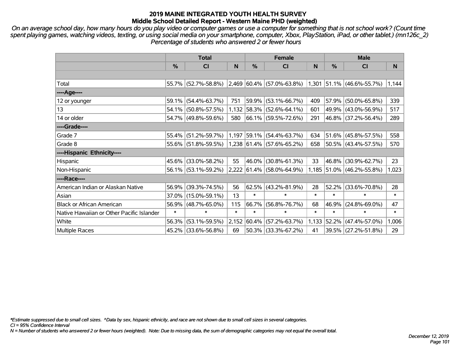*On an average school day, how many hours do you play video or computer games or use a computer for something that is not school work? (Count time spent playing games, watching videos, texting, or using social media on your smartphone, computer, Xbox, PlayStation, iPad, or other tablet.) (mn126c\_2) Percentage of students who answered 2 or fewer hours*

|                                           | <b>Total</b> |                     |              |            | <b>Female</b>                                                           |        | <b>Male</b> |                           |        |  |
|-------------------------------------------|--------------|---------------------|--------------|------------|-------------------------------------------------------------------------|--------|-------------|---------------------------|--------|--|
|                                           | $\%$         | CI                  | <sub>N</sub> | %          | <b>CI</b>                                                               | N      | $\%$        | <b>CI</b>                 | N      |  |
|                                           |              |                     |              |            |                                                                         |        |             |                           |        |  |
| Total                                     |              |                     |              |            | 55.7% (52.7%-58.8%) 2,469 60.4% (57.0%-63.8%) 1,301 51.1% (46.6%-55.7%) |        |             |                           | 1,144  |  |
| ----Age----                               |              |                     |              |            |                                                                         |        |             |                           |        |  |
| 12 or younger                             | $59.1\%$     | $(54.4\% - 63.7\%)$ | 751          | 59.9%      | $(53.1\% - 66.7\%)$                                                     | 409    | 57.9%       | $(50.0\% - 65.8\%)$       | 339    |  |
| 13                                        |              | 54.1% (50.8%-57.5%) |              |            | 1,132 58.3% (52.6%-64.1%)                                               | 601    |             | 49.9% (43.0%-56.9%)       | 517    |  |
| 14 or older                               |              | 54.7% (49.8%-59.6%) | 580          |            | 66.1% (59.5%-72.6%)                                                     | 291    |             | 46.8% (37.2%-56.4%)       | 289    |  |
| ----Grade----                             |              |                     |              |            |                                                                         |        |             |                           |        |  |
| Grade 7                                   | 55.4%        | $(51.2\% - 59.7\%)$ |              |            | $1,197$ 59.1% (54.4%-63.7%)                                             | 634    |             | 51.6% (45.8%-57.5%)       | 558    |  |
| Grade 8                                   |              | 55.6% (51.8%-59.5%) |              |            | $1,238$ 61.4% (57.6%-65.2%)                                             | 658    |             | 50.5% (43.4%-57.5%)       | 570    |  |
| ----Hispanic Ethnicity----                |              |                     |              |            |                                                                         |        |             |                           |        |  |
| Hispanic                                  | 45.6%        | $(33.0\% - 58.2\%)$ | 55           | $ 46.0\% $ | $(30.8\% - 61.3\%)$                                                     | 33     | 46.8%       | $(30.9\% - 62.7\%)$       | 23     |  |
| Non-Hispanic                              |              | 56.1% (53.1%-59.2%) |              |            | 2,222 61.4% (58.0%-64.9%)                                               |        |             | 1,185 51.0% (46.2%-55.8%) | 1,023  |  |
| ----Race----                              |              |                     |              |            |                                                                         |        |             |                           |        |  |
| American Indian or Alaskan Native         | 56.9%        | $(39.3\% - 74.5\%)$ | 56           |            | 62.5% (43.2%-81.9%)                                                     | 28     | 52.2%       | $(33.6\% - 70.8\%)$       | 28     |  |
| Asian                                     | $37.0\%$     | $(15.0\% - 59.1\%)$ | 13           | $\ast$     | $\ast$                                                                  | $\ast$ | $\ast$      | $\ast$                    | $\ast$ |  |
| <b>Black or African American</b>          | 56.9%        | $(48.7\% - 65.0\%)$ | 115          | 66.7%      | $(56.8\% - 76.7\%)$                                                     | 68     | 46.9%       | $(24.8\% - 69.0\%)$       | 47     |  |
| Native Hawaiian or Other Pacific Islander | $\ast$       | $\ast$              | $\ast$       | $\ast$     | $\ast$                                                                  | $\ast$ | $\ast$      | $\ast$                    | $\ast$ |  |
| White                                     | 56.3%        | $(53.1\% - 59.5\%)$ | 2,152        | $ 60.4\% $ | $(57.2\% - 63.7\%)$                                                     | 1,133  | 52.2%       | $(47.4\% - 57.0\%)$       | 1,006  |  |
| Multiple Races                            |              | 45.2% (33.6%-56.8%) | 69           |            | 50.3% (33.3%-67.2%)                                                     | 41     |             | 39.5% (27.2%-51.8%)       | 29     |  |

*\*Estimate suppressed due to small cell sizes. ^Data by sex, hispanic ethnicity, and race are not shown due to small cell sizes in several categories.*

*CI = 95% Confidence Interval*

*N = Number of students who answered 2 or fewer hours (weighted). Note: Due to missing data, the sum of demographic categories may not equal the overall total.*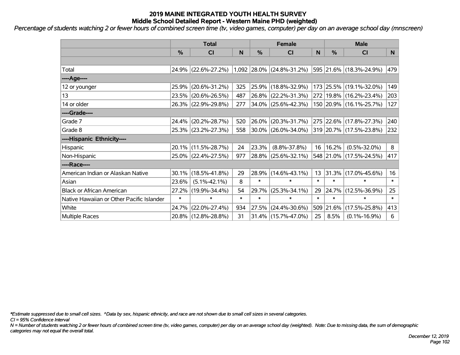*Percentage of students watching 2 or fewer hours of combined screen time (tv, video games, computer) per day on an average school day (mnscreen)*

|                                           | <b>Total</b> |                     |        |        | <b>Female</b>             |        | <b>Male</b> |                             |        |  |
|-------------------------------------------|--------------|---------------------|--------|--------|---------------------------|--------|-------------|-----------------------------|--------|--|
|                                           | %            | CI                  | N      | %      | <b>CI</b>                 | N      | %           | <b>CI</b>                   | N      |  |
|                                           |              |                     |        |        |                           |        |             |                             |        |  |
| Total                                     |              | 24.9% (22.6%-27.2%) |        |        | 1,092 28.0% (24.8%-31.2%) |        |             | 595 21.6% (18.3%-24.9%)     | 479    |  |
| ----Age----                               |              |                     |        |        |                           |        |             |                             |        |  |
| 12 or younger                             | 25.9%        | $(20.6\% - 31.2\%)$ | 325    | 25.9%  | $(18.8\% - 32.9\%)$       |        | 173 25.5%   | $(19.1\% - 32.0\%)$         | 149    |  |
| 13                                        |              | 23.5% (20.6%-26.5%) | 487    |        | $26.8\%$ (22.2%-31.3%)    |        |             | 272   19.8%   (16.2%-23.4%) | 203    |  |
| 14 or older                               |              | 26.3% (22.9%-29.8%) | 277    |        | 34.0% (25.6%-42.3%)       |        |             | 150 20.9% (16.1%-25.7%)     | 127    |  |
| ----Grade----                             |              |                     |        |        |                           |        |             |                             |        |  |
| Grade 7                                   | 24.4%        | $(20.2\% - 28.7\%)$ | 520    | 26.0%  | $(20.3\% - 31.7\%)$       |        |             | 275 22.6% (17.8%-27.3%)     | 240    |  |
| Grade 8                                   |              | 25.3% (23.2%-27.3%) | 558    |        | 30.0% (26.0%-34.0%)       |        |             | 319 20.7% (17.5%-23.8%)     | 232    |  |
| ----Hispanic Ethnicity----                |              |                     |        |        |                           |        |             |                             |        |  |
| Hispanic                                  |              | 20.1% (11.5%-28.7%) | 24     | 23.3%  | $(8.8\% - 37.8\%)$        | 16     | 16.2%       | $(0.5\% - 32.0\%)$          | 8      |  |
| Non-Hispanic                              |              | 25.0% (22.4%-27.5%) | 977    | 28.8%  | $(25.6\% - 32.1\%)$       |        |             | 548 21.0% (17.5%-24.5%)     | 417    |  |
| ----Race----                              |              |                     |        |        |                           |        |             |                             |        |  |
| American Indian or Alaskan Native         | 30.1%        | $(18.5\% - 41.8\%)$ | 29     | 28.9%  | $(14.6\% - 43.1\%)$       | 13     | 31.3%       | $(17.0\% - 45.6\%)$         | 16     |  |
| Asian                                     | 23.6%        | $(5.1\% - 42.1\%)$  | 8      | $\ast$ | $\ast$                    | $\ast$ | $\ast$      | $\ast$                      | $\ast$ |  |
| <b>Black or African American</b>          | 27.2%        | $(19.9\% - 34.4\%)$ | 54     | 29.7%  | $(25.3\% - 34.1\%)$       | 29     | 24.7%       | $(12.5\% - 36.9\%)$         | 25     |  |
| Native Hawaiian or Other Pacific Islander | $\ast$       | $\ast$              | $\ast$ | $\ast$ | $\ast$                    | $\ast$ | $\ast$      | $\ast$                      | $\ast$ |  |
| White                                     | 24.7%        | $(22.0\% - 27.4\%)$ | 934    | 27.5%  | $(24.4\% - 30.6\%)$       | 509    | 21.6%       | $(17.5\% - 25.8\%)$         | 413    |  |
| <b>Multiple Races</b>                     |              | 20.8% (12.8%-28.8%) | 31     |        | $31.4\%$ (15.7%-47.0%)    | 25     | 8.5%        | $(0.1\% - 16.9\%)$          | 6      |  |

*\*Estimate suppressed due to small cell sizes. ^Data by sex, hispanic ethnicity, and race are not shown due to small cell sizes in several categories.*

*CI = 95% Confidence Interval*

*N = Number of students watching 2 or fewer hours of combined screen time (tv, video games, computer) per day on an average school day (weighted). Note: Due to missing data, the sum of demographic categories may not equal the overall total.*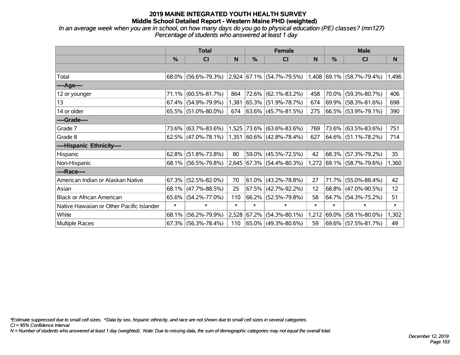*In an average week when you are in school, on how many days do you go to physical education (PE) classes? (mn127) Percentage of students who answered at least 1 day*

|                                           | <b>Total</b> |                        |        |               | <b>Female</b>                                                       |        | <b>Male</b> |                           |        |  |
|-------------------------------------------|--------------|------------------------|--------|---------------|---------------------------------------------------------------------|--------|-------------|---------------------------|--------|--|
|                                           | $\%$         | CI                     | N      | $\frac{0}{0}$ | CI                                                                  | N      | %           | <b>CI</b>                 | N      |  |
|                                           |              |                        |        |               |                                                                     |        |             |                           |        |  |
| Total                                     |              | 68.0% (56.6%-79.3%)    |        |               | $ 2,924 67.1\%  (54.7\% - 79.5\%)  1,408 69.1\%  (58.7\% - 79.4\%)$ |        |             |                           | 1,496  |  |
| ----Age----                               |              |                        |        |               |                                                                     |        |             |                           |        |  |
| 12 or younger                             | 71.1%        | $(60.5\% - 81.7\%)$    | 864    |               | 72.6% (62.1%-83.2%)                                                 | 458    | 70.0%       | $(59.3\% - 80.7\%)$       | 406    |  |
| 13                                        |              | 67.4% (54.9%-79.9%)    | 1,381  |               | $ 65.3\%  (51.9\% - 78.7\%)$                                        | 674    |             | $69.9\%$ (58.3%-81.6%)    | 698    |  |
| 14 or older                               |              | 65.5% (51.0%-80.0%)    | 674    |               | 63.6% (45.7%-81.5%)                                                 | 275    |             | 66.5% (53.9%-79.1%)       | 390    |  |
| ----Grade----                             |              |                        |        |               |                                                                     |        |             |                           |        |  |
| Grade 7                                   | 73.6%        | $(63.7\% - 83.6\%)$    | 1,525  |               | 73.6% (63.6%-83.6%)                                                 | 769    | $73.6\%$    | $(63.5\% - 83.6\%)$       | 751    |  |
| Grade 8                                   |              | $62.5\%$ (47.0%-78.1%) |        |               | 1,351 60.6% (42.8%-78.4%)                                           | 627    |             | $64.6\%$ (51.1%-78.2%)    | 714    |  |
| ----Hispanic Ethnicity----                |              |                        |        |               |                                                                     |        |             |                           |        |  |
| Hispanic                                  | 62.8%        | $(51.8\% - 73.8\%)$    | 80     |               | 59.0% (45.5%-72.5%)                                                 | 42     | 68.3%       | $(57.3\% - 79.2\%)$       | 35     |  |
| Non-Hispanic                              |              | 68.1% (56.5%-79.8%)    |        |               | 2,645 67.3% (54.4%-80.3%)                                           |        |             | 1,272 69.1% (58.7%-79.6%) | 1,360  |  |
| ----Race----                              |              |                        |        |               |                                                                     |        |             |                           |        |  |
| American Indian or Alaskan Native         |              | $67.3\%$ (52.5%-82.0%) | 70     |               | $61.0\%$ (43.2%-78.8%)                                              | 27     | 71.7%       | $(55.0\% - 88.4\%)$       | 42     |  |
| Asian                                     | 68.1%        | $(47.7\% - 88.5\%)$    | 25     |               | 67.5% (42.7%-92.2%)                                                 | 12     | 68.8%       | $(47.0\% - 90.5\%)$       | 12     |  |
| <b>Black or African American</b>          | 65.6%        | $(54.2\% - 77.0\%)$    | 110    |               | 66.2% (52.5%-79.8%)                                                 | 58     | 64.7%       | $(54.3\% - 75.2\%)$       | 51     |  |
| Native Hawaiian or Other Pacific Islander | $\ast$       | $\ast$                 | $\ast$ | $\ast$        | $\ast$                                                              | $\ast$ | $\ast$      | $\ast$                    | $\ast$ |  |
| White                                     | 68.1%        | $(56.2\% - 79.9\%)$    | 2,528  | 67.2%         | $(54.3\% - 80.1\%)$                                                 | 1,212  | $69.0\%$    | $(58.1\% - 80.0\%)$       | 1,302  |  |
| Multiple Races                            |              | $67.3\%$ (56.3%-78.4%) | 110    |               | 65.0% (49.3%-80.6%)                                                 | 59     |             | 69.6% (57.5%-81.7%)       | 49     |  |

*\*Estimate suppressed due to small cell sizes. ^Data by sex, hispanic ethnicity, and race are not shown due to small cell sizes in several categories.*

*CI = 95% Confidence Interval*

*N = Number of students who answered at least 1 day (weighted). Note: Due to missing data, the sum of demographic categories may not equal the overall total.*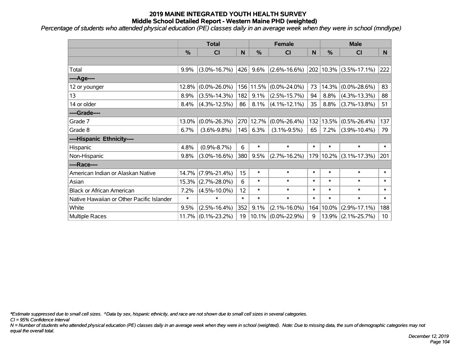*Percentage of students who attended physical education (PE) classes daily in an average week when they were in school (mndlype)*

|                                           | <b>Total</b>  |                       |        | <b>Female</b> |                    |        | <b>Male</b>   |                            |                 |
|-------------------------------------------|---------------|-----------------------|--------|---------------|--------------------|--------|---------------|----------------------------|-----------------|
|                                           | $\frac{0}{0}$ | C <sub>l</sub>        | N      | $\frac{0}{0}$ | CI                 | N      | $\frac{0}{0}$ | <b>CI</b>                  | N.              |
|                                           |               |                       |        |               |                    |        |               |                            |                 |
| Total                                     | 9.9%          | $(3.0\% - 16.7\%)$    | 426    | 9.6%          | $(2.6\% - 16.6\%)$ |        |               | 202   10.3%   (3.5%-17.1%) | 222             |
| ----Age----                               |               |                       |        |               |                    |        |               |                            |                 |
| 12 or younger                             | 12.8%         | $(0.0\% - 26.0\%)$    |        | 156 11.5%     | $(0.0\% - 24.0\%)$ | 73     | 14.3%         | $(0.0\% - 28.6\%)$         | 83              |
| 13                                        | 8.9%          | $(3.5\% - 14.3\%)$    | 182    | 9.1%          | $(2.5\% - 15.7\%)$ | 94     | 8.8%          | $(4.3\% - 13.3\%)$         | 88              |
| 14 or older                               | 8.4%          | $(4.3\% - 12.5\%)$    | 86     | 8.1%          | $(4.1\% - 12.1\%)$ | 35     | 8.8%          | $(3.7\% - 13.8\%)$         | 51              |
| ----Grade----                             |               |                       |        |               |                    |        |               |                            |                 |
| Grade 7                                   | 13.0%         | $(0.0\% - 26.3\%)$    |        | 270 12.7%     | $(0.0\% - 26.4\%)$ | 132    | 13.5%         | $(0.5\% - 26.4\%)$         | 137             |
| Grade 8                                   | 6.7%          | $(3.6\% - 9.8\%)$     | 145    | 6.3%          | $(3.1\% - 9.5\%)$  | 65     | 7.2%          | $(3.9\% - 10.4\%)$         | 79              |
| ----Hispanic Ethnicity----                |               |                       |        |               |                    |        |               |                            |                 |
| Hispanic                                  | 4.8%          | $(0.9\% - 8.7\%)$     | 6      | $\ast$        | $\ast$             | $\ast$ | $\ast$        | $\ast$                     | $\ast$          |
| Non-Hispanic                              | 9.8%          | $(3.0\% - 16.6\%)$    | 380    | 9.5%          | $(2.7\% - 16.2\%)$ | 179    |               | $10.2\%$ (3.1%-17.3%)      | 201             |
| ----Race----                              |               |                       |        |               |                    |        |               |                            |                 |
| American Indian or Alaskan Native         | 14.7%         | $(7.9\% - 21.4\%)$    | 15     | $\ast$        | $\ast$             | $\ast$ | $\ast$        | $\ast$                     | $\ast$          |
| Asian                                     | 15.3%         | $(2.7\% - 28.0\%)$    | 6      | $\ast$        | $\ast$             | $\ast$ | $\ast$        | $\ast$                     | $\ast$          |
| <b>Black or African American</b>          | 7.2%          | $(4.5\% - 10.0\%)$    | 12     | $\ast$        | $\ast$             | $\ast$ | $\ast$        | $\ast$                     | $\ast$          |
| Native Hawaiian or Other Pacific Islander | $\ast$        | $\ast$                | $\ast$ | $\ast$        | $\ast$             | $\ast$ | $\ast$        | $\ast$                     | $\ast$          |
| White                                     | 9.5%          | $(2.5\% - 16.4\%)$    | 352    | 9.1%          | $(2.1\% - 16.0\%)$ | 164    | 10.0%         | $(2.9\% - 17.1\%)$         | 188             |
| Multiple Races                            |               | $11.7\%$ (0.1%-23.2%) | 19     | $ 10.1\% $    | $(0.0\% - 22.9\%)$ | 9      |               | $13.9\%$ (2.1%-25.7%)      | 10 <sub>1</sub> |

*\*Estimate suppressed due to small cell sizes. ^Data by sex, hispanic ethnicity, and race are not shown due to small cell sizes in several categories.*

*CI = 95% Confidence Interval*

*N = Number of students who attended physical education (PE) classes daily in an average week when they were in school (weighted). Note: Due to missing data, the sum of demographic categories may not equal the overall total.*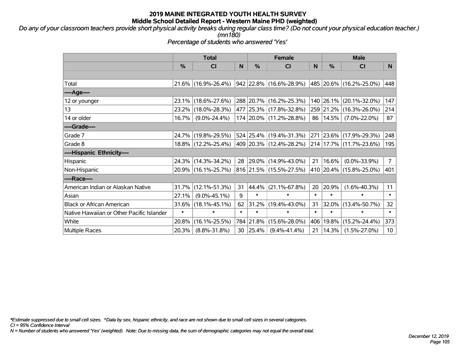*Do any of your classroom teachers provide short physical activity breaks during regular class time? (Do not count your physical education teacher.) (mn180)*

*Percentage of students who answered 'Yes'*

|                                           | <b>Total</b> |                        |        | <b>Female</b> |                           |        | <b>Male</b> |                             |                 |
|-------------------------------------------|--------------|------------------------|--------|---------------|---------------------------|--------|-------------|-----------------------------|-----------------|
|                                           | $\%$         | <b>CI</b>              | N      | %             | <b>CI</b>                 | N      | %           | <b>CI</b>                   | N.              |
|                                           |              |                        |        |               |                           |        |             |                             |                 |
| Total                                     |              | $21.6\%$ (16.9%-26.4%) |        |               | 942  22.8%  (16.6%-28.9%) |        |             | 485   20.6%   (16.2%-25.0%) | 448             |
| ----Age----                               |              |                        |        |               |                           |        |             |                             |                 |
| 12 or younger                             |              | 23.1% (18.6%-27.6%)    |        |               | 288 20.7% (16.2%-25.3%)   |        | 140 26.1%   | $(20.1\% - 32.0\%)$         | 147             |
| 13                                        |              | 23.2% (18.0%-28.3%)    |        |               | 477 25.3% (17.8%-32.8%)   |        | 259 21.2%   | $(16.3\% - 26.0\%)$         | 214             |
| 14 or older                               | 16.7%        | $(9.0\% - 24.4\%)$     |        |               | 174 20.0% (11.2%-28.8%)   |        | 86   14.5%  | $(7.0\% - 22.0\%)$          | 87              |
| ----Grade----                             |              |                        |        |               |                           |        |             |                             |                 |
| Grade 7                                   |              | 24.7% (19.8%-29.5%)    |        |               | 524 25.4% (19.4%-31.3%)   |        | 271 23.6%   | $(17.9\% - 29.3\%)$         | 248             |
| Grade 8                                   |              | 18.8% (12.2%-25.4%)    |        |               | 409 20.3% (12.4%-28.2%)   |        |             | 214 17.7% (11.7%-23.6%)     | 195             |
| ----Hispanic Ethnicity----                |              |                        |        |               |                           |        |             |                             |                 |
| Hispanic                                  |              | 24.3% (14.3%-34.2%)    | 28     | $ 29.0\%$     | $(14.9\% - 43.0\%)$       | 21     | 16.6%       | $(0.0\% - 33.9\%)$          | $7^{\circ}$     |
| Non-Hispanic                              |              | 20.9% (16.1%-25.7%)    |        |               | 816 21.5% (15.5%-27.5%)   |        |             | 410 20.4% (15.8%-25.0%)     | 401             |
| ----Race----                              |              |                        |        |               |                           |        |             |                             |                 |
| American Indian or Alaskan Native         |              | $31.7\%$ (12.1%-51.3%) | 31     | 44.4%         | $(21.1\% - 67.8\%)$       | 20     | 20.9%       | $(1.6\% - 40.3\%)$          | 11              |
| Asian                                     | 27.1%        | $(9.0\% - 45.1\%)$     | 9      | $\ast$        | $\ast$                    | $\ast$ | $\ast$      | $\ast$                      | $\ast$          |
| <b>Black or African American</b>          | $31.6\%$     | $(18.1\% - 45.1\%)$    | 62     | 31.2%         | $(19.4\% - 43.0\%)$       | 31     | 32.0%       | $(13.4\% - 50.7\%)$         | 32 <sub>2</sub> |
| Native Hawaiian or Other Pacific Islander | $\ast$       | $\ast$                 | $\ast$ | $\ast$        | $\ast$                    | $\ast$ | $\ast$      | $\ast$                      | $\ast$          |
| White                                     | 20.8%        | $(16.1\% - 25.5\%)$    | 784    | 21.8%         | $(15.6\% - 28.0\%)$       | 406    | 19.8%       | $(15.2\% - 24.4\%)$         | 373             |
| <b>Multiple Races</b>                     | 20.3%        | $(8.8\% - 31.8\%)$     | 30     | 25.4%         | $(9.4\% - 41.4\%)$        | 21     | 14.3%       | $(1.5\% - 27.0\%)$          | 10 <sup>°</sup> |

*\*Estimate suppressed due to small cell sizes. ^Data by sex, hispanic ethnicity, and race are not shown due to small cell sizes in several categories.*

*CI = 95% Confidence Interval*

*N = Number of students who answered 'Yes' (weighted). Note: Due to missing data, the sum of demographic categories may not equal the overall total.*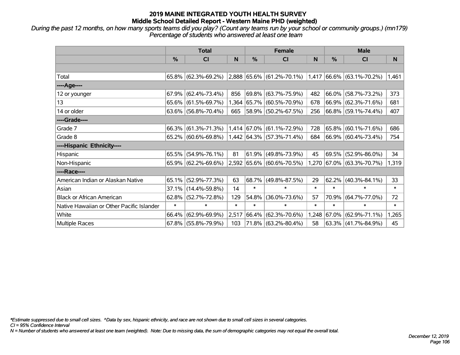*During the past 12 months, on how many sports teams did you play? (Count any teams run by your school or community groups.) (mn179) Percentage of students who answered at least one team*

|                                           | <b>Total</b>  |                           |        |        | <b>Female</b>                      |        | <b>Male</b>   |                              |        |  |
|-------------------------------------------|---------------|---------------------------|--------|--------|------------------------------------|--------|---------------|------------------------------|--------|--|
|                                           | $\frac{0}{0}$ | CI                        | N      | %      | <b>CI</b>                          | N      | $\frac{0}{0}$ | CI                           | N.     |  |
|                                           |               |                           |        |        |                                    |        |               |                              |        |  |
| Total                                     |               | $65.8\%$ (62.3%-69.2%)    |        |        | $ 2,888 65.6\%  (61.2\% - 70.1\%)$ | 1,417  |               | $ 66.6\%  (63.1\% - 70.2\%)$ | 1,461  |  |
| ----Age----                               |               |                           |        |        |                                    |        |               |                              |        |  |
| 12 or younger                             | 67.9%         | $(62.4\% - 73.4\%)$       | 856    |        | 69.8% (63.7%-75.9%)                | 482    | 66.0%         | $(58.7\% - 73.2\%)$          | 373    |  |
| 13                                        |               | $65.6\%$ (61.5%-69.7%)    |        |        | 1,364 65.7% (60.5%-70.9%)          | 678    |               | $ 66.9\%  (62.3\% - 71.6\%)$ | 681    |  |
| 14 or older                               |               | 63.6% $(56.8\% - 70.4\%)$ | 665    |        | $ 58.9\% $ (50.2%-67.5%)           | 256    |               | $ 66.8\% $ (59.1%-74.4%)     | 407    |  |
| ----Grade----                             |               |                           |        |        |                                    |        |               |                              |        |  |
| Grade 7                                   | 66.3%         | $(61.3\% - 71.3\%)$       |        |        | 1,414 67.0% (61.1%-72.9%)          | 728    | $65.8\%$      | $(60.1\% - 71.6\%)$          | 686    |  |
| Grade 8                                   |               | $65.2\%$ (60.6%-69.8%)    |        |        | $1,442$ 64.3% (57.3%-71.4%)        | 684    |               | $ 66.9\%  (60.4\% - 73.4\%)$ | 754    |  |
| ----Hispanic Ethnicity----                |               |                           |        |        |                                    |        |               |                              |        |  |
| Hispanic                                  |               | $65.5\%$ (54.9%-76.1%)    | 81     | 61.9%  | $(49.8\% - 73.9\%)$                | 45     | 69.5%         | $(52.9\% - 86.0\%)$          | 34     |  |
| Non-Hispanic                              |               | $65.9\%$ (62.2%-69.6%)    |        |        | 2,592 65.6% (60.6%-70.5%)          |        |               | 1,270 67.0% (63.3%-70.7%)    | 1,319  |  |
| ----Race----                              |               |                           |        |        |                                    |        |               |                              |        |  |
| American Indian or Alaskan Native         | 65.1%         | $(52.9\% - 77.3\%)$       | 63     | 68.7%  | $(49.8\% - 87.5\%)$                | 29     | 62.2%         | $(40.3\% - 84.1\%)$          | 33     |  |
| Asian                                     |               | 37.1% (14.4%-59.8%)       | 14     | $\ast$ | $\ast$                             | $\ast$ | $\ast$        | $\ast$                       | $\ast$ |  |
| <b>Black or African American</b>          | 62.8%         | $(52.7\% - 72.8\%)$       | 129    | 54.8%  | $(36.0\% - 73.6\%)$                | 57     | 70.9%         | $(64.7\% - 77.0\%)$          | 72     |  |
| Native Hawaiian or Other Pacific Islander | $\ast$        | $\ast$                    | $\ast$ | $\ast$ | $\ast$                             | $\ast$ | $\ast$        | $\ast$                       | $\ast$ |  |
| White                                     | 66.4%         | $(62.9\% - 69.9\%)$       | 2,517  | 66.4%  | $(62.3\% - 70.6\%)$                | 1,248  | $ 67.0\% $    | $(62.9\% - 71.1\%)$          | 1,265  |  |
| <b>Multiple Races</b>                     |               | $67.8\%$ (55.8%-79.9%)    | 103    |        | 71.8% (63.2%-80.4%)                | 58     |               | $ 63.3\% $ (41.7%-84.9%)     | 45     |  |

*\*Estimate suppressed due to small cell sizes. ^Data by sex, hispanic ethnicity, and race are not shown due to small cell sizes in several categories.*

*CI = 95% Confidence Interval*

*N = Number of students who answered at least one team (weighted). Note: Due to missing data, the sum of demographic categories may not equal the overall total.*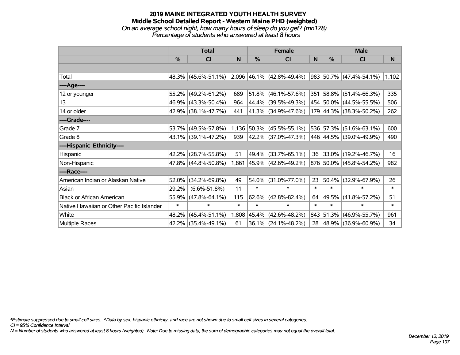#### **2019 MAINE INTEGRATED YOUTH HEALTH SURVEY Middle School Detailed Report - Western Maine PHD (weighted)** *On an average school night, how many hours of sleep do you get? (mn178) Percentage of students who answered at least 8 hours*

|                                           | <b>Total</b> |                                                  |        |        | <b>Female</b>               |        | <b>Male</b> |                          |          |  |
|-------------------------------------------|--------------|--------------------------------------------------|--------|--------|-----------------------------|--------|-------------|--------------------------|----------|--|
|                                           | %            | CI                                               | N      | $\%$   | <b>CI</b>                   | N      | $\%$        | <b>CI</b>                | <b>N</b> |  |
|                                           |              |                                                  |        |        |                             |        |             |                          |          |  |
| Total                                     |              | $48.3\%$ (45.6%-51.1%) 2,096 46.1% (42.8%-49.4%) |        |        |                             |        |             | 983 50.7% (47.4%-54.1%)  | 1,102    |  |
| ----Age----                               |              |                                                  |        |        |                             |        |             |                          |          |  |
| 12 or younger                             | 55.2%        | $(49.2\% - 61.2\%)$                              | 689    |        | $51.8\%$ (46.1%-57.6%)      |        |             | 351 58.8% (51.4%-66.3%)  | 335      |  |
| 13                                        | 46.9%        | $(43.3\% - 50.4\%)$                              | 964    |        | 44.4% (39.5%-49.3%)         |        |             | 454 50.0% (44.5%-55.5%)  | 506      |  |
| 14 or older                               | 42.9%        | $(38.1\% - 47.7\%)$                              | 441    |        | 41.3% (34.9%-47.6%)         |        |             | 179 44.3% (38.3%-50.2%)  | 262      |  |
| ----Grade----                             |              |                                                  |        |        |                             |        |             |                          |          |  |
| Grade 7                                   | 53.7%        | $(49.5\% - 57.8\%)$                              |        |        | 1,136 50.3% (45.5%-55.1%)   |        |             | 536 57.3% (51.6%-63.1%)  | 600      |  |
| Grade 8                                   |              | 43.1% (39.1%-47.2%)                              | 939    |        | 42.2% (37.0%-47.3%)         |        |             | 446 44.5% (39.0%-49.9%)  | 490      |  |
| ----Hispanic Ethnicity----                |              |                                                  |        |        |                             |        |             |                          |          |  |
| Hispanic                                  | 42.2%        | $(28.7\% - 55.8\%)$                              | 51     |        | 49.4% (33.7%-65.1%)         | 36     |             | 33.0% (19.2%-46.7%)      | 16       |  |
| Non-Hispanic                              | 47.8%        | $(44.8\% - 50.8\%)$                              |        |        | $1,861$ 45.9% (42.6%-49.2%) |        |             | 876 50.0% (45.8%-54.2%)  | 982      |  |
| ----Race----                              |              |                                                  |        |        |                             |        |             |                          |          |  |
| American Indian or Alaskan Native         | 52.0%        | $(34.2\% - 69.8\%)$                              | 49     |        | 54.0% (31.0%-77.0%)         | 23     |             | 50.4% (32.9%-67.9%)      | 26       |  |
| Asian                                     | 29.2%        | $(6.6\% - 51.8\%)$                               | 11     | $\ast$ | $\ast$                      | $\ast$ | $\ast$      | $\ast$                   | $\ast$   |  |
| <b>Black or African American</b>          | 55.9%        | $(47.8\% - 64.1\%)$                              | 115    | 62.6%  | $(42.8\% - 82.4\%)$         | 64     | 49.5%       | $(41.8\% - 57.2\%)$      | 51       |  |
| Native Hawaiian or Other Pacific Islander | $\ast$       | $\ast$                                           | $\ast$ | $\ast$ | $\ast$                      | $\ast$ | $\ast$      | $\ast$                   | $\ast$   |  |
| White                                     | 48.2%        | $(45.4\% - 51.1\%)$                              | 1,808  |        | 45.4% (42.6%-48.2%)         |        |             | 843 51.3% (46.9%-55.7%)  | 961      |  |
| Multiple Races                            | 42.2%        | $(35.4\% - 49.1\%)$                              | 61     |        | $36.1\%$ (24.1%-48.2%)      | 28     |             | $ 48.9\% $ (36.9%-60.9%) | 34       |  |

*\*Estimate suppressed due to small cell sizes. ^Data by sex, hispanic ethnicity, and race are not shown due to small cell sizes in several categories.*

*CI = 95% Confidence Interval*

*N = Number of students who answered at least 8 hours (weighted). Note: Due to missing data, the sum of demographic categories may not equal the overall total.*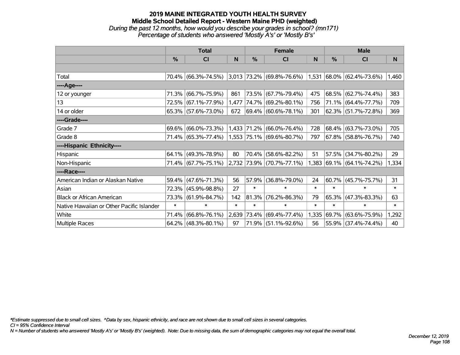#### **2019 MAINE INTEGRATED YOUTH HEALTH SURVEY Middle School Detailed Report - Western Maine PHD (weighted)** *During the past 12 months, how would you describe your grades in school? (mn171) Percentage of students who answered 'Mostly A's' or 'Mostly B's'*

|                                           | <b>Total</b> |                     |        | <b>Female</b> |                                   | <b>Male</b> |            |                              |                       |
|-------------------------------------------|--------------|---------------------|--------|---------------|-----------------------------------|-------------|------------|------------------------------|-----------------------|
|                                           | $\%$         | <b>CI</b>           | N      | %             | <b>CI</b>                         | N           | %          | <b>CI</b>                    | N.                    |
|                                           |              |                     |        |               |                                   |             |            |                              |                       |
| Total                                     |              | 70.4% (66.3%-74.5%) |        |               | $3,013$ 73.2% (69.8%-76.6%) 1,531 |             |            | $ 68.0\%  (62.4\% - 73.6\%)$ | $\vert$ 1,460 $\vert$ |
| ----Age----                               |              |                     |        |               |                                   |             |            |                              |                       |
| 12 or younger                             | 71.3%        | $(66.7\% - 75.9\%)$ | 861    |               | 73.5% (67.7%-79.4%)               | 475         | 68.5%      | $(62.7\% - 74.4\%)$          | 383                   |
| 13                                        |              | 72.5% (67.1%-77.9%) | 1,477  |               | 74.7% (69.2%-80.1%)               | 756         |            | 71.1% (64.4%-77.7%)          | 709                   |
| 14 or older                               |              | 65.3% (57.6%-73.0%) | 672    |               | $ 69.4\%  (60.6\% - 78.1\%)$      | 301         |            | 62.3% (51.7%-72.8%)          | 369                   |
| ----Grade----                             |              |                     |        |               |                                   |             |            |                              |                       |
| Grade 7                                   | 69.6%        | $(66.0\% - 73.3\%)$ | 1,433  |               | $ 71.2\% $ (66.0%-76.4%)          | 728         | $ 68.4\% $ | $(63.7\% - 73.0\%)$          | 705                   |
| Grade 8                                   |              | 71.4% (65.3%-77.4%) |        |               | 1,553 75.1% (69.6%-80.7%)         | 797         |            | 67.8% (58.8%-76.7%)          | 740                   |
| ----Hispanic Ethnicity----                |              |                     |        |               |                                   |             |            |                              |                       |
| Hispanic                                  | 64.1%        | $(49.3\% - 78.9\%)$ | 80     | 70.4%         | $(58.6\% - 82.2\%)$               | 51          | $ 57.5\% $ | $(34.7\% - 80.2\%)$          | 29                    |
| Non-Hispanic                              |              | 71.4% (67.7%-75.1%) |        |               | 2,732 73.9% (70.7%-77.1%)         | 1,383       |            | $ 69.1\%  (64.1\% - 74.2\%)$ | 1,334                 |
| ----Race----                              |              |                     |        |               |                                   |             |            |                              |                       |
| American Indian or Alaskan Native         | 59.4%        | $(47.6\% - 71.3\%)$ | 56     | 57.9%         | $(36.8\% - 79.0\%)$               | 24          | 60.7%      | $(45.7\% - 75.7\%)$          | 31                    |
| Asian                                     | 72.3%        | $(45.9\% - 98.8\%)$ | 27     | $\ast$        | $\ast$                            | $\ast$      | $\ast$     | $\ast$                       | $\ast$                |
| <b>Black or African American</b>          | 73.3%        | $(61.9\% - 84.7\%)$ | 142    | 81.3%         | $(76.2\% - 86.3\%)$               | 79          | 65.3%      | $(47.3\% - 83.3\%)$          | 63                    |
| Native Hawaiian or Other Pacific Islander | $\ast$       | $\ast$              | $\ast$ | $\ast$        | $\ast$                            | $\ast$      | $\ast$     | $\ast$                       | $\ast$                |
| White                                     | 71.4%        | $(66.8\% - 76.1\%)$ | 2,639  |               | 73.4% (69.4%-77.4%)               | 1,335       | $ 69.7\% $ | $(63.6\% - 75.9\%)$          | 1,292                 |
| Multiple Races                            |              | 64.2% (48.3%-80.1%) | 97     |               | 71.9% (51.1%-92.6%)               | 56          |            | 55.9% (37.4%-74.4%)          | 40                    |

*\*Estimate suppressed due to small cell sizes. ^Data by sex, hispanic ethnicity, and race are not shown due to small cell sizes in several categories.*

*CI = 95% Confidence Interval*

*N = Number of students who answered 'Mostly A's' or 'Mostly B's' (weighted). Note: Due to missing data, the sum of demographic categories may not equal the overall total.*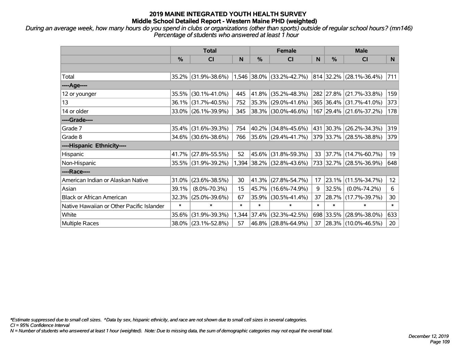*During an average week, how many hours do you spend in clubs or organizations (other than sports) outside of regular school hours? (mn146) Percentage of students who answered at least 1 hour*

|                                           | <b>Total</b> |                     |        | <b>Female</b> |                           |        | <b>Male</b> |                         |        |  |
|-------------------------------------------|--------------|---------------------|--------|---------------|---------------------------|--------|-------------|-------------------------|--------|--|
|                                           | %            | CI                  | N      | %             | <b>CI</b>                 | N      | %           | <b>CI</b>               | N.     |  |
|                                           |              |                     |        |               |                           |        |             |                         |        |  |
| Total                                     |              | 35.2% (31.9%-38.6%) |        |               | 1,546 38.0% (33.2%-42.7%) |        |             | 814 32.2% (28.1%-36.4%) | 711    |  |
| ----Age----                               |              |                     |        |               |                           |        |             |                         |        |  |
| 12 or younger                             | 35.5%        | $(30.1\% - 41.0\%)$ | 445    | 41.8%         | $(35.2\% - 48.3\%)$       |        | 282 27.8%   | $(21.7\% - 33.8\%)$     | 159    |  |
| 13                                        |              | 36.1% (31.7%-40.5%) | 752    | 35.3%         | $(29.0\% - 41.6\%)$       |        |             | 365 36.4% (31.7%-41.0%) | 373    |  |
| 14 or older                               |              | 33.0% (26.1%-39.9%) | 345    |               | 38.3% (30.0%-46.6%)       |        |             | 167 29.4% (21.6%-37.2%) | 178    |  |
| ----Grade----                             |              |                     |        |               |                           |        |             |                         |        |  |
| Grade 7                                   | 35.4%        | $(31.6\% - 39.3\%)$ | 754    | 40.2%         | $(34.8\% - 45.6\%)$       | 431    | 30.3%       | $(26.2\% - 34.3\%)$     | 319    |  |
| Grade 8                                   |              | 34.6% (30.6%-38.6%) | 766    |               | $35.6\%$ (29.4%-41.7%)    |        |             | 379 33.7% (28.5%-38.8%) | 379    |  |
| ----Hispanic Ethnicity----                |              |                     |        |               |                           |        |             |                         |        |  |
| Hispanic                                  | 41.7%        | $(27.8\% - 55.5\%)$ | 52     | 45.6%         | $(31.8\% - 59.3\%)$       | 33     | 37.7%       | $(14.7\% - 60.7\%)$     | 19     |  |
| Non-Hispanic                              |              | 35.5% (31.9%-39.2%) |        |               | 1,394 38.2% (32.8%-43.6%) |        |             | 733 32.7% (28.5%-36.9%) | 648    |  |
| ----Race----                              |              |                     |        |               |                           |        |             |                         |        |  |
| American Indian or Alaskan Native         | 31.0%        | $(23.6\% - 38.5\%)$ | 30     | 41.3%         | $(27.8\% - 54.7\%)$       | 17     | 23.1%       | $(11.5\% - 34.7\%)$     | 12     |  |
| Asian                                     | 39.1%        | $(8.0\% - 70.3\%)$  | 15     | 45.7%         | $(16.6\% - 74.9\%)$       | 9      | 32.5%       | $(0.0\% - 74.2\%)$      | 6      |  |
| <b>Black or African American</b>          | 32.3%        | $(25.0\% - 39.6\%)$ | 67     | 35.9%         | $(30.5\% - 41.4\%)$       | 37     | 28.7%       | $(17.7\% - 39.7\%)$     | 30     |  |
| Native Hawaiian or Other Pacific Islander | $\ast$       | $\ast$              | $\ast$ | $\ast$        | $\ast$                    | $\ast$ | $\ast$      | $\ast$                  | $\ast$ |  |
| White                                     | 35.6%        | $(31.9\% - 39.3\%)$ |        | 1,344 37.4%   | $(32.3\% - 42.5\%)$       |        | 698 33.5%   | $(28.9\% - 38.0\%)$     | 633    |  |
| Multiple Races                            |              | 38.0% (23.1%-52.8%) | 57     | $46.8\%$      | $(28.8\% - 64.9\%)$       | 37     |             | 28.3% (10.0%-46.5%)     | 20     |  |

*\*Estimate suppressed due to small cell sizes. ^Data by sex, hispanic ethnicity, and race are not shown due to small cell sizes in several categories.*

*CI = 95% Confidence Interval*

*N = Number of students who answered at least 1 hour (weighted). Note: Due to missing data, the sum of demographic categories may not equal the overall total.*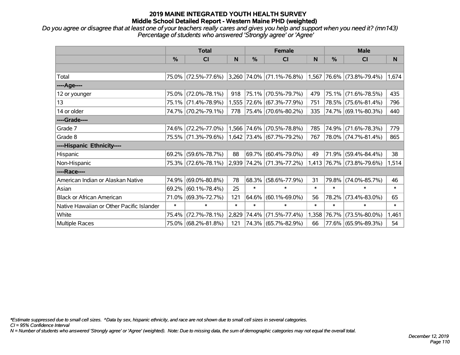*Do you agree or disagree that at least one of your teachers really cares and gives you help and support when you need it? (mn143) Percentage of students who answered 'Strongly agree' or 'Agree'*

|                                           | <b>Total</b> |                     |        |            | <b>Female</b>                                            |        | <b>Male</b> |                           |        |
|-------------------------------------------|--------------|---------------------|--------|------------|----------------------------------------------------------|--------|-------------|---------------------------|--------|
|                                           | $\%$         | <b>CI</b>           | N      | $\%$       | <b>CI</b>                                                | N      | %           | <b>CI</b>                 | N.     |
|                                           |              |                     |        |            |                                                          |        |             |                           |        |
| Total                                     |              | 75.0% (72.5%-77.6%) |        |            | $ 3,260 74.0\% $ (71.1%-76.8%) 1,567 76.6% (73.8%-79.4%) |        |             |                           | 1,674  |
| ----Age----                               |              |                     |        |            |                                                          |        |             |                           |        |
| 12 or younger                             | 75.0%        | $(72.0\% - 78.1\%)$ | 918    | $ 75.1\% $ | $(70.5\% - 79.7\%)$                                      | 479    | 75.1%       | $(71.6\% - 78.5\%)$       | 435    |
| 13                                        |              | 75.1% (71.4%-78.9%) |        |            | 1,555 72.6% (67.3%-77.9%)                                | 751    |             | 78.5% (75.6%-81.4%)       | 796    |
| 14 or older                               |              | 74.7% (70.2%-79.1%) | 778    |            | 75.4%  (70.6%-80.2%)                                     | 335    |             | 74.7% (69.1%-80.3%)       | 440    |
| ----Grade----                             |              |                     |        |            |                                                          |        |             |                           |        |
| Grade 7                                   | 74.6%        | $(72.2\% - 77.0\%)$ |        |            | 1,566 74.6% (70.5%-78.8%)                                | 785    | 74.9%       | $(71.6\% - 78.3\%)$       | 779    |
| Grade 8                                   |              | 75.5% (71.3%-79.6%) |        |            | $1,642$ 73.4% (67.7%-79.2%)                              | 767    |             | 78.0% (74.7%-81.4%)       | 865    |
| ----Hispanic Ethnicity----                |              |                     |        |            |                                                          |        |             |                           |        |
| Hispanic                                  | 69.2%        | $(59.6\% - 78.7\%)$ | 88     | 69.7%      | $(60.4\% - 79.0\%)$                                      | 49     | 71.9%       | $(59.4\% - 84.4\%)$       | 38     |
| Non-Hispanic                              |              | 75.3% (72.6%-78.1%) |        |            | 2,939 74.2% (71.3%-77.2%)                                |        |             | 1,413 76.7% (73.8%-79.6%) | 1,514  |
| ----Race----                              |              |                     |        |            |                                                          |        |             |                           |        |
| American Indian or Alaskan Native         | 74.9%        | $(69.0\% - 80.8\%)$ | 78     | 68.3%      | $(58.6\% - 77.9\%)$                                      | 31     | 79.8%       | $(74.0\% - 85.7\%)$       | 46     |
| Asian                                     | 69.2%        | $(60.1\% - 78.4\%)$ | 25     | $\ast$     | $\ast$                                                   | $\ast$ | $\ast$      | $\ast$                    | $\ast$ |
| <b>Black or African American</b>          | 71.0%        | $(69.3\% - 72.7\%)$ | 121    | 64.6%      | $(60.1\% - 69.0\%)$                                      | 56     | 78.2%       | $(73.4\% - 83.0\%)$       | 65     |
| Native Hawaiian or Other Pacific Islander | $\ast$       | $\ast$              | $\ast$ | $\ast$     | $\ast$                                                   | $\ast$ | $\ast$      | $\ast$                    | $\ast$ |
| White                                     | 75.4%        | $(72.7\% - 78.1\%)$ | 2,829  | 74.4%      | $(71.5\% - 77.4\%)$                                      | 1,358  | 76.7%       | $(73.5\% - 80.0\%)$       | 1,461  |
| Multiple Races                            |              | 75.0% (68.2%-81.8%) | 121    |            | 74.3% (65.7%-82.9%)                                      | 66     |             | 77.6% (65.9%-89.3%)       | 54     |

*\*Estimate suppressed due to small cell sizes. ^Data by sex, hispanic ethnicity, and race are not shown due to small cell sizes in several categories.*

*CI = 95% Confidence Interval*

*N = Number of students who answered 'Strongly agree' or 'Agree' (weighted). Note: Due to missing data, the sum of demographic categories may not equal the overall total.*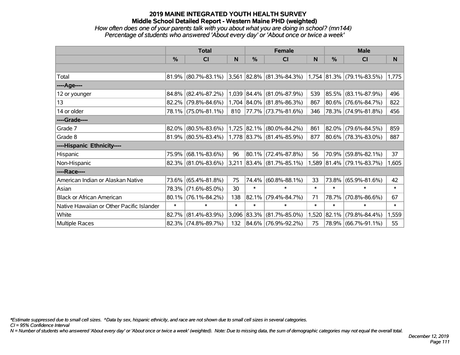### *How often does one of your parents talk with you about what you are doing in school? (mn144) Percentage of students who answered 'About every day' or 'About once or twice a week'*

|                                           | <b>Total</b>  |                        |              |                  | <b>Female</b>                                      |        | <b>Male</b> |                           |        |  |
|-------------------------------------------|---------------|------------------------|--------------|------------------|----------------------------------------------------|--------|-------------|---------------------------|--------|--|
|                                           | $\frac{0}{0}$ | <b>CI</b>              | <sub>N</sub> | %                | <b>CI</b>                                          | N      | %           | <b>CI</b>                 | N      |  |
|                                           |               |                        |              |                  |                                                    |        |             |                           |        |  |
| Total                                     |               | $81.9\%$ (80.7%-83.1%) | 3,561        |                  | $ 82.8\% $ (81.3%-84.3%) 1,754 81.3% (79.1%-83.5%) |        |             |                           | 1,775  |  |
| ----Age----                               |               |                        |              |                  |                                                    |        |             |                           |        |  |
| 12 or younger                             | 84.8%         | $(82.4\% - 87.2\%)$    |              | 1,039 84.4%      | $(81.0\% - 87.9\%)$                                | 539    |             | 85.5% (83.1%-87.9%)       | 496    |  |
| 13                                        |               | 82.2% (79.8%-84.6%)    |              |                  | 1,704 84.0% (81.8%-86.3%)                          | 867    |             | 80.6% (76.6%-84.7%)       | 822    |  |
| 14 or older                               |               | 78.1% (75.0%-81.1%)    | 810          |                  | $ 77.7\% $ (73.7%-81.6%)                           | 346    |             | 78.3% (74.9%-81.8%)       | 456    |  |
| ----Grade----                             |               |                        |              |                  |                                                    |        |             |                           |        |  |
| Grade 7                                   | 82.0%         | $(80.5\% - 83.6\%)$    |              | $ 1,725 82.1\% $ | $(80.0\% - 84.2\%)$                                | 861    |             | 82.0% (79.6%-84.5%)       | 859    |  |
| Grade 8                                   |               | $81.9\%$ (80.5%-83.4%) |              |                  | $1,778$ 83.7% (81.4%-85.9%)                        | 877    |             | 80.6% (78.3%-83.0%)       | 887    |  |
| ----Hispanic Ethnicity----                |               |                        |              |                  |                                                    |        |             |                           |        |  |
| Hispanic                                  | 75.9%         | $(68.1\% - 83.6\%)$    | 96           | $ 80.1\% $       | $(72.4\% - 87.8\%)$                                | 56     |             | 70.9% (59.8%-82.1%)       | 37     |  |
| Non-Hispanic                              |               | 82.3% (81.0%-83.6%)    | 3,211        |                  | $ 83.4\% $ (81.7%-85.1%)                           |        |             | 1,589 81.4% (79.1%-83.7%) | 1,605  |  |
| ----Race----                              |               |                        |              |                  |                                                    |        |             |                           |        |  |
| American Indian or Alaskan Native         | 73.6%         | $(65.4\% - 81.8\%)$    | 75           | 74.4%            | $(60.8\% - 88.1\%)$                                | 33     |             | 73.8% (65.9%-81.6%)       | 42     |  |
| Asian                                     | 78.3%         | $(71.6\% - 85.0\%)$    | 30           | $\ast$           | $\ast$                                             | $\ast$ | $\ast$      | $\ast$                    | $\ast$ |  |
| <b>Black or African American</b>          | 80.1%         | $(76.1\% - 84.2\%)$    | 138          | 82.1%            | $(79.4\% - 84.7\%)$                                | 71     |             | 78.7% (70.8%-86.6%)       | 67     |  |
| Native Hawaiian or Other Pacific Islander | $\ast$        | $\ast$                 | $\ast$       | $\ast$           | $\ast$                                             | $\ast$ | $\ast$      | $\ast$                    | $\ast$ |  |
| White                                     | 82.7%         | $(81.4\% - 83.9\%)$    |              | 3,096 83.3%      | $(81.7\% - 85.0\%)$                                | 1,520  |             | 82.1% (79.8%-84.4%)       | 1,559  |  |
| Multiple Races                            |               | 82.3% (74.8%-89.7%)    | 132          |                  | $ 84.6\% $ (76.9%-92.2%)                           | 75     |             | 78.9% (66.7%-91.1%)       | 55     |  |

*\*Estimate suppressed due to small cell sizes. ^Data by sex, hispanic ethnicity, and race are not shown due to small cell sizes in several categories.*

*CI = 95% Confidence Interval*

*N = Number of students who answered 'About every day' or 'About once or twice a week' (weighted). Note: Due to missing data, the sum of demographic categories may not equal the overall total.*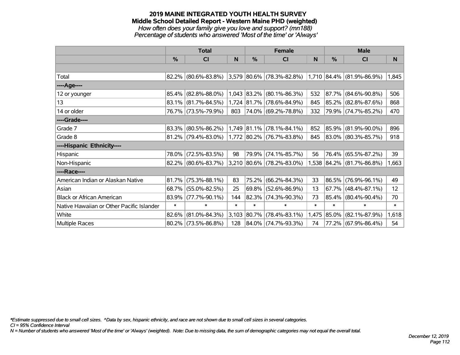### **2019 MAINE INTEGRATED YOUTH HEALTH SURVEY Middle School Detailed Report - Western Maine PHD (weighted)** *How often does your family give you love and support? (mn188)*

*Percentage of students who answered 'Most of the time' or 'Always'*

|                                           | <b>Total</b> |                        |        |             | <b>Female</b>                                            |        | <b>Male</b> |                           |        |
|-------------------------------------------|--------------|------------------------|--------|-------------|----------------------------------------------------------|--------|-------------|---------------------------|--------|
|                                           | $\%$         | <b>CI</b>              | N      | %           | <b>CI</b>                                                | N      | %           | <b>CI</b>                 | N.     |
|                                           |              |                        |        |             |                                                          |        |             |                           |        |
| Total                                     |              | $82.2\%$ (80.6%-83.8%) |        |             | $ 3,579 80.6\% $ (78.3%-82.8%) 1,710 84.4% (81.9%-86.9%) |        |             |                           | 1,845  |
| ----Age----                               |              |                        |        |             |                                                          |        |             |                           |        |
| 12 or younger                             | 85.4%        | $(82.8\% - 88.0\%)$    |        | 1,043 83.2% | $(80.1\% - 86.3\%)$                                      | 532    | $ 87.7\% $  | $(84.6\% - 90.8\%)$       | 506    |
| 13                                        | $83.1\%$     | $(81.7\% - 84.5\%)$    |        |             | 1,724 81.7% (78.6%-84.9%)                                | 845    |             | 85.2% (82.8%-87.6%)       | 868    |
| 14 or older                               |              | 76.7% (73.5%-79.9%)    | 803    |             | 74.0% (69.2%-78.8%)                                      | 332    |             | 79.9% (74.7%-85.2%)       | 470    |
| ----Grade----                             |              |                        |        |             |                                                          |        |             |                           |        |
| Grade 7                                   | 83.3%        | $(80.5\% - 86.2\%)$    |        | 1,749 81.1% | $(78.1\% - 84.1\%)$                                      | 852    | $ 85.9\% $  | $(81.9\% - 90.0\%)$       | 896    |
| Grade 8                                   |              | $81.2\%$ (79.4%-83.0%) |        |             | $1,772$ 80.2% (76.7%-83.8%)                              | 845    |             | 83.0% (80.3%-85.7%)       | 918    |
| ----Hispanic Ethnicity----                |              |                        |        |             |                                                          |        |             |                           |        |
| Hispanic                                  | 78.0%        | $(72.5\% - 83.5\%)$    | 98     | 79.9%       | $(74.1\% - 85.7\%)$                                      | 56     | $76.4\%$    | $(65.5\% - 87.2\%)$       | 39     |
| Non-Hispanic                              |              | 82.2% (80.6%-83.7%)    |        |             | 3,210 80.6% (78.2%-83.0%)                                |        |             | 1,538 84.2% (81.7%-86.8%) | 1,663  |
| ----Race----                              |              |                        |        |             |                                                          |        |             |                           |        |
| American Indian or Alaskan Native         | 81.7%        | $(75.3\% - 88.1\%)$    | 83     | 75.2%       | $(66.2\% - 84.3\%)$                                      | 33     | $ 86.5\% $  | $(76.9\% - 96.1\%)$       | 49     |
| Asian                                     | 68.7%        | $(55.0\% - 82.5\%)$    | 25     | 69.8%       | $(52.6\% - 86.9\%)$                                      | 13     | 67.7%       | $(48.4\% - 87.1\%)$       | 12     |
| <b>Black or African American</b>          | 83.9%        | $(77.7\% - 90.1\%)$    | 144    | 82.3%       | $(74.3\% - 90.3\%)$                                      | 73     | $85.4\%$    | $(80.4\% - 90.4\%)$       | 70     |
| Native Hawaiian or Other Pacific Islander | $\ast$       | $\ast$                 | $\ast$ | $\ast$      | $\ast$                                                   | $\ast$ | $\ast$      | $\ast$                    | $\ast$ |
| White                                     | 82.6%        | $(81.0\% - 84.3\%)$    | 3,103  | $ 80.7\% $  | $(78.4\% - 83.1\%)$                                      | 1,475  | $ 85.0\% $  | $(82.1\% - 87.9\%)$       | 1,618  |
| Multiple Races                            |              | 80.2% (73.5%-86.8%)    | 128    |             | 84.0% (74.7%-93.3%)                                      | 74     |             | 77.2% (67.9%-86.4%)       | 54     |

*\*Estimate suppressed due to small cell sizes. ^Data by sex, hispanic ethnicity, and race are not shown due to small cell sizes in several categories.*

*CI = 95% Confidence Interval*

*N = Number of students who answered 'Most of the time' or 'Always' (weighted). Note: Due to missing data, the sum of demographic categories may not equal the overall total.*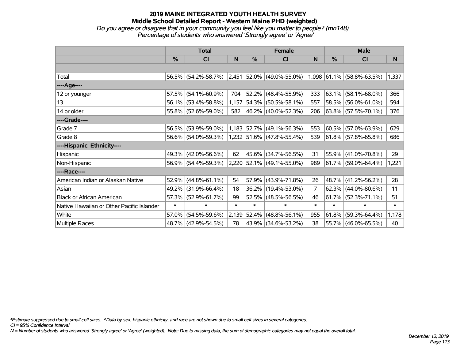#### **2019 MAINE INTEGRATED YOUTH HEALTH SURVEY Middle School Detailed Report - Western Maine PHD (weighted)** *Do you agree or disagree that in your community you feel like you matter to people? (mn148)*

*Percentage of students who answered 'Strongly agree' or 'Agree'*

|                                           | <b>Total</b> |                     |        |            | <b>Female</b>                                            |                | <b>Male</b>   |                        |        |  |
|-------------------------------------------|--------------|---------------------|--------|------------|----------------------------------------------------------|----------------|---------------|------------------------|--------|--|
|                                           | $\%$         | <b>CI</b>           | N      | %          | CI                                                       | <sub>N</sub>   | $\frac{0}{0}$ | <b>CI</b>              | N      |  |
|                                           |              |                     |        |            |                                                          |                |               |                        |        |  |
| Total                                     |              | 56.5% (54.2%-58.7%) |        |            | $ 2,451 52.0\% $ (49.0%-55.0%) 1,098 61.1% (58.8%-63.5%) |                |               |                        | 1,337  |  |
| ----Age----                               |              |                     |        |            |                                                          |                |               |                        |        |  |
| 12 or younger                             | 57.5%        | $(54.1\% - 60.9\%)$ | 704    |            | $52.2\%$ (48.4%-55.9%)                                   | 333            | 63.1%         | $(58.1\% - 68.0\%)$    | 366    |  |
| 13                                        | 56.1%        | $(53.4\% - 58.8\%)$ | 1,157  |            | 54.3% (50.5%-58.1%)                                      | 557            |               | 58.5% (56.0%-61.0%)    | 594    |  |
| 14 or older                               |              | 55.8% (52.6%-59.0%) | 582    |            | 46.2% (40.0%-52.3%)                                      | 206            |               | 63.8% (57.5%-70.1%)    | 376    |  |
| ----Grade----                             |              |                     |        |            |                                                          |                |               |                        |        |  |
| Grade 7                                   | 56.5%        | $(53.9\% - 59.0\%)$ |        |            | 1,183 52.7% (49.1%-56.3%)                                | 553            | $ 60.5\% $    | $(57.0\% - 63.9\%)$    | 629    |  |
| Grade 8                                   |              | 56.6% (54.0%-59.3%) |        |            | 1,232 51.6% (47.8%-55.4%)                                | 539            |               | $61.8\%$ (57.8%-65.8%) | 686    |  |
| ----Hispanic Ethnicity----                |              |                     |        |            |                                                          |                |               |                        |        |  |
| Hispanic                                  | 49.3%        | $(42.0\% - 56.6\%)$ | 62     | $ 45.6\% $ | $(34.7\% - 56.5\%)$                                      | 31             | $ 55.9\% $    | $(41.0\% - 70.8\%)$    | 29     |  |
| Non-Hispanic                              |              | 56.9% (54.4%-59.3%) |        |            | 2,220 52.1% (49.1%-55.0%)                                | 989            |               | 61.7% (59.0%-64.4%)    | 1,221  |  |
| ----Race----                              |              |                     |        |            |                                                          |                |               |                        |        |  |
| American Indian or Alaskan Native         | 52.9%        | $(44.8\% - 61.1\%)$ | 54     |            | 57.9% (43.9%-71.8%)                                      | 26             | $ 48.7\% $    | $(41.2\% - 56.2\%)$    | 28     |  |
| Asian                                     | 49.2%        | $(31.9\% - 66.4\%)$ | 18     |            | 36.2% (19.4%-53.0%)                                      | $\overline{7}$ | 62.3%         | $(44.0\% - 80.6\%)$    | 11     |  |
| <b>Black or African American</b>          | 57.3%        | $(52.9\% - 61.7\%)$ | 99     |            | $52.5\%$ (48.5%-56.5%)                                   | 46             |               | $61.7\%$ (52.3%-71.1%) | 51     |  |
| Native Hawaiian or Other Pacific Islander | $\ast$       | $\ast$              | $\ast$ | $\ast$     | $\ast$                                                   | $\ast$         | $\ast$        | $\ast$                 | $\ast$ |  |
| White                                     | 57.0%        | $(54.5\% - 59.6\%)$ | 2,139  |            | $ 52.4\% $ (48.8%-56.1%)                                 | 955            | 61.8%         | $(59.3\% - 64.4\%)$    | 1,178  |  |
| Multiple Races                            |              | 48.7% (42.9%-54.5%) | 78     |            | 43.9% (34.6%-53.2%)                                      | 38             | $ 55.7\% $    | $(46.0\% - 65.5\%)$    | 40     |  |

*\*Estimate suppressed due to small cell sizes. ^Data by sex, hispanic ethnicity, and race are not shown due to small cell sizes in several categories.*

*CI = 95% Confidence Interval*

*N = Number of students who answered 'Strongly agree' or 'Agree' (weighted). Note: Due to missing data, the sum of demographic categories may not equal the overall total.*